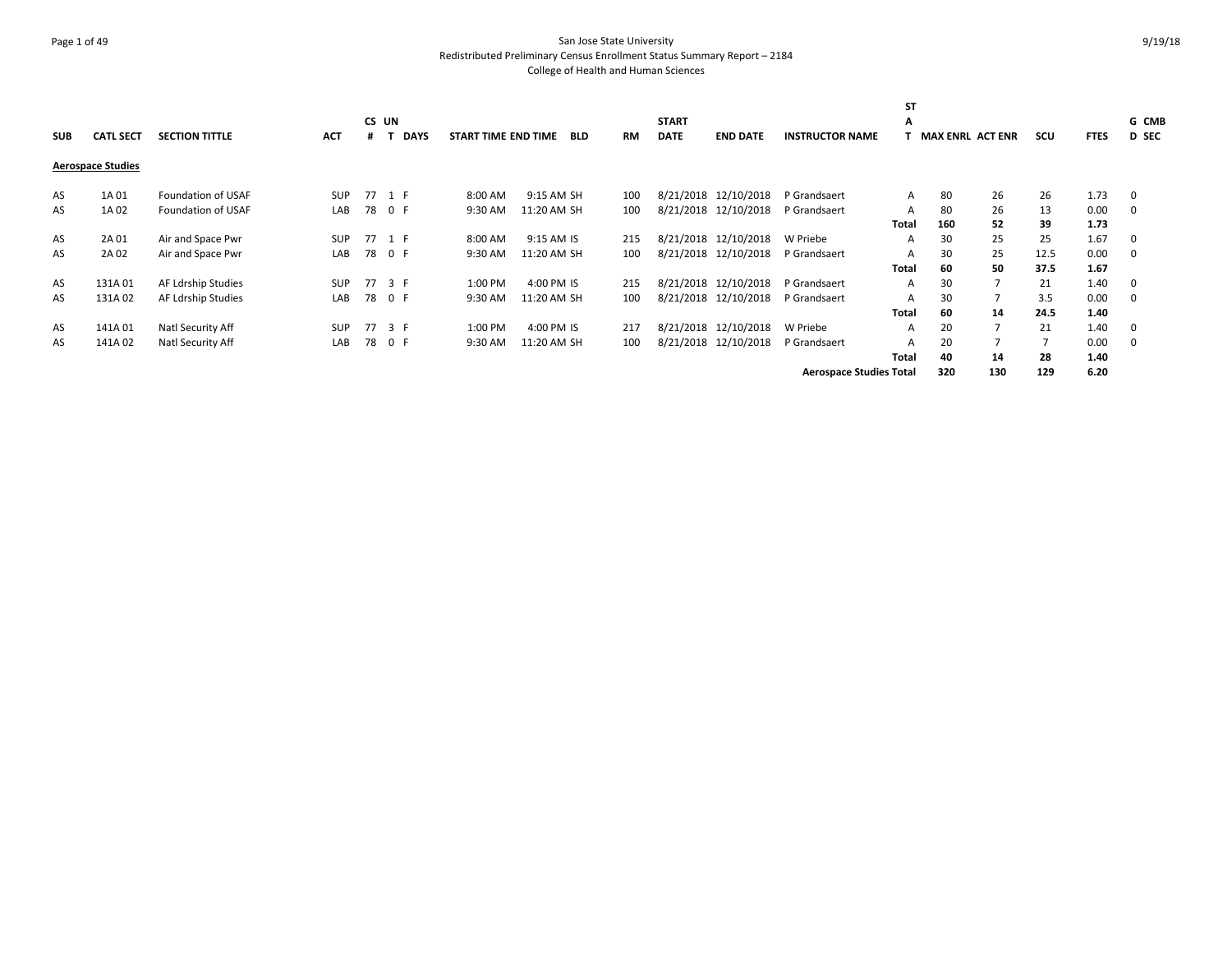# Page 1 of 49 San Jose State University Redistributed Preliminary Census Enrollment Status Summary Report – 2184 College of Health and Human Sciences

|            |                          |                       |            |    |             |                     |             |            |           |              |                      |                                | <b>ST</b>    |     |                         |      |             |              |
|------------|--------------------------|-----------------------|------------|----|-------------|---------------------|-------------|------------|-----------|--------------|----------------------|--------------------------------|--------------|-----|-------------------------|------|-------------|--------------|
|            |                          |                       |            |    | CS UN       |                     |             |            |           | <b>START</b> |                      |                                | A            |     |                         |      |             | G CMB        |
| <b>SUB</b> | <b>CATL SECT</b>         | <b>SECTION TITTLE</b> | <b>ACT</b> |    | <b>DAYS</b> | START TIME END TIME |             | <b>BLD</b> | <b>RM</b> | <b>DATE</b>  | <b>END DATE</b>      | <b>INSTRUCTOR NAME</b>         |              |     | <b>MAX ENRL ACT ENR</b> | scu  | <b>FTES</b> | <b>D SEC</b> |
|            | <b>Aerospace Studies</b> |                       |            |    |             |                     |             |            |           |              |                      |                                |              |     |                         |      |             |              |
| AS         | 1A 01                    | Foundation of USAF    | <b>SUP</b> |    | 77 1 F      | 8:00 AM             | 9:15 AM SH  |            | 100       |              | 8/21/2018 12/10/2018 | P Grandsaert                   | A            | 80  | 26                      | 26   | 1.73        | 0            |
| AS         | 1A 02                    | Foundation of USAF    | LAB        |    | 78 0 F      | 9:30 AM             | 11:20 AM SH |            | 100       |              | 8/21/2018 12/10/2018 | P Grandsaert                   | A            | 80  | 26                      | 13   | 0.00        | 0            |
|            |                          |                       |            |    |             |                     |             |            |           |              |                      |                                | Total        | 160 | 52                      | 39   | 1.73        |              |
| AS         | 2A 01                    | Air and Space Pwr     | SUP        |    | 77 1 F      | 8:00 AM             | 9:15 AM IS  |            | 215       |              | 8/21/2018 12/10/2018 | W Priebe                       | A            | 30  | 25                      | 25   | 1.67        | 0            |
| AS         | 2A 02                    | Air and Space Pwr     | LAB        |    | 78 0 F      | 9:30 AM             | 11:20 AM SH |            | 100       |              | 8/21/2018 12/10/2018 | P Grandsaert                   | A            | 30  | 25                      | 12.5 | 0.00        | 0            |
|            |                          |                       |            |    |             |                     |             |            |           |              |                      |                                | Total        | 60  | 50                      | 37.5 | 1.67        |              |
| AS         | 131A01                   | AF Ldrship Studies    | <b>SUP</b> | 77 | 3 F         | 1:00 PM             | 4:00 PM IS  |            | 215       |              | 8/21/2018 12/10/2018 | P Grandsaert                   | A            | 30  |                         | 21   | 1.40        | 0            |
| AS         | 131A02                   | AF Ldrship Studies    | LAB        |    | 78 0 F      | 9:30 AM             | 11:20 AM SH |            | 100       |              | 8/21/2018 12/10/2018 | P Grandsaert                   | A            | 30  |                         | 3.5  | 0.00        | 0            |
|            |                          |                       |            |    |             |                     |             |            |           |              |                      |                                | Total        | 60  | 14                      | 24.5 | 1.40        |              |
| AS         | 141A01                   | Natl Security Aff     | <b>SUP</b> | 77 | 3 F         | 1:00 PM             | 4:00 PM IS  |            | 217       |              | 8/21/2018 12/10/2018 | W Priebe                       | A            | 20  |                         | 21   | 1.40        | 0            |
| AS         | 141A02                   | Natl Security Aff     | LAB        | 78 | 0 F         | 9:30 AM             | 11:20 AM SH |            | 100       |              | 8/21/2018 12/10/2018 | P Grandsaert                   | $\mathsf{A}$ | 20  |                         |      | 0.00        | 0            |
|            |                          |                       |            |    |             |                     |             |            |           |              |                      |                                | Total        | 40  | 14                      | 28   | 1.40        |              |
|            |                          |                       |            |    |             |                     |             |            |           |              |                      | <b>Aerospace Studies Total</b> |              | 320 | 130                     | 129  | 6.20        |              |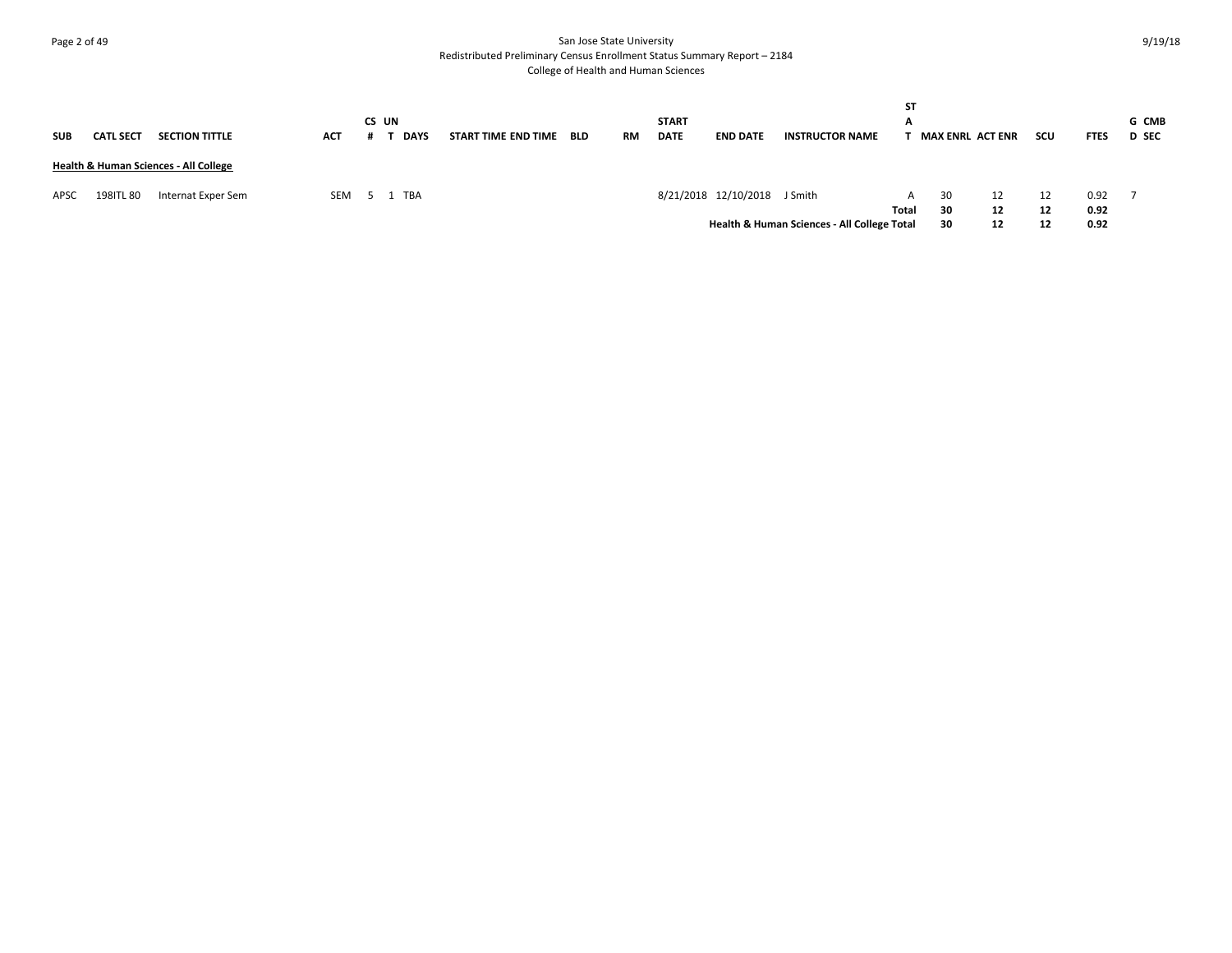# Page 2 of 49 San Jose State University Redistributed Preliminary Census Enrollment Status Summary Report – 2184 College of Health and Human Sciences

| SUB  | <b>CATL SECT</b> | <b>SECTION TITTLE</b>                 | <b>ACT</b> | CS UN | <b>DAYS</b> | START TIME END TIME | <b>BLD</b> | RM | <b>START</b><br><b>DATE</b> | <b>END DATE</b>              | <b>INSTRUCTOR NAME</b>                      | SΤ<br>A | <b>MAX ENRL ACT ENR</b> |    | scu | <b>FTES</b> | <b>G CMB</b><br><b>D</b> SEC |
|------|------------------|---------------------------------------|------------|-------|-------------|---------------------|------------|----|-----------------------------|------------------------------|---------------------------------------------|---------|-------------------------|----|-----|-------------|------------------------------|
|      |                  | Health & Human Sciences - All College |            |       |             |                     |            |    |                             |                              |                                             |         |                         |    |     |             |                              |
| APSC | 198ITL 80        | Internat Exper Sem                    | SEM        |       | 5 1 TBA     |                     |            |    |                             | 8/21/2018 12/10/2018 J Smith |                                             | A       | 30                      | 12 | 12  | 0.92        |                              |
|      |                  |                                       |            |       |             |                     |            |    |                             |                              |                                             | Total   | 30                      | 12 | 12  | 0.92        |                              |
|      |                  |                                       |            |       |             |                     |            |    |                             |                              | Health & Human Sciences - All College Total |         | 30                      | 12 | 12  | 0.92        |                              |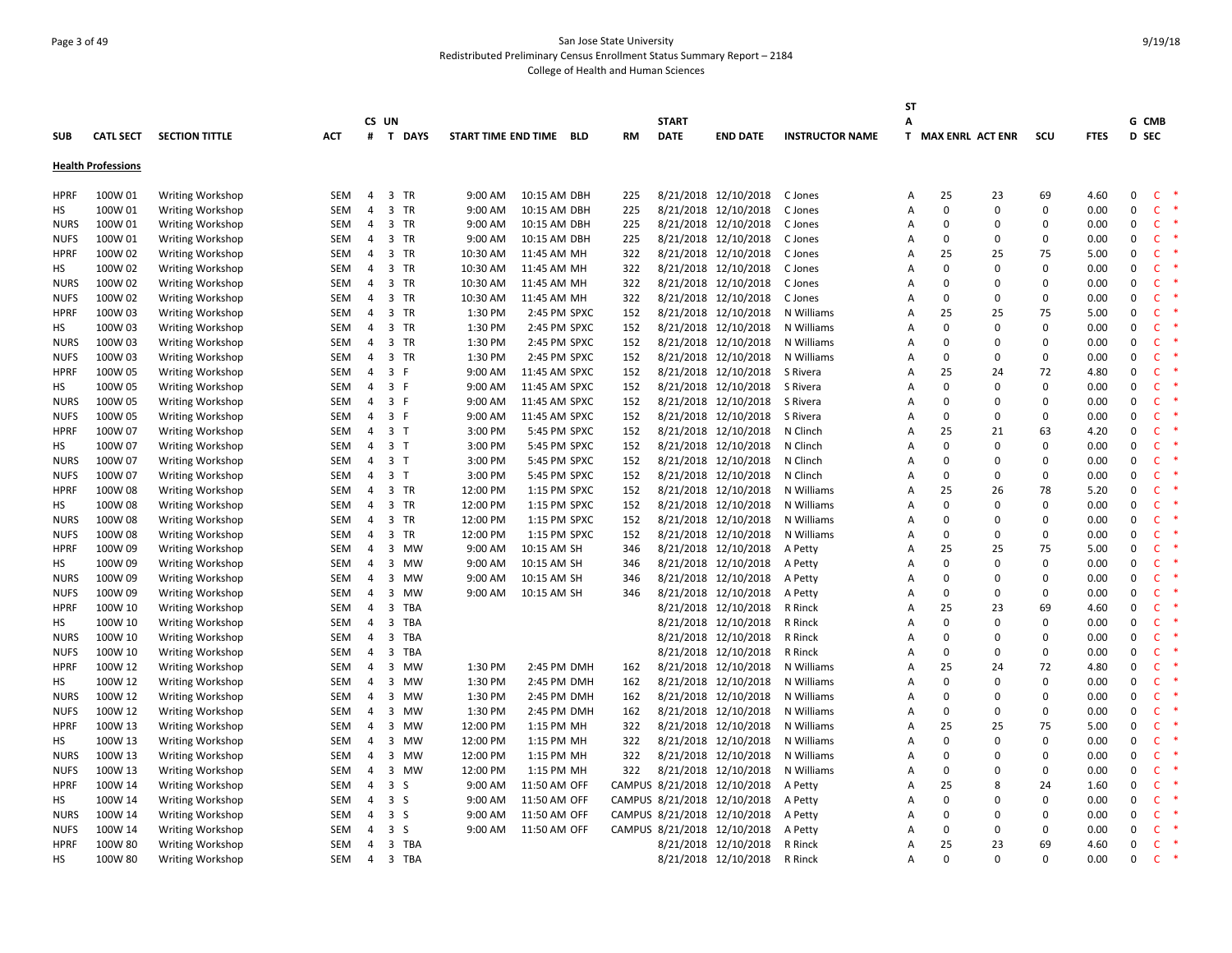# Page 3 of 49 San Jose State University Redistributed Preliminary Census Enrollment Status Summary Report – 2184 College of Health and Human Sciences

|             |                           |                         |            |                |                |          |                         |           |              |                             |                        | <b>ST</b>      |             |                    |             |             |              |              |        |
|-------------|---------------------------|-------------------------|------------|----------------|----------------|----------|-------------------------|-----------|--------------|-----------------------------|------------------------|----------------|-------------|--------------------|-------------|-------------|--------------|--------------|--------|
|             |                           |                         |            |                | CS UN          |          |                         |           | <b>START</b> |                             |                        | A              |             |                    |             |             | G CMB        |              |        |
| <b>SUB</b>  | <b>CATL SECT</b>          | <b>SECTION TITTLE</b>   | <b>ACT</b> | #              | T DAYS         |          | START TIME END TIME BLD | <b>RM</b> | <b>DATE</b>  | <b>END DATE</b>             | <b>INSTRUCTOR NAME</b> |                |             | T MAX ENRL ACT ENR | scu         | <b>FTES</b> | <b>D</b> SEC |              |        |
|             | <b>Health Professions</b> |                         |            |                |                |          |                         |           |              |                             |                        |                |             |                    |             |             |              |              |        |
| <b>HPRF</b> | 100W 01                   | <b>Writing Workshop</b> | SEM        | $\overline{4}$ | 3 TR           | 9:00 AM  | 10:15 AM DBH            | 225       |              | 8/21/2018 12/10/2018        | C Jones                | Α              | 25          | 23                 | 69          | 4.60        | $\Omega$     | C.           | $\ast$ |
| НS          | 100W 01                   | Writing Workshop        | <b>SEM</b> | $\overline{4}$ | 3 TR           | 9:00 AM  | 10:15 AM DBH            | 225       |              | 8/21/2018 12/10/2018        | C Jones                | Α              | $\mathbf 0$ | $\mathbf 0$        | $\Omega$    | 0.00        | $\mathbf 0$  | $\mathsf{C}$ |        |
| <b>NURS</b> | 100W 01                   | <b>Writing Workshop</b> | SEM        | 4              | 3 TR           | 9:00 AM  | 10:15 AM DBH            | 225       |              | 8/21/2018 12/10/2018        | C Jones                | Α              | 0           | 0                  | $\Omega$    | 0.00        | 0            | <b>C</b>     |        |
| <b>NUFS</b> | 100W 01                   | <b>Writing Workshop</b> | SEM        | $\overline{4}$ | 3 TR           | 9:00 AM  | 10:15 AM DBH            | 225       |              | 8/21/2018 12/10/2018        | C Jones                | Α              | $\mathbf 0$ | 0                  | $\Omega$    | 0.00        | $\mathbf 0$  | C            |        |
| <b>HPRF</b> | 100W 02                   | Writing Workshop        | SEM        | $\overline{a}$ | 3 TR           | 10:30 AM | 11:45 AM MH             | 322       |              | 8/21/2018 12/10/2018        | C Jones                | Α              | 25          | 25                 | 75          | 5.00        | $\mathbf{0}$ | $\mathsf{C}$ |        |
| НS          | 100W 02                   | Writing Workshop        | SEM        | $\overline{4}$ | 3 TR           | 10:30 AM | 11:45 AM MH             | 322       |              | 8/21/2018 12/10/2018        | C Jones                | Α              | $\Omega$    | $\mathbf 0$        | $\Omega$    | 0.00        | $\mathbf 0$  | $\mathsf{C}$ |        |
| <b>NURS</b> | 100W 02                   | <b>Writing Workshop</b> | SEM        | 4              | 3 TR           | 10:30 AM | 11:45 AM MH             | 322       |              | 8/21/2018 12/10/2018        | C Jones                | Α              | 0           | 0                  | $\Omega$    | 0.00        | 0            | $\mathsf{C}$ |        |
| <b>NUFS</b> | 100W 02                   | Writing Workshop        | <b>SEM</b> | 4              | 3 TR           | 10:30 AM | 11:45 AM MH             | 322       |              | 8/21/2018 12/10/2018        | C Jones                | $\overline{A}$ | $\Omega$    | $\mathbf 0$        | $\Omega$    | 0.00        | $\mathbf 0$  | C            |        |
| <b>HPRF</b> | 100W 03                   | Writing Workshop        | <b>SEM</b> | $\overline{4}$ | 3 TR           | 1:30 PM  | 2:45 PM SPXC            | 152       |              | 8/21/2018 12/10/2018        | N Williams             | Α              | 25          | 25                 | 75          | 5.00        | $\mathbf{0}$ | $\mathsf{C}$ |        |
| нs          | 100W 03                   | <b>Writing Workshop</b> | SEM        | 4              | 3 TR           | 1:30 PM  | 2:45 PM SPXC            | 152       |              | 8/21/2018 12/10/2018        | N Williams             | A              | $\Omega$    | 0                  | $\Omega$    | 0.00        | $\Omega$     | C            |        |
| <b>NURS</b> | 100W 03                   | <b>Writing Workshop</b> | <b>SEM</b> | $\overline{4}$ | 3 TR           | 1:30 PM  | 2:45 PM SPXC            | 152       |              | 8/21/2018 12/10/2018        | N Williams             | A              | $\Omega$    | $\mathbf 0$        | $\Omega$    | 0.00        | $\mathbf{0}$ | C            |        |
| <b>NUFS</b> | 100W 03                   | <b>Writing Workshop</b> | SEM        | $\overline{4}$ | 3 TR           | 1:30 PM  | 2:45 PM SPXC            | 152       |              | 8/21/2018 12/10/2018        | N Williams             | A              | $\mathbf 0$ | $\mathbf 0$        | $\mathbf 0$ | 0.00        | $\mathbf 0$  | $\mathsf{C}$ |        |
| HPRF        | 100W 05                   | Writing Workshop        | <b>SEM</b> | $\overline{4}$ | 3 F            | 9:00 AM  | 11:45 AM SPXC           | 152       |              | 8/21/2018 12/10/2018        | S Rivera               | Α              | 25          | 24                 | 72          | 4.80        | $\mathbf 0$  | $\mathsf{C}$ |        |
| НS          | 100W 05                   | <b>Writing Workshop</b> | SEM        | 4              | 3 F            | 9:00 AM  | 11:45 AM SPXC           | 152       |              | 8/21/2018 12/10/2018        | S Rivera               | Α              | 0           | 0                  | $\Omega$    | 0.00        | 0            | $\mathsf{C}$ |        |
| <b>NURS</b> | 100W 05                   | <b>Writing Workshop</b> | <b>SEM</b> | $\overline{4}$ | 3 F            | 9:00 AM  | 11:45 AM SPXC           | 152       |              | 8/21/2018 12/10/2018        | S Rivera               | A              | $\Omega$    | $\mathbf 0$        | $\Omega$    | 0.00        | $\Omega$     | $\mathsf{C}$ |        |
| <b>NUFS</b> | 100W 05                   | <b>Writing Workshop</b> | <b>SEM</b> | $\overline{4}$ | 3 F            | 9:00 AM  | 11:45 AM SPXC           | 152       |              | 8/21/2018 12/10/2018        | S Rivera               | Α              | $\Omega$    | $\mathbf 0$        | $\Omega$    | 0.00        | $\mathbf 0$  | $\mathsf{C}$ |        |
| <b>HPRF</b> | 100W 07                   | <b>Writing Workshop</b> | SEM        | 4              | 3 <sub>T</sub> | 3:00 PM  | 5:45 PM SPXC            | 152       |              | 8/21/2018 12/10/2018        | N Clinch               | Α              | 25          | 21                 | 63          | 4.20        | $\Omega$     | C            |        |
| НS          | 100W 07                   | <b>Writing Workshop</b> | <b>SEM</b> | $\overline{4}$ | 3 <sub>1</sub> | 3:00 PM  | 5:45 PM SPXC            | 152       |              | 8/21/2018 12/10/2018        | N Clinch               | A              | $\Omega$    | $\mathbf{0}$       | $\Omega$    | 0.00        | $\Omega$     | C.           |        |
| <b>NURS</b> | 100W 07                   | <b>Writing Workshop</b> | <b>SEM</b> | $\overline{4}$ | 3 <sub>1</sub> | 3:00 PM  | 5:45 PM SPXC            | 152       |              | 8/21/2018 12/10/2018        | N Clinch               | A              | $\Omega$    | $\mathbf 0$        | $\Omega$    | 0.00        | $\mathbf 0$  | <b>C</b>     |        |
| <b>NUFS</b> | 100W 07                   | <b>Writing Workshop</b> | <b>SEM</b> | 4              | 3 <sub>T</sub> | 3:00 PM  | 5:45 PM SPXC            | 152       |              | 8/21/2018 12/10/2018        | N Clinch               | А              | $\mathbf 0$ | $\mathbf 0$        | $\mathbf 0$ | 0.00        | $\mathbf 0$  | C            |        |
| <b>HPRF</b> | 100W 08                   | <b>Writing Workshop</b> | SEM        | 4              | 3 TR           | 12:00 PM | 1:15 PM SPXC            | 152       |              | 8/21/2018 12/10/2018        | N Williams             | Α              | 25          | 26                 | 78          | 5.20        | $\mathbf{0}$ | $\mathsf{C}$ |        |
| НS          | 100W 08                   | <b>Writing Workshop</b> | <b>SEM</b> | $\overline{4}$ | 3 TR           | 12:00 PM | 1:15 PM SPXC            | 152       |              | 8/21/2018 12/10/2018        | N Williams             | A              | $\Omega$    | $\mathbf 0$        | $\Omega$    | 0.00        | $\Omega$     | $\mathsf{C}$ |        |
| <b>NURS</b> | 100W 08                   | <b>Writing Workshop</b> | SEM        | 4              | 3 TR           | 12:00 PM | 1:15 PM SPXC            | 152       |              | 8/21/2018 12/10/2018        | N Williams             | Α              | $\Omega$    | $\mathbf 0$        | $\Omega$    | 0.00        | $\mathbf 0$  | $\mathsf{C}$ |        |
| <b>NUFS</b> | 100W 08                   | <b>Writing Workshop</b> | SEM        | 4              | 3 TR           | 12:00 PM | 1:15 PM SPXC            | 152       |              | 8/21/2018 12/10/2018        | N Williams             | A              | 0           | $\mathbf 0$        | $\mathbf 0$ | 0.00        | $\Omega$     | $\mathsf{C}$ |        |
| <b>HPRF</b> | 100W 09                   | <b>Writing Workshop</b> | <b>SEM</b> | $\overline{4}$ | 3<br>MW        | 9:00 AM  | 10:15 AM SH             | 346       |              | 8/21/2018 12/10/2018        | A Petty                | Α              | 25          | 25                 | 75          | 5.00        | $\mathbf{0}$ | $\mathsf{C}$ |        |
| нs          | 100W 09                   | Writing Workshop        | <b>SEM</b> | $\overline{4}$ | 3 MW           | 9:00 AM  | 10:15 AM SH             | 346       |              | 8/21/2018 12/10/2018        | A Petty                | A              | $\Omega$    | $\mathbf{0}$       | $\Omega$    | 0.00        | $\Omega$     | <b>C</b>     |        |
| <b>NURS</b> | 100W 09                   | <b>Writing Workshop</b> | <b>SEM</b> | 4              | 3<br>MW        | 9:00 AM  | 10:15 AM SH             | 346       |              | 8/21/2018 12/10/2018        | A Petty                | Α              | $\Omega$    | $\mathbf 0$        | $\mathbf 0$ | 0.00        | $\mathbf 0$  | C            |        |
| <b>NUFS</b> | 100W 09                   | <b>Writing Workshop</b> | SEM        | 4              | 3<br>MW        | 9:00 AM  | 10:15 AM SH             | 346       |              | 8/21/2018 12/10/2018        | A Petty                | Α              | 0           | 0                  | $\mathbf 0$ | 0.00        | 0            | $\mathsf{C}$ |        |
| <b>HPRF</b> | 100W 10                   | <b>Writing Workshop</b> | SEM        | 4              | 3<br>TBA       |          |                         |           |              | 8/21/2018 12/10/2018        | R Rinck                | Α              | 25          | 23                 | 69          | 4.60        | $\mathbf{0}$ | C            |        |
| НS          | 100W 10                   | Writing Workshop        | SEM        | $\overline{4}$ | 3<br>TBA       |          |                         |           |              | 8/21/2018 12/10/2018        | R Rinck                | Α              | $\Omega$    | $\mathbf 0$        | $\Omega$    | 0.00        | 0            | $\mathsf{C}$ |        |
| <b>NURS</b> | 100W 10                   | <b>Writing Workshop</b> | SEM        | 4              | 3<br>TBA       |          |                         |           |              | 8/21/2018 12/10/2018        | R Rinck                | Α              | $\Omega$    | $\mathbf 0$        | $\Omega$    | 0.00        | $\mathbf 0$  | $\mathsf{C}$ |        |
| <b>NUFS</b> | 100W 10                   | <b>Writing Workshop</b> | SEM        | $\overline{4}$ | 3<br>TBA       |          |                         |           |              | 8/21/2018 12/10/2018        | R Rinck                | $\overline{A}$ | $\Omega$    | $\mathbf 0$        | $\mathbf 0$ | 0.00        | $\mathbf{0}$ | $\mathsf{C}$ |        |
| <b>HPRF</b> | 100W 12                   | Writing Workshop        | <b>SEM</b> | $\overline{4}$ | 3 MW           | 1:30 PM  | 2:45 PM DMH             | 162       |              | 8/21/2018 12/10/2018        | N Williams             | Α              | 25          | 24                 | 72          | 4.80        | $\Omega$     | $\mathsf{C}$ |        |
| НS          | 100W 12                   | Writing Workshop        | SEM        | $\overline{4}$ | 3<br>MW        | 1:30 PM  | 2:45 PM DMH             | 162       |              | 8/21/2018 12/10/2018        | N Williams             | Α              | $\Omega$    | 0                  | $\Omega$    | 0.00        | $\Omega$     | $\mathsf{C}$ |        |
| <b>NURS</b> | 100W 12                   | <b>Writing Workshop</b> | SEM        | 4              | 3<br>MW        | 1:30 PM  | 2:45 PM DMH             | 162       |              | 8/21/2018 12/10/2018        | N Williams             | Α              | 0           | 0                  | $\Omega$    | 0.00        | 0            | <b>C</b>     |        |
| <b>NUFS</b> | 100W 12                   | <b>Writing Workshop</b> | <b>SEM</b> | $\overline{4}$ | 3<br><b>MW</b> | 1:30 PM  | 2:45 PM DMH             | 162       |              | 8/21/2018 12/10/2018        | N Williams             | Α              | $\mathbf 0$ | $\mathbf 0$        | $\Omega$    | 0.00        | $\mathbf 0$  | C            |        |
| <b>HPRF</b> | 100W 13                   | Writing Workshop        | SEM        | $\overline{a}$ | 3<br>MW        | 12:00 PM | 1:15 PM MH              | 322       |              | 8/21/2018 12/10/2018        | N Williams             | Α              | 25          | 25                 | 75          | 5.00        | $\mathbf{0}$ | $\mathsf{C}$ |        |
| НS          | 100W 13                   | Writing Workshop        | SEM        | $\overline{4}$ | 3 MW           | 12:00 PM | 1:15 PM MH              | 322       |              | 8/21/2018 12/10/2018        | N Williams             | Α              | $\Omega$    | $\mathbf 0$        | $\Omega$    | 0.00        | $\mathbf 0$  | $\mathsf{C}$ |        |
| <b>NURS</b> | 100W 13                   | <b>Writing Workshop</b> | SEM        | 4              | 3<br>мw        | 12:00 PM | 1:15 PM MH              | 322       |              | 8/21/2018 12/10/2018        | N Williams             | Α              | $\mathbf 0$ | 0                  | $\Omega$    | 0.00        | 0            | $\mathsf{C}$ |        |
| <b>NUFS</b> | 100W 13                   | Writing Workshop        | <b>SEM</b> | $\overline{4}$ | 3 MW           | 12:00 PM | 1:15 PM MH              | 322       |              | 8/21/2018 12/10/2018        | N Williams             | Α              | $\Omega$    | $\mathbf 0$        | $\Omega$    | 0.00        | $\mathbf 0$  | C            |        |
| <b>HPRF</b> | 100W 14                   | Writing Workshop        | <b>SEM</b> | $\overline{4}$ | 3 <sub>5</sub> | 9:00 AM  | 11:50 AM OFF            |           |              | CAMPUS 8/21/2018 12/10/2018 | A Petty                | Α              | 25          | 8                  | 24          | 1.60        | $\mathbf{0}$ | $\mathsf{C}$ |        |
| нs          | 100W 14                   | <b>Writing Workshop</b> | SEM        | 4              | 3S             | 9:00 AM  | 11:50 AM OFF            |           |              | CAMPUS 8/21/2018 12/10/2018 | A Petty                | Α              | $\Omega$    | $\Omega$           | $\Omega$    | 0.00        | $\Omega$     | $\mathsf{C}$ |        |
| <b>NURS</b> | 100W 14                   | <b>Writing Workshop</b> | <b>SEM</b> | $\overline{4}$ | 3 <sub>5</sub> | 9:00 AM  | 11:50 AM OFF            |           |              | CAMPUS 8/21/2018 12/10/2018 | A Petty                | A              | $\Omega$    | $\Omega$           | $\Omega$    | 0.00        | $\mathbf{0}$ | C            |        |
| <b>NUFS</b> | 100W 14                   | <b>Writing Workshop</b> | SEM        | $\overline{4}$ | 3S             | 9:00 AM  | 11:50 AM OFF            |           |              | CAMPUS 8/21/2018 12/10/2018 | A Petty                | A              | $\Omega$    | $\mathbf{0}$       | $\mathbf 0$ | 0.00        | $\mathbf 0$  | $\mathsf{C}$ |        |
| <b>HPRF</b> | 100W 80                   | Writing Workshop        | SEM        | $\overline{4}$ | 3 TBA          |          |                         |           |              | 8/21/2018 12/10/2018        | R Rinck                | А              | 25          | 23                 | 69          | 4.60        | $\Omega$     | $\mathsf{C}$ |        |
| <b>HS</b>   | 100W 80                   | <b>Writing Workshop</b> | SEM        | $\overline{4}$ | 3 TBA          |          |                         |           |              | 8/21/2018 12/10/2018        | R Rinck                | A              | $\Omega$    | $\Omega$           | $\Omega$    | 0.00        | $\mathbf 0$  | C            |        |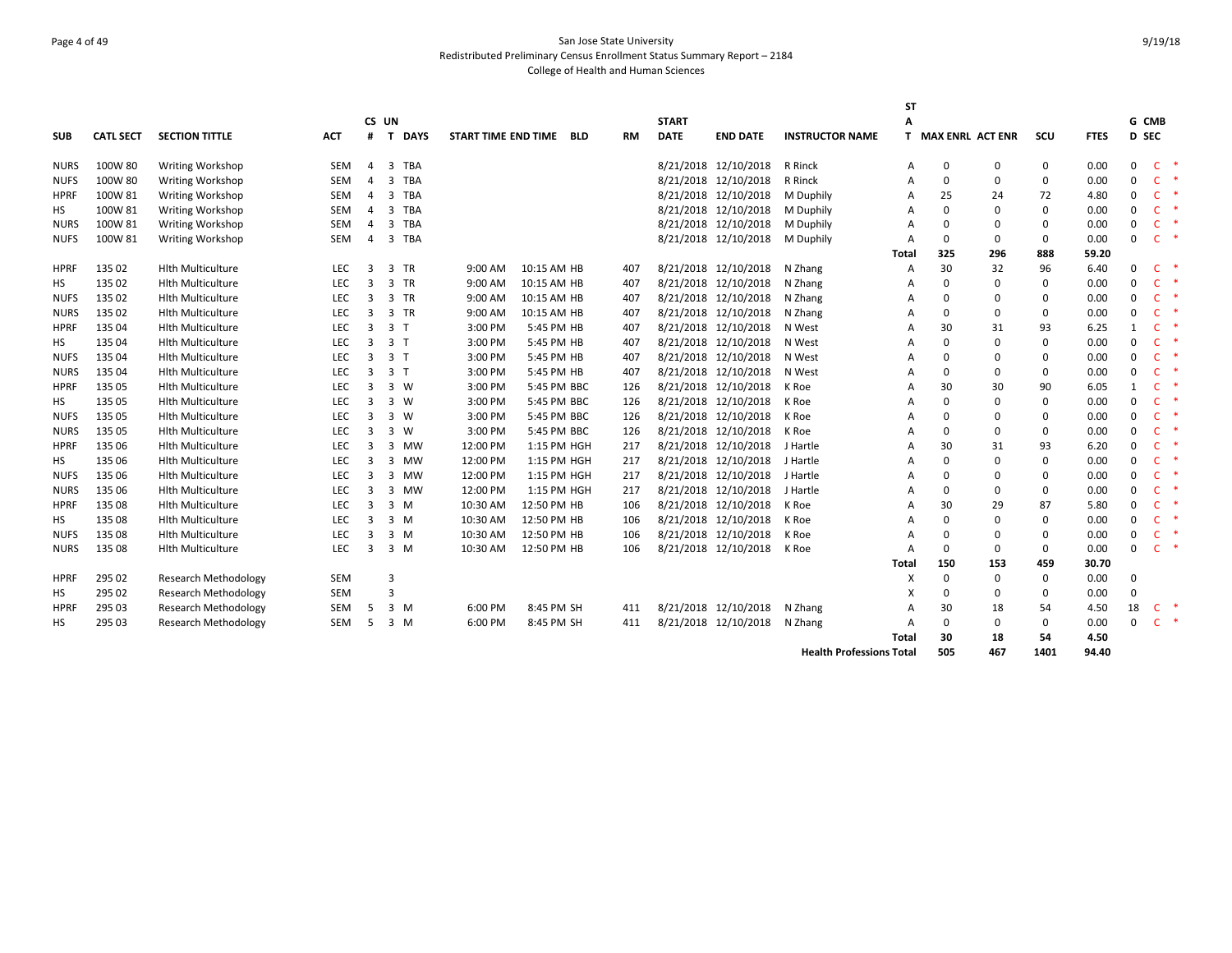#### Page 4 of 49 San Jose State University Redistributed Preliminary Census Enrollment Status Summary Report – 2184 College of Health and Human Sciences

|             |                  |                             |            |                |                             |                     |             |            |           |              |                      |                        | SΤ           |                         |             |              |             |              |              |  |
|-------------|------------------|-----------------------------|------------|----------------|-----------------------------|---------------------|-------------|------------|-----------|--------------|----------------------|------------------------|--------------|-------------------------|-------------|--------------|-------------|--------------|--------------|--|
|             |                  |                             |            |                | CS UN                       |                     |             |            |           | <b>START</b> |                      |                        | A            |                         |             |              |             |              | G CMB        |  |
| <b>SUB</b>  | <b>CATL SECT</b> | <b>SECTION TITTLE</b>       | ACT        | #              | <b>DAYS</b><br>$\mathbf{T}$ | START TIME END TIME |             | <b>BLD</b> | <b>RM</b> | <b>DATE</b>  | <b>END DATE</b>      | <b>INSTRUCTOR NAME</b> | T.           | <b>MAX ENRL ACT ENR</b> |             | scu          | <b>FTES</b> |              | D SEC        |  |
| <b>NURS</b> | 100W 80          | Writing Workshop            | <b>SEM</b> | $\overline{4}$ | 3<br><b>TBA</b>             |                     |             |            |           |              | 8/21/2018 12/10/2018 | R Rinck                | A            | 0                       | 0           | 0            | 0.00        | 0            | C            |  |
| <b>NUFS</b> | 100W 80          | <b>Writing Workshop</b>     | SEM        | $\overline{4}$ | 3<br>TBA                    |                     |             |            |           |              | 8/21/2018 12/10/2018 | R Rinck                | A            | 0                       | 0           | 0            | 0.00        | 0            | $\mathsf{C}$ |  |
| <b>HPRF</b> | 100W 81          | Writing Workshop            | SEM        | $\overline{4}$ | <b>TBA</b><br>3             |                     |             |            |           |              | 8/21/2018 12/10/2018 | M Duphily              | A            | 25                      | 24          | 72           | 4.80        | 0            | $\mathsf{C}$ |  |
| HS          | 100W 81          | Writing Workshop            | SEM        | $\overline{4}$ | 3<br><b>TBA</b>             |                     |             |            |           |              | 8/21/2018 12/10/2018 | M Duphily              | A            | $\Omega$                | $\mathbf 0$ | $\mathbf 0$  | 0.00        | 0            | $\mathsf{C}$ |  |
| <b>NURS</b> | 100W 81          | Writing Workshop            | SEM        | 4              | 3<br>TBA                    |                     |             |            |           |              | 8/21/2018 12/10/2018 | M Duphily              | A            | $\Omega$                | 0           | 0            | 0.00        | 0            | $\mathsf{C}$ |  |
| <b>NUFS</b> | 100W 81          | Writing Workshop            | SEM        | 4              | 3 TBA                       |                     |             |            |           |              | 8/21/2018 12/10/2018 | M Duphily              | A            | $\mathbf{0}$            | 0           | $\mathbf 0$  | 0.00        | 0            | $\mathsf{C}$ |  |
|             |                  |                             |            |                |                             |                     |             |            |           |              |                      |                        | <b>Total</b> | 325                     | 296         | 888          | 59.20       |              |              |  |
| <b>HPRF</b> | 135 02           | <b>Hlth Multiculture</b>    | <b>LEC</b> | 3              | 3 TR                        | 9:00 AM             | 10:15 AM HB |            | 407       |              | 8/21/2018 12/10/2018 | N Zhang                | Α            | 30                      | 32          | 96           | 6.40        | 0            | $\mathsf{C}$ |  |
| HS          | 135 02           | <b>Hlth Multiculture</b>    | <b>LEC</b> | 3              | 3 TR                        | 9:00 AM             | 10:15 AM HB |            | 407       |              | 8/21/2018 12/10/2018 | N Zhang                | A            | $\mathbf{0}$            | $\mathbf 0$ | $\mathbf 0$  | 0.00        | 0            | $\mathsf{C}$ |  |
| <b>NUFS</b> | 135 02           | <b>Hith Multiculture</b>    | <b>LEC</b> | $\overline{3}$ | 3 TR                        | 9:00 AM             | 10:15 AM HB |            | 407       |              | 8/21/2018 12/10/2018 | N Zhang                | A            | 0                       | 0           | 0            | 0.00        | 0            | $\mathsf{C}$ |  |
| <b>NURS</b> | 135 02           | <b>Hith Multiculture</b>    | <b>LEC</b> | $\overline{3}$ | 3 TR                        | 9:00 AM             | 10:15 AM HB |            | 407       |              | 8/21/2018 12/10/2018 | N Zhang                | A            | $\mathbf{0}$            | 0           | $\mathbf 0$  | 0.00        | 0            | $\mathsf{C}$ |  |
| <b>HPRF</b> | 135 04           | <b>Hith Multiculture</b>    | LEC        | 3              | 3 <sub>1</sub>              | 3:00 PM             | 5:45 PM HB  |            | 407       |              | 8/21/2018 12/10/2018 | N West                 | A            | 30                      | 31          | 93           | 6.25        | $\mathbf{1}$ | $\mathsf{C}$ |  |
| HS          | 135 04           | <b>Hith Multiculture</b>    | LEC        | 3              | 3 <sub>1</sub>              | 3:00 PM             | 5:45 PM HB  |            | 407       |              | 8/21/2018 12/10/2018 | N West                 | A            | $\mathbf{0}$            | 0           | $\mathbf 0$  | 0.00        | 0            | $\mathsf{C}$ |  |
| <b>NUFS</b> | 135 04           | <b>Hlth Multiculture</b>    | <b>LEC</b> | 3              | 3 <sub>1</sub>              | 3:00 PM             | 5:45 PM HB  |            | 407       |              | 8/21/2018 12/10/2018 | N West                 | A            | 0                       | 0           | $\mathbf 0$  | 0.00        | 0            | $\mathsf{C}$ |  |
| <b>NURS</b> | 135 04           | <b>Hlth Multiculture</b>    | <b>LEC</b> | $\overline{3}$ | 3 <sub>1</sub>              | 3:00 PM             | 5:45 PM HB  |            | 407       |              | 8/21/2018 12/10/2018 | N West                 | A            | 0                       | 0           | $\mathbf 0$  | 0.00        | 0            | $\mathsf{C}$ |  |
| <b>HPRF</b> | 135 05           | <b>Hlth Multiculture</b>    | <b>LEC</b> | $\overline{3}$ | $3 \ W$                     | 3:00 PM             | 5:45 PM BBC |            | 126       |              | 8/21/2018 12/10/2018 | K Roe                  |              | 30                      | 30          | 90           | 6.05        | 1            | $\mathsf{C}$ |  |
| НS          | 135 05           | <b>Hlth Multiculture</b>    | <b>LEC</b> | 3              | $3 \ W$                     | 3:00 PM             | 5:45 PM BBC |            | 126       |              | 8/21/2018 12/10/2018 | K Roe                  | A            | $\Omega$                | 0           | $\mathbf 0$  | 0.00        | 0            | $\mathsf{C}$ |  |
| <b>NUFS</b> | 135 05           | <b>Hith Multiculture</b>    | <b>LEC</b> | $\overline{3}$ | $3 \ W$                     | 3:00 PM             | 5:45 PM BBC |            | 126       |              | 8/21/2018 12/10/2018 | K Roe                  | A            | 0                       | 0           | $\mathbf 0$  | 0.00        | 0            | $\mathsf{C}$ |  |
| <b>NURS</b> | 135 05           | <b>Hith Multiculture</b>    | LEC        | $\overline{3}$ | 3 W                         | 3:00 PM             | 5:45 PM BBC |            | 126       |              | 8/21/2018 12/10/2018 | K Roe                  | A            | 0                       | 0           | $\mathbf 0$  | 0.00        | 0            | $\mathsf{C}$ |  |
| <b>HPRF</b> | 135 06           | <b>Hith Multiculture</b>    | LEC        | $\overline{3}$ | 3<br><b>MW</b>              | 12:00 PM            | 1:15 PM HGH |            | 217       |              | 8/21/2018 12/10/2018 | J Hartle               | A            | 30                      | 31          | 93           | 6.20        | 0            | $\mathsf{C}$ |  |
| HS          | 135 06           | <b>Hlth Multiculture</b>    | LEC        | 3              | 3<br>MW                     | 12:00 PM            | 1:15 PM HGH |            | 217       |              | 8/21/2018 12/10/2018 | J Hartle               | A            | 0                       | 0           | $\mathbf 0$  | 0.00        | 0            | C            |  |
| <b>NUFS</b> | 135 06           | <b>Hlth Multiculture</b>    | <b>LEC</b> | $\overline{3}$ | 3<br>MW                     | 12:00 PM            | 1:15 PM HGH |            | 217       |              | 8/21/2018 12/10/2018 | J Hartle               | A            | $\Omega$                | 0           | $\mathbf 0$  | 0.00        | 0            | $\mathsf{C}$ |  |
| <b>NURS</b> | 135 06           | <b>Hlth Multiculture</b>    | <b>LEC</b> | $\overline{3}$ | 3<br>MW                     | 12:00 PM            | 1:15 PM HGH |            | 217       |              | 8/21/2018 12/10/2018 | J Hartle               | A            | $\Omega$                | 0           | $\mathbf 0$  | 0.00        | 0            | $\mathsf{C}$ |  |
| <b>HPRF</b> | 135 08           | <b>Hlth Multiculture</b>    | LEC        | $\overline{3}$ | 3 M                         | 10:30 AM            | 12:50 PM HB |            | 106       |              | 8/21/2018 12/10/2018 | K Roe                  | A            | 30                      | 29          | 87           | 5.80        | 0            | $\mathsf{C}$ |  |
| HS          | 135 08           | <b>Hith Multiculture</b>    | LEC        | 3              | $3 \, M$                    | 10:30 AM            | 12:50 PM HB |            | 106       |              | 8/21/2018 12/10/2018 | K Roe                  | A            | 0                       | 0           | $\mathbf 0$  | 0.00        | 0            | $\mathsf{C}$ |  |
| <b>NUFS</b> | 135 08           | <b>Hlth Multiculture</b>    | LEC        | $\overline{3}$ | $3 \, M$                    | 10:30 AM            | 12:50 PM HB |            | 106       |              | 8/21/2018 12/10/2018 | K Roe                  | A            | 0                       | 0           | $\mathbf 0$  | 0.00        | 0            | $\mathsf{C}$ |  |
| <b>NURS</b> | 135 08           | <b>Hlth Multiculture</b>    | LEC        | $\overline{3}$ | $3 \, M$                    | 10:30 AM            | 12:50 PM HB |            | 106       |              | 8/21/2018 12/10/2018 | K Roe                  | A            | $\Omega$                | 0           | $\mathbf 0$  | 0.00        | <sup>0</sup> | $\mathsf{C}$ |  |
|             |                  |                             |            |                |                             |                     |             |            |           |              |                      |                        | Total        | 150                     | 153         | 459          | 30.70       |              |              |  |
| <b>HPRF</b> | 295 02           | <b>Research Methodology</b> | <b>SEM</b> |                | 3                           |                     |             |            |           |              |                      |                        | X            | 0                       | 0           | $\mathbf{0}$ | 0.00        | $\Omega$     |              |  |
| НS          | 295 02           | <b>Research Methodology</b> | SEM        |                | 3                           |                     |             |            |           |              |                      |                        | x            | $\Omega$                | 0           | 0            | 0.00        | $\Omega$     |              |  |
| <b>HPRF</b> | 295 03           | <b>Research Methodology</b> | SEM        | -5             | $3 \, M$                    | 6:00 PM             | 8:45 PM SH  |            | 411       |              | 8/21/2018 12/10/2018 | N Zhang                | A            | 30                      | 18          | 54           | 4.50        | 18           | $\mathsf{C}$ |  |
| <b>HS</b>   | 295 03           | <b>Research Methodology</b> | SEM        | 5              | $3 \, M$                    | 6:00 PM             | 8:45 PM SH  |            | 411       |              | 8/21/2018 12/10/2018 | N Zhang                |              | 0                       | 0           | $\mathbf{0}$ | 0.00        | 0            | $\mathsf{C}$ |  |
|             |                  |                             |            |                |                             |                     |             |            |           |              |                      |                        | Total        | 30                      | 18          | 54           | 4.50        |              |              |  |
|             |                  |                             |            |                |                             |                     |             |            |           |              |                      |                        |              |                         |             |              |             |              |              |  |

**Health Professions Total 505 467 1401 94.40**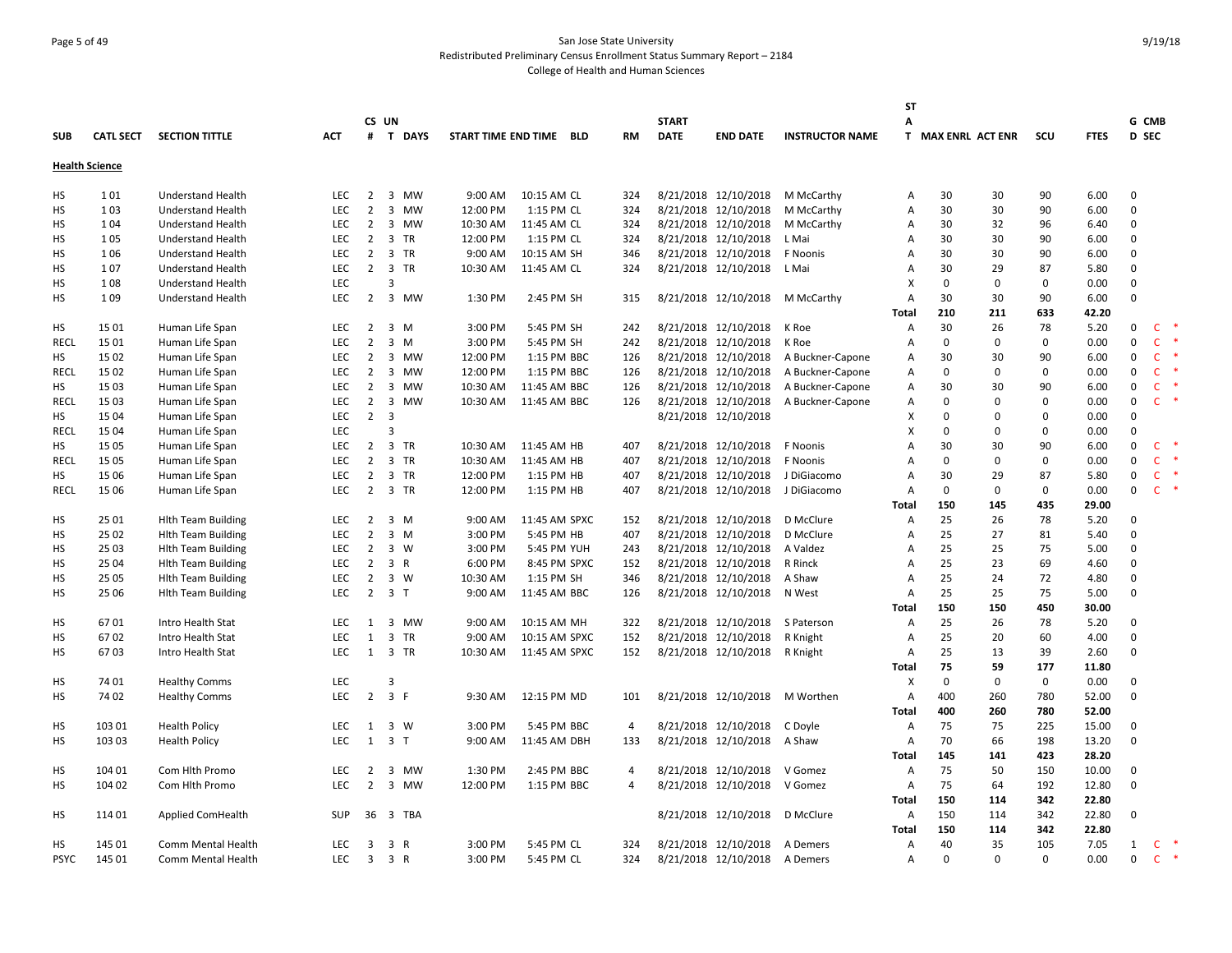# Page 5 of 49 San Jose State University Redistributed Preliminary Census Enrollment Status Summary Report – 2184 College of Health and Human Sciences

|             |                       |                           |            |                | CS UN                   |          |                         |                | <b>START</b> |                      |                        | <b>ST</b><br>A |             |                    |              |             |              | G CMB        |               |
|-------------|-----------------------|---------------------------|------------|----------------|-------------------------|----------|-------------------------|----------------|--------------|----------------------|------------------------|----------------|-------------|--------------------|--------------|-------------|--------------|--------------|---------------|
| <b>SUB</b>  | <b>CATL SECT</b>      | <b>SECTION TITTLE</b>     | <b>ACT</b> |                | # T DAYS                |          | START TIME END TIME BLD | <b>RM</b>      | <b>DATE</b>  | <b>END DATE</b>      | <b>INSTRUCTOR NAME</b> |                |             | T MAX ENRL ACT ENR | scu          | <b>FTES</b> | <b>D</b> SEC |              |               |
|             | <b>Health Science</b> |                           |            |                |                         |          |                         |                |              |                      |                        |                |             |                    |              |             |              |              |               |
| НS          | 101                   | <b>Understand Health</b>  | <b>LEC</b> | $\overline{2}$ | 3 MW                    | 9:00 AM  | 10:15 AM CL             | 324            |              | 8/21/2018 12/10/2018 | M McCarthy             | Α              | 30          | 30                 | 90           | 6.00        | $\mathbf 0$  |              |               |
| HS          | 103                   | <b>Understand Health</b>  | <b>LEC</b> | 2              | 3 MW                    | 12:00 PM | 1:15 PM CL              | 324            |              | 8/21/2018 12/10/2018 | M McCarthy             | Α              | 30          | 30                 | 90           | 6.00        | $\mathbf{0}$ |              |               |
| HS          | 104                   | <b>Understand Health</b>  | <b>LEC</b> | $\overline{2}$ | 3 MW                    | 10:30 AM | 11:45 AM CL             | 324            |              | 8/21/2018 12/10/2018 | M McCarthy             | А              | 30          | 32                 | 96           | 6.40        | $\mathbf{0}$ |              |               |
| HS          | 105                   | <b>Understand Health</b>  | <b>LEC</b> | $\overline{2}$ | 3 TR                    | 12:00 PM | 1:15 PM CL              | 324            |              | 8/21/2018 12/10/2018 | L Mai                  | А              | 30          | 30                 | 90           | 6.00        | 0            |              |               |
| HS          | 106                   | <b>Understand Health</b>  | LEC        | $\overline{2}$ | 3 TR                    | 9:00 AM  | 10:15 AM SH             | 346            |              | 8/21/2018 12/10/2018 | F Noonis               | А              | 30          | 30                 | 90           | 6.00        | $\mathbf 0$  |              |               |
| <b>HS</b>   | 107                   | <b>Understand Health</b>  | LEC        | $2^{\circ}$    | 3 TR                    | 10:30 AM | 11:45 AM CL             | 324            |              | 8/21/2018 12/10/2018 | L Mai                  | А              | 30          | 29                 | 87           | 5.80        | $\mathbf 0$  |              |               |
| HS          | 108                   | <b>Understand Health</b>  | <b>LEC</b> |                | 3                       |          |                         |                |              |                      |                        | x              | $\Omega$    | $\mathbf 0$        | 0            | 0.00        | $\mathbf 0$  |              |               |
| HS          | 109                   | <b>Understand Health</b>  | <b>LEC</b> | $2^{\circ}$    | 3 MW                    | 1:30 PM  | 2:45 PM SH              | 315            |              | 8/21/2018 12/10/2018 | M McCarthy             | Α              | 30          | 30                 | 90           | 6.00        | $\Omega$     |              |               |
|             |                       |                           |            |                |                         |          |                         |                |              |                      |                        | <b>Total</b>   | 210         | 211                | 633          | 42.20       |              |              |               |
| HS          | 15 01                 | Human Life Span           | LEC        | $\overline{2}$ | $3 \, M$                | 3:00 PM  | 5:45 PM SH              | 242            |              | 8/21/2018 12/10/2018 | K Roe                  | Α              | 30          | 26                 | 78           | 5.20        | 0            | $\mathsf{C}$ | $\ast$        |
| RECL        | 15 01                 | Human Life Span           | LEC        | $\overline{2}$ | $3 \, M$                | 3:00 PM  | 5:45 PM SH              | 242            |              | 8/21/2018 12/10/2018 | K Roe                  | А              | $\Omega$    | $\mathbf 0$        | $\mathbf{0}$ | 0.00        | 0            | $\mathsf{C}$ |               |
| HS          | 15 02                 | Human Life Span           | <b>LEC</b> | $\overline{2}$ | 3 MW                    | 12:00 PM | 1:15 PM BBC             | 126            |              | 8/21/2018 12/10/2018 | A Buckner-Capone       | A              | 30          | 30                 | 90           | 6.00        | $\mathbf 0$  | <b>C</b>     | 米             |
| <b>RECL</b> | 15 02                 | Human Life Span           | LEC        | $\overline{2}$ | 3 MW                    | 12:00 PM | 1:15 PM BBC             | 126            |              | 8/21/2018 12/10/2018 | A Buckner-Capone       | Α              | 0           | $\mathbf 0$        | 0            | 0.00        | $\mathbf 0$  | $\mathsf{C}$ |               |
| НS          | 15 03                 | Human Life Span           | <b>LEC</b> | $\overline{2}$ | 3 MW                    | 10:30 AM | 11:45 AM BBC            | 126            |              | 8/21/2018 12/10/2018 | A Buckner-Capone       | Α              | 30          | 30                 | 90           | 6.00        | $\mathbf 0$  | $\mathsf{C}$ |               |
| <b>RECL</b> | 15 03                 | Human Life Span           | <b>LEC</b> | $\overline{2}$ | 3 MW                    | 10:30 AM | 11:45 AM BBC            | 126            |              | 8/21/2018 12/10/2018 | A Buckner-Capone       | Α              | $\Omega$    | $\Omega$           | $\mathbf{0}$ | 0.00        | $\mathbf{0}$ | $\mathsf{C}$ | $\ast$        |
| <b>HS</b>   | 15 04                 | Human Life Span           | LEC        | $\overline{2}$ | $\overline{\mathbf{3}}$ |          |                         |                |              | 8/21/2018 12/10/2018 |                        | x              | $\Omega$    | $\mathbf 0$        | 0            | 0.00        | $\mathbf 0$  |              |               |
| RECL        | 15 04                 | Human Life Span           | LEC        |                | $\overline{3}$          |          |                         |                |              |                      |                        | X              | $\Omega$    | $\mathbf 0$        | $\mathsf 0$  | 0.00        | $\mathbf 0$  |              |               |
| <b>HS</b>   | 15 05                 | Human Life Span           | <b>LEC</b> | $\overline{2}$ | 3 TR                    | 10:30 AM | 11:45 AM HB             | 407            |              | 8/21/2018 12/10/2018 | F Noonis               | А              | 30          | 30                 | 90           | 6.00        | $\mathbf 0$  | C            | 米             |
| <b>RECL</b> | 15 05                 | Human Life Span           | <b>LEC</b> | $\overline{2}$ | 3 TR                    | 10:30 AM | 11:45 AM HB             | 407            |              | 8/21/2018 12/10/2018 | F Noonis               | A              | $\Omega$    | $\mathbf 0$        | $\mathbf{0}$ | 0.00        | $\mathbf 0$  | $\mathsf{C}$ | 米             |
| <b>HS</b>   | 15 06                 | Human Life Span           | LEC        | $\overline{2}$ | 3 TR                    | 12:00 PM | 1:15 PM HB              | 407            |              | 8/21/2018 12/10/2018 | J DiGiacomo            | A              | 30          | 29                 | 87           | 5.80        | $\mathbf 0$  | $\mathsf{C}$ |               |
| <b>RECL</b> | 15 06                 | Human Life Span           | LEC        |                | 2 3 TR                  | 12:00 PM | 1:15 PM HB              | 407            |              | 8/21/2018 12/10/2018 | J DiGiacomo            | А              | $\mathbf 0$ | $\mathbf 0$        | 0            | 0.00        | $\mathbf 0$  | $\mathsf{C}$ | $\ast$        |
|             |                       |                           |            |                |                         |          |                         |                |              |                      |                        | <b>Total</b>   | 150         | 145                | 435          | 29.00       |              |              |               |
| HS          | 25 01                 | <b>Hith Team Building</b> | LEC        | $\overline{2}$ | 3 M                     | 9:00 AM  | 11:45 AM SPXC           | 152            |              | 8/21/2018 12/10/2018 | D McClure              | Α              | 25          | 26                 | 78           | 5.20        | $\mathbf 0$  |              |               |
| HS          | 25 02                 | <b>Hith Team Building</b> | LEC        | $\overline{2}$ | $3 \, M$                | 3:00 PM  | 5:45 PM HB              | 407            |              | 8/21/2018 12/10/2018 | D McClure              | А              | 25          | 27                 | 81           | 5.40        | $\Omega$     |              |               |
| <b>HS</b>   | 25 03                 | <b>Hith Team Building</b> | <b>LEC</b> | $\overline{2}$ | $3 \ W$                 | 3:00 PM  | 5:45 PM YUH             | 243            |              | 8/21/2018 12/10/2018 | A Valdez               | Α              | 25          | 25                 | 75           | 5.00        | $\mathbf{0}$ |              |               |
| HS          | 25 04                 | <b>Hlth Team Building</b> | LEC        | $\overline{2}$ | 3 R                     | 6:00 PM  | 8:45 PM SPXC            | 152            |              | 8/21/2018 12/10/2018 | R Rinck                | А              | 25          | 23                 | 69           | 4.60        | $\mathbf{0}$ |              |               |
| НS          | 25 05                 | <b>Hith Team Building</b> | <b>LEC</b> | $\overline{2}$ | 3 W                     | 10:30 AM | 1:15 PM SH              | 346            |              | 8/21/2018 12/10/2018 | A Shaw                 | A              | 25          | 24                 | 72           | 4.80        | $\mathbf 0$  |              |               |
| <b>HS</b>   | 25 06                 | <b>Hith Team Building</b> | LEC        |                | $2 \quad 3 \quad T$     | 9:00 AM  | 11:45 AM BBC            | 126            |              | 8/21/2018 12/10/2018 | N West                 | Α              | 25          | 25                 | 75           | 5.00        | $\mathbf{0}$ |              |               |
|             |                       |                           |            |                |                         |          |                         |                |              |                      |                        | <b>Total</b>   | 150         | 150                | 450          | 30.00       |              |              |               |
| HS          | 6701                  | Intro Health Stat         | LEC        | 1              | 3 MW                    | 9:00 AM  | 10:15 AM MH             | 322            |              | 8/21/2018 12/10/2018 | S Paterson             | Α              | 25          | 26                 | 78           | 5.20        | 0            |              |               |
| HS          | 6702                  | Intro Health Stat         | <b>LEC</b> | 1              | 3 TR                    | 9:00 AM  | 10:15 AM SPXC           | 152            |              | 8/21/2018 12/10/2018 | R Knight               | Α              | 25          | 20                 | 60           | 4.00        | $\mathbf{0}$ |              |               |
| HS          | 6703                  | Intro Health Stat         | <b>LEC</b> | 1              | 3 TR                    | 10:30 AM | 11:45 AM SPXC           | 152            |              | 8/21/2018 12/10/2018 | R Knight               | Α              | 25          | 13                 | 39           | 2.60        | $\mathbf 0$  |              |               |
|             |                       |                           |            |                |                         |          |                         |                |              |                      |                        | Total          | 75          | 59                 | 177          | 11.80       |              |              |               |
| HS          | 74 01                 | <b>Healthy Comms</b>      | LEC        |                | 3                       |          |                         |                |              |                      |                        | х              | 0           | $\mathbf 0$        | $\mathbf 0$  | 0.00        | $\mathbf{0}$ |              |               |
| HS          | 74 02                 | <b>Healthy Comms</b>      | <b>LEC</b> |                | $2 \t3 \tF$             | 9:30 AM  | 12:15 PM MD             | 101            |              | 8/21/2018 12/10/2018 | M Worthen              | A              | 400         | 260                | 780          | 52.00       | $\mathbf{0}$ |              |               |
|             |                       |                           |            |                |                         |          |                         |                |              |                      |                        | <b>Total</b>   | 400         | 260                | 780          | 52.00       |              |              |               |
| НS          | 103 01                | <b>Health Policy</b>      | LEC        | 1              | 3 W                     | 3:00 PM  | 5:45 PM BBC             | 4              |              | 8/21/2018 12/10/2018 | C Doyle                | Α              | 75          | 75                 | 225          | 15.00       | 0            |              |               |
| HS          | 103 03                | <b>Health Policy</b>      | LEC.       | 1              | 3T                      | 9:00 AM  | 11:45 AM DBH            | 133            |              | 8/21/2018 12/10/2018 | A Shaw                 | А              | 70          | 66                 | 198          | 13.20       | $\mathbf 0$  |              |               |
|             |                       |                           |            |                |                         |          |                         |                |              |                      |                        | <b>Total</b>   | 145         | 141                | 423          | 28.20       |              |              |               |
| НS          | 104 01                | Com Hith Promo            | LEC        | 2              | 3 MW                    | 1:30 PM  | 2:45 PM BBC             | 4              |              | 8/21/2018 12/10/2018 | V Gomez                | Α              | 75          | 50                 | 150          | 10.00       | $\mathbf 0$  |              |               |
| HS          | 104 02                | Com Hlth Promo            | <b>LEC</b> | 2              | 3 MW                    | 12:00 PM | 1:15 PM BBC             | $\overline{4}$ |              | 8/21/2018 12/10/2018 | V Gomez                | Α              | 75          | 64                 | 192          | 12.80       | $\mathbf{0}$ |              |               |
|             |                       |                           |            |                |                         |          |                         |                |              |                      |                        | <b>Total</b>   | 150         | 114                | 342          | 22.80       |              |              |               |
| НS          | 114 01                | <b>Applied ComHealth</b>  | <b>SUP</b> | 36             | 3<br>TBA                |          |                         |                |              | 8/21/2018 12/10/2018 | D McClure              | Α              | 150         | 114                | 342          | 22.80       | $\mathbf{0}$ |              |               |
|             |                       |                           |            |                |                         |          |                         |                |              |                      |                        | Total          | 150         | 114                | 342          | 22.80       |              |              |               |
| HS          | 145 01                | Comm Mental Health        | <b>LEC</b> | $\overline{3}$ | 3 R                     | 3:00 PM  | 5:45 PM CL              | 324            |              | 8/21/2018 12/10/2018 | A Demers               | А              | 40          | 35                 | 105          | 7.05        | 1            | $\mathsf{C}$ | 米             |
| <b>PSYC</b> | 145 01                | Comm Mental Health        | <b>LEC</b> | $\overline{3}$ | 3 R                     | 3:00 PM  | 5:45 PM CL              | 324            |              | 8/21/2018 12/10/2018 | A Demers               | A              | $\Omega$    | $\Omega$           | $\Omega$     | 0.00        | $\mathbf{0}$ | $\mathsf{C}$ | $\rightarrow$ |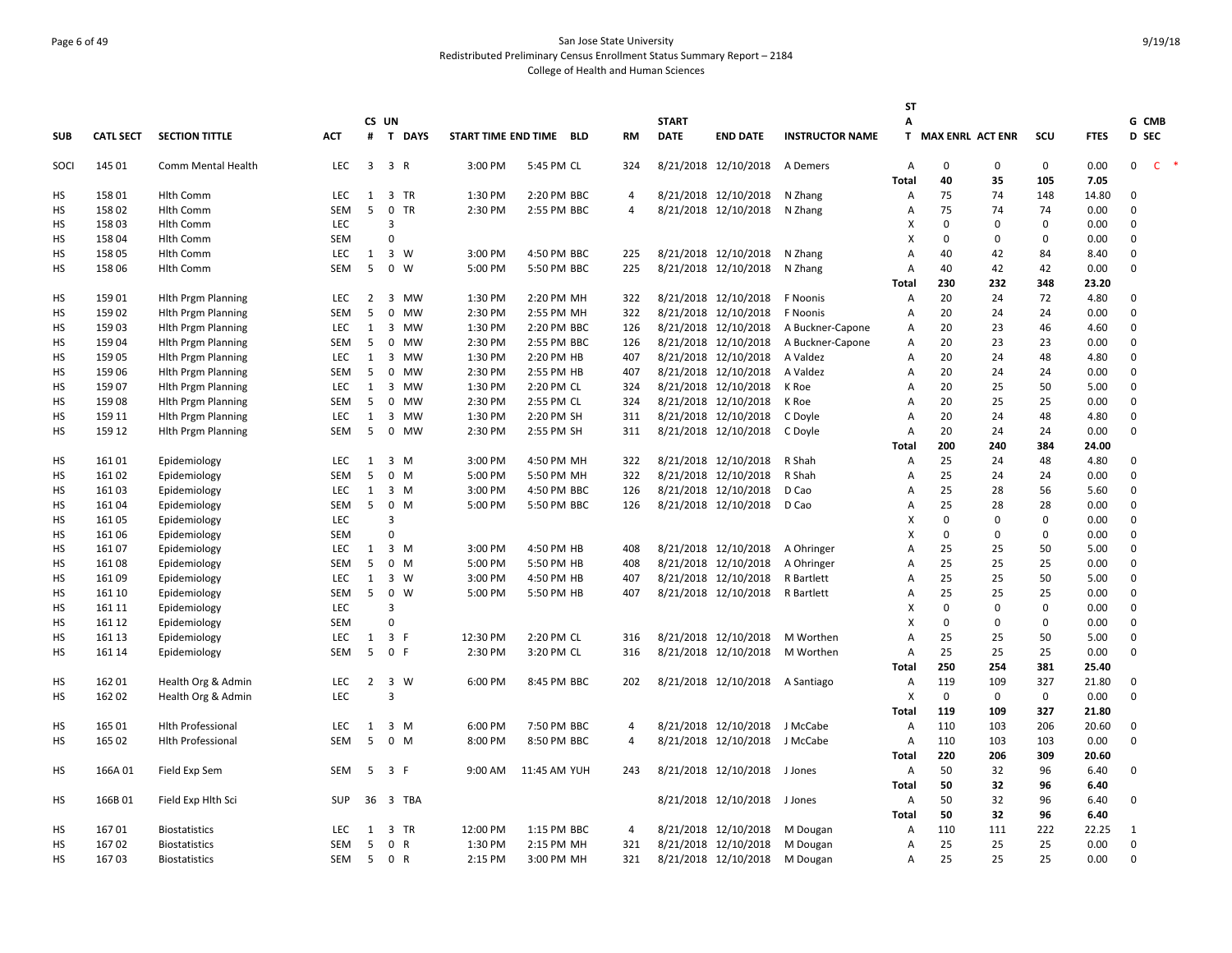# Page 6 of 49 San Jose State University Redistributed Preliminary Census Enrollment Status Summary Report – 2184 College of Health and Human Sciences

|                 |                  |                           |                          |                |                         |           |                         |              |                     |              |                                 |                        | <b>ST</b>                        |                    |                    |            |               |                         |       |
|-----------------|------------------|---------------------------|--------------------------|----------------|-------------------------|-----------|-------------------------|--------------|---------------------|--------------|---------------------------------|------------------------|----------------------------------|--------------------|--------------------|------------|---------------|-------------------------|-------|
|                 |                  |                           |                          |                | CS UN                   |           |                         |              |                     | <b>START</b> |                                 |                        | A                                |                    |                    |            |               | G CMB                   |       |
| <b>SUB</b>      | <b>CATL SECT</b> | <b>SECTION TITTLE</b>     | <b>ACT</b>               |                |                         | # T DAYS  | START TIME END TIME BLD |              | <b>RM</b>           | <b>DATE</b>  | <b>END DATE</b>                 | <b>INSTRUCTOR NAME</b> |                                  | T MAX ENRL ACT ENR |                    | SCU        | <b>FTES</b>   | <b>D</b> SEC            |       |
| SOCI            | 145 01           | Comm Mental Health        | <b>LEC</b>               | 3              | 3 R                     |           | 3:00 PM                 | 5:45 PM CL   | 324                 |              | 8/21/2018 12/10/2018            | A Demers               | $\overline{A}$                   | 0                  | 0                  | 0          | 0.00          | $\mathbf 0$             | $C$ * |
|                 |                  |                           |                          |                |                         |           |                         |              |                     |              |                                 |                        | <b>Total</b>                     | 40                 | 35                 | 105        | 7.05          |                         |       |
| <b>HS</b>       | 158 01           | <b>Hlth Comm</b>          | <b>LEC</b>               | 1              |                         | 3 TR      | 1:30 PM                 | 2:20 PM BBC  | 4                   |              | 8/21/2018 12/10/2018            | N Zhang                | Α                                | 75                 | 74                 | 148        | 14.80         | $\mathbf{0}$            |       |
| HS              | 158 02           | <b>Hlth Comm</b>          | SEM                      | 5              | $\mathbf 0$             | <b>TR</b> | 2:30 PM                 | 2:55 PM BBC  | $\overline{4}$      |              | 8/21/2018 12/10/2018            | N Zhang                | A                                | 75                 | 74                 | 74         | 0.00          | $\Omega$                |       |
| HS              | 158 03           | <b>Hlth Comm</b>          | <b>LEC</b>               |                | 3                       |           |                         |              |                     |              |                                 |                        | X                                | $\Omega$           | $\Omega$           | 0          | 0.00          | $\Omega$                |       |
| HS              | 158 04           | <b>Hlth Comm</b>          | SEM                      |                | $\mathbf 0$             |           |                         |              |                     |              |                                 |                        | X                                | 0                  | $\Omega$           | 0          | 0.00          | $\Omega$                |       |
| HS              | 158 05           | Hith Comm                 | <b>LEC</b>               | 1              | 3 W                     |           | 3:00 PM                 | 4:50 PM BBC  | 225                 |              | 8/21/2018 12/10/2018            | N Zhang                | A                                | 40                 | 42                 | 84         | 8.40          | $\mathbf 0$             |       |
| HS              | 158 06           | <b>Hlth Comm</b>          | <b>SEM</b>               | 5              | $\mathbf 0$             | w         | 5:00 PM                 | 5:50 PM BBC  | 225                 |              | 8/21/2018 12/10/2018            | N Zhang                | Α                                | 40                 | 42                 | 42         | 0.00          | $\Omega$                |       |
|                 |                  |                           |                          |                |                         |           |                         |              |                     |              |                                 |                        | <b>Total</b>                     | 230                | 232                | 348        | 23.20         |                         |       |
| <b>HS</b>       | 159 01           | <b>Hith Prgm Planning</b> | <b>LEC</b>               | $\overline{2}$ |                         | 3 MW      | 1:30 PM                 | 2:20 PM MH   | 322                 |              | 8/21/2018 12/10/2018            | F Noonis               | A                                | 20                 | 24                 | 72         | 4.80          | $\Omega$                |       |
| <b>HS</b>       | 159 02           | <b>Hith Prgm Planning</b> | SEM                      | 5              | $\mathbf 0$             | MW        | 2:30 PM                 | 2:55 PM MH   | 322                 |              | 8/21/2018 12/10/2018            | F Noonis               | A                                | 20                 | 24                 | 24         | 0.00          | $\Omega$                |       |
| HS              | 159 03           | <b>Hith Prgm Planning</b> | <b>LEC</b>               | 1              | 3                       | <b>MW</b> | 1:30 PM                 | 2:20 PM BBC  | 126                 |              | 8/21/2018 12/10/2018            | A Buckner-Capone       | Α                                | 20                 | 23                 | 46         | 4.60          | $\Omega$                |       |
| HS              | 159 04           | <b>Hith Prgm Planning</b> | <b>SEM</b>               | 5              |                         | 0 MW      | 2:30 PM                 | 2:55 PM BBC  | 126                 |              | 8/21/2018 12/10/2018            | A Buckner-Capone       | A                                | 20                 | 23                 | 23         | 0.00          | $\Omega$                |       |
| <b>HS</b>       | 159 05           | <b>Hith Prgm Planning</b> | LEC                      | 1              | $\overline{\mathbf{3}}$ | MW        | 1:30 PM                 | 2:20 PM HB   | 407                 |              | 8/21/2018 12/10/2018            | A Valdez               | Α                                | 20                 | 24                 | 48         | 4.80          | $\mathbf 0$             |       |
| HS              | 159 06           | <b>Hith Prgm Planning</b> | SEM                      | 5              | $\mathbf 0$             | MW        | 2:30 PM                 | 2:55 PM HB   | 407                 |              | 8/21/2018 12/10/2018            | A Valdez               | Α                                | 20                 | 24                 | 24         | 0.00          | $\Omega$                |       |
| HS              | 159 07           | <b>Hith Prgm Planning</b> | <b>LEC</b>               | 1              | $\overline{\mathbf{3}}$ | <b>MW</b> | 1:30 PM                 | 2:20 PM CL   | 324                 |              | 8/21/2018 12/10/2018            | K Roe                  | Α                                | 20                 | 25                 | 50         | 5.00          | $\Omega$                |       |
| HS              | 15908            | <b>Hith Prgm Planning</b> | <b>SEM</b>               | 5              | $\mathbf 0$             | MW        | 2:30 PM                 | 2:55 PM CL   | 324                 |              | 8/21/2018 12/10/2018            | K Roe                  | Α                                | 20                 | 25                 | 25         | 0.00          | $\mathbf 0$             |       |
| HS              | 159 11           | <b>Hith Prgm Planning</b> | <b>LEC</b>               | 1              |                         | 3 MW      | 1:30 PM                 | 2:20 PM SH   | 311                 |              | 8/21/2018 12/10/2018            | C Doyle                | A                                | 20                 | 24                 | 48         | 4.80          | $\Omega$                |       |
| <b>HS</b>       | 159 12           | <b>Hith Prgm Planning</b> | SEM                      | 5              |                         | 0 MW      | 2:30 PM                 | 2:55 PM SH   | 311                 |              | 8/21/2018 12/10/2018            | C Doyle                | Α                                | 20                 | 24                 | 24         | 0.00          | $\Omega$                |       |
|                 |                  |                           |                          |                |                         |           |                         |              |                     |              |                                 |                        | <b>Total</b>                     | 200                | 240                | 384        | 24.00         |                         |       |
| HS              | 16101            | Epidemiology              | <b>LEC</b>               | $\mathbf{1}$   | $3 \, M$                |           | 3:00 PM                 | 4:50 PM MH   | 322                 |              | 8/21/2018 12/10/2018            | R Shah                 | Α                                | 25                 | 24                 | 48         | 4.80          | $\Omega$                |       |
| HS              | 16102            | Epidemiology              | SEM                      | 5              | 0 M                     |           | 5:00 PM                 | 5:50 PM MH   | 322                 |              | 8/21/2018 12/10/2018            | R Shah                 | A                                | 25                 | 24                 | 24         | 0.00          | $\Omega$                |       |
| HS              | 16103            | Epidemiology              | <b>LEC</b>               | 1              | 3 M                     |           | 3:00 PM                 | 4:50 PM BBC  | 126                 |              | 8/21/2018 12/10/2018            | D Cao                  | A                                | 25                 | 28                 | 56         | 5.60          | $\mathbf 0$             |       |
| HS              | 16104            | Epidemiology              | SEM                      | 5              | $0$ M                   |           | 5:00 PM                 | 5:50 PM BBC  | 126                 |              | 8/21/2018 12/10/2018            | D Cao                  | Α                                | 25                 | 28                 | 28         | 0.00          | $\Omega$                |       |
| HS              | 161 05           | Epidemiology              | <b>LEC</b>               |                | $\overline{3}$          |           |                         |              |                     |              |                                 |                        | X                                | 0                  | $\Omega$           | 0          | 0.00          | $\Omega$                |       |
| <b>HS</b>       | 161 06           | Epidemiology              | <b>SEM</b>               |                | $\Omega$                |           |                         |              |                     |              |                                 |                        | X                                | 0                  | 0                  | 0          | 0.00          | $\Omega$                |       |
| HS              | 16107            | Epidemiology              | <b>LEC</b>               | $\mathbf{1}$   | $3 \, M$                |           | 3:00 PM                 | 4:50 PM HB   | 408                 |              | 8/21/2018 12/10/2018            | A Ohringer             | $\overline{A}$                   | 25                 | 25                 | 50         | 5.00          | $\Omega$                |       |
| HS              | 16108            | Epidemiology              | <b>SEM</b>               | 5              | $0$ M                   |           | 5:00 PM                 | 5:50 PM HB   | 408                 |              | 8/21/2018 12/10/2018            | A Ohringer             | Α                                | 25                 | 25                 | 25         | 0.00          | $\Omega$                |       |
| HS              | 16109            | Epidemiology              | <b>LEC</b>               | 1              | $3 \quad W$             |           | 3:00 PM                 | 4:50 PM HB   | 407                 |              | 8/21/2018 12/10/2018            | R Bartlett             | A                                | 25                 | 25                 | 50         | 5.00          | $\Omega$                |       |
| HS              | 161 10           | Epidemiology              | SEM                      | 5              | $\mathbf 0$             | W         | 5:00 PM                 | 5:50 PM HB   | 407                 |              | 8/21/2018 12/10/2018            | R Bartlett             | Α                                | 25                 | 25                 | 25         | 0.00          | $\Omega$                |       |
| HS              | 161 11           | Epidemiology              | LEC                      |                | $\overline{3}$          |           |                         |              |                     |              |                                 |                        | X                                | $\mathbf 0$        | $\Omega$           | 0          | 0.00          | $\Omega$                |       |
| HS              | 161 12           | Epidemiology              | <b>SEM</b>               |                | $\mathbf{0}$            |           |                         |              |                     |              |                                 |                        | X                                | $\Omega$           | $\Omega$           | 0          | 0.00          | $\mathbf 0$             |       |
| HS              | 161 13           | Epidemiology              | <b>LEC</b><br><b>SEM</b> | 1<br>5         | 3 F<br>0 F              |           | 12:30 PM                | 2:20 PM CL   | 316                 |              | 8/21/2018 12/10/2018            | M Worthen              | $\overline{A}$<br>$\overline{A}$ | 25<br>25           | 25<br>25           | 50         | 5.00          | $\mathbf 0$<br>$\Omega$ |       |
| <b>HS</b>       | 161 14           | Epidemiology              |                          |                |                         |           | 2:30 PM                 | 3:20 PM CL   | 316                 |              | 8/21/2018 12/10/2018            | M Worthen              |                                  |                    |                    | 25         | 0.00          |                         |       |
|                 |                  |                           |                          |                |                         |           |                         |              |                     |              |                                 |                        | <b>Total</b>                     | 250                | 254                | 381        | 25.40         |                         |       |
| HS<br><b>HS</b> | 162 01<br>162 02 | Health Org & Admin        | <b>LEC</b><br><b>LEC</b> | $\overline{2}$ | 3 W<br>$\overline{3}$   |           | 6:00 PM                 | 8:45 PM BBC  | 202                 |              | 8/21/2018 12/10/2018 A Santiago |                        | A<br>X                           | 119<br>$\mathbf 0$ | 109<br>$\mathbf 0$ | 327<br>0   | 21.80<br>0.00 | 0<br>$\Omega$           |       |
|                 |                  | Health Org & Admin        |                          |                |                         |           |                         |              |                     |              |                                 |                        |                                  |                    |                    | 327        | 21.80         |                         |       |
|                 | 165 01           |                           | <b>LEC</b>               |                | $3 \, M$                |           | 6:00 PM                 | 7:50 PM BBC  |                     |              | 8/21/2018 12/10/2018            | J McCabe               | Total<br>Α                       | 119<br>110         | 109<br>103         | 206        | 20.60         | $\mathsf 0$             |       |
| HS              | 165 02           | <b>Hlth Professional</b>  | <b>SEM</b>               | 1<br>5         | 0 M                     |           | 8:00 PM                 | 8:50 PM BBC  | 4<br>$\overline{4}$ |              |                                 |                        | Α                                | 110                | 103                |            | 0.00          | $\Omega$                |       |
| HS              |                  | <b>Hith Professional</b>  |                          |                |                         |           |                         |              |                     |              | 8/21/2018 12/10/2018            | J McCabe               | <b>Total</b>                     | 220                | 206                | 103<br>309 | 20.60         |                         |       |
|                 |                  |                           | SEM                      | 5              | 3 F                     |           | 9:00 AM                 |              |                     |              |                                 |                        | A                                | 50                 | 32                 | 96         | 6.40          | $\mathbf 0$             |       |
| HS              | 166A01           | Field Exp Sem             |                          |                |                         |           |                         | 11:45 AM YUH | 243                 |              | 8/21/2018 12/10/2018            | J Jones                | Total                            | 50                 | 32                 | 96         | 6.40          |                         |       |
| HS              | 166B01           | Field Exp Hlth Sci        | <b>SUP</b>               | 36             |                         | 3 TBA     |                         |              |                     |              | 8/21/2018 12/10/2018            | J Jones                | Α                                | 50                 | 32                 | 96         | 6.40          | $\mathbf{0}$            |       |
|                 |                  |                           |                          |                |                         |           |                         |              |                     |              |                                 |                        | <b>Total</b>                     | 50                 | 32                 | 96         | 6.40          |                         |       |
| НS              | 16701            | <b>Biostatistics</b>      | <b>LEC</b>               | 1              |                         | 3 TR      | 12:00 PM                | 1:15 PM BBC  | 4                   |              | 8/21/2018 12/10/2018            | M Dougan               | A                                | 110                | 111                | 222        | 22.25         | $\mathbf{1}$            |       |
| HS              | 16702            | <b>Biostatistics</b>      | SEM                      | 5              | 0 R                     |           | 1:30 PM                 | 2:15 PM MH   | 321                 |              | 8/21/2018 12/10/2018            | M Dougan               | A                                | 25                 | 25                 | 25         | 0.00          | $\mathbf{0}$            |       |
| <b>HS</b>       | 16703            | <b>Biostatistics</b>      | <b>SEM</b>               | 5              | 0 R                     |           | 2:15 PM                 | 3:00 PM MH   | 321                 |              | 8/21/2018 12/10/2018            | M Dougan               | Α                                | 25                 | 25                 | 25         | 0.00          | $\Omega$                |       |
|                 |                  |                           |                          |                |                         |           |                         |              |                     |              |                                 |                        |                                  |                    |                    |            |               |                         |       |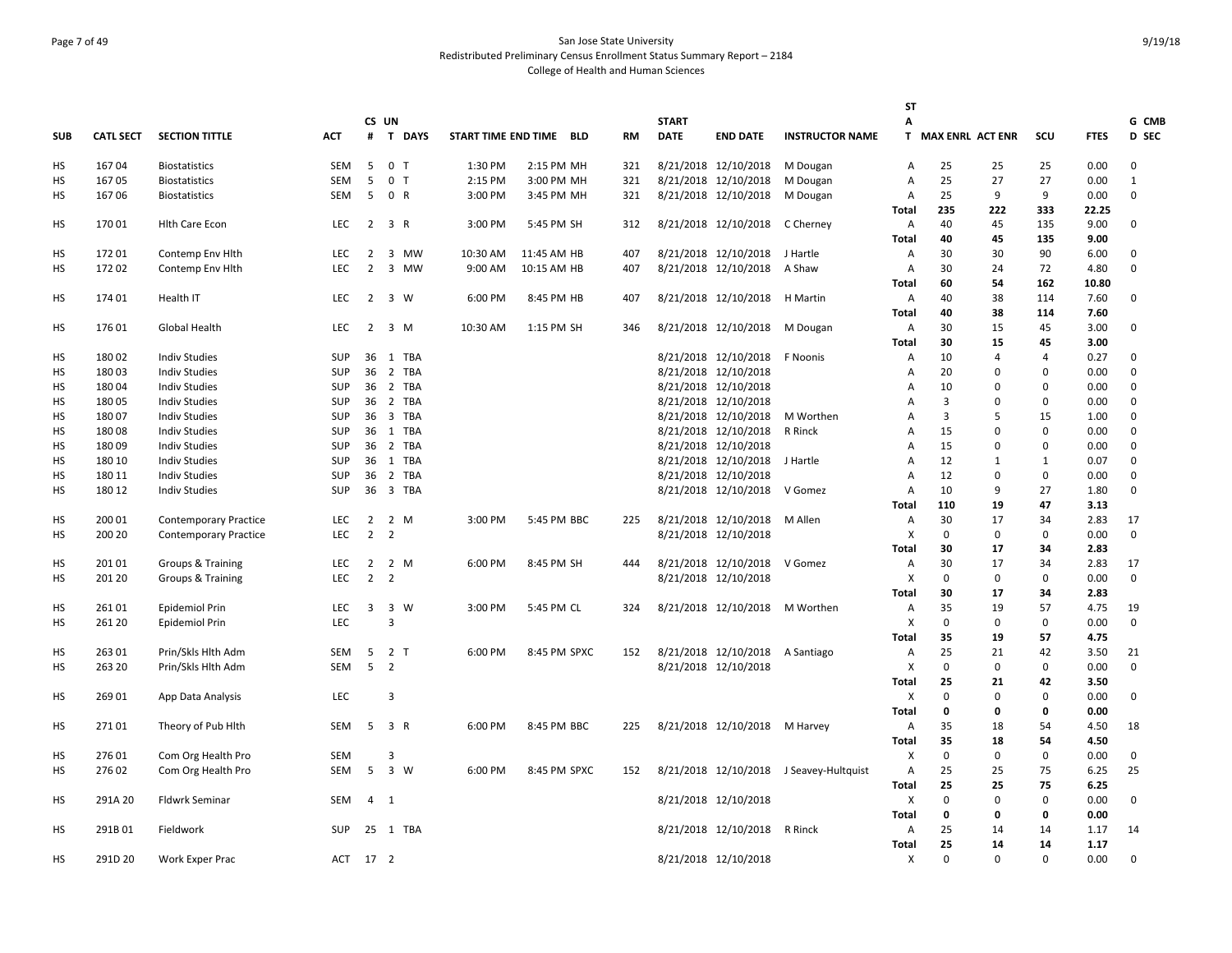# Page 7 of 49 San Jose State University Redistributed Preliminary Census Enrollment Status Summary Report – 2184 College of Health and Human Sciences

|            |                  |                              |            |                |                         |          |                     |              |           |              |                               |                                         | <b>ST</b>      |                    |                |             |             |              |
|------------|------------------|------------------------------|------------|----------------|-------------------------|----------|---------------------|--------------|-----------|--------------|-------------------------------|-----------------------------------------|----------------|--------------------|----------------|-------------|-------------|--------------|
|            |                  |                              |            | CS UN          |                         |          |                     |              |           | <b>START</b> |                               |                                         | Α              |                    |                |             |             | G CMB        |
| <b>SUB</b> | <b>CATL SECT</b> | <b>SECTION TITTLE</b>        | АСТ        |                |                         | # T DAYS | START TIME END TIME | BLD          | <b>RM</b> | <b>DATE</b>  | <b>END DATE</b>               | <b>INSTRUCTOR NAME</b>                  |                | T MAX ENRL ACT ENR |                | SCU         | <b>FTES</b> | D SEC        |
| HS         | 16704            | <b>Biostatistics</b>         | SEM        | 5              | 0 <sub>T</sub>          |          | 1:30 PM             | 2:15 PM MH   | 321       |              | 8/21/2018 12/10/2018          | M Dougan                                | Α              | 25                 | 25             | 25          | 0.00        | 0            |
| <b>HS</b>  | 16705            | <b>Biostatistics</b>         | <b>SEM</b> | 5              | 0 <sub>T</sub>          |          | 2:15 PM             | 3:00 PM MH   | 321       |              | 8/21/2018 12/10/2018          | M Dougan                                | Α              | 25                 | 27             | 27          | 0.00        | $\mathbf{1}$ |
| HS         | 16706            | <b>Biostatistics</b>         | SEM        | 5              | 0 R                     |          | 3:00 PM             | 3:45 PM MH   | 321       |              | 8/21/2018 12/10/2018          | M Dougan                                | Α              | 25                 | 9              | 9           | 0.00        | 0            |
|            |                  |                              |            |                |                         |          |                     |              |           |              |                               |                                         | Total          | 235                | 222            | 333         | 22.25       |              |
| HS         | 17001            | <b>Hith Care Econ</b>        | LEC        | $\overline{2}$ | 3 R                     |          | 3:00 PM             | 5:45 PM SH   | 312       |              | 8/21/2018 12/10/2018          | C Cherney                               | Α              | 40                 | 45             | 135         | 9.00        | 0            |
|            |                  |                              |            |                |                         |          |                     |              |           |              |                               |                                         | <b>Total</b>   | 40                 | 45             | 135         | 9.00        |              |
| HS         | 17201            | Contemp Env Hlth             | <b>LEC</b> | $\overline{2}$ | $\mathbf{3}$            | MW       | 10:30 AM            | 11:45 AM HB  | 407       |              | 8/21/2018 12/10/2018          | J Hartle                                | Α              | 30                 | 30             | 90          | 6.00        | 0            |
| <b>HS</b>  | 172 02           | Contemp Env Hith             | LEC        | $\overline{2}$ |                         | 3 MW     | 9:00 AM             | 10:15 AM HB  | 407       |              | 8/21/2018 12/10/2018          | A Shaw                                  | Α              | 30                 | 24             | 72          | 4.80        | 0            |
|            |                  |                              |            |                |                         |          |                     |              |           |              |                               |                                         | <b>Total</b>   | 60                 | 54             | 162         | 10.80       |              |
| <b>HS</b>  | 174 01           | Health IT                    | <b>LEC</b> | 2 3 W          |                         |          | 6:00 PM             | 8:45 PM HB   | 407       |              | 8/21/2018 12/10/2018 H Martin |                                         | Α              | 40                 | 38             | 114         | 7.60        | $\mathbf 0$  |
|            |                  |                              |            |                |                         |          |                     |              |           |              |                               |                                         | <b>Total</b>   | 40                 | 38             | 114         | 7.60        |              |
| HS         | 17601            | Global Health                | LEC        | $\overline{2}$ |                         | 3 M      | 10:30 AM            | 1:15 PM SH   | 346       |              | 8/21/2018 12/10/2018          | M Dougan                                | Α              | 30                 | 15             | 45          | 3.00        | 0            |
|            |                  |                              |            |                |                         |          |                     |              |           |              |                               |                                         | <b>Total</b>   | 30                 | 15             | 45          | 3.00        |              |
| <b>HS</b>  | 180 02           | <b>Indiv Studies</b>         | <b>SUP</b> |                |                         | 36 1 TBA |                     |              |           |              | 8/21/2018 12/10/2018          | F Noonis                                | Α              | 10                 | $\overline{a}$ | 4           | 0.27        | 0            |
| HS         | 18003            | <b>Indiv Studies</b>         | <b>SUP</b> | 36             |                         | 2 TBA    |                     |              |           |              | 8/21/2018 12/10/2018          |                                         | Α              | 20                 | $\Omega$       | $\Omega$    | 0.00        | 0            |
| HS         | 18004            | <b>Indiv Studies</b>         | <b>SUP</b> | 36             |                         | 2 TBA    |                     |              |           |              | 8/21/2018 12/10/2018          |                                         | Α              | 10                 | 0              | $\Omega$    | 0.00        | 0            |
| HS         | 18005            | <b>Indiv Studies</b>         | <b>SUP</b> |                |                         | 36 2 TBA |                     |              |           |              | 8/21/2018 12/10/2018          |                                         | Α              | 3                  | $\Omega$       | $\mathbf 0$ | 0.00        | 0            |
| HS         | 18007            | <b>Indiv Studies</b>         | <b>SUP</b> | 36             |                         | 3 TBA    |                     |              |           |              | 8/21/2018 12/10/2018          | M Worthen                               | Α              | 3                  | 5              | 15          | 1.00        | 0            |
| HS         | 18008            | <b>Indiv Studies</b>         | <b>SUP</b> |                |                         | 36 1 TBA |                     |              |           |              | 8/21/2018 12/10/2018          | R Rinck                                 | Α              | 15                 | $\Omega$       | $\mathbf 0$ | 0.00        | 0            |
| HS         | 18009            | <b>Indiv Studies</b>         | <b>SUP</b> |                |                         | 36 2 TBA |                     |              |           |              | 8/21/2018 12/10/2018          |                                         | $\overline{A}$ | 15                 | $\Omega$       | $\mathbf 0$ | 0.00        | 0            |
| HS         | 180 10           | <b>Indiv Studies</b>         | <b>SUP</b> |                |                         | 36 1 TBA |                     |              |           |              | 8/21/2018 12/10/2018          | J Hartle                                | $\overline{A}$ | 12                 | 1              | 1           | 0.07        | 0            |
| <b>HS</b>  | 180 11           | <b>Indiv Studies</b>         | <b>SUP</b> |                |                         | 36 2 TBA |                     |              |           |              | 8/21/2018 12/10/2018          |                                         | $\overline{A}$ | 12                 | $\Omega$       | $\Omega$    | 0.00        | 0            |
| HS         | 180 12           | <b>Indiv Studies</b>         | <b>SUP</b> | 36             |                         | 3 TBA    |                     |              |           |              | 8/21/2018 12/10/2018          | V Gomez                                 | A              | 10                 | 9              | 27          | 1.80        | $\Omega$     |
|            |                  |                              |            |                |                         |          |                     |              |           |              |                               |                                         | <b>Total</b>   | 110                | 19             | 47          | 3.13        |              |
| HS         | 200 01           | <b>Contemporary Practice</b> | <b>LEC</b> | $\overline{2}$ |                         | 2 M      | 3:00 PM             | 5:45 PM BBC  | 225       |              | 8/21/2018 12/10/2018          | M Allen                                 | Α              | 30                 | 17             | 34          | 2.83        | 17           |
| <b>HS</b>  | 200 20           | <b>Contemporary Practice</b> | <b>LEC</b> | 2              | $\overline{2}$          |          |                     |              |           |              | 8/21/2018 12/10/2018          |                                         | X              | $\mathbf 0$        | $\mathbf 0$    | $\mathbf 0$ | 0.00        | $\mathbf 0$  |
|            |                  |                              |            |                |                         |          |                     |              |           |              |                               |                                         | <b>Total</b>   | 30                 | 17             | 34          | 2.83        |              |
| HS         | 201 01           | Groups & Training            | LEC        | $\overline{2}$ | 2 M                     |          | 6:00 PM             | 8:45 PM SH   | 444       |              | 8/21/2018 12/10/2018          | V Gomez                                 | Α              | 30                 | 17             | 34          | 2.83        | 17           |
| HS         | 201 20           | Groups & Training            | <b>LEC</b> | $\overline{2}$ | $\overline{2}$          |          |                     |              |           |              | 8/21/2018 12/10/2018          |                                         | X              | 0                  | $\mathbf 0$    | $\mathbf 0$ | 0.00        | $\mathbf 0$  |
|            |                  |                              |            |                |                         |          |                     |              |           |              |                               |                                         | <b>Total</b>   | 30                 | 17             | 34          | 2.83        |              |
| HS         | 26101            | Epidemiol Prin               | LEC        | $\mathbf{3}$   | 3 W                     |          | 3:00 PM             | 5:45 PM CL   | 324       |              | 8/21/2018 12/10/2018          | M Worthen                               | Α              | 35                 | 19             | 57          | 4.75        | 19           |
| <b>HS</b>  | 261 20           | Epidemiol Prin               | LEC        |                | 3                       |          |                     |              |           |              |                               |                                         | X              | 0                  | $\mathbf 0$    | $\mathbf 0$ | 0.00        | $\mathbf 0$  |
|            |                  |                              |            |                |                         |          |                     |              |           |              |                               |                                         | Total          | 35                 | 19             | 57          | 4.75        |              |
| HS         | 263 01           | Prin/Skls Hlth Adm           | SEM        | 5              | 2 <sub>T</sub>          |          | 6:00 PM             | 8:45 PM SPXC | 152       |              | 8/21/2018 12/10/2018          | A Santiago                              | Α              | 25                 | 21             | 42          | 3.50        | 21           |
| HS         | 263 20           | Prin/Skls Hlth Adm           | <b>SEM</b> | 5              | $\overline{\mathbf{2}}$ |          |                     |              |           |              | 8/21/2018 12/10/2018          |                                         | X              | 0                  | $\mathbf 0$    | $\mathbf 0$ | 0.00        | $\Omega$     |
|            |                  |                              |            |                |                         |          |                     |              |           |              |                               |                                         | <b>Total</b>   | 25                 | 21             | 42          | 3.50        |              |
| HS         | 269 01           | App Data Analysis            | <b>LEC</b> |                | 3                       |          |                     |              |           |              |                               |                                         | X              | 0                  | 0              | 0           | 0.00        | 0            |
|            |                  |                              |            |                |                         |          |                     |              |           |              |                               |                                         | <b>Total</b>   | 0                  | $\mathbf 0$    | 0           | 0.00        |              |
| HS         | 27101            | Theory of Pub Hith           | <b>SEM</b> | -5             | 3 R                     |          | 6:00 PM             | 8:45 PM BBC  | 225       |              | 8/21/2018 12/10/2018 M Harvey |                                         | Α              | 35                 | 18             | 54          | 4.50        | 18           |
|            |                  |                              |            |                |                         |          |                     |              |           |              |                               |                                         | <b>Total</b>   | 35                 | 18             | 54          | 4.50        |              |
| HS         | 27601            | Com Org Health Pro           | <b>SEM</b> |                | 3                       |          |                     |              |           |              |                               |                                         | X              | 0                  | 0              | $\mathbf 0$ | 0.00        | 0            |
| <b>HS</b>  | 276 02           | Com Org Health Pro           | SEM        | 5 3 W          |                         |          | 6:00 PM             | 8:45 PM SPXC | 152       |              |                               | 8/21/2018 12/10/2018 J Seavey-Hultquist | Α              | 25                 | 25             | 75          | 6.25        | 25           |
|            |                  |                              |            |                |                         |          |                     |              |           |              |                               |                                         | <b>Total</b>   | 25                 | 25             | 75          | 6.25        |              |
| HS         | 291A 20          | Fldwrk Seminar               | SEM        | $4 \quad 1$    |                         |          |                     |              |           |              | 8/21/2018 12/10/2018          |                                         | X              | 0                  | $\mathbf 0$    | $\mathbf 0$ | 0.00        | $\mathbf 0$  |
|            |                  |                              |            |                |                         |          |                     |              |           |              |                               |                                         | <b>Total</b>   | 0                  | 0              | 0           | 0.00        |              |
| HS         | 291B01           | Fieldwork                    | <b>SUP</b> |                |                         | 25 1 TBA |                     |              |           |              | 8/21/2018 12/10/2018          | R Rinck                                 | Α              | 25                 | 14             | 14          | 1.17        | 14           |
|            |                  |                              |            |                |                         |          |                     |              |           |              |                               |                                         | <b>Total</b>   | 25                 | 14             | 14          | 1.17        |              |
| <b>HS</b>  | 291D 20          | Work Exper Prac              | ACT 17 2   |                |                         |          |                     |              |           |              | 8/21/2018 12/10/2018          |                                         | X              | 0                  | $\mathbf 0$    | $\mathbf 0$ | 0.00        | 0            |
|            |                  |                              |            |                |                         |          |                     |              |           |              |                               |                                         |                |                    |                |             |             |              |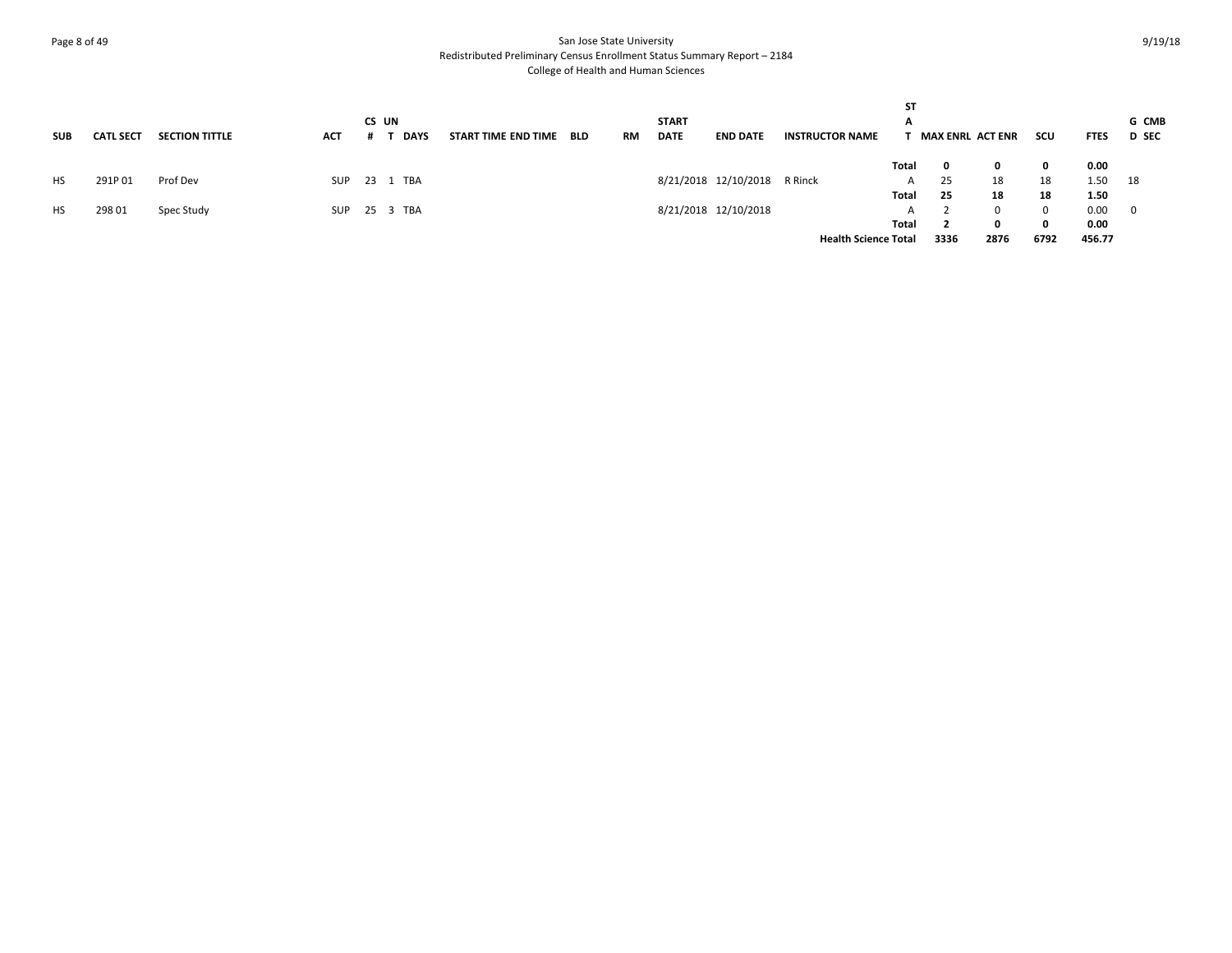# Page 8 of 49 San Jose State University Redistributed Preliminary Census Enrollment Status Summary Report – 2184 College of Health and Human Sciences

| <b>SUB</b> | <b>CATL SECT</b> | <b>SECTION TITTLE</b> | ACT | CS UN<br><b>DAYS</b> | START TIME END TIME | <b>BLD</b> | RM | <b>START</b><br><b>DATE</b> | <b>END DATE</b>      | <b>INSTRUCTOR NAME</b>      | <b>ST</b><br>A | <b>MAX ENRL ACT ENR</b> |      | scu         | <b>FTES</b> | G CMB<br><b>D</b> SEC |
|------------|------------------|-----------------------|-----|----------------------|---------------------|------------|----|-----------------------------|----------------------|-----------------------------|----------------|-------------------------|------|-------------|-------------|-----------------------|
|            |                  |                       |     |                      |                     |            |    |                             |                      |                             | Total          | 0                       |      | 0           | 0.00        |                       |
| HS.        | 291P01           | Prof Dev              | SUP | TBA<br>23 1          |                     |            |    |                             | 8/21/2018 12/10/2018 | R Rinck                     | $\mathsf{A}$   | 25                      | 18   | 18          | 1.50        | 18                    |
|            |                  |                       |     |                      |                     |            |    |                             |                      |                             | Total          | 25                      | 18   | 18          | 1.50        |                       |
| <b>HS</b>  | 298 01           | Spec Study            | SUP | 25 3 TBA             |                     |            |    |                             | 8/21/2018 12/10/2018 |                             | A              |                         |      | $\mathbf 0$ | 0.00        | - 0                   |
|            |                  |                       |     |                      |                     |            |    |                             |                      |                             | Total          | $\overline{2}$          |      | 0           | 0.00        |                       |
|            |                  |                       |     |                      |                     |            |    |                             |                      | <b>Health Science Total</b> |                | 3336                    | 2876 | 6792        | 456.77      |                       |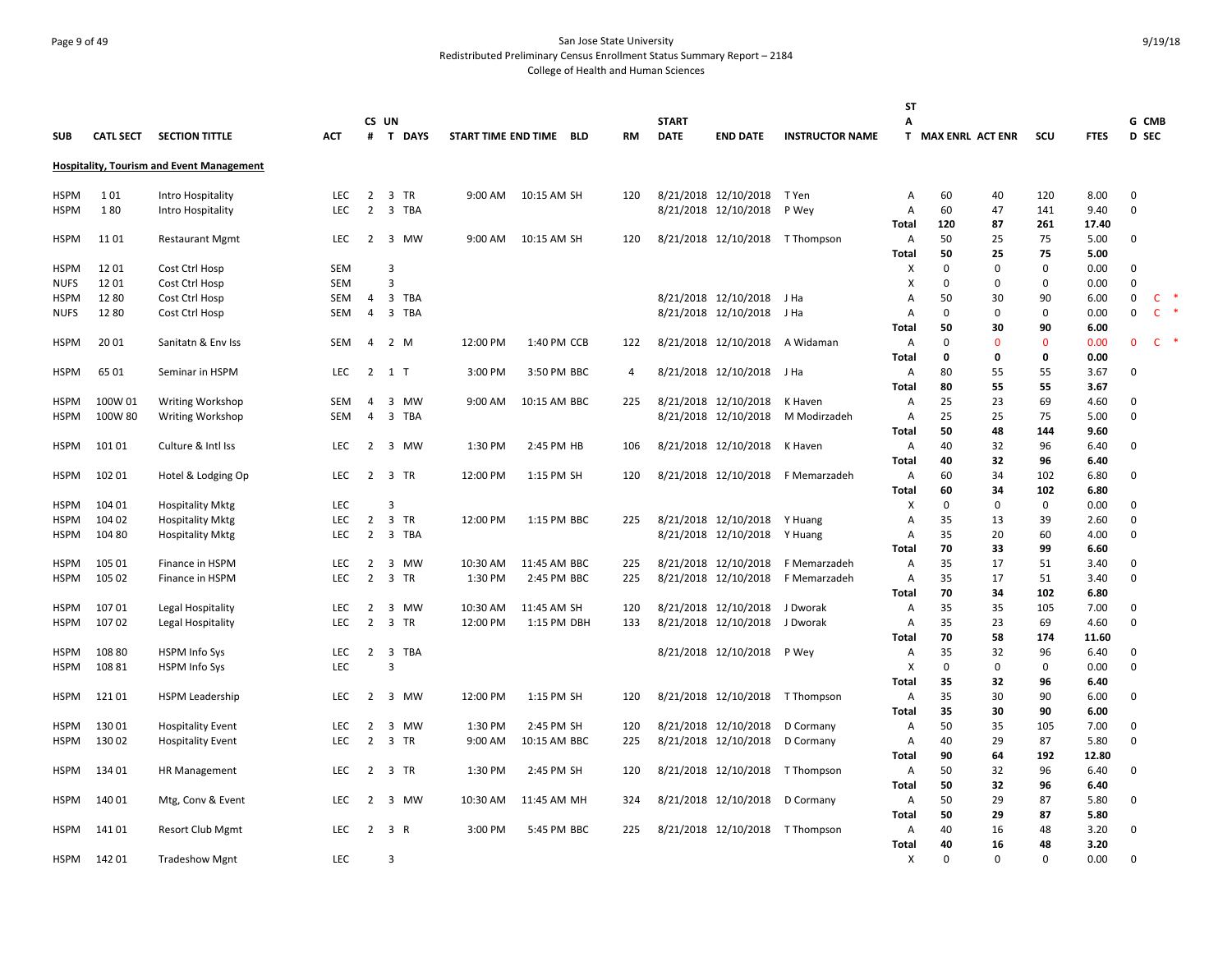# Page 9 of 49 San Jose State University Redistributed Preliminary Census Enrollment Status Summary Report – 2184 College of Health and Human Sciences

|             |                  |                                                  |            |                |                                       |          |                         |           |              |                           |                                 | ST           |                    |             |             |             |             |                                          |
|-------------|------------------|--------------------------------------------------|------------|----------------|---------------------------------------|----------|-------------------------|-----------|--------------|---------------------------|---------------------------------|--------------|--------------------|-------------|-------------|-------------|-------------|------------------------------------------|
|             |                  |                                                  |            |                | CS UN                                 |          |                         |           | <b>START</b> |                           |                                 | A            |                    |             |             |             | G CMB       |                                          |
| <b>SUB</b>  | <b>CATL SECT</b> | <b>SECTION TITTLE</b>                            | <b>ACT</b> |                | # T DAYS                              |          | START TIME END TIME BLD | <b>RM</b> | <b>DATE</b>  | <b>END DATE</b>           | <b>INSTRUCTOR NAME</b>          |              | T MAX ENRL ACT ENR |             | scu         | <b>FTES</b> | D SEC       |                                          |
|             |                  | <b>Hospitality, Tourism and Event Management</b> |            |                |                                       |          |                         |           |              |                           |                                 |              |                    |             |             |             |             |                                          |
| <b>HSPM</b> | 101              | Intro Hospitality                                | <b>LEC</b> | 2              | $\overline{\mathbf{3}}$<br>TR         | 9:00 AM  | 10:15 AM SH             | 120       |              | 8/21/2018 12/10/2018      | T Yen                           | Α            | 60                 | 40          | 120         | 8.00        | $\Omega$    |                                          |
| HSPM        | 180              | Intro Hospitality                                | <b>LEC</b> | 2              | 3 TBA                                 |          |                         |           |              | 8/21/2018 12/10/2018      | P Wey                           | A            | 60                 | 47          | 141         | 9.40        | $\mathbf 0$ |                                          |
|             |                  |                                                  |            |                |                                       |          |                         |           |              |                           |                                 | <b>Total</b> | 120                | 87          | 261         | 17.40       |             |                                          |
| <b>HSPM</b> | 11 01            | <b>Restaurant Mgmt</b>                           | <b>LEC</b> |                | 2 3 MW                                | 9:00 AM  | 10:15 AM SH             | 120       |              |                           | 8/21/2018 12/10/2018 T Thompson | Α            | 50                 | 25          | 75          | 5.00        | $\Omega$    |                                          |
|             |                  |                                                  |            |                |                                       |          |                         |           |              |                           |                                 | <b>Total</b> | 50                 | 25          | 75          | 5.00        |             |                                          |
| HSPM        | 1201             | Cost Ctrl Hosp                                   | <b>SEM</b> |                | 3                                     |          |                         |           |              |                           |                                 | х            | $\Omega$           | $\mathbf 0$ | $\mathsf 0$ | 0.00        | $\mathbf 0$ |                                          |
| <b>NUFS</b> | 1201             | Cost Ctrl Hosp                                   | <b>SEM</b> |                | 3                                     |          |                         |           |              |                           |                                 | X            | $\Omega$           | 0           | 0           | 0.00        | $\mathbf 0$ |                                          |
| <b>HSPM</b> | 1280             | Cost Ctrl Hosp                                   | SEM        | 4              | $\overline{\mathbf{3}}$<br>TBA        |          |                         |           |              | 8/21/2018 12/10/2018      | J Ha                            | Α            | 50                 | 30          | 90          | 6.00        | $\mathbf 0$ | $\mathsf{C}$<br>$\overline{\phantom{a}}$ |
| <b>NUFS</b> | 1280             | Cost Ctrl Hosp                                   | <b>SEM</b> | $\overline{4}$ | $\overline{\mathbf{3}}$<br>TBA        |          |                         |           |              | 8/21/2018 12/10/2018      | J Ha                            | Α            | 0                  | 0           | 0           | 0.00        | $\mathbf 0$ | $\mathsf{C}$                             |
|             |                  |                                                  |            |                |                                       |          |                         |           |              |                           |                                 | <b>Total</b> | 50                 | 30          | 90          | 6.00        |             |                                          |
| <b>HSPM</b> | 20 01            | Sanitatn & Env Iss                               | SEM        | $\overline{4}$ | 2 M                                   | 12:00 PM | 1:40 PM CCB             | 122       |              | 8/21/2018 12/10/2018      | A Widaman                       | Α            | $\Omega$           | $\Omega$    | $\mathbf 0$ | 0.00        | $\Omega$    | $\mathsf{C}$                             |
|             |                  |                                                  |            |                |                                       |          |                         |           |              |                           |                                 | Total        | 0                  | 0           | 0           | 0.00        |             |                                          |
| <b>HSPM</b> | 65 01            | Seminar in HSPM                                  | LEC        |                | 2 1 T                                 | 3:00 PM  | 3:50 PM BBC             | 4         |              | 8/21/2018 12/10/2018 J Ha |                                 | Α            | 80                 | 55          | 55          | 3.67        | $\Omega$    |                                          |
|             |                  |                                                  |            |                |                                       |          |                         |           |              |                           |                                 | <b>Total</b> | 80                 | 55          | 55          | 3.67        |             |                                          |
| <b>HSPM</b> | 100W 01          | <b>Writing Workshop</b>                          | SEM        | 4              | 3 MW                                  | 9:00 AM  | 10:15 AM BBC            | 225       |              | 8/21/2018 12/10/2018      | K Haven                         | Α            | 25                 | 23          | 69          | 4.60        | $\Omega$    |                                          |
| <b>HSPM</b> | 100W 80          | <b>Writing Workshop</b>                          | <b>SEM</b> | 4              | $\overline{\mathbf{3}}$<br><b>TBA</b> |          |                         |           |              | 8/21/2018 12/10/2018      | M Modirzadeh                    | Α            | 25                 | 25          | 75          | 5.00        | $\mathbf 0$ |                                          |
|             |                  |                                                  |            |                |                                       |          |                         |           |              |                           |                                 | <b>Total</b> | 50                 | 48          | 144         | 9.60        |             |                                          |
| <b>HSPM</b> | 101 01           | Culture & Intl Iss                               | <b>LEC</b> | 2              | 3 MW                                  | 1:30 PM  | 2:45 PM HB              | 106       |              | 8/21/2018 12/10/2018      | K Haven                         | Α            | 40                 | 32          | 96          | 6.40        | $\mathbf 0$ |                                          |
|             |                  |                                                  |            |                |                                       |          |                         |           |              |                           |                                 | <b>Total</b> | 40                 | 32          | 96          | 6.40        |             |                                          |
| <b>HSPM</b> | 102 01           | Hotel & Lodging Op                               | <b>LEC</b> | $\overline{2}$ | 3 TR                                  | 12:00 PM | 1:15 PM SH              | 120       |              | 8/21/2018 12/10/2018      | F Memarzadeh                    | A            | 60                 | 34          | 102         | 6.80        | 0           |                                          |
|             |                  |                                                  |            |                |                                       |          |                         |           |              |                           |                                 | <b>Total</b> | 60                 | 34          | 102         | 6.80        |             |                                          |
| <b>HSPM</b> | 104 01           | <b>Hospitality Mktg</b>                          | <b>LEC</b> |                | 3                                     |          |                         |           |              |                           |                                 | X            | $\mathbf 0$        | $\Omega$    | $\mathbf 0$ | 0.00        | $\Omega$    |                                          |
| <b>HSPM</b> | 104 02           | <b>Hospitality Mktg</b>                          | <b>LEC</b> | $\overline{2}$ | 3 TR                                  | 12:00 PM | 1:15 PM BBC             | 225       |              | 8/21/2018 12/10/2018      | Y Huang                         | A            | 35                 | 13          | 39          | 2.60        | $\mathbf 0$ |                                          |
| HSPM        | 104 80           | <b>Hospitality Mktg</b>                          | <b>LEC</b> | $\overline{2}$ | 3 TBA                                 |          |                         |           |              | 8/21/2018 12/10/2018      | Y Huang                         | Α            | 35                 | 20          | 60          | 4.00        | $\Omega$    |                                          |
|             |                  |                                                  |            |                |                                       |          |                         |           |              |                           |                                 | Total        | 70                 | 33          | 99          | 6.60        |             |                                          |
| <b>HSPM</b> | 105 01           | Finance in HSPM                                  | <b>LEC</b> | $\overline{2}$ | 3 MW                                  | 10:30 AM | 11:45 AM BBC            | 225       |              | 8/21/2018 12/10/2018      | F Memarzadeh                    | Α            | 35                 | 17          | 51          | 3.40        | 0           |                                          |
| HSPM        | 105 02           | Finance in HSPM                                  | <b>LEC</b> | $\overline{2}$ | $\overline{\mathbf{3}}$<br><b>TR</b>  | 1:30 PM  | 2:45 PM BBC             | 225       |              | 8/21/2018 12/10/2018      | F Memarzadeh                    | Α            | 35                 | 17          | 51          | 3.40        | 0           |                                          |
|             |                  |                                                  |            |                |                                       |          |                         |           |              |                           |                                 | <b>Total</b> | 70                 | 34          | 102         | 6.80        |             |                                          |
| <b>HSPM</b> | 107 01           | Legal Hospitality                                | <b>LEC</b> | 2              | 3 MW                                  | 10:30 AM | 11:45 AM SH             | 120       |              | 8/21/2018 12/10/2018      | J Dworak                        | A            | 35                 | 35          | 105         | 7.00        | $\Omega$    |                                          |
| HSPM        | 10702            | Legal Hospitality                                | <b>LEC</b> | $\overline{2}$ | 3 TR                                  | 12:00 PM | 1:15 PM DBH             | 133       |              | 8/21/2018 12/10/2018      | J Dworak                        | Α            | 35                 | 23          | 69          | 4.60        | $\Omega$    |                                          |
|             |                  |                                                  |            |                |                                       |          |                         |           |              |                           |                                 | Total        | 70                 | 58          | 174         | 11.60       |             |                                          |
| <b>HSPM</b> | 108 80           | HSPM Info Sys                                    | <b>LEC</b> | 2              | $\overline{\mathbf{3}}$<br>TBA        |          |                         |           |              | 8/21/2018 12/10/2018      | P Wey                           | Α            | 35                 | 32          | 96          | 6.40        | 0           |                                          |
| HSPM        | 108 81           | HSPM Info Sys                                    | <b>LEC</b> |                | $\overline{3}$                        |          |                         |           |              |                           |                                 | X            | 0                  | 0           | $\mathbf 0$ | 0.00        | $\mathbf 0$ |                                          |
|             |                  |                                                  |            |                |                                       |          |                         |           |              |                           |                                 | <b>Total</b> | 35                 | 32          | 96          | 6.40        |             |                                          |
| HSPM        | 12101            | <b>HSPM Leadership</b>                           | <b>LEC</b> | $\overline{2}$ | 3 MW                                  | 12:00 PM | 1:15 PM SH              | 120       |              | 8/21/2018 12/10/2018      | T Thompson                      | Α            | 35                 | 30          | 90          | 6.00        | $\mathbf 0$ |                                          |
|             |                  |                                                  |            |                |                                       |          |                         |           |              |                           |                                 | <b>Total</b> | 35                 | 30          | 90          | 6.00        |             |                                          |
| HSPM        | 13001            | <b>Hospitality Event</b>                         | <b>LEC</b> | 2              | 3 MW                                  | 1:30 PM  | 2:45 PM SH              | 120       |              | 8/21/2018 12/10/2018      | D Cormany                       | Α            | 50                 | 35          | 105         | 7.00        | 0           |                                          |
| HSPM        | 13002            | <b>Hospitality Event</b>                         | <b>LEC</b> | $\overline{2}$ | 3 TR                                  | 9:00 AM  | 10:15 AM BBC            | 225       |              | 8/21/2018 12/10/2018      | D Cormany                       | Α            | 40                 | 29          | 87          | 5.80        | 0           |                                          |
|             |                  |                                                  |            |                |                                       |          |                         |           |              |                           |                                 | <b>Total</b> | 90                 | 64          | 192         | 12.80       |             |                                          |
| HSPM        | 134 01           | HR Management                                    | <b>LEC</b> | $\overline{2}$ | 3 TR                                  | 1:30 PM  | 2:45 PM SH              | 120       |              | 8/21/2018 12/10/2018      | T Thompson                      | Α            | 50                 | 32          | 96          | 6.40        | 0           |                                          |
|             |                  |                                                  |            |                |                                       |          |                         |           |              |                           |                                 | <b>Total</b> | 50                 | 32          | 96          | 6.40        |             |                                          |
| HSPM        | 140 01           | Mtg, Conv & Event                                | <b>LEC</b> | 2              | 3 MW                                  | 10:30 AM | 11:45 AM MH             | 324       |              | 8/21/2018 12/10/2018      | D Cormany                       | A            | 50                 | 29          | 87          | 5.80        | $\Omega$    |                                          |
|             |                  |                                                  |            |                |                                       |          |                         |           |              |                           |                                 | <b>Total</b> | 50                 | 29          | 87          | 5.80        |             |                                          |
| HSPM        | 141 01           | <b>Resort Club Mgmt</b>                          | <b>LEC</b> |                | 2 3 R                                 | 3:00 PM  | 5:45 PM BBC             | 225       |              | 8/21/2018 12/10/2018      | T Thompson                      | Α            | 40                 | 16          | 48          | 3.20        | 0           |                                          |
|             |                  |                                                  |            |                |                                       |          |                         |           |              |                           |                                 | <b>Total</b> | 40                 | 16          | 48          | 3.20        |             |                                          |
| HSPM        | 142 01           | <b>Tradeshow Mgnt</b>                            | <b>LEC</b> |                | 3                                     |          |                         |           |              |                           |                                 | X            | $\Omega$           | $\Omega$    | $\Omega$    | 0.00        | $\Omega$    |                                          |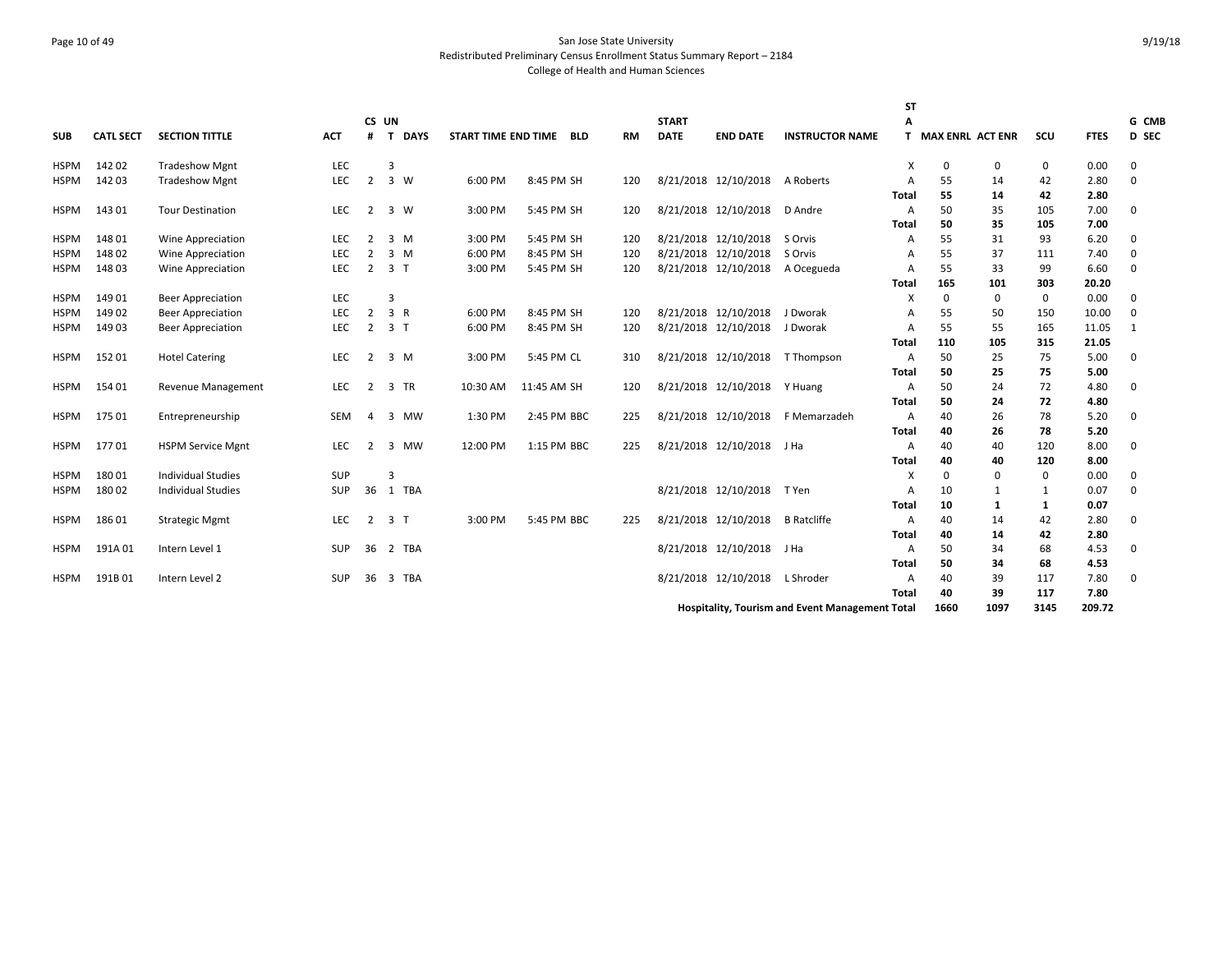# Page 10 of 49 San Jose State University Redistributed Preliminary Census Enrollment Status Summary Report – 2184 College of Health and Human Sciences

|             |                  |                           |            |                |                |             |                     |             |           |              |                           |                                                        | <b>ST</b>                 |                         |              |      |             |          |
|-------------|------------------|---------------------------|------------|----------------|----------------|-------------|---------------------|-------------|-----------|--------------|---------------------------|--------------------------------------------------------|---------------------------|-------------------------|--------------|------|-------------|----------|
|             |                  |                           |            | <b>CS</b>      | UN             |             |                     |             |           | <b>START</b> |                           |                                                        | А                         |                         |              |      |             | G CMB    |
| <b>SUB</b>  | <b>CATL SECT</b> | <b>SECTION TITTLE</b>     | <b>ACT</b> |                | T              | <b>DAYS</b> | START TIME END TIME | <b>BLD</b>  | <b>RM</b> | <b>DATE</b>  | <b>END DATE</b>           | <b>INSTRUCTOR NAME</b>                                 | T.                        | <b>MAX ENRL ACT ENR</b> |              | SCU  | <b>FTES</b> | D SEC    |
| <b>HSPM</b> | 14202            | <b>Tradeshow Mgnt</b>     | LEC        |                | 3              |             |                     |             |           |              |                           |                                                        | $\boldsymbol{\mathsf{x}}$ | 0                       | $\mathbf{0}$ | 0    | 0.00        | 0        |
| <b>HSPM</b> | 142 03           | <b>Tradeshow Mgnt</b>     | LEC        | $\overline{2}$ |                | 3 W         | 6:00 PM             | 8:45 PM SH  | 120       |              | 8/21/2018 12/10/2018      | A Roberts                                              | A                         | 55                      | 14           | 42   | 2.80        | 0        |
|             |                  |                           |            |                |                |             |                     |             |           |              |                           |                                                        | Total                     | 55                      | 14           | 42   | 2.80        |          |
| <b>HSPM</b> | 14301            | <b>Tour Destination</b>   | LEC        | $\overline{2}$ |                | 3 W         | 3:00 PM             | 5:45 PM SH  | 120       |              | 8/21/2018 12/10/2018      | D Andre                                                | A                         | 50                      | 35           | 105  | 7.00        | 0        |
|             |                  |                           |            |                |                |             |                     |             |           |              |                           |                                                        | Total                     | 50                      | 35           | 105  | 7.00        |          |
| <b>HSPM</b> | 148 01           | Wine Appreciation         | <b>LEC</b> | 2              |                | $3 \, M$    | 3:00 PM             | 5:45 PM SH  | 120       |              | 8/21/2018 12/10/2018      | S Orvis                                                | A                         | 55                      | 31           | 93   | 6.20        | 0        |
| <b>HSPM</b> | 148 02           | Wine Appreciation         | LEC        | 2              |                | $3 \, M$    | 6:00 PM             | 8:45 PM SH  | 120       |              | 8/21/2018 12/10/2018      | S Orvis                                                | $\overline{A}$            | 55                      | 37           | 111  | 7.40        | 0        |
| <b>HSPM</b> | 14803            | <b>Wine Appreciation</b>  | LEC        | $\overline{2}$ | 3 <sub>1</sub> |             | 3:00 PM             | 5:45 PM SH  | 120       |              | 8/21/2018 12/10/2018      | A Ocegueda                                             | $\overline{A}$            | 55                      | 33           | 99   | 6.60        | $\Omega$ |
|             |                  |                           |            |                |                |             |                     |             |           |              |                           |                                                        | Total                     | 165                     | 101          | 303  | 20.20       |          |
| <b>HSPM</b> | 149 01           | <b>Beer Appreciation</b>  | LEC        |                | 3              |             |                     |             |           |              |                           |                                                        | X                         | 0                       | 0            | 0    | 0.00        | 0        |
| <b>HSPM</b> | 14902            | <b>Beer Appreciation</b>  | LEC        | 2              | 3 R            |             | 6:00 PM             | 8:45 PM SH  | 120       |              | 8/21/2018 12/10/2018      | J Dworak                                               | $\overline{A}$            | 55                      | 50           | 150  | 10.00       | 0        |
| HSPM        | 14903            | <b>Beer Appreciation</b>  | LEC        | 2              | 3 <sub>1</sub> |             | 6:00 PM             | 8:45 PM SH  | 120       |              | 8/21/2018 12/10/2018      | J Dworak                                               | $\overline{A}$            | 55                      | 55           | 165  | 11.05       | 1        |
|             |                  |                           |            |                |                |             |                     |             |           |              |                           |                                                        | Total                     | 110                     | 105          | 315  | 21.05       |          |
| <b>HSPM</b> | 15201            | <b>Hotel Catering</b>     | LEC        | 2              |                | 3 M         | 3:00 PM             | 5:45 PM CL  | 310       |              | 8/21/2018 12/10/2018      | T Thompson                                             | $\overline{A}$            | 50                      | 25           | 75   | 5.00        | 0        |
|             |                  |                           |            |                |                |             |                     |             |           |              |                           |                                                        | Total                     | 50                      | 25           | 75   | 5.00        |          |
| <b>HSPM</b> | 154 01           | <b>Revenue Management</b> | LEC        | 2              |                | 3 TR        | 10:30 AM            | 11:45 AM SH | 120       |              | 8/21/2018 12/10/2018      | Y Huang                                                | $\overline{A}$            | 50                      | 24           | 72   | 4.80        | 0        |
|             |                  |                           |            |                |                |             |                     |             |           |              |                           |                                                        | <b>Total</b>              | 50                      | 24           | 72   | 4.80        |          |
| <b>HSPM</b> | 175 01           | Entrepreneurship          | SEM        | 4              |                | 3 MW        | 1:30 PM             | 2:45 PM BBC | 225       |              | 8/21/2018 12/10/2018      | F Memarzadeh                                           | A                         | 40                      | 26           | 78   | 5.20        | 0        |
|             |                  |                           |            |                |                |             |                     |             |           |              |                           |                                                        | Total                     | 40                      | 26           | 78   | 5.20        |          |
| <b>HSPM</b> | 17701            | <b>HSPM Service Mgnt</b>  | LEC        | 2              | $\overline{3}$ | <b>MW</b>   | 12:00 PM            | 1:15 PM BBC | 225       |              | 8/21/2018 12/10/2018 J Ha |                                                        | A                         | 40                      | 40           | 120  | 8.00        | 0        |
|             |                  |                           |            |                |                |             |                     |             |           |              |                           |                                                        | <b>Total</b>              | 40                      | 40           | 120  | 8.00        |          |
| <b>HSPM</b> | 18001            | <b>Individual Studies</b> | <b>SUP</b> |                | 3              |             |                     |             |           |              |                           |                                                        | $\times$                  | 0                       | $\Omega$     | 0    | 0.00        | 0        |
| <b>HSPM</b> | 18002            | <b>Individual Studies</b> | <b>SUP</b> | 36             |                | 1 TBA       |                     |             |           |              | 8/21/2018 12/10/2018      | T Yen                                                  | $\overline{A}$            | 10                      |              | 1    | 0.07        | 0        |
|             |                  |                           |            |                |                |             |                     |             |           |              |                           |                                                        | Total                     | 10                      | 1            | 1    | 0.07        |          |
| <b>HSPM</b> | 18601            | <b>Strategic Mgmt</b>     | LEC        | 2              | 3 <sub>1</sub> |             | 3:00 PM             | 5:45 PM BBC | 225       |              | 8/21/2018 12/10/2018      | <b>B</b> Ratcliffe                                     | A                         | 40                      | 14           | 42   | 2.80        | 0        |
|             |                  |                           |            |                |                |             |                     |             |           |              |                           |                                                        | Total                     | 40                      | 14           | 42   | 2.80        |          |
| <b>HSPM</b> | 191A01           | Intern Level 1            | <b>SUP</b> | 36             |                | 2 TBA       |                     |             |           |              | 8/21/2018 12/10/2018      | J Ha                                                   | A                         | 50                      | 34           | 68   | 4.53        | 0        |
|             |                  |                           |            |                |                |             |                     |             |           |              |                           |                                                        | Total                     | 50                      | 34           | 68   | 4.53        |          |
| <b>HSPM</b> | 191B01           | Intern Level 2            | <b>SUP</b> | 36             | $\overline{3}$ | TBA         |                     |             |           |              | 8/21/2018 12/10/2018      | L Shroder                                              | $\overline{A}$            | 40                      | 39           | 117  | 7.80        | 0        |
|             |                  |                           |            |                |                |             |                     |             |           |              |                           |                                                        | Total                     | 40                      | 39           | 117  | 7.80        |          |
|             |                  |                           |            |                |                |             |                     |             |           |              |                           | <b>Hospitality, Tourism and Event Management Total</b> |                           | 1660                    | 1097         | 3145 | 209.72      |          |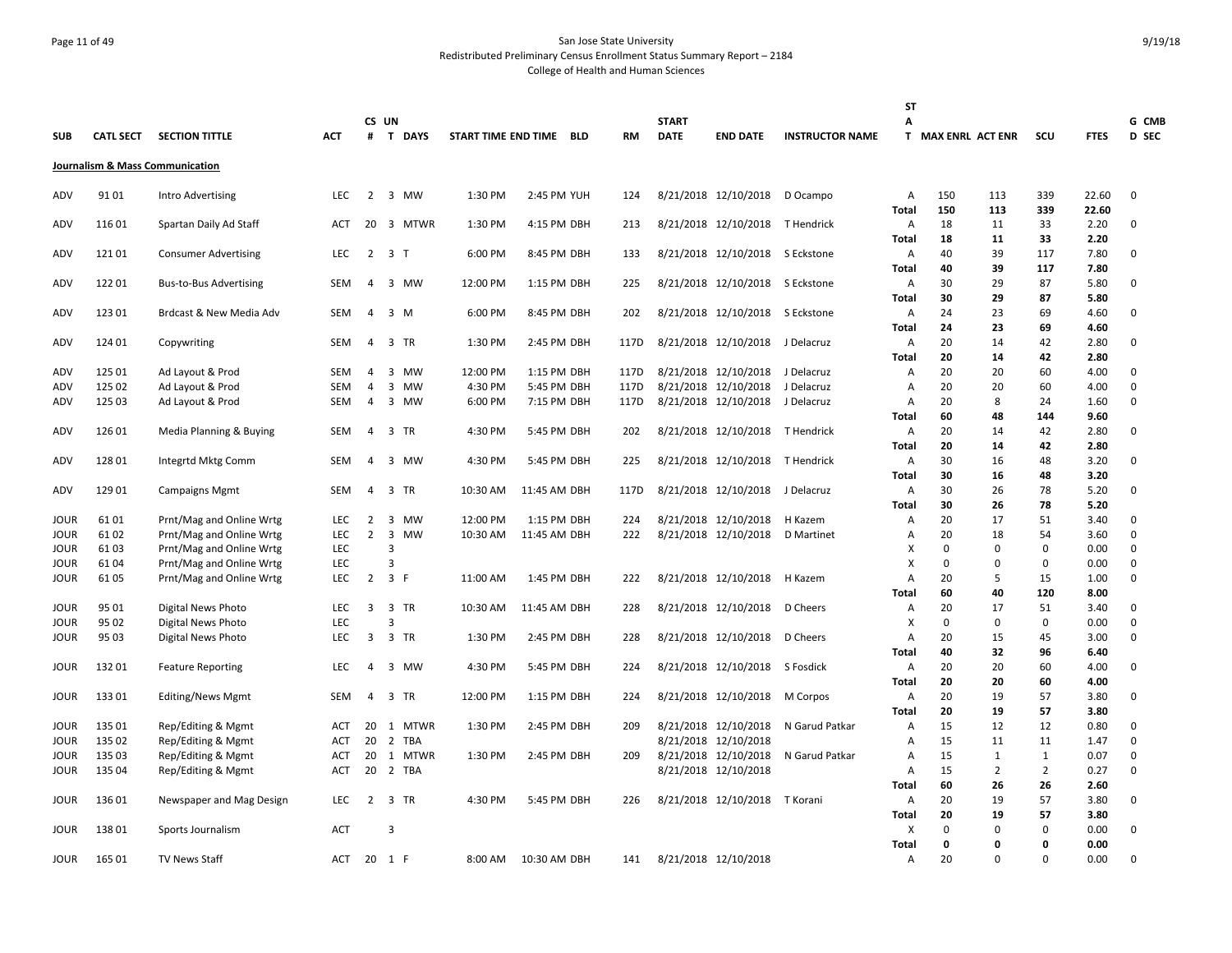# Page 11 of 49 San Jose State University Redistributed Preliminary Census Enrollment Status Summary Report – 2184 College of Health and Human Sciences

|              |                  |                                                      |                          |                                  |                                  |          |                         |            |              |                                              |                        | <b>ST</b>           |                    |                     |                    |              |             |
|--------------|------------------|------------------------------------------------------|--------------------------|----------------------------------|----------------------------------|----------|-------------------------|------------|--------------|----------------------------------------------|------------------------|---------------------|--------------------|---------------------|--------------------|--------------|-------------|
|              |                  |                                                      |                          | CS UN                            |                                  |          |                         |            | <b>START</b> |                                              |                        | А                   |                    |                     |                    |              | G CMB       |
| <b>SUB</b>   | <b>CATL SECT</b> | <b>SECTION TITTLE</b>                                | <b>ACT</b>               | #                                | <b>T DAYS</b>                    |          | START TIME END TIME BLD | <b>RM</b>  | <b>DATE</b>  | <b>END DATE</b>                              | <b>INSTRUCTOR NAME</b> |                     | T MAX ENRL ACT ENR |                     | SCU                | <b>FTES</b>  | D SEC       |
|              |                  | Journalism & Mass Communication                      |                          |                                  |                                  |          |                         |            |              |                                              |                        |                     |                    |                     |                    |              |             |
| ADV          | 9101             | Intro Advertising                                    | LEC                      | 2                                | 3 MW                             | 1:30 PM  | 2:45 PM YUH             | 124        |              | 8/21/2018 12/10/2018                         | D Ocampo               | A                   | 150                | 113                 | 339                | 22.60        | 0           |
|              |                  |                                                      |                          |                                  |                                  |          |                         |            |              |                                              |                        | Total               | 150                | 113                 | 339                | 22.60        |             |
| ADV          | 11601            | Spartan Daily Ad Staff                               | ACT                      | 20                               | 3 MTWR                           | 1:30 PM  | 4:15 PM DBH             | 213        |              | 8/21/2018 12/10/2018                         | T Hendrick             | Α                   | 18                 | 11                  | 33                 | 2.20         | 0           |
|              |                  |                                                      |                          |                                  |                                  |          |                         |            |              |                                              |                        | Total               | 18                 | 11                  | 33                 | 2.20         |             |
| ADV          | 12101            | <b>Consumer Advertising</b>                          | <b>LEC</b>               | 2                                | $\overline{3}$<br>$\mathsf{T}$   | 6:00 PM  | 8:45 PM DBH             | 133        |              | 8/21/2018 12/10/2018 S Eckstone              |                        | $\overline{A}$      | 40                 | 39                  | 117                | 7.80         | $\mathbf 0$ |
|              |                  |                                                      |                          |                                  |                                  |          |                         |            |              |                                              |                        | <b>Total</b>        | 40                 | 39                  | 117                | 7.80         |             |
| ADV          | 12201            | <b>Bus-to-Bus Advertising</b>                        | SEM                      | 4                                | 3<br>МW                          | 12:00 PM | 1:15 PM DBH             | 225        |              | 8/21/2018 12/10/2018 S Eckstone              |                        | Α                   | 30                 | 29                  | 87                 | 5.80         | 0           |
|              | 123 01           |                                                      | <b>SEM</b>               | 4                                | $\overline{3}$<br>M              | 6:00 PM  | 8:45 PM DBH             | 202        |              | 8/21/2018 12/10/2018 S Eckstone              |                        | Total<br>A          | 30<br>24           | 29<br>23            | 87<br>69           | 5.80<br>4.60 | 0           |
| ADV          |                  | Brdcast & New Media Adv                              |                          |                                  |                                  |          |                         |            |              |                                              |                        | <b>Total</b>        | 24                 | 23                  | 69                 | 4.60         |             |
| ADV          | 124 01           | Copywriting                                          | SEM                      | 4                                | 3 TR                             | 1:30 PM  | 2:45 PM DBH             | 117D       |              | 8/21/2018 12/10/2018 J Delacruz              |                        | Α                   | 20                 | 14                  | 42                 | 2.80         | 0           |
|              |                  |                                                      |                          |                                  |                                  |          |                         |            |              |                                              |                        | Total               | 20                 | 14                  | 42                 | 2.80         |             |
| ADV          | 125 01           | Ad Layout & Prod                                     | SEM                      | 4                                | $\overline{3}$<br>MW             | 12:00 PM | 1:15 PM DBH             | 117D       |              | 8/21/2018 12/10/2018 J Delacruz              |                        | Α                   | 20                 | 20                  | 60                 | 4.00         | $\mathbf 0$ |
| ADV          | 125 02           | Ad Layout & Prod                                     | <b>SEM</b>               | 4                                | 3<br><b>MW</b>                   | 4:30 PM  | 5:45 PM DBH             | 117D       |              | 8/21/2018 12/10/2018                         | J Delacruz             | $\overline{A}$      | 20                 | 20                  | 60                 | 4.00         | 0           |
| ADV          | 125 03           | Ad Layout & Prod                                     | SEM                      | 4                                | 3 MW                             | 6:00 PM  | 7:15 PM DBH             | 117D       |              | 8/21/2018 12/10/2018 J Delacruz              |                        | Α                   | 20                 | 8                   | 24                 | 1.60         | 0           |
|              |                  |                                                      |                          |                                  |                                  |          |                         |            |              |                                              |                        | Total               | 60                 | 48                  | 144                | 9.60         |             |
| ADV          | 126 01           | Media Planning & Buying                              | SEM                      | 4                                | 3 TR                             | 4:30 PM  | 5:45 PM DBH             | 202        |              | 8/21/2018 12/10/2018 T Hendrick              |                        | Α                   | 20                 | 14                  | 42                 | 2.80         | 0           |
|              |                  |                                                      |                          |                                  |                                  |          |                         |            |              |                                              |                        | <b>Total</b>        | 20                 | 14                  | 42                 | 2.80         |             |
| ADV          | 128 01           | Integrtd Mktg Comm                                   | SEM                      | 4                                | 3 MW                             | 4:30 PM  | 5:45 PM DBH             | 225        |              | 8/21/2018 12/10/2018 T Hendrick              |                        | A                   | 30                 | 16                  | 48                 | 3.20         | 0           |
|              |                  |                                                      |                          |                                  |                                  |          |                         |            |              |                                              |                        | Total               | 30                 | 16                  | 48                 | 3.20         |             |
| ADV          | 129 01           | <b>Campaigns Mgmt</b>                                | SEM                      | 4                                | 3 TR                             | 10:30 AM | 11:45 AM DBH            | 117D       |              | 8/21/2018 12/10/2018 J Delacruz              |                        | Α                   | 30                 | 26                  | 78                 | 5.20         | 0           |
|              |                  |                                                      |                          |                                  |                                  |          |                         |            |              |                                              |                        | <b>Total</b>        | 30                 | 26                  | 78                 | 5.20         |             |
| <b>JOUR</b>  | 6101             | Prnt/Mag and Online Wrtg                             | <b>LEC</b>               | $\overline{2}$<br>$\overline{2}$ | 3<br><b>MW</b><br>$\overline{3}$ | 12:00 PM | 1:15 PM DBH             | 224<br>222 |              | 8/21/2018 12/10/2018<br>8/21/2018 12/10/2018 | H Kazem                | A                   | 20<br>20           | 17                  | 51<br>54           | 3.40<br>3.60 | 0<br>0      |
| JOUR<br>JOUR | 6102<br>6103     | Prnt/Mag and Online Wrtg<br>Prnt/Mag and Online Wrtg | LEC<br><b>LEC</b>        |                                  | MW<br>$\overline{3}$             | 10:30 AM | 11:45 AM DBH            |            |              |                                              | D Martinet             | Α<br>X              | 0                  | 18<br>$\Omega$      | $\mathbf 0$        | 0.00         | 0           |
| JOUR         | 61 04            | Prnt/Mag and Online Wrtg                             | LEC                      |                                  | 3                                |          |                         |            |              |                                              |                        | X                   | 0                  | $\Omega$            | $\mathbf 0$        | 0.00         | 0           |
| JOUR         | 61 05            | Prnt/Mag and Online Wrtg                             | <b>LEC</b>               | 2                                | 3 F                              | 11:00 AM | 1:45 PM DBH             | 222        |              | 8/21/2018 12/10/2018                         | H Kazem                | $\overline{A}$      | 20                 | 5                   | 15                 | 1.00         | 0           |
|              |                  |                                                      |                          |                                  |                                  |          |                         |            |              |                                              |                        | Total               | 60                 | 40                  | 120                | 8.00         |             |
| JOUR         | 95 01            | Digital News Photo                                   | <b>LEC</b>               | 3                                | 3 TR                             | 10:30 AM | 11:45 AM DBH            | 228        |              | 8/21/2018 12/10/2018 D Cheers                |                        | Α                   | 20                 | 17                  | 51                 | 3.40         | 0           |
| JOUR         | 95 02            | Digital News Photo                                   | LEC                      |                                  | $\overline{3}$                   |          |                         |            |              |                                              |                        | X                   | 0                  | $\mathbf 0$         | $\mathbf 0$        | 0.00         | 0           |
| JOUR         | 95 03            | Digital News Photo                                   | <b>LEC</b>               | $\overline{3}$                   | 3 TR                             | 1:30 PM  | 2:45 PM DBH             | 228        |              | 8/21/2018 12/10/2018                         | D Cheers               | A                   | 20                 | 15                  | 45                 | 3.00         | 0           |
|              |                  |                                                      |                          |                                  |                                  |          |                         |            |              |                                              |                        | Total               | 40                 | 32                  | 96                 | 6.40         |             |
| JOUR         | 13201            | <b>Feature Reporting</b>                             | <b>LEC</b>               | 4                                | 3 MW                             | 4:30 PM  | 5:45 PM DBH             | 224        |              | 8/21/2018 12/10/2018 S Fosdick               |                        | Α                   | 20                 | 20                  | 60                 | 4.00         | 0           |
|              |                  |                                                      |                          |                                  |                                  |          |                         |            |              |                                              |                        | Total               | 20                 | 20                  | 60                 | 4.00         |             |
| JOUR         | 13301            | Editing/News Mgmt                                    | <b>SEM</b>               | 4                                | 3 TR                             | 12:00 PM | 1:15 PM DBH             | 224        |              | 8/21/2018 12/10/2018                         | M Corpos               | Α                   | 20                 | 19                  | 57                 | 3.80         | 0           |
|              |                  |                                                      |                          |                                  |                                  |          |                         |            |              |                                              |                        | <b>Total</b>        | 20                 | 19                  | 57                 | 3.80         |             |
| JOUR         | 135 01           | Rep/Editing & Mgmt                                   | ACT                      | 20                               | 1 MTWR                           | 1:30 PM  | 2:45 PM DBH             | 209        |              | 8/21/2018 12/10/2018                         | N Garud Patkar         | $\overline{A}$      | 15                 | 12                  | 12                 | 0.80         | 0           |
| JOUR         | 135 02           | Rep/Editing & Mgmt                                   | <b>ACT</b>               | 20                               | 2 TBA<br>1 MTWR                  |          | 2:45 PM DBH             |            |              | 8/21/2018 12/10/2018                         |                        | Α<br>$\overline{A}$ | 15<br>15           | 11                  | 11<br>$\mathbf{1}$ | 1.47         | 0           |
| JOUR<br>JOUR | 135 03<br>135 04 | Rep/Editing & Mgmt                                   | <b>ACT</b><br><b>ACT</b> | 20<br>20                         | 2 TBA                            | 1:30 PM  |                         | 209        |              | 8/21/2018 12/10/2018<br>8/21/2018 12/10/2018 | N Garud Patkar         | A                   | 15                 | 1<br>$\overline{2}$ | $\overline{2}$     | 0.07<br>0.27 | 0<br>0      |
|              |                  | Rep/Editing & Mgmt                                   |                          |                                  |                                  |          |                         |            |              |                                              |                        | Total               | 60                 | 26                  | 26                 | 2.60         |             |
| JOUR         | 136 01           | Newspaper and Mag Design                             | LEC                      | $2^{\circ}$                      | 3 TR                             | 4:30 PM  | 5:45 PM DBH             | 226        |              | 8/21/2018 12/10/2018                         | T Korani               | Α                   | 20                 | 19                  | 57                 | 3.80         | 0           |
|              |                  |                                                      |                          |                                  |                                  |          |                         |            |              |                                              |                        | Total               | 20                 | 19                  | 57                 | 3.80         |             |
| JOUR         | 13801            | Sports Journalism                                    | <b>ACT</b>               |                                  | 3                                |          |                         |            |              |                                              |                        | X                   | 0                  | $\Omega$            | $\mathbf 0$        | 0.00         | 0           |
|              |                  |                                                      |                          |                                  |                                  |          |                         |            |              |                                              |                        | <b>Total</b>        | 0                  | $\Omega$            | $\Omega$           | 0.00         |             |
| JOUR         | 165 01           | <b>TV News Staff</b>                                 | ACT                      |                                  | 20 1 F                           | 8:00 AM  | 10:30 AM DBH            | 141        |              | 8/21/2018 12/10/2018                         |                        | Α                   | 20                 | $\Omega$            | $\Omega$           | 0.00         | 0           |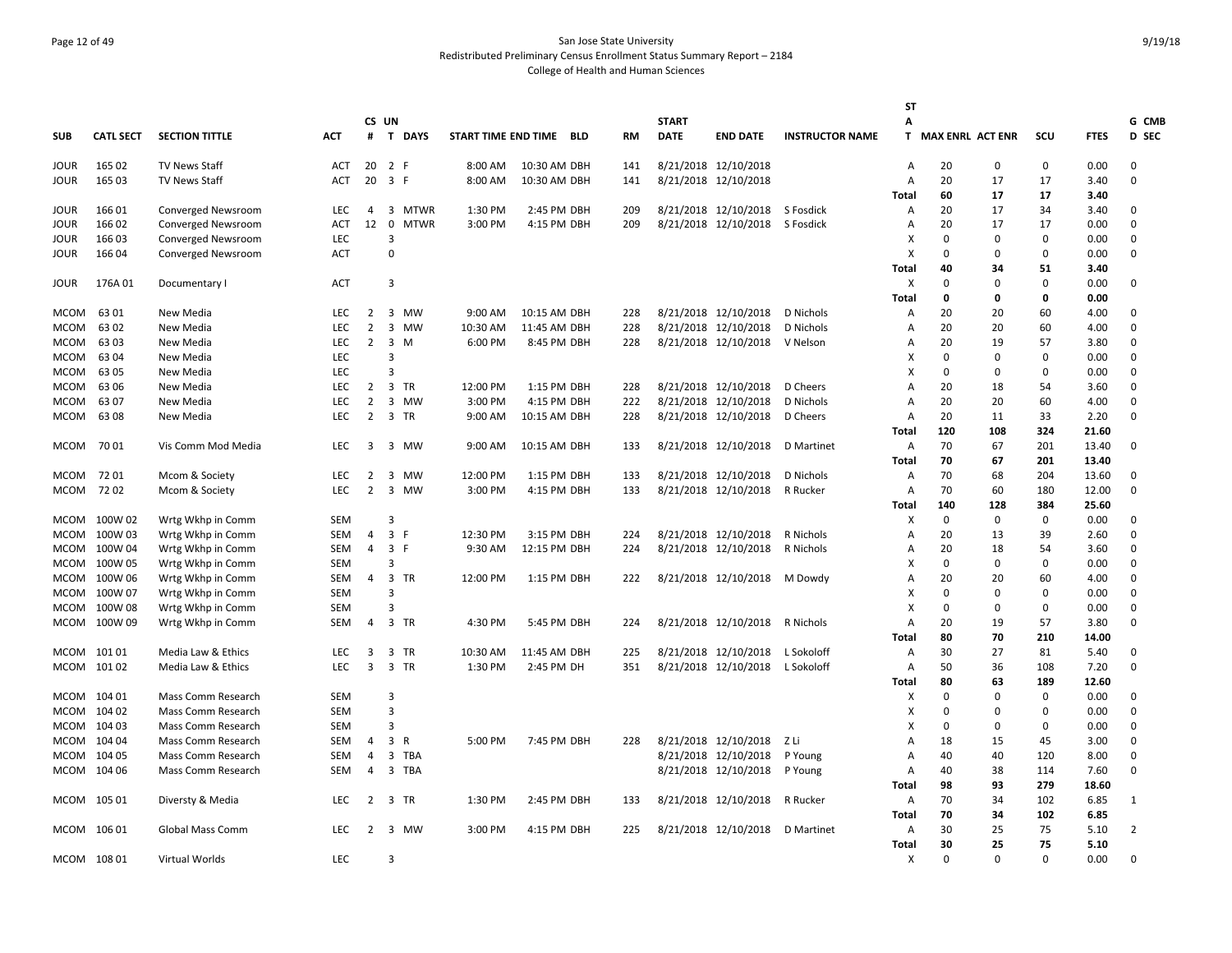# Page 12 of 49 San Jose State University Redistributed Preliminary Census Enrollment Status Summary Report – 2184 College of Health and Human Sciences

|              |                  |                        |                   |                     |                |              |                     |                             |            |              |                                              |                        | <b>ST</b>      |                         |              |              |               |                |
|--------------|------------------|------------------------|-------------------|---------------------|----------------|--------------|---------------------|-----------------------------|------------|--------------|----------------------------------------------|------------------------|----------------|-------------------------|--------------|--------------|---------------|----------------|
|              |                  |                        |                   |                     | CS UN          |              |                     |                             |            | <b>START</b> |                                              |                        | A              |                         |              |              |               | G CMB          |
| <b>SUB</b>   | <b>CATL SECT</b> | <b>SECTION TITTLE</b>  | ACT               | #                   |                | T DAYS       | START TIME END TIME | BLD                         | RM         | <b>DATE</b>  | <b>END DATE</b>                              | <b>INSTRUCTOR NAME</b> | T.             | <b>MAX ENRL ACT ENR</b> |              | SCU          | <b>FTES</b>   | D SEC          |
| JOUR         | 165 02           | <b>TV News Staff</b>   | ACT               | 20                  |                | 2 F          | 8:00 AM             | 10:30 AM DBH                | 141        |              | 8/21/2018 12/10/2018                         |                        | A              | 20                      | 0            | 0            | 0.00          | 0              |
| JOUR         | 165 03           | TV News Staff          | <b>ACT</b>        | 20                  |                | 3 F          | 8:00 AM             | 10:30 AM DBH                | 141        |              | 8/21/2018 12/10/2018                         |                        | A              | 20                      | 17           | 17           | 3.40          | 0              |
|              |                  |                        |                   |                     |                |              |                     |                             |            |              |                                              |                        | Total          | 60                      | 17           | 17           | 3.40          |                |
| JOUR         | 166 01           | Converged Newsroom     | <b>LEC</b>        | 4                   |                | 3 MTWR       | 1:30 PM             | 2:45 PM DBH                 | 209        |              | 8/21/2018 12/10/2018                         | S Fosdick              | Α              | 20                      | 17           | 34           | 3.40          | 0              |
| JOUR         | 166 02           | Converged Newsroom     | <b>ACT</b>        | 12                  | $\mathbf 0$    | <b>MTWR</b>  | 3:00 PM             | 4:15 PM DBH                 | 209        |              | 8/21/2018 12/10/2018                         | S Fosdick              | $\overline{A}$ | 20                      | 17           | 17           | 0.00          | 0              |
| JOUR         | 166 03           | Converged Newsroom     | LEC               |                     | 3              |              |                     |                             |            |              |                                              |                        | X              | 0                       | $\Omega$     | $\Omega$     | 0.00          | 0              |
| <b>JOUR</b>  | 166 04           | Converged Newsroom     | <b>ACT</b>        |                     | $\mathbf 0$    |              |                     |                             |            |              |                                              |                        | X              | $\Omega$                | $\Omega$     | $\Omega$     | 0.00          | $\Omega$       |
|              |                  |                        |                   |                     |                |              |                     |                             |            |              |                                              |                        | Total          | 40                      | 34           | 51           | 3.40          |                |
| JOUR         | 176A 01          | Documentary I          | <b>ACT</b>        |                     | 3              |              |                     |                             |            |              |                                              |                        | X              | 0                       | $\Omega$     | $\mathbf 0$  | 0.00          | 0              |
|              |                  |                        |                   |                     |                |              | $9:00$ AM           |                             |            |              |                                              |                        | Total          | 0                       | $\mathbf{0}$ | $\mathbf{0}$ | 0.00          |                |
| <b>MCOM</b>  | 63 01<br>6302    | New Media              | LEC<br><b>LEC</b> | 2<br>$\overline{2}$ |                | 3 MW<br>3 MW | 10:30 AM            | 10:15 AM DBH                | 228<br>228 |              | 8/21/2018 12/10/2018<br>8/21/2018 12/10/2018 | D Nichols              | Α<br>A         | 20<br>20                | 20           | 60<br>60     | 4.00<br>4.00  | 0<br>0         |
| MCOM<br>мсом | 63 03            | New Media<br>New Media | <b>LEC</b>        | $\overline{2}$      |                | 3 M          | 6:00 PM             | 11:45 AM DBH<br>8:45 PM DBH | 228        |              | 8/21/2018 12/10/2018                         | D Nichols<br>V Nelson  | A              | 20                      | 20<br>19     | 57           | 3.80          | 0              |
| <b>MCOM</b>  | 63 04            | New Media              | <b>LEC</b>        |                     | 3              |              |                     |                             |            |              |                                              |                        | X              | $\Omega$                | $\Omega$     | $\Omega$     | 0.00          | 0              |
| мсом         | 63 05            | New Media              | <b>LEC</b>        |                     | $\overline{3}$ |              |                     |                             |            |              |                                              |                        | X              | $\Omega$                | $\Omega$     | $\Omega$     | 0.00          | $\Omega$       |
| мсом         | 63 06            | New Media              | LEC               | $\overline{2}$      | $\overline{3}$ | TR           | 12:00 PM            | 1:15 PM DBH                 | 228        |              | 8/21/2018 12/10/2018                         | D Cheers               | A              | 20                      | 18           | 54           | 3.60          | 0              |
| мсом         | 63 07            | New Media              | <b>LEC</b>        | $\overline{2}$      |                | 3 MW         | 3:00 PM             | 4:15 PM DBH                 | 222        |              | 8/21/2018 12/10/2018                         | D Nichols              | A              | 20                      | 20           | 60           | 4.00          | 0              |
| <b>MCOM</b>  | 6308             | New Media              | <b>LEC</b>        | $\overline{2}$      |                | 3 TR         | 9:00 AM             | 10:15 AM DBH                | 228        |              | 8/21/2018 12/10/2018                         | D Cheers               | Α              | 20                      | 11           | 33           | 2.20          | 0              |
|              |                  |                        |                   |                     |                |              |                     |                             |            |              |                                              |                        | Total          | 120                     | 108          | 324          | 21.60         |                |
| MCOM         | 70 01            | Vis Comm Mod Media     | <b>LEC</b>        | 3                   |                | 3 MW         | 9:00 AM             | 10:15 AM DBH                | 133        |              | 8/21/2018 12/10/2018                         | D Martinet             | Α              | 70                      | 67           | 201          | 13.40         | 0              |
|              |                  |                        |                   |                     |                |              |                     |                             |            |              |                                              |                        | Total          | 70                      | 67           | 201          | 13.40         |                |
| <b>MCOM</b>  | 7201             | Mcom & Society         | LEC               | $\overline{2}$      |                | 3 MW         | 12:00 PM            | 1:15 PM DBH                 | 133        |              | 8/21/2018 12/10/2018                         | D Nichols              | Α              | 70                      | 68           | 204          | 13.60         | $\mathbf 0$    |
| MCOM         | 7202             | Mcom & Society         | <b>LEC</b>        | 2                   |                | 3 MW         | 3:00 PM             | 4:15 PM DBH                 | 133        |              | 8/21/2018 12/10/2018                         | R Rucker               | A              | 70                      | 60           | 180          | 12.00         | 0              |
|              |                  |                        |                   |                     |                |              |                     |                             |            |              |                                              |                        | Total          | 140                     | 128          | 384          | 25.60         |                |
| мсом         | 100W 02          | Wrtg Wkhp in Comm      | <b>SEM</b>        |                     | 3              |              |                     |                             |            |              |                                              |                        | X              | 0                       | 0            | $\mathbf 0$  | 0.00          | 0              |
| MCOM         | 100W 03          | Wrtg Wkhp in Comm      | SEM               | 4                   |                | 3 F          | 12:30 PM            | 3:15 PM DBH                 | 224        |              | 8/21/2018 12/10/2018                         | R Nichols              | $\overline{A}$ | 20                      | 13           | 39           | 2.60          | 0              |
| мсом         | 100W 04          | Wrtg Wkhp in Comm      | <b>SEM</b>        | 4                   |                | 3 F          | 9:30 AM             | 12:15 PM DBH                | 224        |              | 8/21/2018 12/10/2018                         | R Nichols              | Α              | 20                      | 18           | 54           | 3.60          | 0              |
| мсом         | 100W 05          | Wrtg Wkhp in Comm      | SEM               |                     | 3              |              |                     |                             |            |              |                                              |                        | х              | 0                       | 0            | 0            | 0.00          | 0              |
| MCOM         | 100W 06          | Wrtg Wkhp in Comm      | SEM               | 4                   |                | 3 TR         | 12:00 PM            | 1:15 PM DBH                 | 222        |              | 8/21/2018 12/10/2018                         | M Dowdy                | A              | 20                      | 20           | 60           | 4.00          | 0              |
| MCOM         | 100W 07          | Wrtg Wkhp in Comm      | <b>SEM</b>        |                     | 3              |              |                     |                             |            |              |                                              |                        | X              | 0                       | 0            | $\Omega$     | 0.00          | 0              |
| <b>MCOM</b>  | 100W 08          | Wrtg Wkhp in Comm      | <b>SEM</b>        |                     | 3              |              |                     |                             |            |              |                                              |                        | X              | $\Omega$                | $\Omega$     | $\Omega$     | 0.00          | 0              |
| MCOM         | 100W 09          | Wrtg Wkhp in Comm      | <b>SEM</b>        | 4                   |                | 3 TR         | 4:30 PM             | 5:45 PM DBH                 | 224        |              | 8/21/2018 12/10/2018                         | R Nichols              | Α              | 20                      | 19           | 57           | 3.80          | $\Omega$       |
|              |                  |                        |                   |                     |                |              |                     |                             |            |              |                                              |                        | Total          | 80                      | 70           | 210          | 14.00         |                |
| MCOM         | 10101            | Media Law & Ethics     | <b>LEC</b>        | 3                   | 3              | <b>TR</b>    | 10:30 AM            | 11:45 AM DBH                | 225        |              | 8/21/2018 12/10/2018                         | L Sokoloff             | Α              | 30                      | 27           | 81           | 5.40          | 0              |
|              | MCOM 10102       | Media Law & Ethics     | <b>LEC</b>        | $\overline{3}$      |                | 3 TR         | 1:30 PM             | 2:45 PM DH                  | 351        |              | 8/21/2018 12/10/2018                         | L Sokoloff             | Α              | 50<br>80                | 36           | 108<br>189   | 7.20<br>12.60 | 0              |
| MCOM         | 104 01           | Mass Comm Research     | <b>SEM</b>        |                     | 3              |              |                     |                             |            |              |                                              |                        | Total<br>х     | 0                       | 63<br>0      | $\mathbf 0$  | 0.00          | 0              |
| MCOM         | 104 02           | Mass Comm Research     | <b>SEM</b>        |                     | 3              |              |                     |                             |            |              |                                              |                        | X              | 0                       | $\Omega$     | $\mathbf 0$  | 0.00          | 0              |
| MCOM         | 104 03           | Mass Comm Research     | <b>SEM</b>        |                     | 3              |              |                     |                             |            |              |                                              |                        | X              | $\Omega$                | $\Omega$     | $\Omega$     | 0.00          | 0              |
| MCOM         | 104 04           | Mass Comm Research     | SEM               | 4                   | 3              | $\mathsf{R}$ | 5:00 PM             | 7:45 PM DBH                 | 228        |              | 8/21/2018 12/10/2018                         | Z Li                   | A              | 18                      | 15           | 45           | 3.00          | 0              |
| мсом         | 104 05           | Mass Comm Research     | SEM               | 4                   | 3              | <b>TBA</b>   |                     |                             |            |              | 8/21/2018 12/10/2018                         | P Young                | A              | 40                      | 40           | 120          | 8.00          | 0              |
| мсом         | 104 06           | Mass Comm Research     | <b>SEM</b>        | $\overline{4}$      |                | 3 TBA        |                     |                             |            |              | 8/21/2018 12/10/2018                         | P Young                | A              | 40                      | 38           | 114          | 7.60          | 0              |
|              |                  |                        |                   |                     |                |              |                     |                             |            |              |                                              |                        | <b>Total</b>   | 98                      | 93           | 279          | 18.60         |                |
|              | MCOM 105 01      | Diversty & Media       | <b>LEC</b>        | $\overline{2}$      |                | 3 TR         | 1:30 PM             | 2:45 PM DBH                 | 133        |              | 8/21/2018 12/10/2018                         | R Rucker               | Α              | 70                      | 34           | 102          | 6.85          | 1              |
|              |                  |                        |                   |                     |                |              |                     |                             |            |              |                                              |                        | <b>Total</b>   | 70                      | 34           | 102          | 6.85          |                |
| MCOM 106 01  |                  | Global Mass Comm       | <b>LEC</b>        | 2                   |                | 3 MW         | 3:00 PM             | 4:15 PM DBH                 | 225        |              | 8/21/2018 12/10/2018                         | D Martinet             | Α              | 30                      | 25           | 75           | 5.10          | $\overline{2}$ |
|              |                  |                        |                   |                     |                |              |                     |                             |            |              |                                              |                        | <b>Total</b>   | 30                      | 25           | 75           | 5.10          |                |
| MCOM 108 01  |                  | Virtual Worlds         | <b>LEC</b>        |                     | 3              |              |                     |                             |            |              |                                              |                        | X              | $\Omega$                | $\Omega$     | $\Omega$     | 0.00          | $\Omega$       |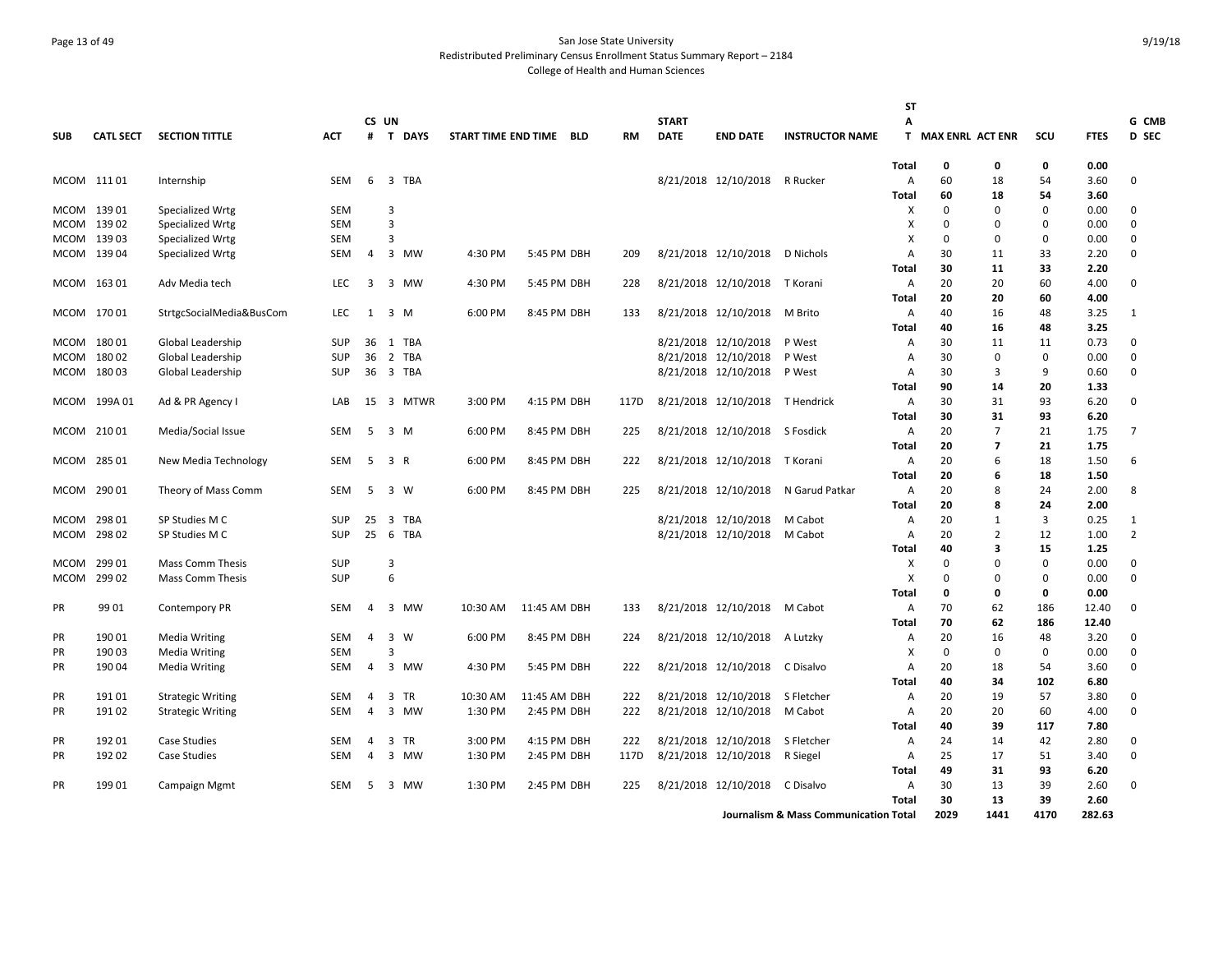# Page 13 of 49 San Jose State University Redistributed Preliminary Census Enrollment Status Summary Report – 2184 College of Health and Human Sciences

|              |                  |                                             |                          |                |                         |             |                     |              |     |      |              |                                 |                                                  | <b>ST</b>    |                         |                         |                   |              |                |
|--------------|------------------|---------------------------------------------|--------------------------|----------------|-------------------------|-------------|---------------------|--------------|-----|------|--------------|---------------------------------|--------------------------------------------------|--------------|-------------------------|-------------------------|-------------------|--------------|----------------|
|              |                  |                                             |                          | CS UN          |                         |             |                     |              |     |      | <b>START</b> |                                 |                                                  | А            |                         |                         |                   |              | G CMB          |
| <b>SUB</b>   | <b>CATL SECT</b> | <b>SECTION TITTLE</b>                       | <b>ACT</b>               | #              | T                       | <b>DAYS</b> | START TIME END TIME |              | BLD | RM   | <b>DATE</b>  | <b>END DATE</b>                 | <b>INSTRUCTOR NAME</b>                           | T.           | <b>MAX ENRL ACT ENR</b> |                         | SCU               | <b>FTES</b>  | D SEC          |
|              |                  |                                             |                          |                |                         |             |                     |              |     |      |              |                                 |                                                  | Total        | 0                       | 0                       | 0                 | 0.00         |                |
|              | MCOM 11101       | Internship                                  | SEM                      | 6              |                         | 3 TBA       |                     |              |     |      |              | 8/21/2018 12/10/2018            | R Rucker                                         | Α            | 60                      | 18                      | 54                | 3.60         | 0              |
|              | MCOM 139 01      | Specialized Wrtg                            | <b>SEM</b>               |                | 3                       |             |                     |              |     |      |              |                                 |                                                  | Total<br>х   | 60<br>$\Omega$          | 18<br>$\Omega$          | 54<br>$\Omega$    | 3.60<br>0.00 | 0              |
|              | MCOM 139 02      | Specialized Wrtg                            | <b>SEM</b>               |                | $\overline{3}$          |             |                     |              |     |      |              |                                 |                                                  | х            | $\Omega$                | $\Omega$                | 0                 | 0.00         | 0              |
| MCOM         | 13903            | Specialized Wrtg                            | <b>SEM</b>               |                | 3                       |             |                     |              |     |      |              |                                 |                                                  | X            | 0                       | $\Omega$                | $\mathbf 0$       | 0.00         | 0              |
|              | MCOM 139 04      | Specialized Wrtg                            | <b>SEM</b>               | 4              |                         | 3 MW        | 4:30 PM             | 5:45 PM DBH  |     | 209  |              | 8/21/2018 12/10/2018            | D Nichols                                        | A            | 30                      | 11                      | 33                | 2.20         | $\Omega$       |
|              |                  |                                             |                          |                |                         |             |                     |              |     |      |              |                                 |                                                  | Total        | 30                      | 11                      | 33                | 2.20         |                |
|              | MCOM 16301       | Adv Media tech                              | <b>LEC</b>               | 3              |                         | 3 MW        | 4:30 PM             | 5:45 PM DBH  |     | 228  |              | 8/21/2018 12/10/2018 T Korani   |                                                  | Α            | 20                      | 20                      | 60                | 4.00         | 0              |
|              |                  |                                             |                          |                |                         |             |                     |              |     |      |              |                                 |                                                  | Total        | 20                      | 20                      | 60                | 4.00         |                |
|              | MCOM 170 01      | StrtgcSocialMedia&BusCom                    | <b>LEC</b>               | 1              |                         | 3 M         | 6:00 PM             | 8:45 PM DBH  |     | 133  |              | 8/21/2018 12/10/2018            | M Brito                                          | Α            | 40                      | 16                      | 48                | 3.25         | 1              |
|              |                  |                                             |                          |                |                         |             |                     |              |     |      |              |                                 |                                                  | <b>Total</b> | 40                      | 16                      | 48                | 3.25         |                |
| MCOM         | 18001            | Global Leadership                           | <b>SUP</b>               | 36             |                         | 1 TBA       |                     |              |     |      |              | 8/21/2018 12/10/2018            | P West                                           | Α            | 30                      | 11                      | 11                | 0.73         | 0              |
| MCOM         | 18002            | Global Leadership                           | <b>SUP</b>               | 36             |                         | 2 TBA       |                     |              |     |      |              | 8/21/2018 12/10/2018            | P West                                           | Α            | 30                      | 0                       | $\mathbf 0$       | 0.00         | 0              |
| MCOM         | 18003            | Global Leadership                           | <b>SUP</b>               | 36             |                         | 3 TBA       |                     |              |     |      |              | 8/21/2018 12/10/2018            | P West                                           | A            | 30                      | $\mathbf{3}$            | q                 | 0.60         | 0              |
|              |                  |                                             |                          |                |                         |             |                     |              |     |      |              |                                 |                                                  | Total        | 90                      | 14                      | 20                | 1.33         |                |
|              | MCOM 199A01      | Ad & PR Agency I                            | LAB                      |                |                         | 15 3 MTWR   | 3:00 PM             | 4:15 PM DBH  |     | 117D |              | 8/21/2018 12/10/2018 T Hendrick |                                                  | Α            | 30                      | 31                      | 93                | 6.20         | 0              |
|              |                  |                                             |                          |                |                         |             |                     |              |     |      |              |                                 |                                                  | Total        | 30                      | 31                      | 93                | 6.20         |                |
|              | MCOM 21001       | Media/Social Issue                          | SEM                      | 5              |                         | 3 M         | 6:00 PM             | 8:45 PM DBH  |     | 225  |              | 8/21/2018 12/10/2018 S Fosdick  |                                                  | Α            | 20                      | $\overline{7}$          | 21                | 1.75         | 7              |
|              |                  |                                             |                          |                |                         |             |                     |              |     |      |              |                                 |                                                  | Total        | 20                      | $\overline{\mathbf{z}}$ | 21                | 1.75         |                |
|              | MCOM 285 01      | New Media Technology                        | SEM                      | 5              |                         | 3 R         | 6:00 PM             | 8:45 PM DBH  |     | 222  |              | 8/21/2018 12/10/2018 T Korani   |                                                  | A            | 20                      | 6                       | 18                | 1.50         | 6              |
|              |                  |                                             |                          |                |                         |             |                     |              |     |      |              |                                 |                                                  | Total        | 20                      | 6                       | 18                | 1.50         |                |
|              | MCOM 290 01      | Theory of Mass Comm                         | <b>SEM</b>               | 5              |                         | 3 W         | 6:00 PM             | 8:45 PM DBH  |     | 225  |              | 8/21/2018 12/10/2018            | N Garud Patkar                                   | A            | 20                      | 8                       | 24                | 2.00         | 8              |
|              |                  |                                             |                          |                |                         |             |                     |              |     |      |              |                                 |                                                  | <b>Total</b> | 20                      | 8                       | 24                | 2.00         |                |
| MCOM         | 298 01           | SP Studies M C                              | SUP                      | 25             | $\overline{3}$          | <b>TBA</b>  |                     |              |     |      |              | 8/21/2018 12/10/2018            | M Cabot                                          | Α            | 20                      | $\mathbf{1}$            | 3                 | 0.25         | 1              |
| MCOM         | 298 02           | SP Studies M C                              | <b>SUP</b>               | 25             |                         | 6 TBA       |                     |              |     |      |              | 8/21/2018 12/10/2018            | M Cabot                                          | Α            | 20                      | $\overline{2}$          | 12                | 1.00         | $\overline{2}$ |
|              |                  |                                             |                          |                | 3                       |             |                     |              |     |      |              |                                 |                                                  | Total        | 40                      | 3<br>0                  | 15<br>$\mathbf 0$ | 1.25         |                |
| MCOM<br>MCOM | 299 01<br>299 02 | Mass Comm Thesis<br><b>Mass Comm Thesis</b> | <b>SUP</b><br><b>SUP</b> |                | 6                       |             |                     |              |     |      |              |                                 |                                                  | х<br>X       | 0<br>0                  | 0                       | $\mathbf 0$       | 0.00<br>0.00 | 0<br>0         |
|              |                  |                                             |                          |                |                         |             |                     |              |     |      |              |                                 |                                                  | Total        | 0                       | 0                       | $\mathbf{0}$      | 0.00         |                |
| PR           | 99 01            | Contempory PR                               | <b>SEM</b>               | $\overline{a}$ |                         | 3 MW        | 10:30 AM            | 11:45 AM DBH |     | 133  |              | 8/21/2018 12/10/2018 M Cabot    |                                                  | A            | 70                      | 62                      | 186               | 12.40        | $\Omega$       |
|              |                  |                                             |                          |                |                         |             |                     |              |     |      |              |                                 |                                                  | Total        | 70                      | 62                      | 186               | 12.40        |                |
| PR           | 190 01           | <b>Media Writing</b>                        | SEM                      | 4              | $\overline{\mathbf{3}}$ | W           | 6:00 PM             | 8:45 PM DBH  |     | 224  |              | 8/21/2018 12/10/2018            | A Lutzky                                         | Α            | 20                      | 16                      | 48                | 3.20         | 0              |
| PR           | 190 03           | <b>Media Writing</b>                        | <b>SEM</b>               |                | 3                       |             |                     |              |     |      |              |                                 |                                                  | х            | $\Omega$                | $\Omega$                | $\Omega$          | 0.00         | 0              |
| <b>PR</b>    | 190 04           | <b>Media Writing</b>                        | <b>SEM</b>               | 4              |                         | 3 MW        | 4:30 PM             | 5:45 PM DBH  |     | 222  |              | 8/21/2018 12/10/2018            | C Disalvo                                        | A            | 20                      | 18                      | 54                | 3.60         | 0              |
|              |                  |                                             |                          |                |                         |             |                     |              |     |      |              |                                 |                                                  | Total        | 40                      | 34                      | 102               | 6.80         |                |
| PR           | 19101            | <b>Strategic Writing</b>                    | SEM                      | 4              | 3                       | TR          | 10:30 AM            | 11:45 AM DBH |     | 222  |              | 8/21/2018 12/10/2018            | S Fletcher                                       | Α            | 20                      | 19                      | 57                | 3.80         | 0              |
| PR           | 19102            | <b>Strategic Writing</b>                    | <b>SEM</b>               | 4              |                         | 3 MW        | 1:30 PM             | 2:45 PM DBH  |     | 222  |              | 8/21/2018 12/10/2018            | M Cabot                                          | Α            | 20                      | 20                      | 60                | 4.00         | 0              |
|              |                  |                                             |                          |                |                         |             |                     |              |     |      |              |                                 |                                                  | Total        | 40                      | 39                      | 117               | 7.80         |                |
| PR           | 192 01           | Case Studies                                | SEM                      | 4              | 3                       | TR          | 3:00 PM             | 4:15 PM DBH  |     | 222  |              | 8/21/2018 12/10/2018            | S Fletcher                                       | Α            | 24                      | 14                      | 42                | 2.80         | 0              |
| PR           | 192 02           | Case Studies                                | SEM                      | 4              | 3                       | MW          | 1:30 PM             | 2:45 PM DBH  |     | 117D |              | 8/21/2018 12/10/2018            | R Siegel                                         | Α            | 25                      | 17                      | 51                | 3.40         | $\Omega$       |
|              |                  |                                             |                          |                |                         |             |                     |              |     |      |              |                                 |                                                  | Total        | 49                      | 31                      | 93                | 6.20         |                |
| PR           | 199 01           | Campaign Mgmt                               | SEM                      | 5              |                         | 3 MW        | 1:30 PM             | 2:45 PM DBH  |     | 225  |              | 8/21/2018 12/10/2018            | C Disalvo                                        | A            | 30                      | 13                      | 39                | 2.60         | 0              |
|              |                  |                                             |                          |                |                         |             |                     |              |     |      |              |                                 |                                                  | <b>Total</b> | 30                      | 13                      | 39                | 2.60         |                |
|              |                  |                                             |                          |                |                         |             |                     |              |     |      |              |                                 | <b>Journalism &amp; Mass Communication Total</b> |              | 2029                    | 1441                    | 4170              | 282.63       |                |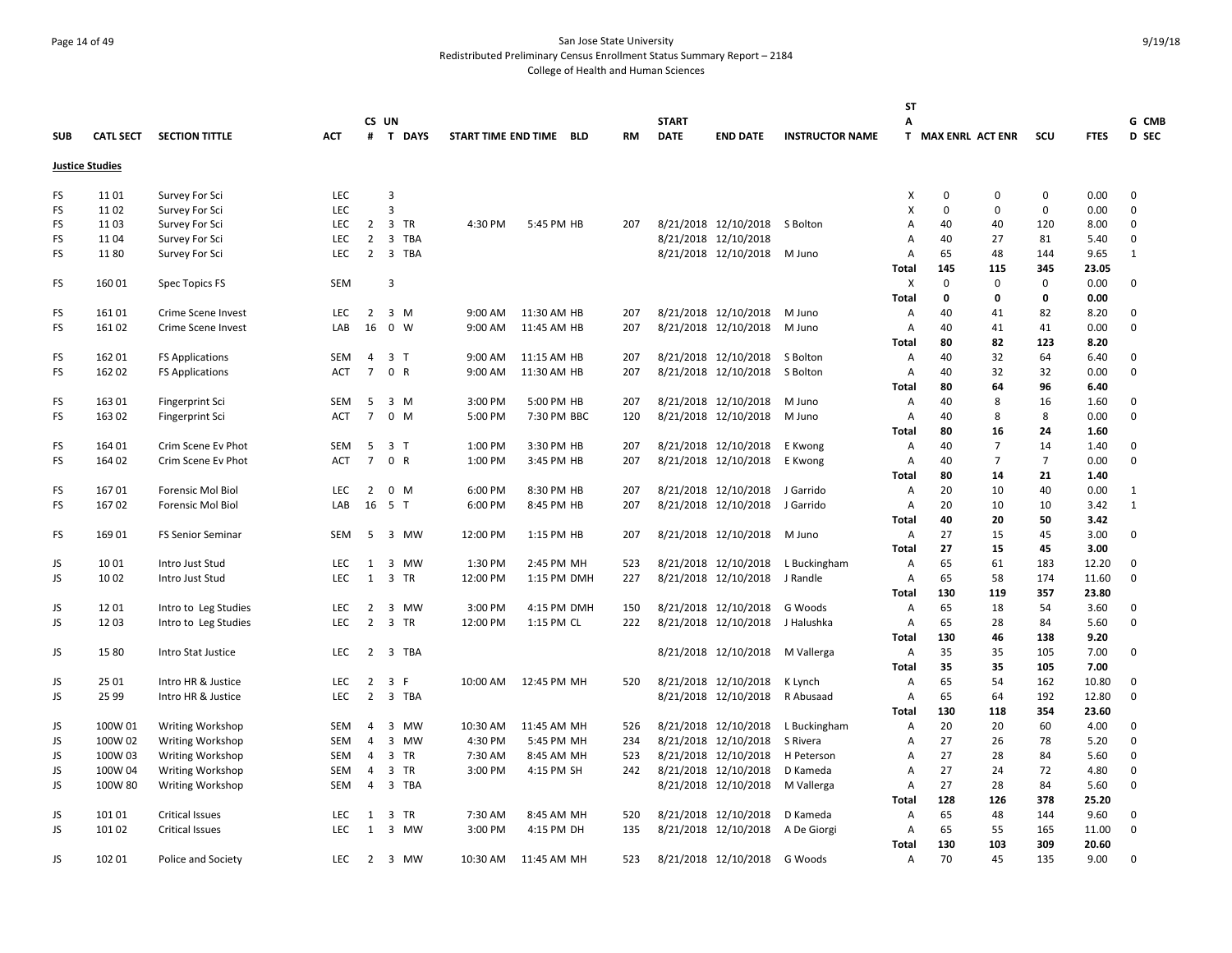# Page 14 of 49 San Jose State University Redistributed Preliminary Census Enrollment Status Summary Report – 2184 College of Health and Human Sciences

|            |                        |                          |            |                |                |          |                     |             |             |           |              |                      |                        | <b>ST</b>         |                    |                |                |              |              |
|------------|------------------------|--------------------------|------------|----------------|----------------|----------|---------------------|-------------|-------------|-----------|--------------|----------------------|------------------------|-------------------|--------------------|----------------|----------------|--------------|--------------|
|            |                        |                          |            |                | CS UN          |          |                     |             |             |           | <b>START</b> |                      |                        | А                 |                    |                |                |              | G CMB        |
| <b>SUB</b> | <b>CATL SECT</b>       | <b>SECTION TITTLE</b>    | <b>ACT</b> |                |                | # T DAYS | START TIME END TIME |             | BLD         | <b>RM</b> | <b>DATE</b>  | <b>END DATE</b>      | <b>INSTRUCTOR NAME</b> |                   | T MAX ENRL ACT ENR |                | SCU            | <b>FTES</b>  | D SEC        |
|            | <b>Justice Studies</b> |                          |            |                |                |          |                     |             |             |           |              |                      |                        |                   |                    |                |                |              |              |
| FS         | 11 01                  | Survey For Sci           | <b>LEC</b> |                | 3              |          |                     |             |             |           |              |                      |                        | X                 | 0                  | 0              | $\mathbf 0$    | 0.00         | 0            |
| FS         | 1102                   | Survey For Sci           | <b>LEC</b> |                | 3              |          |                     |             |             |           |              |                      |                        | X                 | 0                  | $\mathbf 0$    | $\mathbf 0$    | 0.00         | 0            |
| <b>FS</b>  | 1103                   | Survey For Sci           | <b>LEC</b> | 2              | 3 TR           |          | 4:30 PM             |             | 5:45 PM HB  | 207       |              | 8/21/2018 12/10/2018 | S Bolton               | $\overline{A}$    | 40                 | 40             | 120            | 8.00         | 0            |
| <b>FS</b>  | 1104                   | Survey For Sci           | <b>LEC</b> | $\overline{2}$ |                | 3 TBA    |                     |             |             |           |              | 8/21/2018 12/10/2018 |                        | $\overline{A}$    | 40                 | 27             | 81             | 5.40         | 0            |
| FS         | 1180                   | Survey For Sci           | <b>LEC</b> | $\overline{2}$ |                | 3 TBA    |                     |             |             |           |              | 8/21/2018 12/10/2018 | M Juno                 | Α                 | 65                 | 48             | 144            | 9.65         | $\mathbf{1}$ |
|            |                        |                          |            |                |                |          |                     |             |             |           |              |                      |                        | Total             | 145                | 115            | 345            | 23.05        |              |
| FS         | 160 01                 | Spec Topics FS           | SEM        |                | 3              |          |                     |             |             |           |              |                      |                        | X                 | 0                  | 0              | $\mathbf 0$    | 0.00         | 0            |
|            |                        |                          |            |                |                |          |                     |             |             |           |              |                      |                        | Total             | 0                  | 0              | 0              | 0.00         |              |
| <b>FS</b>  | 16101                  | Crime Scene Invest       | <b>LEC</b> | $\overline{2}$ | 3 M            |          | 9:00 AM             | 11:30 AM HB |             | 207       |              | 8/21/2018 12/10/2018 | M Juno                 | Α                 | 40                 | 41             | 82             | 8.20         | 0            |
| <b>FS</b>  | 16102                  | Crime Scene Invest       | LAB        | 16             | $0 \quad W$    |          | 9:00 AM             | 11:45 AM HB |             | 207       |              | 8/21/2018 12/10/2018 | M Juno                 | Α                 | 40                 | 41             | 41             | 0.00         | 0            |
|            |                        |                          |            |                |                |          |                     |             |             |           |              |                      |                        | Total             | 80                 | 82             | 123            | 8.20         |              |
| FS         | 162 01                 | <b>FS Applications</b>   | SEM        | $\overline{4}$ | 3 <sub>T</sub> |          | 9:00 AM             | 11:15 AM HB |             | 207       |              | 8/21/2018 12/10/2018 | S Bolton               | Α                 | 40                 | 32             | 64             | 6.40         | 0            |
| FS         | 162 02                 | <b>FS Applications</b>   | ACT        | $\overline{7}$ | 0 R            |          | 9:00 AM             | 11:30 AM HB |             | 207       |              | 8/21/2018 12/10/2018 | S Bolton               | Α                 | 40                 | 32             | 32             | 0.00         | 0            |
|            |                        |                          |            |                |                |          |                     |             |             |           |              |                      |                        | <b>Total</b>      | 80                 | 64             | 96             | 6.40         |              |
| <b>FS</b>  | 163 01                 | Fingerprint Sci          | <b>SEM</b> | 5              | 3 M            |          | 3:00 PM             |             | 5:00 PM HB  | 207       |              | 8/21/2018 12/10/2018 | M Juno                 | Α                 | 40                 | 8              | 16             | 1.60         | 0            |
| FS         | 163 02                 | Fingerprint Sci          | <b>ACT</b> | $\overline{7}$ | $0 \, M$       |          | 5:00 PM             |             | 7:30 PM BBC | 120       |              | 8/21/2018 12/10/2018 | M Juno                 | Α                 | 40                 | 8              | 8              | 0.00         | 0            |
|            |                        |                          |            |                |                |          |                     |             |             |           |              |                      |                        | <b>Total</b>      | 80                 | 16             | 24             | 1.60         |              |
| FS         | 164 01                 | Crim Scene Ev Phot       | SEM        | 5              | 3 <sub>T</sub> |          | 1:00 PM             |             | 3:30 PM HB  | 207       |              | 8/21/2018 12/10/2018 | E Kwong                | Α                 | 40                 | $\overline{7}$ | 14             | 1.40         | 0            |
| <b>FS</b>  | 164 02                 | Crim Scene Ev Phot       | <b>ACT</b> | $\overline{7}$ | 0 R            |          | 1:00 PM             |             | 3:45 PM HB  | 207       |              | 8/21/2018 12/10/2018 | E Kwong                | Α                 | 40                 | 7              | $\overline{7}$ | 0.00         | 0            |
|            |                        |                          |            |                |                |          |                     |             |             |           |              |                      |                        | Total             | 80                 | 14             | 21             | 1.40         |              |
| <b>FS</b>  | 16701                  | <b>Forensic Mol Biol</b> | <b>LEC</b> | $\overline{2}$ | $0 \t M$       |          | 6:00 PM             |             | 8:30 PM HB  | 207       |              | 8/21/2018 12/10/2018 | J Garrido              | Α                 | 20                 | 10             | 40             | 0.00         | 1            |
| <b>FS</b>  | 16702                  | <b>Forensic Mol Biol</b> | LAB        | 16             | 5 T            |          | 6:00 PM             |             | 8:45 PM HB  | 207       |              | 8/21/2018 12/10/2018 | J Garrido              | Α                 | 20                 | 10             | 10             | 3.42         | $\mathbf{1}$ |
|            |                        |                          |            |                |                |          |                     |             |             |           |              |                      |                        | <b>Total</b>      | 40                 | 20             | 50             | 3.42         |              |
| FS         | 16901                  | <b>FS Senior Seminar</b> | SEM        | 5              |                | 3 MW     | 12:00 PM            |             | 1:15 PM HB  | 207       |              | 8/21/2018 12/10/2018 | M Juno                 | Α                 | 27                 | 15             | 45             | 3.00         | 0            |
|            |                        |                          |            |                |                |          |                     |             |             |           |              |                      |                        | <b>Total</b>      | 27                 | 15             | 45             | 3.00         |              |
| JS         | 1001                   | Intro Just Stud          | LEC        | 1              |                | 3 MW     | 1:30 PM             |             | 2:45 PM MH  | 523       |              | 8/21/2018 12/10/2018 | L Buckingham           | Α                 | 65                 | 61             | 183            | 12.20        | 0            |
| JS         | 10 02                  | Intro Just Stud          | <b>LEC</b> | 1              | 3 TR           |          | 12:00 PM            |             | 1:15 PM DMH | 227       |              | 8/21/2018 12/10/2018 | J Randle               | Α                 | 65                 | 58             | 174            | 11.60        | $\mathbf 0$  |
|            |                        |                          |            |                |                |          |                     |             |             |           |              |                      |                        | <b>Total</b>      | 130                | 119            | 357            | 23.80        |              |
| JS         | 1201                   | Intro to Leg Studies     | <b>LEC</b> | 2              |                | 3 MW     | 3:00 PM             |             | 4:15 PM DMH | 150       |              | 8/21/2018 12/10/2018 | G Woods                | Α                 | 65                 | 18             | 54             | 3.60         | 0            |
| JS         | 1203                   | Intro to Leg Studies     | <b>LEC</b> | $\overline{2}$ | 3 TR           |          | 12:00 PM            |             | 1:15 PM CL  | 222       |              | 8/21/2018 12/10/2018 | J Halushka             | Α                 | 65                 | 28             | 84             | 5.60         | 0            |
|            |                        |                          |            |                |                |          |                     |             |             |           |              |                      |                        | <b>Total</b>      | 130                | 46             | 138            | 9.20         | 0            |
| JS         | 15 80                  | Intro Stat Justice       | LEC        | 2              | 3              | TBA      |                     |             |             |           |              | 8/21/2018 12/10/2018 | M Vallerga             | Α<br><b>Total</b> | 35<br>35           | 35<br>35       | 105<br>105     | 7.00<br>7.00 |              |
| JS         | 25 01                  | Intro HR & Justice       | <b>LEC</b> | $\overline{2}$ | 3              | -F       | 10:00 AM            | 12:45 PM MH |             | 520       |              | 8/21/2018 12/10/2018 |                        | Α                 | 65                 | 54             | 162            | 10.80        | 0            |
| JS         | 25 99                  | Intro HR & Justice       | <b>LEC</b> | 2              |                | 3 TBA    |                     |             |             |           |              | 8/21/2018 12/10/2018 | K Lynch<br>R Abusaad   | Α                 | 65                 | 64             | 192            | 12.80        | 0            |
|            |                        |                          |            |                |                |          |                     |             |             |           |              |                      |                        | <b>Total</b>      | 130                | 118            | 354            | 23.60        |              |
| JS         | 100W 01                | Writing Workshop         | SEM        | $\overline{4}$ |                | 3 MW     | 10:30 AM            | 11:45 AM MH |             | 526       |              | 8/21/2018 12/10/2018 | L Buckingham           | Α                 | 20                 | 20             | 60             | 4.00         | 0            |
| JS         | 100W 02                | Writing Workshop         | SEM        | 4              |                | 3 MW     | 4:30 PM             |             | 5:45 PM MH  | 234       |              | 8/21/2018 12/10/2018 | S Rivera               | $\overline{A}$    | 27                 | 26             | 78             | 5.20         | 0            |
| JS         | 100W 03                | <b>Writing Workshop</b>  | SEM        | $\overline{4}$ | 3 TR           |          | 7:30 AM             |             | 8:45 AM MH  | 523       |              | 8/21/2018 12/10/2018 | H Peterson             | Α                 | 27                 | 28             | 84             | 5.60         | 0            |
| JS         | 100W 04                | <b>Writing Workshop</b>  | SEM        | 4              | 3 TR           |          | 3:00 PM             |             | 4:15 PM SH  | 242       |              | 8/21/2018 12/10/2018 | D Kameda               | $\overline{A}$    | 27                 | 24             | 72             | 4.80         | 0            |
| JS         | 100W 80                | <b>Writing Workshop</b>  | <b>SEM</b> | $\overline{4}$ |                | 3 TBA    |                     |             |             |           |              | 8/21/2018 12/10/2018 | M Vallerga             | Α                 | 27                 | 28             | 84             | 5.60         | 0            |
|            |                        |                          |            |                |                |          |                     |             |             |           |              |                      |                        | <b>Total</b>      | 128                | 126            | 378            | 25.20        |              |
| JS         | 101 01                 | <b>Critical Issues</b>   | <b>LEC</b> | 1              | 3              | TR       | 7:30 AM             |             | 8:45 AM MH  | 520       |              | 8/21/2018 12/10/2018 | D Kameda               | Α                 | 65                 | 48             | 144            | 9.60         | 0            |
| JS         | 101 02                 | <b>Critical Issues</b>   | LEC        | 1              |                | 3 MW     | 3:00 PM             |             | 4:15 PM DH  | 135       |              | 8/21/2018 12/10/2018 | A De Giorgi            | Α                 | 65                 | 55             | 165            | 11.00        | 0            |
|            |                        |                          |            |                |                |          |                     |             |             |           |              |                      |                        | Total             | 130                | 103            | 309            | 20.60        |              |
| JS         | 102 01                 | Police and Society       | <b>LEC</b> |                | 2 3 MW         |          | 10:30 AM            | 11:45 AM MH |             | 523       |              | 8/21/2018 12/10/2018 | G Woods                | A                 | 70                 | 45             | 135            | 9.00         | $\Omega$     |
|            |                        |                          |            |                |                |          |                     |             |             |           |              |                      |                        |                   |                    |                |                |              |              |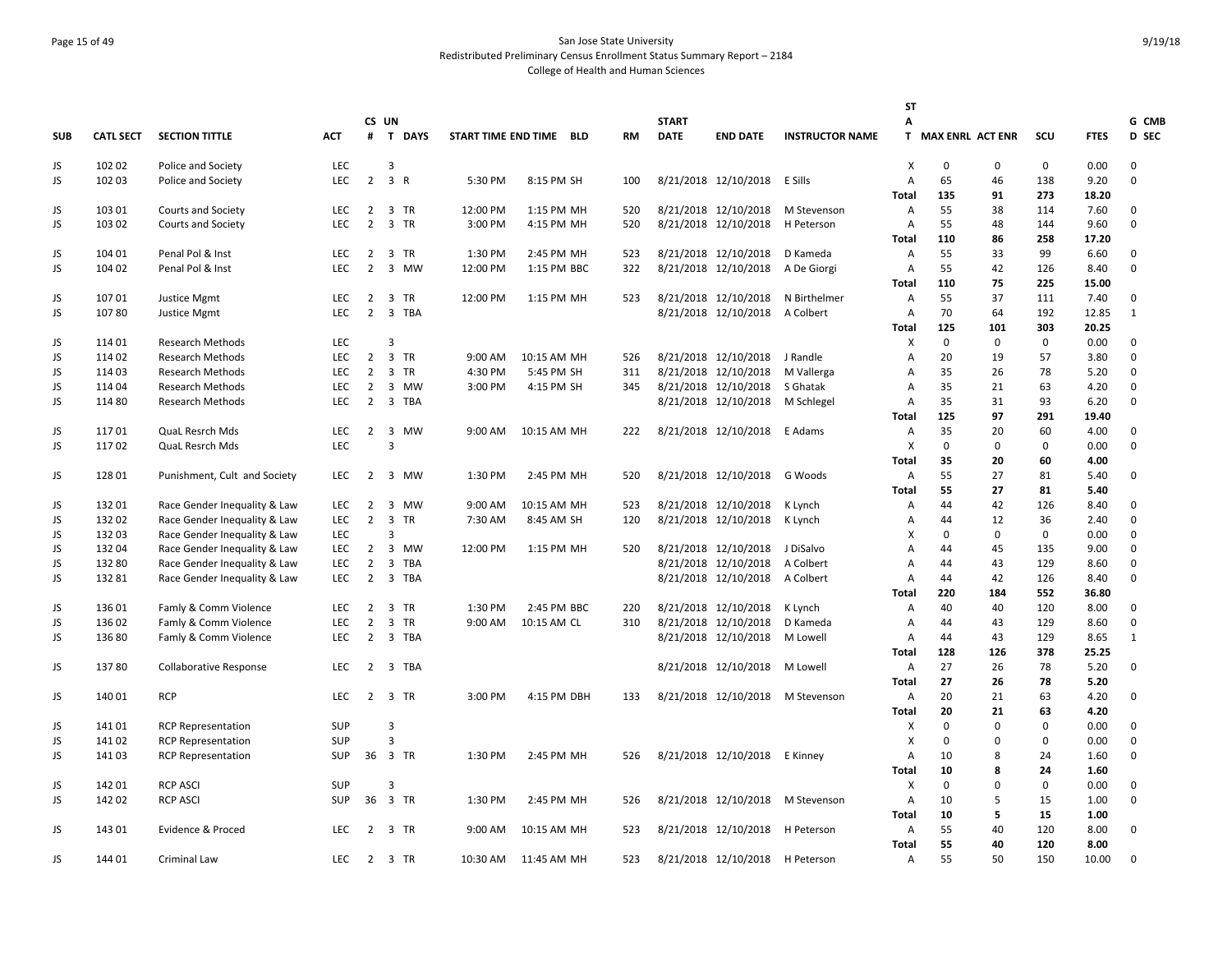# Page 15 of 49 San Jose State University Redistributed Preliminary Census Enrollment Status Summary Report – 2184 College of Health and Human Sciences

|            |                  |                               |            |                |                               |           |                         |           |              |                                 |                                   | <b>ST</b>                 |                    |             |             |             |              |
|------------|------------------|-------------------------------|------------|----------------|-------------------------------|-----------|-------------------------|-----------|--------------|---------------------------------|-----------------------------------|---------------------------|--------------------|-------------|-------------|-------------|--------------|
|            |                  |                               |            | CS UN          |                               |           |                         |           | <b>START</b> |                                 |                                   | А                         |                    |             |             |             | G CMB        |
| <b>SUB</b> | <b>CATL SECT</b> | <b>SECTION TITTLE</b>         | <b>ACT</b> |                | # T DAYS                      |           | START TIME END TIME BLD | <b>RM</b> | <b>DATE</b>  | <b>END DATE</b>                 | <b>INSTRUCTOR NAME</b>            |                           | T MAX ENRL ACT ENR |             | SCU         | <b>FTES</b> | D SEC        |
| JS         | 102 02           | Police and Society            | <b>LEC</b> |                | 3                             |           |                         |           |              |                                 |                                   | $\boldsymbol{\mathsf{x}}$ | 0                  | $\mathbf 0$ | $\mathbf 0$ | 0.00        | 0            |
| JS         | 102 03           | Police and Society            | <b>LEC</b> | $\overline{2}$ | 3 R                           | 5:30 PM   | 8:15 PM SH              | 100       |              | 8/21/2018 12/10/2018 E Sills    |                                   | $\overline{A}$            | 65                 | 46          | 138         | 9.20        | $\mathbf 0$  |
|            |                  |                               |            |                |                               |           |                         |           |              |                                 |                                   | Total                     | 135                | 91          | 273         | 18.20       |              |
| JS         | 103 01           | Courts and Society            | <b>LEC</b> | $\overline{2}$ | 3 TR                          | 12:00 PM  | 1:15 PM MH              | 520       |              | 8/21/2018 12/10/2018            | M Stevenson                       | A                         | 55                 | 38          | 114         | 7.60        | 0            |
| JS         | 103 02           | Courts and Society            | <b>LEC</b> | $\overline{2}$ | 3 TR                          | 3:00 PM   | 4:15 PM MH              | 520       |              | 8/21/2018 12/10/2018            | H Peterson                        | A                         | 55                 | 48          | 144         | 9.60        | $\Omega$     |
|            |                  |                               |            |                |                               |           |                         |           |              |                                 |                                   | Total                     | 110                | 86          | 258         | 17.20       |              |
| JS         | 104 01           | Penal Pol & Inst              | <b>LEC</b> | 2              | $\overline{\mathbf{3}}$<br>TR | 1:30 PM   | 2:45 PM MH              | 523       |              | 8/21/2018 12/10/2018            | D Kameda                          | A                         | 55                 | 33          | 99          | 6.60        | 0            |
| JS         | 104 02           | Penal Pol & Inst              | <b>LEC</b> | $\overline{2}$ | 3 MW                          | 12:00 PM  | 1:15 PM BBC             | 322       |              | 8/21/2018 12/10/2018            | A De Giorgi                       | A                         | 55                 | 42          | 126         | 8.40        | 0            |
|            |                  |                               |            |                |                               |           |                         |           |              |                                 |                                   | <b>Total</b>              | 110                | 75          | 225         | 15.00       |              |
| JS         | 10701            | Justice Mgmt                  | <b>LEC</b> | 2              | 3 TR                          | 12:00 PM  | 1:15 PM MH              | 523       |              |                                 | 8/21/2018 12/10/2018 N Birthelmer | A                         | 55                 | 37          | 111         | 7.40        | 0            |
| <b>JS</b>  | 10780            | Justice Mgmt                  | <b>LEC</b> | $\overline{2}$ | 3 TBA                         |           |                         |           |              | 8/21/2018 12/10/2018            | A Colbert                         | A                         | 70                 | 64          | 192         | 12.85       | $\mathbf{1}$ |
|            |                  |                               |            |                |                               |           |                         |           |              |                                 |                                   | <b>Total</b>              | 125                | 101         | 303         | 20.25       |              |
| JS         | 114 01           | <b>Research Methods</b>       | <b>LEC</b> |                | 3                             |           |                         |           |              |                                 |                                   | х                         | 0                  | $\mathbf 0$ | $\mathbf 0$ | 0.00        | 0            |
| JS         | 114 02           | <b>Research Methods</b>       | <b>LEC</b> | $\overline{2}$ | $\overline{3}$<br><b>TR</b>   | 9:00 AM   | 10:15 AM MH             | 526       |              | 8/21/2018 12/10/2018            | J Randle                          | $\overline{A}$            | 20                 | 19          | 57          | 3.80        | 0            |
| JS         | 114 03           | <b>Research Methods</b>       | <b>LEC</b> | $\overline{2}$ | 3 TR                          | 4:30 PM   | 5:45 PM SH              | 311       |              | 8/21/2018 12/10/2018            | M Vallerga                        | A                         | 35                 | 26          | 78          | 5.20        | 0            |
| JS         | 114 04           | Research Methods              | <b>LEC</b> | $\overline{2}$ | 3 MW                          | 3:00 PM   | 4:15 PM SH              | 345       |              | 8/21/2018 12/10/2018            | S Ghatak                          | $\overline{A}$            | 35                 | 21          | 63          | 4.20        | 0            |
| JS         | 114 80           | <b>Research Methods</b>       | <b>LEC</b> |                | 2 3 TBA                       |           |                         |           |              | 8/21/2018 12/10/2018 M Schlegel |                                   | A                         | 35                 | 31          | 93          | 6.20        | 0            |
|            |                  |                               |            |                |                               |           |                         |           |              |                                 |                                   | <b>Total</b>              | 125                | 97          | 291         | 19.40       |              |
| JS         | 11701            | <b>QuaL Resrch Mds</b>        | LEC        |                | 2 3 MW                        | 9:00 AM   | 10:15 AM MH             | 222       |              | 8/21/2018 12/10/2018            | E Adams                           | A                         | 35                 | 20          | 60          | 4.00        | 0            |
| JS         | 11702            | QuaL Resrch Mds               | LEC        |                | $\overline{3}$                |           |                         |           |              |                                 |                                   | X                         | 0                  | $\mathbf 0$ | $\mathbf 0$ | 0.00        | 0            |
|            |                  |                               |            |                |                               |           |                         |           |              |                                 |                                   | <b>Total</b>              | 35                 | 20          | 60          | 4.00        |              |
| JS         | 128 01           | Punishment, Cult and Society  | <b>LEC</b> | 2              | 3 MW                          | 1:30 PM   | 2:45 PM MH              | 520       |              | 8/21/2018 12/10/2018 G Woods    |                                   | A                         | 55                 | 27          | 81          | 5.40        | 0            |
|            |                  |                               |            |                |                               |           |                         |           |              |                                 |                                   | Total                     | 55                 | 27          | 81          | 5.40        |              |
| JS         | 13201            | Race Gender Inequality & Law  | LEC        | $\overline{2}$ | 3 MW                          | 9:00 AM   | 10:15 AM MH             | 523       |              | 8/21/2018 12/10/2018            | K Lynch                           | A                         | 44                 | 42          | 126         | 8.40        | 0            |
| JS         | 13202            | Race Gender Inequality & Law  | <b>LEC</b> | 2              | 3 TR                          | 7:30 AM   | 8:45 AM SH              | 120       |              | 8/21/2018 12/10/2018            | K Lynch                           | A                         | 44                 | 12          | 36          | 2.40        | 0            |
| JS         | 13203            | Race Gender Inequality & Law  | LEC        |                | $\overline{3}$                |           |                         |           |              |                                 |                                   | $\boldsymbol{\mathsf{x}}$ | 0                  | 0           | $\pmb{0}$   | 0.00        | 0            |
| JS         | 132 04           | Race Gender Inequality & Law  | <b>LEC</b> |                | 2 3 MW                        | 12:00 PM  | 1:15 PM MH              | 520       |              | 8/21/2018 12/10/2018 J DiSalvo  |                                   | Α                         | 44                 | 45          | 135         | 9.00        | 0            |
| JS         | 132 80           | Race Gender Inequality & Law  | <b>LEC</b> | $\overline{2}$ | 3 TBA                         |           |                         |           |              | 8/21/2018 12/10/2018            | A Colbert                         | $\overline{A}$            | 44                 | 43          | 129         | 8.60        | 0            |
| JS         | 132 81           | Race Gender Inequality & Law  | <b>LEC</b> | $2^{\circ}$    | 3 TBA                         |           |                         |           |              | 8/21/2018 12/10/2018 A Colbert  |                                   | A                         | 44                 | 42          | 126         | 8.40        | 0            |
|            |                  |                               |            |                |                               |           |                         |           |              |                                 |                                   | Total                     | 220                | 184         | 552         | 36.80       |              |
| JS         | 136 01           | Famly & Comm Violence         | LEC        | 2              | 3 TR                          | 1:30 PM   | 2:45 PM BBC             | 220       |              | 8/21/2018 12/10/2018            | K Lynch                           | Α                         | 40                 | 40          | 120         | 8.00        | $\mathbf 0$  |
| JS         | 136 02           | Famly & Comm Violence         | LEC        | $\overline{2}$ | 3 TR                          | 9:00 AM   | 10:15 AM CL             | 310       |              | 8/21/2018 12/10/2018            | D Kameda                          | Α                         | 44                 | 43          | 129         | 8.60        | 0            |
| JS         | 13680            | Famly & Comm Violence         | <b>LEC</b> | $\overline{2}$ | 3 TBA                         |           |                         |           |              | 8/21/2018 12/10/2018 M Lowell   |                                   | Α                         | 44                 | 43          | 129         | 8.65        | 1            |
|            |                  |                               |            |                |                               |           |                         |           |              |                                 |                                   | Total                     | 128                | 126         | 378         | 25.25       |              |
| JS         | 13780            | <b>Collaborative Response</b> | <b>LEC</b> | 2              | 3 TBA                         |           |                         |           |              | 8/21/2018 12/10/2018 M Lowell   |                                   | $\overline{A}$            | 27                 | 26          | 78          | 5.20        | $\mathbf 0$  |
|            |                  |                               |            |                |                               |           |                         |           |              |                                 |                                   | <b>Total</b>              | 27                 | 26          | 78          | 5.20        |              |
| JS         | 140 01           | <b>RCP</b>                    | <b>LEC</b> | 2              | 3 TR                          | 3:00 PM   | 4:15 PM DBH             | 133       |              | 8/21/2018 12/10/2018            | M Stevenson                       | $\overline{A}$            | 20                 | 21          | 63          | 4.20        | 0            |
|            |                  |                               |            |                |                               |           |                         |           |              |                                 |                                   | <b>Total</b>              | 20                 | 21          | 63          | 4.20        |              |
| JS         | 14101            | <b>RCP Representation</b>     | SUP        |                | $\overline{3}$                |           |                         |           |              |                                 |                                   | X                         | 0                  | $\mathbf 0$ | $\pmb{0}$   | 0.00        | 0            |
| JS         | 141 02           | <b>RCP Representation</b>     | SUP        |                | 3                             |           |                         |           |              |                                 |                                   | X                         | 0                  | $\Omega$    | $\mathbf 0$ | 0.00        | 0            |
| JS         | 141 03           | <b>RCP Representation</b>     | <b>SUP</b> | 36             | 3 TR                          | 1:30 PM   | 2:45 PM MH              | 526       |              | 8/21/2018 12/10/2018 E Kinney   |                                   | $\overline{A}$            | 10                 | 8           | 24          | 1.60        | 0            |
|            |                  |                               |            |                |                               |           |                         |           |              |                                 |                                   | Total                     | 10                 | 8           | 24          | 1.60        |              |
| JS         | 142 01           | <b>RCP ASCI</b>               | SUP        |                | 3                             |           |                         |           |              |                                 |                                   | X                         | 0                  | $\Omega$    | $\mathbf 0$ | 0.00        | 0            |
| JS         | 142 02           | <b>RCP ASCI</b>               | <b>SUP</b> | 36             | 3 TR                          | 1:30 PM   | 2:45 PM MH              | 526       |              | 8/21/2018 12/10/2018            | M Stevenson                       | Α                         | 10                 | 5           | 15          | 1.00        | 0            |
|            |                  |                               |            |                |                               |           |                         |           |              |                                 |                                   | <b>Total</b>              | 10                 | 5           | 15          | 1.00        |              |
| JS         | 143 01           | Evidence & Proced             | LEC        | 2              | 3 TR                          | $9:00$ AM | 10:15 AM MH             | 523       |              | 8/21/2018 12/10/2018            | H Peterson                        | A                         | 55                 | 40          | 120         | 8.00        | 0            |
|            |                  |                               |            |                |                               |           |                         |           |              |                                 |                                   | Total                     | 55                 | 40          | 120         | 8.00        |              |
| JS         | 144 01           | Criminal Law                  | <b>LEC</b> |                | 2 3 TR                        | 10:30 AM  | 11:45 AM MH             | 523       |              | 8/21/2018 12/10/2018 H Peterson |                                   | Α                         | 55                 | 50          | 150         | 10.00       | 0            |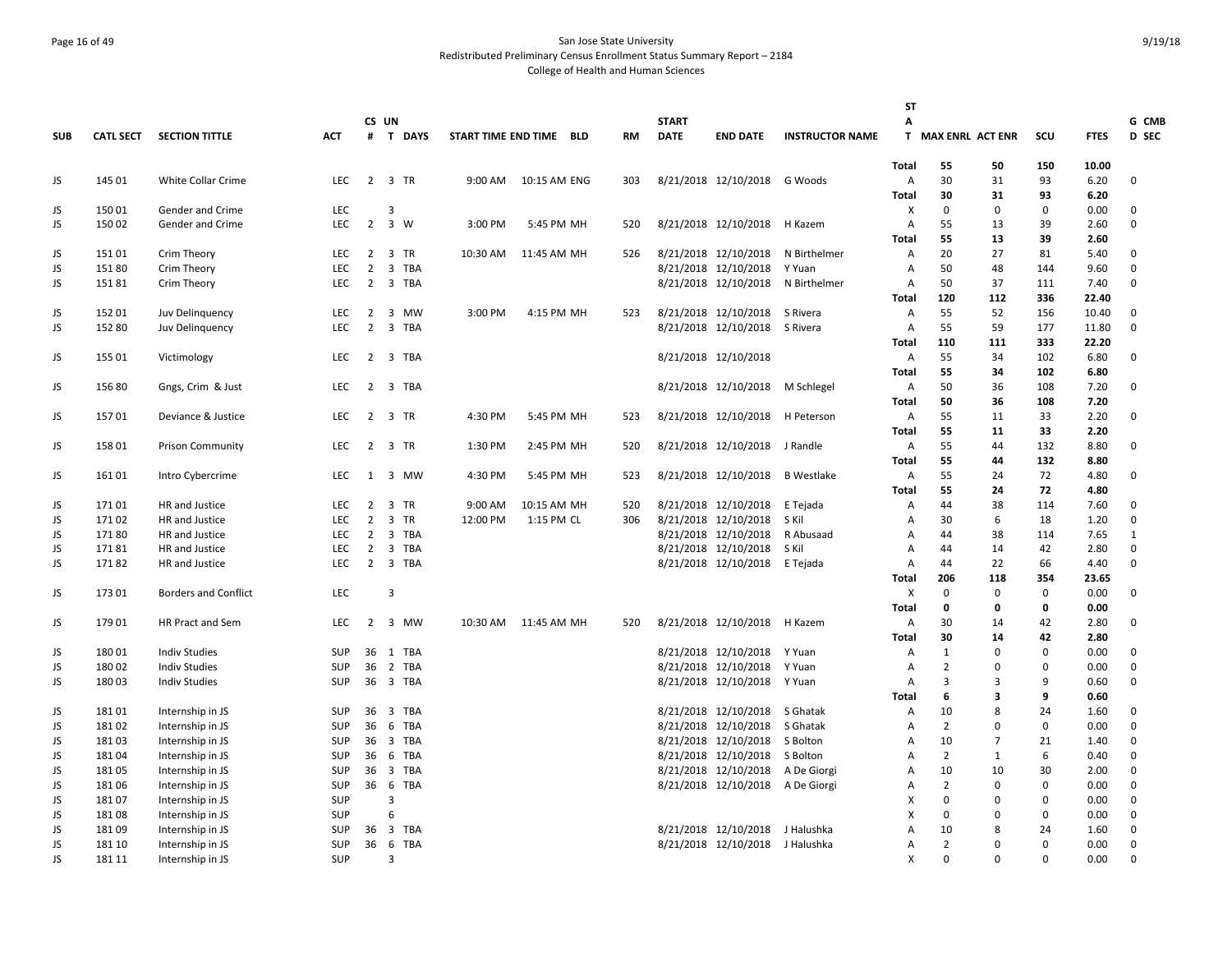# Page 16 of 49 San Jose State University Redistributed Preliminary Census Enrollment Status Summary Report – 2184 College of Health and Human Sciences

|            |                  |                             |            |                |                               |                         |              |     |              |                                  |                        | ST                             |                    |                         |                  |              |               |
|------------|------------------|-----------------------------|------------|----------------|-------------------------------|-------------------------|--------------|-----|--------------|----------------------------------|------------------------|--------------------------------|--------------------|-------------------------|------------------|--------------|---------------|
|            |                  |                             |            | CS UN          |                               |                         |              |     | <b>START</b> |                                  |                        | А                              |                    |                         |                  |              | G CMB         |
| <b>SUB</b> | <b>CATL SECT</b> | <b>SECTION TITTLE</b>       | <b>ACT</b> |                | # T DAYS                      | START TIME END TIME BLD |              | RM  | <b>DATE</b>  | <b>END DATE</b>                  | <b>INSTRUCTOR NAME</b> |                                | T MAX ENRL ACT ENR |                         | scu              | <b>FTES</b>  | D SEC         |
|            |                  |                             |            |                |                               |                         |              |     |              |                                  |                        | Total                          | 55                 | 50                      | 150              | 10.00        |               |
| JS         | 145 01           | White Collar Crime          | LEC        |                | 2 3 TR                        | 9:00 AM                 | 10:15 AM ENG | 303 |              | 8/21/2018 12/10/2018 G Woods     |                        | A                              | 30                 | 31                      | 93               | 6.20         | 0             |
|            |                  |                             |            |                |                               |                         |              |     |              |                                  |                        | Total                          | 30                 | 31                      | 93               | 6.20         |               |
| JS         | 15001            | Gender and Crime            | LEC        |                | 3                             |                         |              |     |              |                                  |                        | X                              | 0                  | $\mathbf{0}$            | 0                | 0.00         | 0             |
| JS         | 15002            | Gender and Crime            | <b>LEC</b> | $\overline{2}$ | 3 W                           | 3:00 PM                 | 5:45 PM MH   | 520 |              | 8/21/2018 12/10/2018             | H Kazem                | A                              | 55                 | 13                      | 39               | 2.60         | 0             |
|            |                  |                             |            |                |                               |                         |              |     |              |                                  |                        | <b>Total</b>                   | 55                 | 13                      | 39               | 2.60         |               |
| JS         | 15101            | Crim Theory                 | LEC        | $\overline{2}$ | 3 TR                          | 10:30 AM                | 11:45 AM MH  | 526 |              | 8/21/2018 12/10/2018             | N Birthelmer           | A                              | 20                 | 27                      | 81               | 5.40         | 0             |
| JS         | 15180            | Crim Theory                 | <b>LEC</b> | $\overline{2}$ | 3 TBA                         |                         |              |     |              | 8/21/2018 12/10/2018             | Y Yuan                 | A                              | 50                 | 48                      | 144              | 9.60         | 0             |
| JS         | 15181            | Crim Theory                 | LEC        | 2              | 3 TBA                         |                         |              |     |              | 8/21/2018 12/10/2018             | N Birthelmer           | Α                              | 50                 | 37                      | 111              | 7.40         | 0             |
|            |                  |                             |            |                |                               |                         |              |     |              |                                  |                        | <b>Total</b>                   | 120                | 112                     | 336              | 22.40        |               |
| JS         | 152 01           | Juv Delinquency             | LEC        | 2              | $\overline{\mathbf{3}}$<br>MW | 3:00 PM                 | 4:15 PM MH   | 523 |              | 8/21/2018 12/10/2018 S Rivera    |                        | A                              | 55                 | 52                      | 156              | 10.40        | 0             |
| JS         | 152 80           | Juv Delinguency             | LEC        | $\overline{2}$ | 3 TBA                         |                         |              |     |              | 8/21/2018 12/10/2018 S Rivera    |                        | A                              | 55                 | 59                      | 177              | 11.80        | $\mathbf 0$   |
|            |                  |                             |            |                |                               |                         |              |     |              |                                  |                        | Total                          | 110                | 111                     | 333              | 22.20        |               |
| JS         | 155 01           | Victimology                 | <b>LEC</b> |                | 2 3 TBA                       |                         |              |     |              | 8/21/2018 12/10/2018             |                        | A                              | 55                 | 34                      | 102              | 6.80         | 0             |
|            |                  |                             |            |                |                               |                         |              |     |              |                                  |                        | Total                          | 55                 | 34                      | 102              | 6.80         |               |
| JS         | 156 80           | Gngs, Crim & Just           | LEC        | $\overline{2}$ | 3 TBA                         |                         |              |     |              | 8/21/2018 12/10/2018             | M Schlegel             | A                              | 50                 | 36                      | 108              | 7.20         | 0             |
|            |                  |                             |            |                |                               |                         |              |     |              |                                  |                        | Total                          | 50                 | 36                      | 108              | 7.20         |               |
| JS         | 15701            | Deviance & Justice          | <b>LEC</b> | 2              | 3 TR                          | 4:30 PM                 | 5:45 PM MH   | 523 |              | 8/21/2018 12/10/2018             | H Peterson             | Α                              | 55                 | 11                      | 33               | 2.20         | 0             |
|            |                  |                             |            |                |                               |                         |              |     |              |                                  |                        | <b>Total</b>                   | 55                 | 11                      | 33               | 2.20         |               |
| JS         | 15801            | <b>Prison Community</b>     | LEC        | $\overline{2}$ | 3 TR                          | 1:30 PM                 | 2:45 PM MH   | 520 |              | 8/21/2018 12/10/2018             | J Randle               | A                              | 55                 | 44                      | 132              | 8.80         | 0             |
|            |                  |                             |            |                |                               |                         |              |     |              |                                  |                        | Total                          | 55                 | 44                      | 132              | 8.80         |               |
| JS         | 161 01           | Intro Cybercrime            | <b>LEC</b> | 1              | 3 MW                          | 4:30 PM                 | 5:45 PM MH   | 523 |              | 8/21/2018 12/10/2018             | <b>B</b> Westlake      | Α                              | 55                 | 24                      | 72               | 4.80         | 0             |
|            |                  |                             |            |                |                               |                         |              |     |              |                                  |                        | <b>Total</b>                   | 55                 | 24                      | 72               | 4.80         |               |
| JS         | 17101            | HR and Justice              | LEC        | $\overline{2}$ | 3 TR                          | 9:00 AM                 | 10:15 AM MH  | 520 |              | 8/21/2018 12/10/2018 E Tejada    |                        | A                              | 44                 | 38                      | 114              | 7.60         | 0             |
| JS         | 17102            | HR and Justice              | LEC        | $\overline{2}$ | 3 TR                          | 12:00 PM                | 1:15 PM CL   | 306 |              | 8/21/2018 12/10/2018 S Kil       |                        | A                              | 30                 | 6                       | 18               | 1.20         | $\mathbf 0$   |
| JS         | 17180            | HR and Justice              | <b>LEC</b> | $\overline{2}$ | 3 TBA                         |                         |              |     |              | 8/21/2018 12/10/2018             | R Abusaad              | A                              | 44                 | 38                      | 114              | 7.65         | 1             |
| JS         | 17181            | HR and Justice              | <b>LEC</b> | 2              | 3 TBA                         |                         |              |     |              | 8/21/2018 12/10/2018             | S Kil                  | $\overline{A}$                 | 44                 | 14                      | 42               | 2.80         | 0<br>$\Omega$ |
| JS         | 17182            | HR and Justice              | <b>LEC</b> |                | 2 3 TBA                       |                         |              |     |              | 8/21/2018 12/10/2018 E Tejada    |                        | $\overline{A}$                 | 44                 | 22                      | 66               | 4.40         |               |
|            |                  |                             | <b>LEC</b> |                |                               |                         |              |     |              |                                  |                        | Total                          | 206                | 118                     | 354              | 23.65        |               |
| JS         | 173 01           | <b>Borders and Conflict</b> |            |                | 3                             |                         |              |     |              |                                  |                        | X                              | 0                  | $\mathbf{0}$<br>0       | 0<br>$\mathbf 0$ | 0.00         | 0             |
| JS         | 17901            | HR Pract and Sem            | <b>LEC</b> | 2              | 3 MW                          | 10:30 AM                | 11:45 AM MH  | 520 |              | 8/21/2018 12/10/2018 H Kazem     |                        | <b>Total</b><br>$\overline{A}$ | 0<br>30            | 14                      | 42               | 0.00<br>2.80 | 0             |
|            |                  |                             |            |                |                               |                         |              |     |              |                                  |                        | Total                          | 30                 | 14                      | 42               | 2.80         |               |
| JS         | 180 01           | <b>Indiv Studies</b>        | <b>SUP</b> | 36             | 1 TBA                         |                         |              |     |              | 8/21/2018 12/10/2018 Y Yuan      |                        | A                              | $\mathbf{1}$       | $\Omega$                | $\mathbf 0$      | 0.00         | 0             |
| JS         | 18002            | <b>Indiv Studies</b>        | SUP        | 36             | 2 TBA                         |                         |              |     |              | 8/21/2018 12/10/2018 Y Yuan      |                        | A                              | $\overline{2}$     | $\Omega$                | $\mathbf 0$      | 0.00         | 0             |
| JS         | 18003            | <b>Indiv Studies</b>        | <b>SUP</b> | 36             | 3 TBA                         |                         |              |     |              | 8/21/2018 12/10/2018 Y Yuan      |                        | $\overline{A}$                 | 3                  | 3                       | 9                | 0.60         | 0             |
|            |                  |                             |            |                |                               |                         |              |     |              |                                  |                        | Total                          | 6                  | $\overline{\mathbf{3}}$ | 9                | 0.60         |               |
| JS         | 18101            | Internship in JS            | SUP        | 36             | 3 TBA                         |                         |              |     |              | 8/21/2018 12/10/2018 S Ghatak    |                        | A                              | 10                 | 8                       | 24               | 1.60         | 0             |
| JS         | 18102            | Internship in JS            | SUP        | 36             | 6 TBA                         |                         |              |     |              | 8/21/2018 12/10/2018             | S Ghatak               | A                              | $\overline{2}$     | $\Omega$                | 0                | 0.00         | 0             |
| JS         | 18103            | Internship in JS            | <b>SUP</b> | 36             | 3 TBA                         |                         |              |     |              | 8/21/2018 12/10/2018 S Bolton    |                        | $\overline{A}$                 | 10                 | $\overline{7}$          | 21               | 1.40         | 0             |
| JS.        | 18104            | Internship in JS            | SUP        | 36             | 6 TBA                         |                         |              |     |              | 8/21/2018 12/10/2018 S Bolton    |                        | $\overline{A}$                 | $\overline{2}$     | 1                       | 6                | 0.40         | 0             |
| JS         | 18105            | Internship in JS            | SUP        |                | 36 3 TBA                      |                         |              |     |              | 8/21/2018 12/10/2018 A De Giorgi |                        | A                              | 10                 | 10                      | 30               | 2.00         | 0             |
| JS         | 18106            | Internship in JS            | SUP        | 36             | 6 TBA                         |                         |              |     |              | 8/21/2018 12/10/2018 A De Giorgi |                        | A                              | $\overline{2}$     | $\Omega$                | $\mathbf 0$      | 0.00         | 0             |
| JS         | 18107            | Internship in JS            | SUP        |                | 3                             |                         |              |     |              |                                  |                        | X                              | 0                  | $\Omega$                | $\mathbf 0$      | 0.00         | 0             |
| JS.        | 18108            | Internship in JS            | SUP        |                | 6                             |                         |              |     |              |                                  |                        | $\boldsymbol{\mathsf{x}}$      | 0                  | $\Omega$                | $\mathbf 0$      | 0.00         | 0             |
| JS         | 18109            | Internship in JS            | <b>SUP</b> | 36             | 3 TBA                         |                         |              |     |              | 8/21/2018 12/10/2018 J Halushka  |                        | A                              | 10                 | 8                       | 24               | 1.60         | 0             |
| JS         | 181 10           | Internship in JS            | SUP        | 36             | 6 TBA                         |                         |              |     |              | 8/21/2018 12/10/2018 J Halushka  |                        | A                              | $\overline{2}$     | 0                       | $\mathbf 0$      | 0.00         | 0             |
| JS.        | 181 11           | Internship in JS            | SUP        |                | 3                             |                         |              |     |              |                                  |                        | $\boldsymbol{\mathsf{x}}$      | $\Omega$           | $\Omega$                | $\Omega$         | 0.00         | 0             |
|            |                  |                             |            |                |                               |                         |              |     |              |                                  |                        |                                |                    |                         |                  |              |               |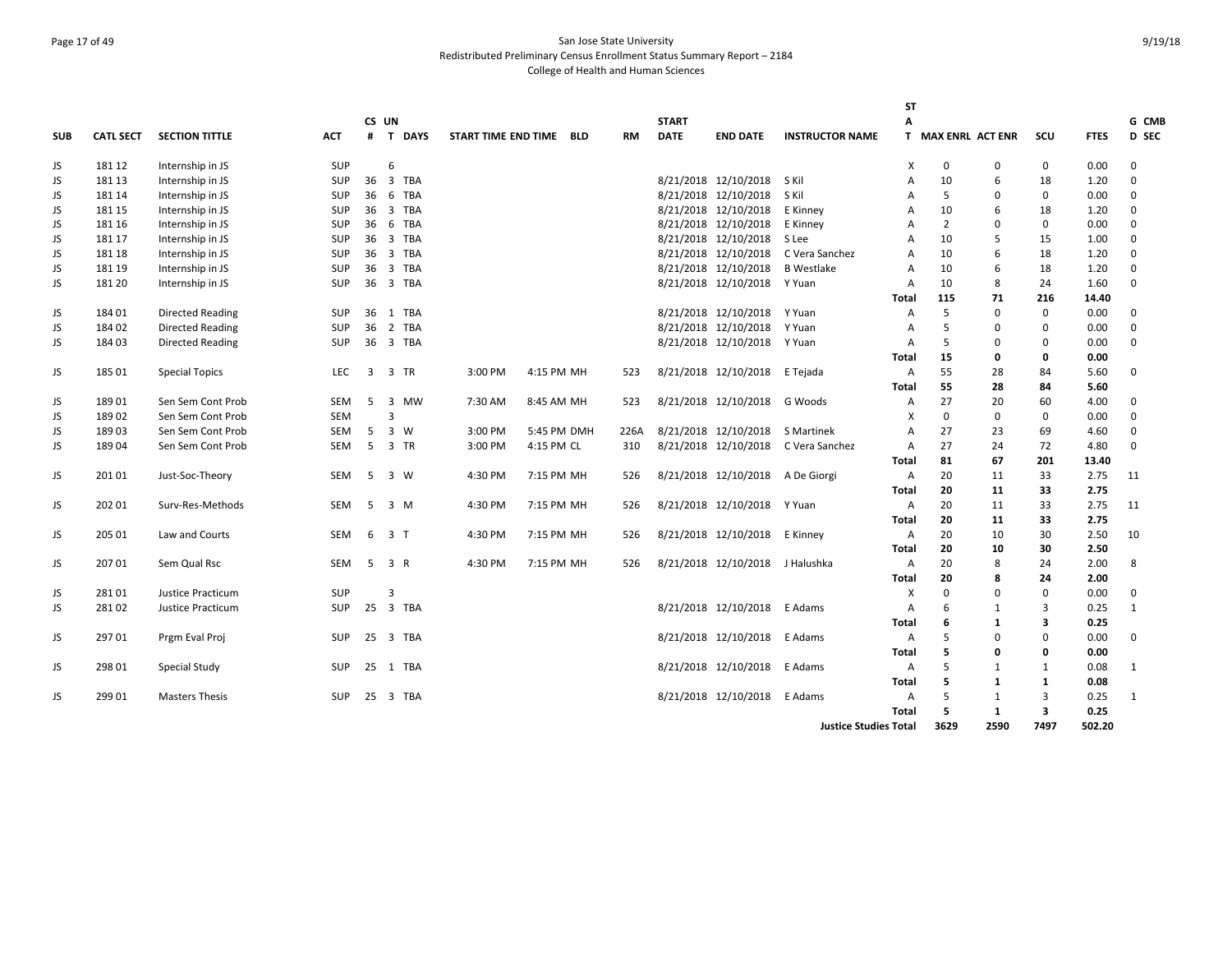# Page 17 of 49 San Jose State University Redistributed Preliminary Census Enrollment Status Summary Report – 2184 College of Health and Human Sciences

|            |                  |                          |            |       |                         |          |                     |             |            |           |              |                                  |                                     | <b>ST</b>      |                         |              |              |             |              |
|------------|------------------|--------------------------|------------|-------|-------------------------|----------|---------------------|-------------|------------|-----------|--------------|----------------------------------|-------------------------------------|----------------|-------------------------|--------------|--------------|-------------|--------------|
|            |                  |                          |            | CS UN |                         |          |                     |             |            |           | <b>START</b> |                                  |                                     | А              |                         |              |              |             | G CMB        |
| <b>SUB</b> | <b>CATL SECT</b> | <b>SECTION TITTLE</b>    | <b>ACT</b> | #     |                         | T DAYS   | START TIME END TIME |             | <b>BLD</b> | <b>RM</b> | <b>DATE</b>  | <b>END DATE</b>                  | <b>INSTRUCTOR NAME</b>              | T.             | <b>MAX ENRL ACT ENR</b> |              | scu          | <b>FTES</b> | D SEC        |
| JS         | 181 12           | Internship in JS         | SUP        |       | 6                       |          |                     |             |            |           |              |                                  |                                     | X              | 0                       | $\mathbf{0}$ | $\mathbf 0$  | 0.00        | 0            |
| JS         | 181 13           | Internship in JS         | <b>SUP</b> | 36    |                         | 3 TBA    |                     |             |            |           |              | 8/21/2018 12/10/2018 S Kil       |                                     | A              | 10                      | 6            | 18           | 1.20        | 0            |
| JS         | 181 14           | Internship in JS         | <b>SUP</b> | 36    |                         | 6 TBA    |                     |             |            |           |              | 8/21/2018 12/10/2018             | S Kil                               | A              | 5                       | $\Omega$     | $\mathbf 0$  | 0.00        | 0            |
| JS         | 181 15           | Internship in JS         | <b>SUP</b> | 36    |                         | 3 TBA    |                     |             |            |           |              | 8/21/2018 12/10/2018             | E Kinney                            | A              | 10                      | 6            | 18           | 1.20        | 0            |
| JS         | 181 16           | Internship in JS         | <b>SUP</b> | 36    |                         | 6 TBA    |                     |             |            |           |              | 8/21/2018 12/10/2018             | E Kinney                            | A              | $\overline{2}$          | $\Omega$     | $\mathbf 0$  | 0.00        | 0            |
| JS         | 181 17           | Internship in JS         | SUP        | 36    |                         | 3 TBA    |                     |             |            |           |              | 8/21/2018 12/10/2018             | S Lee                               | A              | 10                      | 5            | 15           | 1.00        | $\Omega$     |
| JS         | 181 18           | Internship in JS         | <b>SUP</b> | 36    |                         | 3 TBA    |                     |             |            |           |              | 8/21/2018 12/10/2018             | C Vera Sanchez                      | $\overline{A}$ | 10                      | 6            | 18           | 1.20        | 0            |
| JS         | 181 19           | Internship in JS         | <b>SUP</b> | 36    |                         | 3 TBA    |                     |             |            |           |              | 8/21/2018 12/10/2018             | <b>B</b> Westlake                   | $\overline{A}$ | 10                      | 6            | 18           | 1.20        | 0            |
| JS         | 181 20           | Internship in JS         | <b>SUP</b> | 36    |                         | 3 TBA    |                     |             |            |           |              | 8/21/2018 12/10/2018             | Y Yuan                              | $\overline{A}$ | 10                      | $\mathbf{8}$ | 24           | 1.60        | $\Omega$     |
|            |                  |                          |            |       |                         |          |                     |             |            |           |              |                                  |                                     | Total          | 115                     | 71           | 216          | 14.40       |              |
| JS         | 184 01           | <b>Directed Reading</b>  | <b>SUP</b> | 36    |                         | 1 TBA    |                     |             |            |           |              | 8/21/2018 12/10/2018             | Y Yuan                              | Α              | 5                       | $\mathbf 0$  | $\mathbf 0$  | 0.00        | 0            |
| JS         | 184 02           | <b>Directed Reading</b>  | <b>SUP</b> | 36    |                         | 2 TBA    |                     |             |            |           |              | 8/21/2018 12/10/2018             | Y Yuan                              | A              | 5                       | $\Omega$     | $\mathbf 0$  | 0.00        | 0            |
| JS         | 184 03           | <b>Directed Reading</b>  | <b>SUP</b> | 36    |                         | 3 TBA    |                     |             |            |           |              | 8/21/2018 12/10/2018             | Y Yuan                              | A              | 5                       | $\Omega$     | $\Omega$     | 0.00        | 0            |
|            |                  |                          |            |       |                         |          |                     |             |            |           |              |                                  |                                     | <b>Total</b>   | 15                      | 0            | $\mathbf{0}$ | 0.00        |              |
| JS         | 185 01           | <b>Special Topics</b>    | <b>LEC</b> | 3     |                         | 3 TR     | 3:00 PM             | 4:15 PM MH  |            | 523       |              | 8/21/2018 12/10/2018             | E Tejada                            | A              | 55                      | 28           | 84           | 5.60        | 0            |
|            |                  |                          |            |       |                         |          |                     |             |            |           |              |                                  |                                     | <b>Total</b>   | 55                      | 28           | 84           | 5.60        |              |
| JS         | 18901            | Sen Sem Cont Prob        | SEM        | 5     |                         | 3 MW     | 7:30 AM             | 8:45 AM MH  |            | 523       |              | 8/21/2018 12/10/2018             | G Woods                             | Α              | 27                      | 20           | 60           | 4.00        | 0            |
| JS         | 18902            | Sen Sem Cont Prob        | <b>SEM</b> |       | $\overline{\mathbf{3}}$ |          |                     |             |            |           |              |                                  |                                     | X              | $\Omega$                | $\Omega$     | $\Omega$     | 0.00        | $\Omega$     |
| JS         | 18903            | Sen Sem Cont Prob        | <b>SEM</b> | 5     |                         | 3 W      | 3:00 PM             | 5:45 PM DMH |            | 226A      |              | 8/21/2018 12/10/2018 S Martinek  |                                     | A              | 27                      | 23           | 69           | 4.60        | 0            |
| JS         | 18904            | Sen Sem Cont Prob        | SEM        | 5     |                         | 3 TR     | 3:00 PM             | 4:15 PM CL  |            | 310       |              |                                  | 8/21/2018 12/10/2018 C Vera Sanchez | Α              | 27                      | 24           | 72           | 4.80        | $\mathbf 0$  |
|            |                  |                          |            |       |                         |          |                     |             |            |           |              |                                  |                                     | Total          | 81                      | 67           | 201          | 13.40       |              |
| JS         | 201 01           | Just-Soc-Theory          | <b>SEM</b> | 5     | 3 W                     |          | 4:30 PM             | 7:15 PM MH  |            | 526       |              | 8/21/2018 12/10/2018 A De Giorgi |                                     | A              | 20                      | 11           | 33           | 2.75        | 11           |
|            |                  |                          |            |       |                         |          |                     |             |            |           |              |                                  |                                     | Total          | 20                      | 11           | 33           | 2.75        |              |
| JS         | 202 01           | Surv-Res-Methods         | <b>SEM</b> | 5     |                         | 3 M      | 4:30 PM             | 7:15 PM MH  |            | 526       |              | 8/21/2018 12/10/2018 Y Yuan      |                                     | A              | 20                      | 11           | 33           | 2.75        | 11           |
|            |                  |                          |            |       |                         |          |                     |             |            |           |              |                                  |                                     | <b>Total</b>   | 20                      | 11           | 33           | 2.75        |              |
| JS         | 205 01           | Law and Courts           | <b>SEM</b> |       | 6 3 T                   |          | 4:30 PM             | 7:15 PM MH  |            | 526       |              | 8/21/2018 12/10/2018 E Kinney    |                                     | A              | 20                      | 10           | 30           | 2.50        | 10           |
|            |                  |                          |            |       |                         |          |                     |             |            |           |              |                                  |                                     | Total          | 20                      | 10           | 30           | 2.50        |              |
| JS         | 207 01           | Sem Qual Rsc             | <b>SEM</b> | 5     | 3 R                     |          | 4:30 PM             | 7:15 PM MH  |            | 526       |              | 8/21/2018 12/10/2018 J Halushka  |                                     | $\overline{A}$ | 20                      | 8            | 24           | 2.00        | 8            |
|            |                  |                          |            |       |                         |          |                     |             |            |           |              |                                  |                                     | Total          | 20                      | 8            | 24           | 2.00        |              |
| JS         | 28101            | Justice Practicum        | SUP        |       | 3                       |          |                     |             |            |           |              |                                  |                                     | X              | $\Omega$                | $\Omega$     | $\Omega$     | 0.00        | $\mathbf 0$  |
| JS         | 28102            | <b>Justice Practicum</b> | SUP        | 25    |                         | 3 TBA    |                     |             |            |           |              | 8/21/2018 12/10/2018             | E Adams                             | A              | 6                       | 1            | 3            | 0.25        | $\mathbf{1}$ |
|            |                  |                          |            |       |                         |          |                     |             |            |           |              |                                  |                                     | Total          | 6                       | $\mathbf{1}$ | 3            | 0.25        |              |
| JS         | 29701            | Prgm Eval Proj           | <b>SUP</b> | 25    |                         | 3 TBA    |                     |             |            |           |              | 8/21/2018 12/10/2018             | E Adams                             | A              | 5                       | $\Omega$     | $\mathbf 0$  | 0.00        | $\mathbf 0$  |
|            |                  |                          |            |       |                         |          |                     |             |            |           |              |                                  |                                     | Total          | 5                       | $\Omega$     | $\mathbf 0$  | 0.00        |              |
| JS         | 298 01           | Special Study            | <b>SUP</b> |       |                         | 25 1 TBA |                     |             |            |           |              | 8/21/2018 12/10/2018             | E Adams                             | A              | 5                       | 1            | $\mathbf{1}$ | 0.08        | 1            |
|            |                  |                          |            |       |                         |          |                     |             |            |           |              |                                  |                                     | Total          | 5                       | 1            | $\mathbf{1}$ | 0.08        |              |
| JS         | 299 01           | <b>Masters Thesis</b>    | <b>SUP</b> | 25    |                         | 3 TBA    |                     |             |            |           |              | 8/21/2018 12/10/2018             | E Adams                             | A              | 5                       | 1            | 3            | 0.25        | 1            |
|            |                  |                          |            |       |                         |          |                     |             |            |           |              |                                  |                                     | <b>Total</b>   | 5                       | $\mathbf{1}$ | 3            | 0.25        |              |
|            |                  |                          |            |       |                         |          |                     |             |            |           |              |                                  | <b>Justice Studies Total</b>        |                | 3629                    | 2590         | 7497         | 502.20      |              |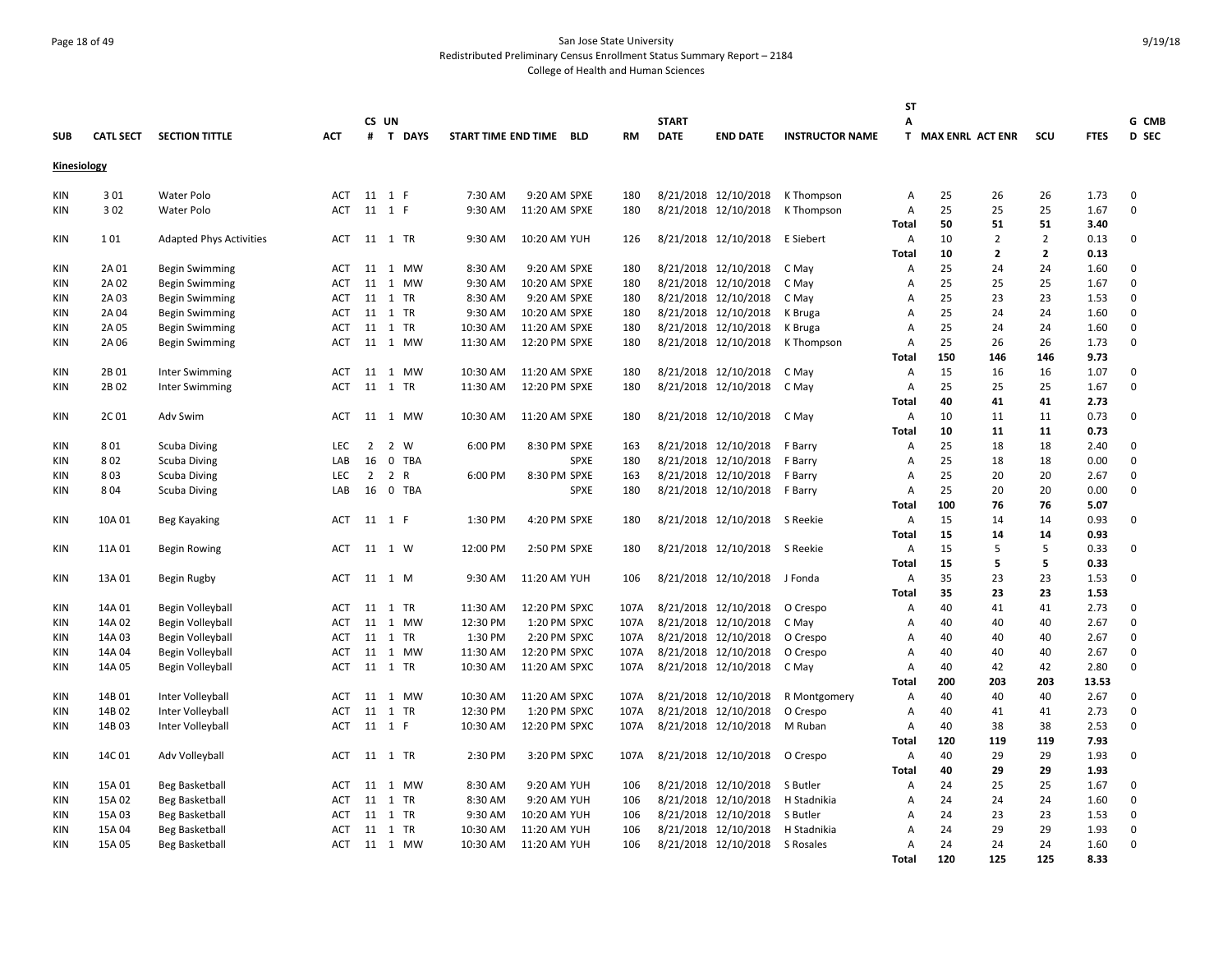# Page 18 of 49 San Jose State University Redistributed Preliminary Census Enrollment Status Summary Report – 2184 College of Health and Human Sciences

|             |                  |                                |            |    |          |                     |               |             |           |              |                                |                        | <b>ST</b>      |                         |                |                |              |          |
|-------------|------------------|--------------------------------|------------|----|----------|---------------------|---------------|-------------|-----------|--------------|--------------------------------|------------------------|----------------|-------------------------|----------------|----------------|--------------|----------|
|             |                  |                                |            |    | CS UN    |                     |               |             |           | <b>START</b> |                                |                        | A              |                         |                |                |              | G CMB    |
| <b>SUB</b>  | <b>CATL SECT</b> | <b>SECTION TITTLE</b>          | <b>ACT</b> | #  | T DAYS   | START TIME END TIME |               | <b>BLD</b>  | <b>RM</b> | <b>DATE</b>  | <b>END DATE</b>                | <b>INSTRUCTOR NAME</b> | T.             | <b>MAX ENRL ACT ENR</b> |                | SCU            | <b>FTES</b>  | D SEC    |
| Kinesiology |                  |                                |            |    |          |                     |               |             |           |              |                                |                        |                |                         |                |                |              |          |
| KIN         | 301              | Water Polo                     | ACT        |    | 11 1 F   | 7:30 AM             | 9:20 AM SPXE  |             | 180       |              | 8/21/2018 12/10/2018           | K Thompson             | Α              | 25                      | 26             | 26             | 1.73         | 0        |
| KIN         | 302              | Water Polo                     | <b>ACT</b> |    | 11 1 F   | 9:30 AM             | 11:20 AM SPXE |             | 180       |              | 8/21/2018 12/10/2018           | K Thompson             | A              | 25                      | 25             | 25             | 1.67         | 0        |
|             |                  |                                |            |    |          |                     |               |             |           |              |                                |                        | Total          | 50                      | 51             | 51             | 3.40         |          |
| KIN         | 101              | <b>Adapted Phys Activities</b> | ACT        |    | 11 1 TR  | 9:30 AM             | 10:20 AM YUH  |             | 126       |              | 8/21/2018 12/10/2018 E Siebert |                        | Α              | 10                      | 2              | $\overline{2}$ | 0.13         | 0        |
|             |                  |                                |            |    |          |                     |               |             |           |              |                                |                        | <b>Total</b>   | 10                      | $\overline{2}$ | $\overline{2}$ | 0.13         |          |
| KIN         | 2A 01            | <b>Begin Swimming</b>          | ACT        | 11 | 1 MW     | 8:30 AM             | 9:20 AM SPXE  |             | 180       |              | 8/21/2018 12/10/2018           | C May                  | Α              | 25                      | 24             | 24             | 1.60         | 0        |
| KIN         | 2A 02            | <b>Begin Swimming</b>          | <b>ACT</b> |    | 11 1 MW  | 9:30 AM             | 10:20 AM SPXE |             | 180       |              | 8/21/2018 12/10/2018           | C May                  | Α              | 25                      | 25             | 25             | 1.67         | 0        |
| KIN         | 2A 03            | Begin Swimming                 | ACT        |    | 11 1 TR  | 8:30 AM             | 9:20 AM SPXE  |             | 180       |              | 8/21/2018 12/10/2018           | C May                  | Α              | 25                      | 23             | 23             | 1.53         | 0        |
| KIN         | 2A 04            | <b>Begin Swimming</b>          | <b>ACT</b> |    | 11 1 TR  | 9:30 AM             | 10:20 AM SPXE |             | 180       |              | 8/21/2018 12/10/2018           | K Bruga                | $\overline{A}$ | 25                      | 24             | 24             | 1.60         | 0        |
| <b>KIN</b>  | 2A 05            | <b>Begin Swimming</b>          | <b>ACT</b> |    | 11 1 TR  | 10:30 AM            | 11:20 AM SPXE |             | 180       |              | 8/21/2018 12/10/2018           | K Bruga                | $\overline{A}$ | 25                      | 24             | 24             | 1.60         | 0        |
| KIN         | 2A 06            | Begin Swimming                 | ACT        |    | 11 1 MW  | 11:30 AM            | 12:20 PM SPXE |             | 180       |              | 8/21/2018 12/10/2018           | K Thompson             | $\overline{A}$ | 25                      | 26             | 26             | 1.73         | 0        |
|             |                  |                                |            |    |          |                     |               |             |           |              |                                |                        | Total          | 150                     | 146            | 146            | 9.73         |          |
| KIN         | 2B 01            | <b>Inter Swimming</b>          | ACT        |    | 11 1 MW  | 10:30 AM            | 11:20 AM SPXE |             | 180       |              | 8/21/2018 12/10/2018           | C May                  | $\overline{A}$ | 15                      | 16             | 16             | 1.07         | $\Omega$ |
| KIN         | 2B02             | <b>Inter Swimming</b>          | <b>ACT</b> |    | 11 1 TR  | 11:30 AM            | 12:20 PM SPXE |             | 180       |              | 8/21/2018 12/10/2018           | C May                  | Α              | 25                      | 25             | 25             | 1.67         | 0        |
|             |                  |                                |            |    |          |                     |               |             |           |              |                                |                        | <b>Total</b>   | 40                      | 41             | 41             | 2.73         |          |
| KIN         | 2C01             | Adv Swim                       | ACT        |    | 11 1 MW  | 10:30 AM            | 11:20 AM SPXE |             | 180       |              | 8/21/2018 12/10/2018 C May     |                        | Α              | 10                      | 11             | 11             | 0.73         | 0        |
|             |                  |                                |            |    |          |                     |               |             |           |              |                                |                        | <b>Total</b>   | 10                      | 11             | 11             | 0.73         |          |
| KIN         | 801              | <b>Scuba Diving</b>            | LEC        | 2  | 2 W      | 6:00 PM             | 8:30 PM SPXE  |             | 163       |              | 8/21/2018 12/10/2018           | F Barry                | A              | 25                      | 18             | 18             | 2.40         | 0        |
| KIN         | 802              | <b>Scuba Diving</b>            | LAB        | 16 | 0 TBA    |                     |               | SPXE        | 180       |              | 8/21/2018 12/10/2018           | F Barry                | Α              | 25                      | 18             | 18             | 0.00         | 0        |
| KIN         | 803              | Scuba Diving                   | <b>LEC</b> | 2  | 2 R      | 6:00 PM             | 8:30 PM SPXE  |             | 163       |              | 8/21/2018 12/10/2018           | F Barry                | Α              | 25                      | 20             | 20             | 2.67         | 0        |
| KIN         | 804              | Scuba Diving                   | LAB        |    | 16 0 TBA |                     |               | <b>SPXE</b> | 180       |              | 8/21/2018 12/10/2018           | F Barry                | Α              | 25                      | 20             | 20             | 0.00         | 0        |
|             |                  |                                |            |    |          |                     |               |             |           |              |                                |                        | <b>Total</b>   | 100                     | 76             | 76             | 5.07         |          |
| KIN         | 10A 01           | Beg Kayaking                   | ACT        |    | 11 1 F   | 1:30 PM             | 4:20 PM SPXE  |             | 180       |              | 8/21/2018 12/10/2018 S Reekie  |                        | Α              | 15                      | 14             | 14             | 0.93         | 0        |
|             |                  |                                |            |    |          |                     |               |             |           |              |                                |                        | <b>Total</b>   | 15                      | 14             | 14             | 0.93         |          |
| KIN         | 11A 01           | <b>Begin Rowing</b>            | ACT        |    | 11 1 W   | 12:00 PM            | 2:50 PM SPXE  |             | 180       |              | 8/21/2018 12/10/2018 S Reekie  |                        | Α              | 15                      | 5              | 5              | 0.33         | 0        |
|             |                  |                                |            |    |          |                     |               |             |           |              |                                |                        | <b>Total</b>   | 15<br>35                | 5              | 5<br>23        | 0.33         |          |
| KIN         | 13A 01           | Begin Rugby                    | ACT        |    | 11 1 M   | 9:30 AM             | 11:20 AM YUH  |             | 106       |              | 8/21/2018 12/10/2018 J Fonda   |                        | Α<br>Total     | 35                      | 23<br>23       | 23             | 1.53<br>1.53 | 0        |
| KIN         | 14A 01           | Begin Volleyball               | <b>ACT</b> |    | 11 1 TR  | 11:30 AM            | 12:20 PM SPXC |             | 107A      |              | 8/21/2018 12/10/2018           | O Crespo               | Α              | 40                      | 41             | 41             | 2.73         | 0        |
| KIN         | 14A 02           | Begin Volleyball               | <b>ACT</b> |    | 11 1 MW  | 12:30 PM            | 1:20 PM SPXC  |             | 107A      |              | 8/21/2018 12/10/2018           | C May                  | $\overline{A}$ | 40                      | 40             | 40             | 2.67         | 0        |
| KIN         | 14A 03           | Begin Volleyball               | ACT        | 11 | 1 TR     | 1:30 PM             | 2:20 PM SPXC  |             | 107A      |              | 8/21/2018 12/10/2018           | O Crespo               | Α              | 40                      | 40             | 40             | 2.67         | 0        |
| KIN         | 14A 04           | Begin Volleyball               | ACT        |    | 11 1 MW  | 11:30 AM            | 12:20 PM SPXC |             | 107A      |              | 8/21/2018 12/10/2018           | O Crespo               | Α              | 40                      | 40             | 40             | 2.67         | 0        |
| KIN         | 14A 05           | Begin Volleyball               | ACT        |    | 11 1 TR  | 10:30 AM            | 11:20 AM SPXC |             | 107A      |              | 8/21/2018 12/10/2018           | C May                  | Α              | 40                      | 42             | 42             | 2.80         | 0        |
|             |                  |                                |            |    |          |                     |               |             |           |              |                                |                        | <b>Total</b>   | 200                     | 203            | 203            | 13.53        |          |
| KIN         | 14B 01           | Inter Volleyball               | ACT        |    | 11 1 MW  | 10:30 AM            | 11:20 AM SPXC |             | 107A      |              | 8/21/2018 12/10/2018           | R Montgomery           | Α              | 40                      | 40             | 40             | 2.67         | 0        |
| KIN         | 14B 02           | Inter Volleyball               | ACT        |    | 11 1 TR  | 12:30 PM            | 1:20 PM SPXC  |             | 107A      |              | 8/21/2018 12/10/2018           | O Crespo               | $\overline{A}$ | 40                      | 41             | 41             | 2.73         | 0        |
| KIN         | 14B03            | Inter Volleyball               | <b>ACT</b> |    | 11 1 F   | 10:30 AM            | 12:20 PM SPXC |             | 107A      |              | 8/21/2018 12/10/2018           | M Ruban                | Α              | 40                      | 38             | 38             | 2.53         | 0        |
|             |                  |                                |            |    |          |                     |               |             |           |              |                                |                        | <b>Total</b>   | 120                     | 119            | 119            | 7.93         |          |
| KIN         | 14C 01           | Adv Volleyball                 | ACT        |    | 11 1 TR  | 2:30 PM             | 3:20 PM SPXC  |             | 107A      |              | 8/21/2018 12/10/2018 O Crespo  |                        | Α              | 40                      | 29             | 29             | 1.93         | 0        |
|             |                  |                                |            |    |          |                     |               |             |           |              |                                |                        | <b>Total</b>   | 40                      | 29             | 29             | 1.93         |          |
| KIN         | 15A 01           | Beg Basketball                 | ACT        |    | 11 1 MW  | 8:30 AM             | 9:20 AM YUH   |             | 106       |              | 8/21/2018 12/10/2018           | S Butler               | Α              | 24                      | 25             | 25             | 1.67         | 0        |
| KIN         | 15A 02           | <b>Beg Basketball</b>          | <b>ACT</b> |    | 11 1 TR  | 8:30 AM             | 9:20 AM YUH   |             | 106       |              | 8/21/2018 12/10/2018           | H Stadnikia            | $\overline{A}$ | 24                      | 24             | 24             | 1.60         | 0        |
| KIN         | 15A 03           | Beg Basketball                 | ACT        |    | 11 1 TR  | 9:30 AM             | 10:20 AM YUH  |             | 106       |              | 8/21/2018 12/10/2018           | S Butler               | $\overline{A}$ | 24                      | 23             | 23             | 1.53         | 0        |
| KIN         | 15A 04           | Beg Basketball                 | <b>ACT</b> |    | 11 1 TR  | 10:30 AM            | 11:20 AM YUH  |             | 106       |              | 8/21/2018 12/10/2018           | H Stadnikia            | $\overline{A}$ | 24                      | 29             | 29             | 1.93         | 0        |
| KIN         | 15A 05           | Beg Basketball                 | <b>ACT</b> |    | 11 1 MW  | 10:30 AM            | 11:20 AM YUH  |             | 106       |              | 8/21/2018 12/10/2018 S Rosales |                        | Α              | 24                      | 24             | 24             | 1.60         | $\Omega$ |
|             |                  |                                |            |    |          |                     |               |             |           |              |                                |                        | <b>Total</b>   | 120                     | 125            | 125            | 8.33         |          |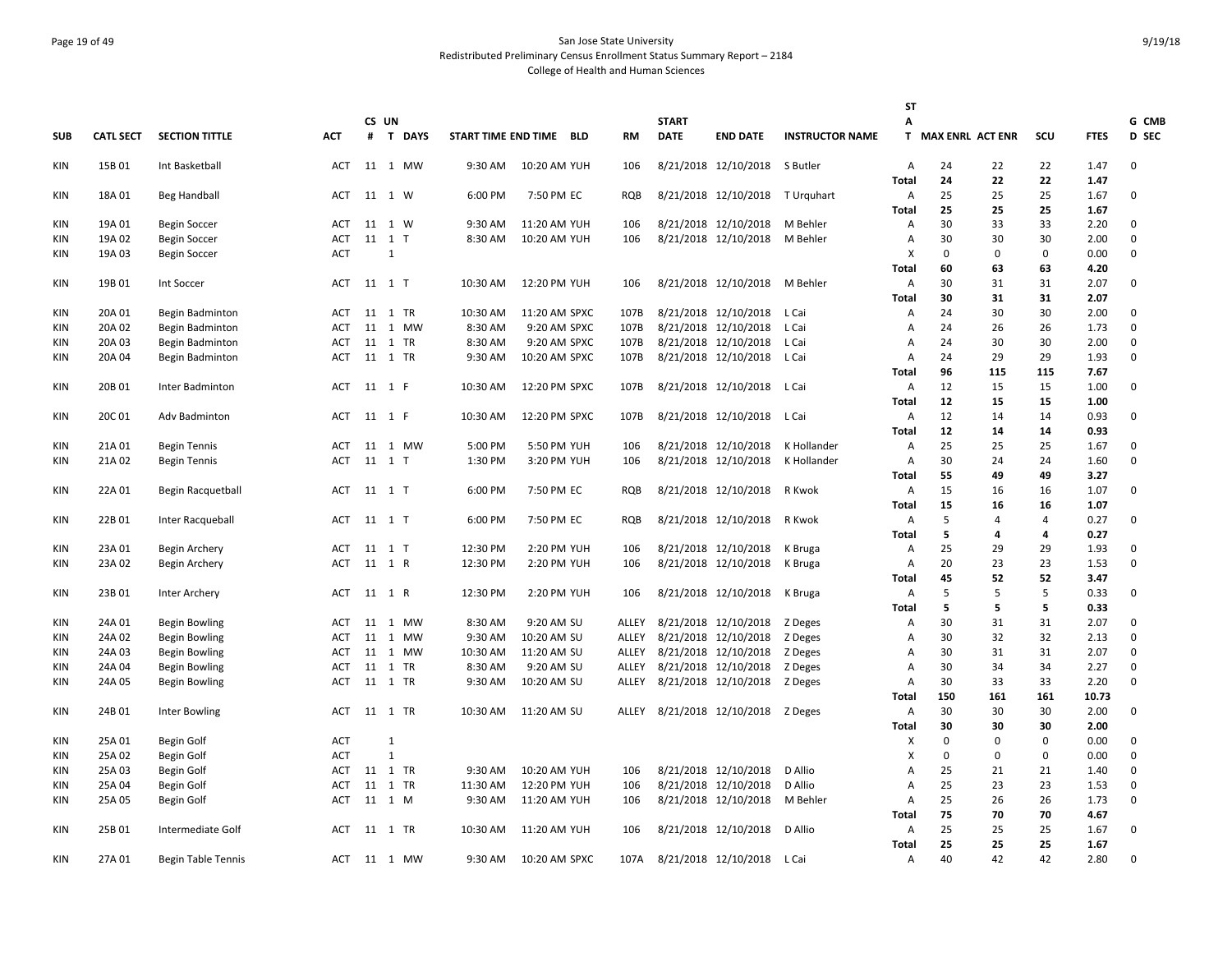# Page 19 of 49 San Jose State University Redistributed Preliminary Census Enrollment Status Summary Report – 2184 College of Health and Human Sciences

|            |                  |                           |            |       |              |          |                         |           |              |                                    |                        | ST                        |                    |                |                   |              |              |
|------------|------------------|---------------------------|------------|-------|--------------|----------|-------------------------|-----------|--------------|------------------------------------|------------------------|---------------------------|--------------------|----------------|-------------------|--------------|--------------|
|            |                  |                           |            | CS UN |              |          |                         |           | <b>START</b> |                                    |                        | А                         |                    |                |                   |              | G CMB        |
| <b>SUB</b> | <b>CATL SECT</b> | <b>SECTION TITTLE</b>     | <b>ACT</b> |       | # T DAYS     |          | START TIME END TIME BLD | <b>RM</b> | <b>DATE</b>  | <b>END DATE</b>                    | <b>INSTRUCTOR NAME</b> |                           | T MAX ENRL ACT ENR |                | SCU               | <b>FTES</b>  | <b>D</b> SEC |
| KIN        | 15B 01           | Int Basketball            | <b>ACT</b> |       | 11 1 MW      | 9:30 AM  | 10:20 AM YUH            | 106       |              | 8/21/2018 12/10/2018 S Butler      |                        | $\overline{A}$            | 24                 | 22             | 22                | 1.47         | 0            |
|            |                  |                           |            |       |              |          |                         |           |              |                                    |                        | <b>Total</b>              | 24                 | 22             | 22                | 1.47         |              |
| KIN        | 18A 01           | Beg Handball              | ACT        |       | 11 1 W       | 6:00 PM  | 7:50 PM EC              | RQB       |              | 8/21/2018 12/10/2018 T Urquhart    |                        | A                         | 25                 | 25             | 25                | 1.67         | 0            |
|            |                  |                           |            |       |              |          |                         |           |              |                                    |                        | Total                     | 25                 | 25             | 25<br>33          | 1.67         |              |
| <b>KIN</b> | 19A 01           | <b>Begin Soccer</b>       | ACT        | 11    | 1 W          | 9:30 AM  | 11:20 AM YUH            | 106       |              | 8/21/2018 12/10/2018               | M Behler               | $\overline{A}$            | 30                 | 33             |                   | 2.20         | 0            |
| KIN        | 19A 02           | <b>Begin Soccer</b>       | ACT        |       | 11 1 T<br>1  | 8:30 AM  | 10:20 AM YUH            | 106       |              | 8/21/2018 12/10/2018 M Behler      |                        | A                         | 30                 | 30<br>$\Omega$ | 30<br>$\mathbf 0$ | 2.00         | 0            |
| KIN        | 19A 03           | Begin Soccer              | <b>ACT</b> |       |              |          |                         |           |              |                                    |                        | X<br><b>Total</b>         | 0<br>60            | 63             | 63                | 0.00<br>4.20 | 0            |
| KIN        | 19B 01           | Int Soccer                | ACT        |       | 11 1 T       | 10:30 AM | 12:20 PM YUH            | 106       |              | 8/21/2018 12/10/2018 M Behler      |                        | A                         | 30                 | 31             | 31                | 2.07         | $\mathbf 0$  |
|            |                  |                           |            |       |              |          |                         |           |              |                                    |                        | Total                     | 30                 | 31             | 31                | 2.07         |              |
| KIN        | 20A 01           | Begin Badminton           | ACT        |       | 11 1 TR      | 10:30 AM | 11:20 AM SPXC           | 107B      |              | 8/21/2018 12/10/2018 L Cai         |                        | A                         | 24                 | 30             | 30                | 2.00         | $\mathbf 0$  |
| KIN        | 20A 02           | Begin Badminton           | ACT        |       | 11 1 MW      | 8:30 AM  | 9:20 AM SPXC            | 107B      |              | 8/21/2018 12/10/2018               | L Cai                  | A                         | 24                 | 26             | 26                | 1.73         | 0            |
| KIN        | 20A 03           | Begin Badminton           | ACT        |       | 11 1 TR      | 8:30 AM  | 9:20 AM SPXC            | 107B      |              | 8/21/2018 12/10/2018               | L Cai                  | $\overline{A}$            | 24                 | 30             | 30                | 2.00         | 0            |
| KIN        | 20A 04           | Begin Badminton           | ACT        |       | 11 1 TR      | 9:30 AM  | 10:20 AM SPXC           | 107B      |              | 8/21/2018 12/10/2018               | L Cai                  | $\overline{A}$            | 24                 | 29             | 29                | 1.93         | 0            |
|            |                  |                           |            |       |              |          |                         |           |              |                                    |                        | <b>Total</b>              | 96                 | 115            | 115               | 7.67         |              |
| KIN        | 20B 01           | Inter Badminton           | ACT        |       | 11 1 F       | 10:30 AM | 12:20 PM SPXC           | 107B      |              | 8/21/2018 12/10/2018 L Cai         |                        | A                         | 12                 | 15             | 15                | 1.00         | 0            |
|            |                  |                           |            |       |              |          |                         |           |              |                                    |                        | <b>Total</b>              | 12                 | 15             | 15                | 1.00         |              |
| KIN        | 20C 01           | Adv Badminton             | ACT        |       | 11 1 F       | 10:30 AM | 12:20 PM SPXC           | 107B      |              | 8/21/2018 12/10/2018 L Cai         |                        | A                         | 12                 | 14             | 14                | 0.93         | 0            |
|            |                  |                           |            |       |              |          |                         |           |              |                                    |                        | Total                     | 12                 | 14             | 14                | 0.93         |              |
| KIN        | 21A 01           | <b>Begin Tennis</b>       | ACT        |       | 11 1 MW      | 5:00 PM  | 5:50 PM YUH             | 106       |              | 8/21/2018 12/10/2018               | K Hollander            | A                         | 25                 | 25             | 25                | 1.67         | 0            |
| KIN        | 21A 02           | <b>Begin Tennis</b>       | ACT        |       | 11 1 T       | 1:30 PM  | 3:20 PM YUH             | 106       |              | 8/21/2018 12/10/2018               | K Hollander            | A                         | 30                 | 24             | 24                | 1.60         | 0            |
|            |                  |                           |            |       |              |          |                         |           |              |                                    |                        | Total                     | 55                 | 49             | 49                | 3.27         |              |
| KIN        | 22A 01           | Begin Racquetball         | ACT        |       | 11 1 T       | 6:00 PM  | 7:50 PM EC              | RQB       |              | 8/21/2018 12/10/2018               | R Kwok                 | A                         | 15                 | 16             | 16                | 1.07         | 0            |
|            |                  |                           |            |       |              |          |                         |           |              |                                    |                        | <b>Total</b>              | 15                 | 16             | 16                | 1.07         |              |
| KIN        | 22B 01           | Inter Racqueball          | ACT        |       | 11 1 T       | 6:00 PM  | 7:50 PM EC              | RQB       |              | 8/21/2018 12/10/2018               | R Kwok                 | A                         | 5                  | 4              | $\overline{4}$    | 0.27         | 0            |
|            |                  |                           |            |       |              |          |                         |           |              |                                    |                        | Total                     | 5                  | 4              | 4                 | 0.27         |              |
| KIN        | 23A 01           | Begin Archery             | ACT        |       | 11 1 T       | 12:30 PM | 2:20 PM YUH             | 106       |              | 8/21/2018 12/10/2018               | K Bruga                | A                         | 25                 | 29             | 29                | 1.93         | 0            |
| KIN        | 23A 02           | Begin Archery             | ACT        |       | 11 1 R       | 12:30 PM | 2:20 PM YUH             | 106       |              | 8/21/2018 12/10/2018               | K Bruga                | A                         | 20                 | 23             | 23                | 1.53         | 0            |
|            |                  |                           |            |       |              |          |                         |           |              |                                    |                        | Total                     | 45                 | 52             | 52                | 3.47         |              |
| KIN        | 23B 01           | Inter Archery             | ACT        |       | 11 1 R       | 12:30 PM | 2:20 PM YUH             | 106       |              | 8/21/2018 12/10/2018               | K Bruga                | A                         | 5                  | 5              | 5                 | 0.33         | $\mathbf 0$  |
|            |                  |                           |            |       |              |          |                         |           |              |                                    |                        | <b>Total</b>              | 5                  | 5              | 5                 | 0.33         |              |
| KIN        | 24A 01           | Begin Bowling             | ACT        | 11    | 1 MW         | 8:30 AM  | 9:20 AM SU              | ALLEY     |              | 8/21/2018 12/10/2018 Z Deges       |                        | A                         | 30                 | 31             | 31                | 2.07         | 0            |
| KIN        | 24A 02           | <b>Begin Bowling</b>      | <b>ACT</b> |       | 11 1 MW      | 9:30 AM  | 10:20 AM SU             | ALLEY     |              | 8/21/2018 12/10/2018               | Z Deges                | A                         | 30                 | 32             | 32                | 2.13         | 0            |
| <b>KIN</b> | 24A 03           | <b>Begin Bowling</b>      | ACT        |       | 11 1 MW      | 10:30 AM | 11:20 AM SU             | ALLEY     |              | 8/21/2018 12/10/2018 Z Deges       |                        | A                         | 30                 | 31             | 31                | 2.07         | 0            |
| KIN        | 24A 04           | Begin Bowling             | ACT<br>ACT |       | 11 1 TR      | 8:30 AM  | 9:20 AM SU              | ALLEY     |              | 8/21/2018 12/10/2018               | Z Deges                | A<br>$\overline{A}$       | 30<br>30           | 34<br>33       | 34<br>33          | 2.27<br>2.20 | 0<br>0       |
| KIN        | 24A 05           | Begin Bowling             |            |       | 11 1 TR      | 9:30 AM  | 10:20 AM SU             | ALLEY     |              | 8/21/2018 12/10/2018 Z Deges       |                        | Total                     | 150                | 161            | 161               | 10.73        |              |
| KIN        | 24B 01           | Inter Bowling             | ACT        |       | 11 1 TR      | 10:30 AM | 11:20 AM SU             |           |              | ALLEY 8/21/2018 12/10/2018 Z Deges |                        | A                         | 30                 | 30             | 30                | 2.00         | 0            |
|            |                  |                           |            |       |              |          |                         |           |              |                                    |                        | <b>Total</b>              | 30                 | 30             | 30                | 2.00         |              |
| KIN        | 25A 01           | Begin Golf                | <b>ACT</b> |       | 1            |          |                         |           |              |                                    |                        | X                         | 0                  | 0              | $\pmb{0}$         | 0.00         | 0            |
| KIN        | 25A 02           | Begin Golf                | <b>ACT</b> |       | $\mathbf{1}$ |          |                         |           |              |                                    |                        | $\boldsymbol{\mathsf{x}}$ | 0                  | 0              | $\mathbf 0$       | 0.00         | 0            |
| KIN        | 25A 03           | Begin Golf                | <b>ACT</b> |       | 11 1 TR      | 9:30 AM  | 10:20 AM YUH            | 106       |              | 8/21/2018 12/10/2018               | D Allio                | A                         | 25                 | 21             | 21                | 1.40         | 0            |
| <b>KIN</b> | 25A 04           | Begin Golf                | <b>ACT</b> | 11    | 1 TR         | 11:30 AM | 12:20 PM YUH            | 106       |              | 8/21/2018 12/10/2018               | D Allio                | $\overline{A}$            | 25                 | 23             | 23                | 1.53         | 0            |
| KIN        | 25A 05           | Begin Golf                | ACT        | 11    | 1 M          | 9:30 AM  | 11:20 AM YUH            | 106       |              | 8/21/2018 12/10/2018               | M Behler               | Α                         | 25                 | 26             | 26                | 1.73         | 0            |
|            |                  |                           |            |       |              |          |                         |           |              |                                    |                        | Total                     | 75                 | 70             | 70                | 4.67         |              |
| KIN        | 25B01            | Intermediate Golf         | ACT        |       | 11 1 TR      | 10:30 AM | 11:20 AM YUH            | 106       |              | 8/21/2018 12/10/2018               | D Allio                | A                         | 25                 | 25             | 25                | 1.67         | 0            |
|            |                  |                           |            |       |              |          |                         |           |              |                                    |                        | <b>Total</b>              | 25                 | 25             | 25                | 1.67         |              |
| KIN        | 27A 01           | <b>Begin Table Tennis</b> | ACT        |       | 11 1 MW      | 9:30 AM  | 10:20 AM SPXC           | 107A      |              | 8/21/2018 12/10/2018 L Cai         |                        | A                         | 40                 | 42             | 42                | 2.80         | 0            |
|            |                  |                           |            |       |              |          |                         |           |              |                                    |                        |                           |                    |                |                   |              |              |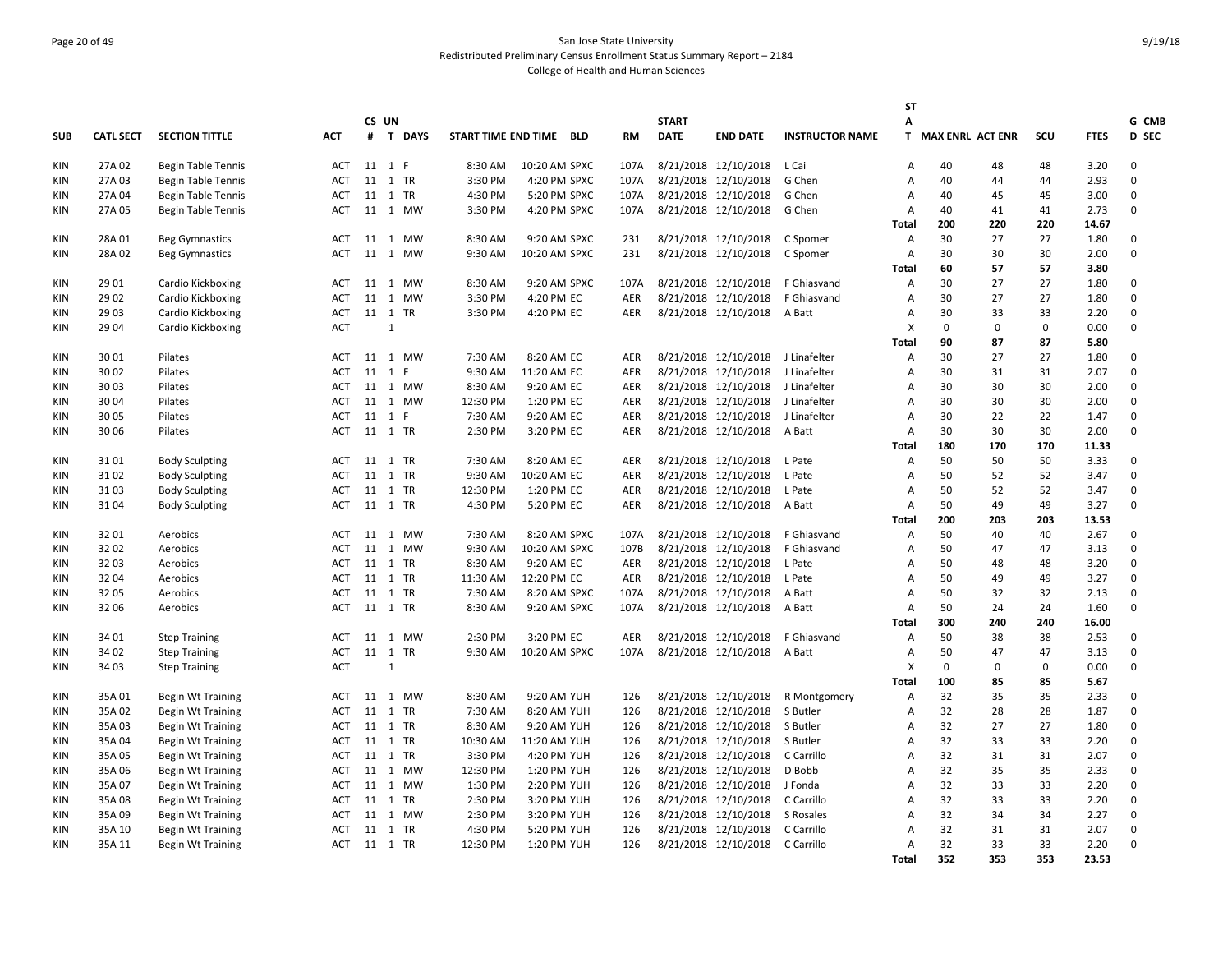# Page 20 of 49 San Jose State University Redistributed Preliminary Census Enrollment Status Summary Report – 2184 College of Health and Human Sciences

|            |                  |                           |            |    |               |                         |               |            |              |                                   |                        | ST             |                    |             |             |             |             |
|------------|------------------|---------------------------|------------|----|---------------|-------------------------|---------------|------------|--------------|-----------------------------------|------------------------|----------------|--------------------|-------------|-------------|-------------|-------------|
|            |                  |                           |            |    | CS UN         |                         |               |            | <b>START</b> |                                   |                        | Α              |                    |             |             |             | G CMB       |
| <b>SUB</b> | <b>CATL SECT</b> | <b>SECTION TITTLE</b>     | <b>ACT</b> | #  | <b>T DAYS</b> | START TIME END TIME BLD |               | <b>RM</b>  | <b>DATE</b>  | <b>END DATE</b>                   | <b>INSTRUCTOR NAME</b> |                | T MAX ENRL ACT ENR |             | SCU         | <b>FTES</b> | D SEC       |
| KIN        | 27A 02           | <b>Begin Table Tennis</b> | <b>ACT</b> |    | 11 1 F        | 8:30 AM                 | 10:20 AM SPXC | 107A       |              | 8/21/2018 12/10/2018              | L Cai                  | $\overline{A}$ | 40                 | 48          | 48          | 3.20        | 0           |
| <b>KIN</b> | 27A 03           | <b>Begin Table Tennis</b> | <b>ACT</b> |    | 11 1 TR       | 3:30 PM                 | 4:20 PM SPXC  | 107A       |              | 8/21/2018 12/10/2018              | G Chen                 | $\overline{A}$ | 40                 | 44          | 44          | 2.93        | 0           |
| KIN        | 27A 04           | <b>Begin Table Tennis</b> | ACT        |    | 11 1 TR       | 4:30 PM                 | 5:20 PM SPXC  | 107A       |              | 8/21/2018 12/10/2018              | G Chen                 | $\overline{A}$ | 40                 | 45          | 45          | 3.00        | 0           |
| <b>KIN</b> | 27A 05           | <b>Begin Table Tennis</b> | ACT        |    | 11 1 MW       | 3:30 PM                 | 4:20 PM SPXC  | 107A       |              | 8/21/2018 12/10/2018              | G Chen                 | Α              | 40                 | 41          | 41          | 2.73        | 0           |
|            |                  |                           |            |    |               |                         |               |            |              |                                   |                        | <b>Total</b>   | 200                | 220         | 220         | 14.67       |             |
| KIN        | 28A 01           | <b>Beg Gymnastics</b>     | ACT        |    | 11 1 MW       | 8:30 AM                 | 9:20 AM SPXC  | 231        |              | 8/21/2018 12/10/2018              | C Spomer               | Α              | 30                 | 27          | 27          | 1.80        | 0           |
| KIN        | 28A 02           | Beg Gymnastics            | <b>ACT</b> | 11 | 1 MW          | 9:30 AM                 | 10:20 AM SPXC | 231        |              | 8/21/2018 12/10/2018              | C Spomer               | Α              | 30                 | 30          | 30          | 2.00        | 0           |
|            |                  |                           |            |    |               |                         |               |            |              |                                   |                        | <b>Total</b>   | 60                 | 57          | 57          | 3.80        |             |
| KIN        | 29 01            | Cardio Kickboxing         | ACT        | 11 | 1 MW          | 8:30 AM                 | 9:20 AM SPXC  | 107A       |              | 8/21/2018 12/10/2018              | F Ghiasvand            | Α              | 30                 | 27          | 27          | 1.80        | 0           |
| <b>KIN</b> | 29 02            | Cardio Kickboxing         | ACT        |    | 11 1 MW       | 3:30 PM                 | 4:20 PM EC    | AER        |              | 8/21/2018 12/10/2018              | F Ghiasvand            | Α              | 30                 | 27          | 27          | 1.80        | 0           |
| KIN        | 29 03            | Cardio Kickboxing         | ACT        |    | 11 1 TR       | 3:30 PM                 | 4:20 PM EC    | AER        |              | 8/21/2018 12/10/2018              | A Batt                 | Α              | 30                 | 33          | 33          | 2.20        | 0           |
| KIN        | 29 04            | Cardio Kickboxing         | <b>ACT</b> |    | $\mathbf{1}$  |                         |               |            |              |                                   |                        | X              | 0                  | $\mathbf 0$ | $\mathbf 0$ | 0.00        | 0           |
|            |                  |                           |            |    |               |                         |               |            |              |                                   |                        | <b>Total</b>   | 90                 | 87          | 87          | 5.80        |             |
| <b>KIN</b> | 30 01            | Pilates                   | <b>ACT</b> |    | 11 1 MW       | 7:30 AM                 | 8:20 AM EC    | AER        |              | 8/21/2018 12/10/2018 J Linafelter |                        | Α              | 30                 | 27          | 27          | 1.80        | $\mathbf 0$ |
| <b>KIN</b> | 30 02            | Pilates                   | <b>ACT</b> | 11 | 1<br>F        | 9:30 AM                 | 11:20 AM EC   | <b>AER</b> |              | 8/21/2018 12/10/2018              | J Linafelter           | Α              | 30                 | 31          | 31          | 2.07        | 0           |
| <b>KIN</b> | 30 03            | Pilates                   | <b>ACT</b> | 11 | 1 MW          | 8:30 AM                 | 9:20 AM EC    | <b>AER</b> |              | 8/21/2018 12/10/2018              | J Linafelter           | $\overline{A}$ | 30                 | 30          | 30          | 2.00        | 0           |
| <b>KIN</b> | 30 04            | Pilates                   | ACT        |    | 11 1 MW       | 12:30 PM                | 1:20 PM EC    | AER        |              | 8/21/2018 12/10/2018              | J Linafelter           | Α              | 30                 | 30          | 30          | 2.00        | 0           |
| KIN        | 30 05            | Pilates                   | <b>ACT</b> |    | 11 1 F        | 7:30 AM                 | 9:20 AM EC    | AER        |              | 8/21/2018 12/10/2018              | J Linafelter           | Α              | 30                 | 22          | 22          | 1.47        | 0           |
| <b>KIN</b> | 30 06            | Pilates                   | ACT        |    | 11 1 TR       | 2:30 PM                 | 3:20 PM EC    | AER        |              | 8/21/2018 12/10/2018              | A Batt                 | Α              | 30                 | 30          | 30          | 2.00        | 0           |
|            |                  |                           |            |    |               |                         |               |            |              |                                   |                        | <b>Total</b>   | 180                | 170         | 170         | 11.33       |             |
| KIN        | 3101             | <b>Body Sculpting</b>     | ACT        |    | 11 1 TR       | 7:30 AM                 | 8:20 AM EC    | AER        |              | 8/21/2018 12/10/2018              | L Pate                 | $\overline{A}$ | 50                 | 50          | 50          | 3.33        | 0           |
| KIN        | 3102             | <b>Body Sculpting</b>     | ACT        |    | 11 1 TR       | 9:30 AM                 | 10:20 AM EC   | AER        |              | 8/21/2018 12/10/2018              | L Pate                 | Α              | 50                 | 52          | 52          | 3.47        | 0           |
| KIN        | 3103             | <b>Body Sculpting</b>     | ACT        |    | 11 1 TR       | 12:30 PM                | 1:20 PM EC    | AER        |              | 8/21/2018 12/10/2018              | L Pate                 | $\overline{A}$ | 50                 | 52          | 52          | 3.47        | 0           |
| <b>KIN</b> | 3104             | <b>Body Sculpting</b>     | ACT        |    | 11 1 TR       | 4:30 PM                 | 5:20 PM EC    | AER        |              | 8/21/2018 12/10/2018              | A Batt                 | Α              | 50                 | 49          | 49          | 3.27        | 0           |
|            |                  |                           |            |    |               |                         |               |            |              |                                   |                        | <b>Total</b>   | 200                | 203         | 203         | 13.53       |             |
| <b>KIN</b> | 3201             | Aerobics                  | <b>ACT</b> |    | 11 1 MW       | 7:30 AM                 | 8:20 AM SPXC  | 107A       |              | 8/21/2018 12/10/2018              | F Ghiasvand            | Α              | 50                 | 40          | 40          | 2.67        | $\Omega$    |
| <b>KIN</b> | 3202             | Aerobics                  | <b>ACT</b> | 11 | 1 MW          | 9:30 AM                 | 10:20 AM SPXC | 107B       |              | 8/21/2018 12/10/2018              | F Ghiasvand            | $\overline{A}$ | 50                 | 47          | 47          | 3.13        | 0           |
| <b>KIN</b> | 32 03            | Aerobics                  | <b>ACT</b> |    | 11 1 TR       | 8:30 AM                 | 9:20 AM EC    | AER        |              | 8/21/2018 12/10/2018              | L Pate                 | $\overline{A}$ | 50                 | 48          | 48          | 3.20        | 0           |
| KIN        | 32 04            | Aerobics                  | <b>ACT</b> |    | 11 1 TR       | 11:30 AM                | 12:20 PM EC   | AER        |              | 8/21/2018 12/10/2018              | L Pate                 | Α              | 50                 | 49          | 49          | 3.27        | 0           |
| KIN        | 32 05            | Aerobics                  | <b>ACT</b> |    | 11 1 TR       | 7:30 AM                 | 8:20 AM SPXC  | 107A       |              | 8/21/2018 12/10/2018              | A Batt                 | $\overline{A}$ | 50                 | 32          | 32          | 2.13        | 0           |
| <b>KIN</b> | 32 06            | Aerobics                  | ACT        |    | 11 1 TR       | 8:30 AM                 | 9:20 AM SPXC  | 107A       |              | 8/21/2018 12/10/2018              | A Batt                 | A              | 50                 | 24          | 24          | 1.60        | 0           |
|            |                  |                           |            |    |               |                         |               |            |              |                                   |                        | Total          | 300                | 240         | 240         | 16.00       |             |
| <b>KIN</b> | 34 01            | <b>Step Training</b>      | ACT        |    | 11 1 MW       | 2:30 PM                 | 3:20 PM EC    | AER        |              | 8/21/2018 12/10/2018              | F Ghiasvand            | Α              | 50                 | 38          | 38          | 2.53        | 0           |
| <b>KIN</b> | 34 02            | <b>Step Training</b>      | ACT        |    | 11 1 TR       | 9:30 AM                 | 10:20 AM SPXC | 107A       |              | 8/21/2018 12/10/2018              | A Batt                 | Α              | 50                 | 47          | 47          | 3.13        | 0           |
| <b>KIN</b> | 34 03            |                           | <b>ACT</b> |    | $\mathbf{1}$  |                         |               |            |              |                                   |                        | X              | 0                  | 0           | $\mathbf 0$ | 0.00        | 0           |
|            |                  | <b>Step Training</b>      |            |    |               |                         |               |            |              |                                   |                        | <b>Total</b>   | 100                | 85          | 85          | 5.67        |             |
|            |                  |                           |            |    |               | 8:30 AM                 | 9:20 AM YUH   |            |              | 8/21/2018 12/10/2018              |                        |                | 32                 | 35          | 35          | 2.33        | 0           |
| <b>KIN</b> | 35A 01           | <b>Begin Wt Training</b>  | ACT        |    | 11 1 MW       |                         |               | 126        |              |                                   | R Montgomery           | Α              |                    |             |             |             | 0           |
| <b>KIN</b> | 35A 02           | <b>Begin Wt Training</b>  | <b>ACT</b> |    | 11 1 TR       | 7:30 AM                 | 8:20 AM YUH   | 126        |              | 8/21/2018 12/10/2018              | S Butler               | $\overline{A}$ | 32                 | 28          | 28          | 1.87        |             |
| KIN        | 35A 03           | <b>Begin Wt Training</b>  | ACT        |    | 11 1 TR       | 8:30 AM                 | 9:20 AM YUH   | 126        |              | 8/21/2018 12/10/2018              | S Butler               | Α              | 32                 | 27          | 27          | 1.80        | 0           |
| KIN        | 35A 04           | <b>Begin Wt Training</b>  | <b>ACT</b> |    | 11 1 TR       | 10:30 AM                | 11:20 AM YUH  | 126        |              | 8/21/2018 12/10/2018              | S Butler               | $\overline{A}$ | 32                 | 33          | 33          | 2.20        | 0           |
| <b>KIN</b> | 35A 05           | <b>Begin Wt Training</b>  | <b>ACT</b> |    | 11 1 TR       | 3:30 PM                 | 4:20 PM YUH   | 126        |              | 8/21/2018 12/10/2018              | C Carrillo             | $\overline{A}$ | 32                 | 31          | 31          | 2.07        | 0           |
| KIN        | 35A 06           | Begin Wt Training         | ACT        |    | 11 1 MW       | 12:30 PM                | 1:20 PM YUH   | 126        |              | 8/21/2018 12/10/2018              | D Bobb                 | $\overline{A}$ | 32                 | 35          | 35          | 2.33        | 0           |
| KIN        | 35A 07           | <b>Begin Wt Training</b>  | <b>ACT</b> |    | 11 1 MW       | 1:30 PM                 | 2:20 PM YUH   | 126        |              | 8/21/2018 12/10/2018              | J Fonda                | Α              | 32                 | 33          | 33          | 2.20        | 0           |
| KIN        | 35A 08           | <b>Begin Wt Training</b>  | ACT        |    | 11 1 TR       | 2:30 PM                 | 3:20 PM YUH   | 126        |              | 8/21/2018 12/10/2018              | C Carrillo             | Α              | 32                 | 33          | 33          | 2.20        | 0           |
| <b>KIN</b> | 35A 09           | <b>Begin Wt Training</b>  | ACT        |    | 11 1 MW       | 2:30 PM                 | 3:20 PM YUH   | 126        |              | 8/21/2018 12/10/2018              | S Rosales              | Α              | 32                 | 34          | 34          | 2.27        | 0           |
| <b>KIN</b> | 35A 10           | <b>Begin Wt Training</b>  | ACT        | 11 | 1 TR          | 4:30 PM                 | 5:20 PM YUH   | 126        |              | 8/21/2018 12/10/2018              | C Carrillo             | $\overline{A}$ | 32                 | 31          | 31          | 2.07        | $\Omega$    |
| <b>KIN</b> | 35A 11           | <b>Begin Wt Training</b>  | ACT        |    | 11 1 TR       | 12:30 PM                | 1:20 PM YUH   | 126        |              | 8/21/2018 12/10/2018              | C Carrillo             | A              | 32                 | 33          | 33          | 2.20        | 0           |
|            |                  |                           |            |    |               |                         |               |            |              |                                   |                        | <b>Total</b>   | 352                | 353         | 353         | 23.53       |             |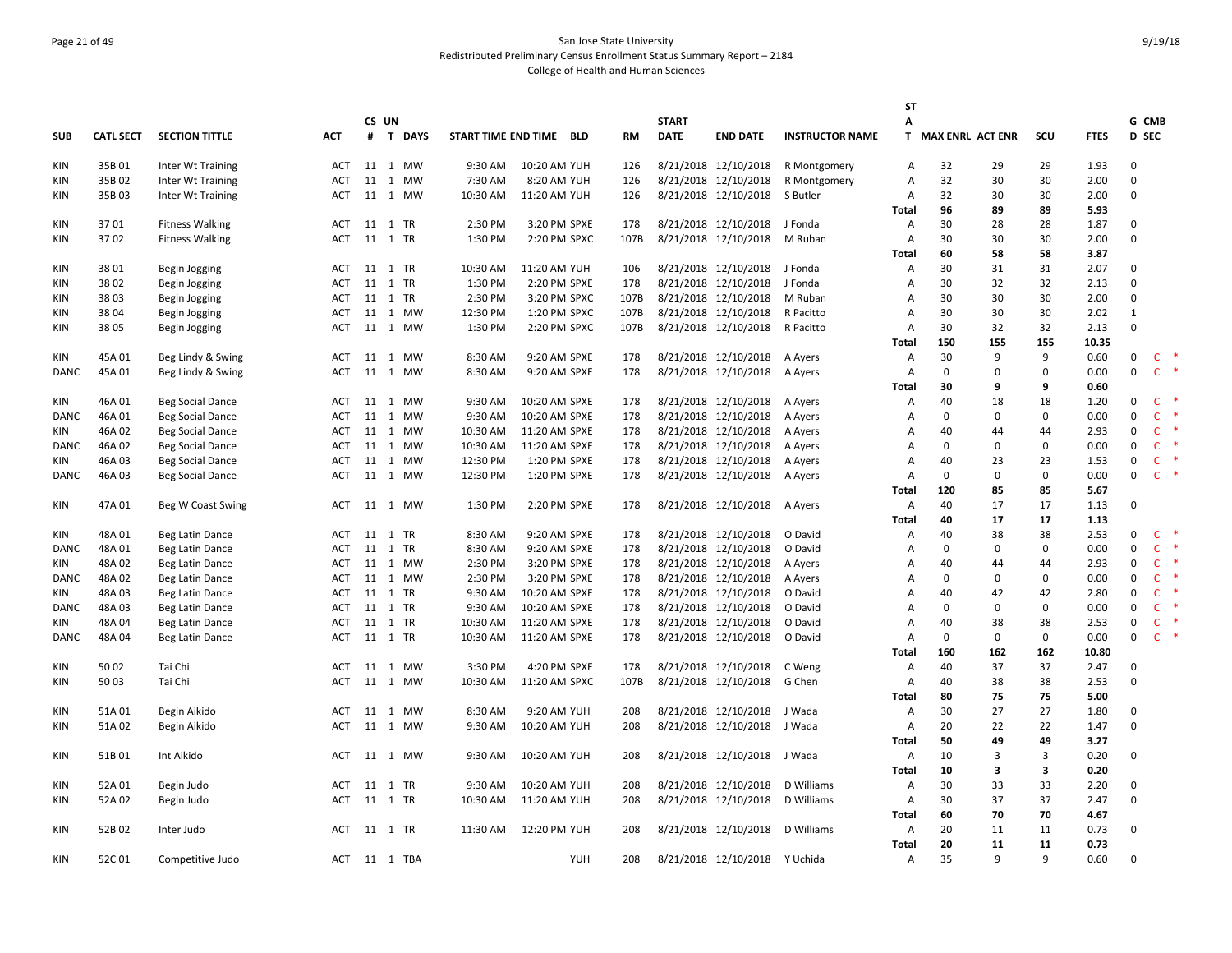# Page 21 of 49 San Jose State University Redistributed Preliminary Census Enrollment Status Summary Report – 2184 College of Health and Human Sciences

|             |                  |                         |            |         |          |          |                         |      |              |                      |                        | SΤ             |                    |              |              |             |              |                    |
|-------------|------------------|-------------------------|------------|---------|----------|----------|-------------------------|------|--------------|----------------------|------------------------|----------------|--------------------|--------------|--------------|-------------|--------------|--------------------|
|             |                  |                         |            | CS UN   |          |          |                         |      | <b>START</b> |                      |                        | А              |                    |              |              |             | G CMB        |                    |
| <b>SUB</b>  | <b>CATL SECT</b> | <b>SECTION TITTLE</b>   | <b>ACT</b> |         | # T DAYS |          | START TIME END TIME BLD | RM   | <b>DATE</b>  | <b>END DATE</b>      | <b>INSTRUCTOR NAME</b> |                | T MAX ENRL ACT ENR |              | scu          | <b>FTES</b> | D SEC        |                    |
| <b>KIN</b>  | 35B01            | Inter Wt Training       | ACT        |         | 11 1 MW  | 9:30 AM  | 10:20 AM YUH            | 126  |              | 8/21/2018 12/10/2018 | R Montgomery           | Α              | 32                 | 29           | 29           | 1.93        | $\mathbf{0}$ |                    |
| <b>KIN</b>  | 35B02            | Inter Wt Training       | <b>ACT</b> |         | 11 1 MW  | 7:30 AM  | 8:20 AM YUH             | 126  |              | 8/21/2018 12/10/2018 | R Montgomery           | A              | 32                 | 30           | 30           | 2.00        | $\mathbf{0}$ |                    |
| KIN         | 35B03            | Inter Wt Training       | <b>ACT</b> |         | 11 1 MW  | 10:30 AM | 11:20 AM YUH            | 126  |              | 8/21/2018 12/10/2018 | S Butler               | A              | 32                 | 30           | 30           | 2.00        | $\Omega$     |                    |
|             |                  |                         |            |         |          |          |                         |      |              |                      |                        | Total          | 96                 | 89           | 89           | 5.93        |              |                    |
| <b>KIN</b>  | 3701             | <b>Fitness Walking</b>  | ACT        | 11 1 TR |          | 2:30 PM  | 3:20 PM SPXE            | 178  |              | 8/21/2018 12/10/2018 | J Fonda                | Α              | 30                 | 28           | 28           | 1.87        | $\mathbf{0}$ |                    |
| <b>KIN</b>  | 3702             | <b>Fitness Walking</b>  | <b>ACT</b> | 11 1 TR |          | 1:30 PM  | 2:20 PM SPXC            | 107B |              | 8/21/2018 12/10/2018 | M Ruban                | A              | 30                 | 30           | 30           | 2.00        | $\Omega$     |                    |
|             |                  |                         |            |         |          |          |                         |      |              |                      |                        | <b>Total</b>   | 60                 | 58           | 58           | 3.87        |              |                    |
| <b>KIN</b>  | 3801             | Begin Jogging           | ACT        | 11 1 TR |          | 10:30 AM | 11:20 AM YUH            | 106  |              | 8/21/2018 12/10/2018 | J Fonda                | Α              | 30                 | 31           | 31           | 2.07        | 0            |                    |
| <b>KIN</b>  | 3802             | Begin Jogging           | ACT        | 11 1 TR |          | 1:30 PM  | 2:20 PM SPXE            | 178  |              | 8/21/2018 12/10/2018 | J Fonda                | A              | 30                 | 32           | 32           | 2.13        | $\mathbf{0}$ |                    |
| <b>KIN</b>  | 3803             | Begin Jogging           | ACT        | 11 1 TR |          | 2:30 PM  | 3:20 PM SPXC            | 107B |              | 8/21/2018 12/10/2018 | M Ruban                | A              | 30                 | 30           | 30           | 2.00        | 0            |                    |
| KIN         | 3804             | Begin Jogging           | ACT        |         | 11 1 MW  | 12:30 PM | 1:20 PM SPXC            | 107B |              | 8/21/2018 12/10/2018 | R Pacitto              | A              | 30                 | 30           | 30           | 2.02        | 1            |                    |
| KIN         | 3805             | Begin Jogging           | <b>ACT</b> |         | 11 1 MW  | 1:30 PM  | 2:20 PM SPXC            | 107B |              | 8/21/2018 12/10/2018 | R Pacitto              | A              | 30                 | 32           | 32           | 2.13        | $\mathbf 0$  |                    |
|             |                  |                         |            |         |          |          |                         |      |              |                      |                        | Total          | 150                | 155          | 155          | 10.35       |              |                    |
| KIN         | 45A 01           | Beg Lindy & Swing       | <b>ACT</b> |         | 11 1 MW  | 8:30 AM  | 9:20 AM SPXE            | 178  |              | 8/21/2018 12/10/2018 | A Ayers                | A              | 30                 | 9            | 9            | 0.60        | $\mathbf 0$  | 一味<br>$\mathsf{C}$ |
| <b>DANC</b> | 45A 01           | Beg Lindy & Swing       | <b>ACT</b> |         | 11 1 MW  | 8:30 AM  | 9:20 AM SPXE            | 178  |              | 8/21/2018 12/10/2018 | A Ayers                | A              | 0                  | $\mathbf{0}$ | $\mathbf 0$  | 0.00        | $\mathbf 0$  | $\mathsf{C}$       |
|             |                  |                         |            |         |          |          |                         |      |              |                      |                        | Total          | 30                 | 9            | 9            | 0.60        |              |                    |
| KIN         | 46A 01           | <b>Beg Social Dance</b> | <b>ACT</b> |         | 11 1 MW  | 9:30 AM  | 10:20 AM SPXE           | 178  |              | 8/21/2018 12/10/2018 | A Ayers                | Α              | 40                 | 18           | 18           | 1.20        | $\mathbf 0$  | $\mathsf{C}$       |
| DANC        | 46A 01           | <b>Beg Social Dance</b> | <b>ACT</b> |         | 11 1 MW  | 9:30 AM  | 10:20 AM SPXE           | 178  |              | 8/21/2018 12/10/2018 | A Ayers                | A              | 0                  | 0            | 0            | 0.00        | 0            | $\mathsf{C}$       |
| KIN         | 46A 02           | <b>Beg Social Dance</b> | <b>ACT</b> |         | 11 1 MW  | 10:30 AM | 11:20 AM SPXE           | 178  |              | 8/21/2018 12/10/2018 | A Ayers                | A              | 40                 | 44           | 44           | 2.93        | 0            | $\mathsf{C}$       |
| <b>DANC</b> | 46A 02           | Beg Social Dance        | <b>ACT</b> |         | 11 1 MW  | 10:30 AM | 11:20 AM SPXE           | 178  |              | 8/21/2018 12/10/2018 | A Ayers                | $\overline{A}$ | 0                  | $\mathbf{0}$ | 0            | 0.00        | $\mathbf 0$  | $\mathsf{C}$       |
| KIN         | 46A 03           | <b>Beg Social Dance</b> | <b>ACT</b> |         | 11 1 MW  | 12:30 PM | 1:20 PM SPXE            | 178  |              | 8/21/2018 12/10/2018 | A Ayers                | $\overline{A}$ | 40                 | 23           | 23           | 1.53        | $\mathbf 0$  | $\mathsf{C}$       |
| DANC        | 46A 03           | Beg Social Dance        | <b>ACT</b> |         | 11 1 MW  | 12:30 PM | 1:20 PM SPXE            | 178  |              | 8/21/2018 12/10/2018 | A Ayers                | A              | 0                  | 0            | 0            | 0.00        | $\mathbf 0$  | $\mathsf{C}$<br>×  |
|             |                  |                         |            |         |          |          |                         |      |              |                      |                        | <b>Total</b>   | 120                | 85           | 85           | 5.67        |              |                    |
| KIN         | 47A 01           | Beg W Coast Swing       | ACT        |         | 11 1 MW  | 1:30 PM  | 2:20 PM SPXE            | 178  |              | 8/21/2018 12/10/2018 | A Ayers                | $\overline{A}$ | 40                 | 17           | 17           | 1.13        | $\mathbf{0}$ |                    |
|             |                  |                         |            |         |          |          |                         |      |              |                      |                        | <b>Total</b>   | 40                 | 17           | 17           | 1.13        |              |                    |
| KIN         | 48A 01           | Beg Latin Dance         | <b>ACT</b> | 11 1 TR |          | 8:30 AM  | 9:20 AM SPXE            | 178  |              | 8/21/2018 12/10/2018 | O David                | A              | 40                 | 38           | 38           | 2.53        | $\mathbf 0$  | $\mathsf{C}$<br>×  |
| <b>DANC</b> | 48A 01           | Beg Latin Dance         | <b>ACT</b> | 11 1 TR |          | 8:30 AM  | 9:20 AM SPXE            | 178  |              | 8/21/2018 12/10/2018 | O David                | A              | $\Omega$           | $\mathbf{0}$ | 0            | 0.00        | $\mathbf 0$  | $\mathsf{C}$       |
| KIN         | 48A 02           | Beg Latin Dance         | <b>ACT</b> |         | 11 1 MW  | 2:30 PM  | 3:20 PM SPXE            | 178  |              | 8/21/2018 12/10/2018 | A Ayers                | $\overline{A}$ | 40                 | 44           | 44           | 2.93        | 0            | $\mathsf{C}$       |
| DANC        | 48A 02           | Beg Latin Dance         | <b>ACT</b> |         | 11 1 MW  | 2:30 PM  | 3:20 PM SPXE            | 178  |              | 8/21/2018 12/10/2018 | A Ayers                | $\overline{A}$ | 0                  | 0            | 0            | 0.00        | $\mathbf 0$  | $\mathsf{C}$       |
| KIN         | 48A 03           | Beg Latin Dance         | ACT        | 11 1 TR |          | 9:30 AM  | 10:20 AM SPXE           | 178  |              | 8/21/2018 12/10/2018 | O David                | A              | 40                 | 42           | 42           | 2.80        | $\mathbf 0$  | $\mathsf{C}$       |
| <b>DANC</b> | 48A03            | Beg Latin Dance         | <b>ACT</b> | 11 1 TR |          | 9:30 AM  | 10:20 AM SPXE           | 178  |              | 8/21/2018 12/10/2018 | O David                | $\overline{A}$ | $\Omega$           | $\mathbf{0}$ | $\Omega$     | 0.00        | $\mathbf 0$  | $\mathsf{C}$       |
| KIN         | 48A 04           | Beg Latin Dance         | <b>ACT</b> | 11 1 TR |          | 10:30 AM | 11:20 AM SPXE           | 178  |              | 8/21/2018 12/10/2018 | O David                | $\overline{A}$ | 40                 | 38           | 38           | 2.53        | $\mathbf 0$  | $\mathsf{C}$       |
| DANC        | 48A 04           | Beg Latin Dance         | ACT        | 11 1 TR |          | 10:30 AM | 11:20 AM SPXE           | 178  |              | 8/21/2018 12/10/2018 | O David                | $\overline{A}$ | 0                  | $\mathsf 0$  | 0            | 0.00        | $\mathbf 0$  | $\mathsf{C}$       |
|             |                  |                         |            |         |          |          |                         |      |              |                      |                        | <b>Total</b>   | 160                | 162          | 162          | 10.80       |              |                    |
| KIN         | 50 02            | Tai Chi                 | <b>ACT</b> |         | 11 1 MW  | 3:30 PM  | 4:20 PM SPXE            | 178  |              | 8/21/2018 12/10/2018 | C Weng                 | A              | 40                 | 37           | 37           | 2.47        | 0            |                    |
| KIN         | 50 03            | Tai Chi                 | <b>ACT</b> |         | 11 1 MW  | 10:30 AM | 11:20 AM SPXC           | 107B |              | 8/21/2018 12/10/2018 | G Chen                 | $\overline{A}$ | 40                 | 38           | 38           | 2.53        | $\Omega$     |                    |
|             |                  |                         |            |         |          |          |                         |      |              |                      |                        | <b>Total</b>   | 80                 | 75           | 75           | 5.00        |              |                    |
| <b>KIN</b>  | 51A 01           | Begin Aikido            | ACT        |         | 11 1 MW  | 8:30 AM  | 9:20 AM YUH             | 208  |              | 8/21/2018 12/10/2018 | J Wada                 | A              | 30                 | 27           | 27           | 1.80        | 0            |                    |
| <b>KIN</b>  | 51A 02           | Begin Aikido            | <b>ACT</b> |         | 11 1 MW  | 9:30 AM  | 10:20 AM YUH            | 208  |              | 8/21/2018 12/10/2018 | J Wada                 | A              | 20                 | 22           | 22           | 1.47        | $\mathbf 0$  |                    |
|             |                  |                         |            |         |          |          |                         |      |              |                      |                        | <b>Total</b>   | 50                 | 49           | 49           | 3.27        |              |                    |
| <b>KIN</b>  | 51B01            | Int Aikido              | ACT        |         | 11 1 MW  | 9:30 AM  | 10:20 AM YUH            | 208  |              | 8/21/2018 12/10/2018 | J Wada                 | A              | 10                 | 3            | 3            | 0.20        | $\mathsf 0$  |                    |
|             |                  |                         |            |         |          |          |                         |      |              |                      |                        | Total          | 10                 | 3            | 3            | 0.20        |              |                    |
| KIN         | 52A 01           | Begin Judo              | ACT        | 11 1 TR |          | 9:30 AM  | 10:20 AM YUH            | 208  |              | 8/21/2018 12/10/2018 | D Williams             | A              | 30                 | 33           | 33           | 2.20        | 0            |                    |
| KIN         | 52A 02           | Begin Judo              | <b>ACT</b> | 11 1 TR |          | 10:30 AM | 11:20 AM YUH            | 208  |              | 8/21/2018 12/10/2018 | D Williams             | A              | 30                 | 37           | 37           | 2.47        | $\mathbf 0$  |                    |
|             |                  |                         |            |         |          |          |                         |      |              |                      |                        | Total          | 60                 | 70           | 70           | 4.67        |              |                    |
| <b>KIN</b>  | 52B02            | Inter Judo              | ACT        | 11 1 TR |          | 11:30 AM | 12:20 PM YUH            | 208  |              | 8/21/2018 12/10/2018 | D Williams             | A              | 20                 | 11           | 11           | 0.73        | $\mathbf{0}$ |                    |
|             |                  |                         |            |         |          |          |                         |      |              |                      |                        | <b>Total</b>   | 20                 | 11           | 11           | 0.73        |              |                    |
| <b>KIN</b>  | 52C01            | Competitive Judo        | ACT        |         | 11 1 TBA |          | YUH                     | 208  |              | 8/21/2018 12/10/2018 | Y Uchida               | A              | 35                 | 9            | $\mathbf{q}$ | 0.60        | $\mathsf 0$  |                    |
|             |                  |                         |            |         |          |          |                         |      |              |                      |                        |                |                    |              |              |             |              |                    |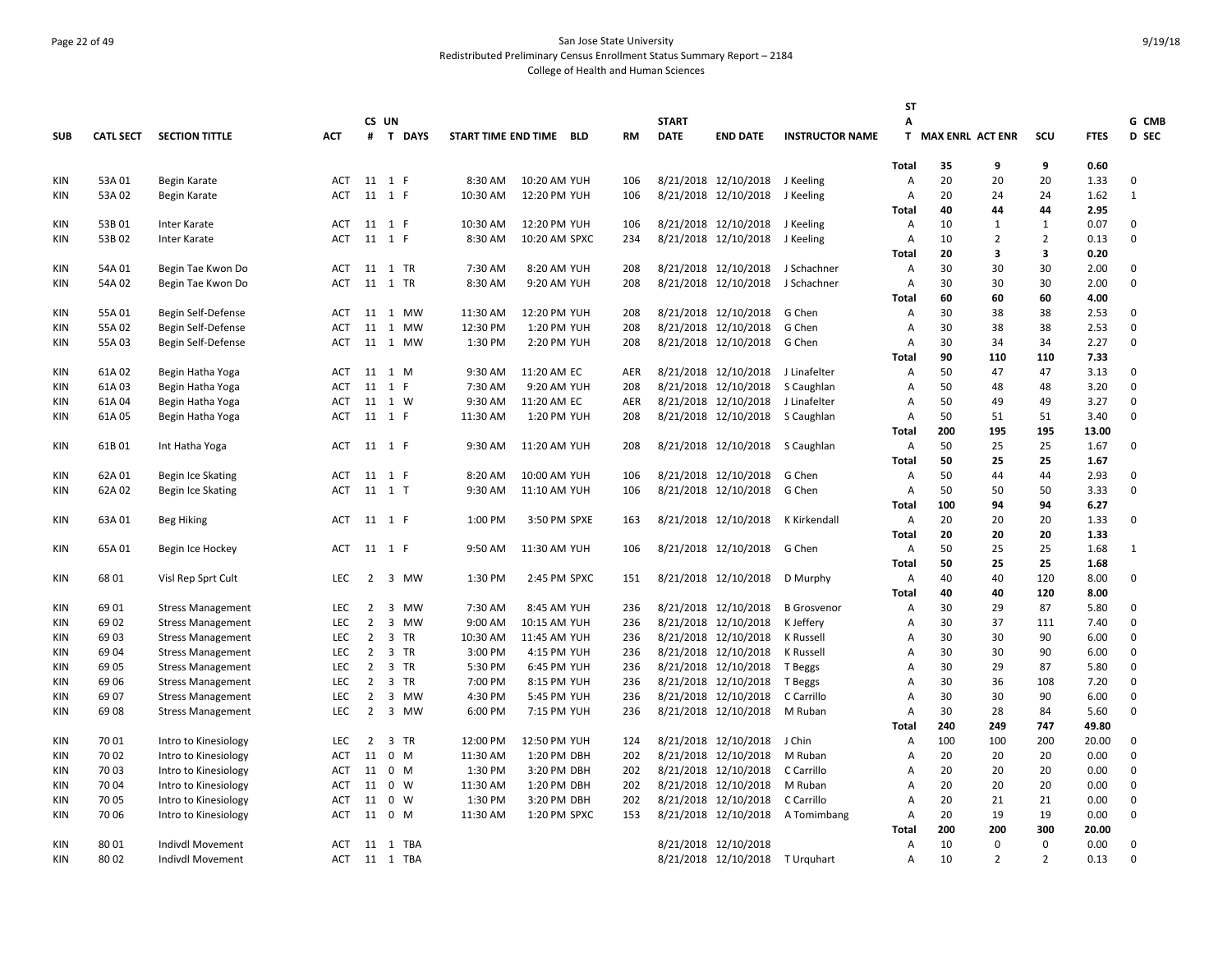# Page 22 of 49 San Jose State University Redistributed Preliminary Census Enrollment Status Summary Report – 2184 College of Health and Human Sciences

|            |                  |                          |            |                |                             |                         |               |            |              |                                   |                                  | <b>ST</b>      |                         |                |                |             |              |
|------------|------------------|--------------------------|------------|----------------|-----------------------------|-------------------------|---------------|------------|--------------|-----------------------------------|----------------------------------|----------------|-------------------------|----------------|----------------|-------------|--------------|
|            |                  |                          |            |                | CS UN                       |                         |               |            | <b>START</b> |                                   |                                  | А              |                         |                |                |             | G CMB        |
| <b>SUB</b> | <b>CATL SECT</b> | <b>SECTION TITTLE</b>    | <b>ACT</b> |                | # T DAYS                    | START TIME END TIME BLD |               | RM         | <b>DATE</b>  | <b>END DATE</b>                   | <b>INSTRUCTOR NAME</b>           | T.             | <b>MAX ENRL ACT ENR</b> |                | SCU            | <b>FTES</b> | D SEC        |
|            |                  |                          |            |                |                             |                         |               |            |              |                                   |                                  |                |                         |                |                |             |              |
|            |                  |                          |            |                |                             |                         |               |            |              |                                   |                                  | Total          | 35                      | 9              | 9              | 0.60        |              |
| KIN        | 53A 01           | Begin Karate             | ACT        |                | 11 1 F                      | 8:30 AM                 | 10:20 AM YUH  | 106        |              | 8/21/2018 12/10/2018 J Keeling    |                                  | A              | 20                      | 20             | 20             | 1.33        | 0            |
| KIN        | 53A 02           | Begin Karate             | <b>ACT</b> |                | 11 1 F                      | 10:30 AM                | 12:20 PM YUH  | 106        |              | 8/21/2018 12/10/2018 J Keeling    |                                  | A              | 20                      | 24             | 24             | 1.62        | $\mathbf{1}$ |
|            |                  |                          |            |                |                             |                         |               |            |              |                                   |                                  | Total          | 40                      | 44             | 44             | 2.95        |              |
| KIN        | 53B01            | Inter Karate             | <b>ACT</b> |                | 11 1 F                      | 10:30 AM                | 12:20 PM YUH  | 106        |              | 8/21/2018 12/10/2018 J Keeling    |                                  | A              | 10                      | 1              | 1              | 0.07        | $\mathbf 0$  |
| KIN        | 53B02            | Inter Karate             | ACT        |                | 11 1 F                      | 8:30 AM                 | 10:20 AM SPXC | 234        |              | 8/21/2018 12/10/2018 J Keeling    |                                  | A              | 10                      | $\overline{2}$ | $\overline{2}$ | 0.13        | 0            |
|            |                  |                          |            |                |                             |                         |               |            |              |                                   |                                  | Total          | 20                      | 3              | 3              | 0.20        |              |
| KIN        | 54A 01           | Begin Tae Kwon Do        | ACT        |                | 11 1 TR                     | 7:30 AM                 | 8:20 AM YUH   | 208        |              | 8/21/2018 12/10/2018              | J Schachner                      | Α              | 30                      | 30             | 30             | 2.00        | 0            |
| KIN        | 54A 02           | Begin Tae Kwon Do        | <b>ACT</b> |                | 11 1 TR                     | 8:30 AM                 | 9:20 AM YUH   | 208        |              | 8/21/2018 12/10/2018              | J Schachner                      | A              | 30                      | 30             | 30             | 2.00        | 0            |
|            |                  |                          |            |                |                             |                         |               |            |              |                                   |                                  | <b>Total</b>   | 60                      | 60             | 60             | 4.00        |              |
| KIN        | 55A 01           | Begin Self-Defense       | <b>ACT</b> | 11             | 1 MW                        | 11:30 AM                | 12:20 PM YUH  | 208        |              | 8/21/2018 12/10/2018              | G Chen                           | Α              | 30                      | 38             | 38             | 2.53        | 0            |
| KIN        | 55A 02           | Begin Self-Defense       | <b>ACT</b> |                | 11 1 MW                     | 12:30 PM                | 1:20 PM YUH   | 208        |              | 8/21/2018 12/10/2018              | G Chen                           | Α              | 30                      | 38             | 38             | 2.53        | 0            |
| KIN        | 55A 03           | Begin Self-Defense       | <b>ACT</b> |                | 11 1 MW                     | 1:30 PM                 | 2:20 PM YUH   | 208        |              | 8/21/2018 12/10/2018              | G Chen                           | $\overline{A}$ | 30                      | 34             | 34             | 2.27        | 0            |
|            |                  |                          |            |                |                             |                         |               |            |              |                                   |                                  | <b>Total</b>   | 90                      | 110            | 110            | 7.33        |              |
| KIN        | 61A 02           | Begin Hatha Yoga         | <b>ACT</b> |                | 11 1 M                      | 9:30 AM                 | 11:20 AM EC   | <b>AER</b> |              | 8/21/2018 12/10/2018 J Linafelter |                                  | Α              | 50                      | 47             | 47             | 3.13        | 0            |
| KIN        | 61A03            | Begin Hatha Yoga         | <b>ACT</b> | 11             | 1 F                         | 7:30 AM                 | 9:20 AM YUH   | 208        |              | 8/21/2018 12/10/2018              | S Caughlan                       | A              | 50                      | 48             | 48             | 3.20        | 0            |
| <b>KIN</b> | 61A 04           | Begin Hatha Yoga         | <b>ACT</b> |                | 11 1 W                      | 9:30 AM                 | 11:20 AM EC   | <b>AER</b> |              | 8/21/2018 12/10/2018              | J Linafelter                     | $\overline{A}$ | 50                      | 49             | 49             | 3.27        | 0            |
| <b>KIN</b> | 61A 05           | Begin Hatha Yoga         | ACT        |                | 11 1 F                      | 11:30 AM                | 1:20 PM YUH   | 208        |              | 8/21/2018 12/10/2018              | S Caughlan                       | A              | 50                      | 51             | 51             | 3.40        | 0            |
|            |                  |                          |            |                |                             |                         |               |            |              |                                   |                                  | <b>Total</b>   | 200                     | 195            | 195            | 13.00       |              |
| KIN        | 61B01            | Int Hatha Yoga           | <b>ACT</b> |                | 11 1 F                      | 9:30 AM                 | 11:20 AM YUH  | 208        |              | 8/21/2018 12/10/2018 S Caughlan   |                                  | $\overline{A}$ | 50                      | 25             | 25             | 1.67        | $\mathbf 0$  |
|            |                  |                          |            |                |                             |                         |               |            |              |                                   |                                  | Total          | 50                      | 25             | 25             | 1.67        |              |
| KIN        | 62A 01           | Begin Ice Skating        | ACT        |                | 11 1 F                      | 8:20 AM                 | 10:00 AM YUH  | 106        |              | 8/21/2018 12/10/2018              | G Chen                           | A              | 50                      | 44             | 44             | 2.93        | 0            |
| KIN        | 62A 02           | Begin Ice Skating        | ACT        |                | 11 1 T                      | 9:30 AM                 | 11:10 AM YUH  | 106        |              | 8/21/2018 12/10/2018              | G Chen                           | $\overline{A}$ | 50                      | 50             | 50             | 3.33        | 0            |
|            |                  |                          |            |                |                             |                         |               |            |              |                                   |                                  | <b>Total</b>   | 100                     | 94             | 94             | 6.27        |              |
| KIN        | 63A 01           | <b>Beg Hiking</b>        | <b>ACT</b> |                | 11 1 F                      | 1:00 PM                 | 3:50 PM SPXE  | 163        |              | 8/21/2018 12/10/2018              | K Kirkendall                     | $\overline{A}$ | 20                      | 20             | 20             | 1.33        | 0            |
|            |                  |                          |            |                |                             |                         |               |            |              |                                   |                                  | <b>Total</b>   | 20                      | 20             | 20             | 1.33        |              |
| KIN        | 65A 01           | Begin Ice Hockey         | <b>ACT</b> |                | 11 1 F                      | 9:50 AM                 | 11:30 AM YUH  | 106        |              | 8/21/2018 12/10/2018              | G Chen                           | Α              | 50                      | 25             | 25             | 1.68        | 1            |
|            |                  |                          |            |                |                             |                         |               |            |              |                                   |                                  | <b>Total</b>   | 50                      | 25             | 25             | 1.68        |              |
| KIN        | 68 01            | Visl Rep Sprt Cult       | <b>LEC</b> | $\overline{2}$ | 3 MW                        | 1:30 PM                 | 2:45 PM SPXC  | 151        |              | 8/21/2018 12/10/2018              | D Murphy                         | A              | 40                      | 40             | 120            | 8.00        | 0            |
|            |                  |                          |            |                |                             |                         |               |            |              |                                   |                                  | Total          | 40                      | 40             | 120            | 8.00        |              |
| KIN        | 69 01            | <b>Stress Management</b> | <b>LEC</b> | $\overline{2}$ | 3 MW                        | 7:30 AM                 | 8:45 AM YUH   | 236        |              | 8/21/2018 12/10/2018              | <b>B</b> Grosvenor               | Α              | 30                      | 29             | 87             | 5.80        | 0            |
| KIN        | 69 02            | <b>Stress Management</b> | <b>LEC</b> | $\overline{2}$ | $\overline{3}$<br><b>MW</b> | 9:00 AM                 | 10:15 AM YUH  | 236        |              | 8/21/2018 12/10/2018              | K Jeffery                        | $\overline{A}$ | 30                      | 37             | 111            | 7.40        | 0            |
| KIN        | 69 03            | <b>Stress Management</b> | LEC        | $\overline{2}$ | 3 TR                        | 10:30 AM                | 11:45 AM YUH  | 236        |              | 8/21/2018 12/10/2018              | K Russell                        | A              | 30                      | 30             | 90             | 6.00        | 0            |
| KIN        | 6904             | <b>Stress Management</b> | LEC        | $\overline{2}$ | 3 TR                        | 3:00 PM                 | 4:15 PM YUH   | 236        |              | 8/21/2018 12/10/2018              | K Russell                        | Α              | 30                      | 30             | 90             | 6.00        | 0            |
| <b>KIN</b> | 69 05            | <b>Stress Management</b> | <b>LEC</b> | $\overline{2}$ | 3 TR                        | 5:30 PM                 | 6:45 PM YUH   | 236        |              | 8/21/2018 12/10/2018              | T Beggs                          | Α              | 30                      | 29             | 87             | 5.80        | 0            |
| <b>KIN</b> | 69 06            | <b>Stress Management</b> | <b>LEC</b> | $\overline{2}$ | 3 TR                        | 7:00 PM                 | 8:15 PM YUH   | 236        |              | 8/21/2018 12/10/2018              | T Beggs                          | $\overline{A}$ | 30                      | 36             | 108            | 7.20        | 0            |
| KIN        | 69 07            | <b>Stress Management</b> | <b>LEC</b> | $\overline{2}$ | 3 MW                        | 4:30 PM                 | 5:45 PM YUH   | 236        |              | 8/21/2018 12/10/2018              | C Carrillo                       | A              | 30                      | 30             | 90             | 6.00        | 0            |
| KIN        | 6908             | <b>Stress Management</b> | LEC        | $\overline{2}$ | 3 MW                        | 6:00 PM                 | 7:15 PM YUH   | 236        |              | 8/21/2018 12/10/2018              | M Ruban                          | $\overline{A}$ | 30                      | 28             | 84             | 5.60        | 0            |
|            |                  |                          |            |                |                             |                         |               |            |              |                                   |                                  | <b>Total</b>   | 240                     | 249            | 747            | 49.80       |              |
| KIN        | 70 01            | Intro to Kinesiology     | <b>LEC</b> | $\overline{2}$ | 3 TR                        | 12:00 PM                | 12:50 PM YUH  | 124        |              | 8/21/2018 12/10/2018              | J Chin                           | $\overline{A}$ | 100                     | 100            | 200            | 20.00       | $\mathbf 0$  |
| KIN        | 70 02            | Intro to Kinesiology     | <b>ACT</b> | 11             | 0 M                         | 11:30 AM                | 1:20 PM DBH   | 202        |              | 8/21/2018 12/10/2018              | M Ruban                          | A              | 20                      | 20             | 20             | 0.00        | 0            |
| KIN        | 70 03            | Intro to Kinesiology     | ACT        | 11             | 0 M                         | 1:30 PM                 | 3:20 PM DBH   | 202        |              | 8/21/2018 12/10/2018              | C Carrillo                       | Α              | 20                      | 20             | 20             | 0.00        | 0            |
| <b>KIN</b> | 70 04            | Intro to Kinesiology     | <b>ACT</b> | 11             | 0 W                         | 11:30 AM                | 1:20 PM DBH   | 202        |              | 8/21/2018 12/10/2018              | M Ruban                          | A              | 20                      | 20             | 20             | 0.00        | 0            |
| <b>KIN</b> | 7005             | Intro to Kinesiology     | <b>ACT</b> | 11             | 0 W                         | 1:30 PM                 | 3:20 PM DBH   | 202        |              | 8/21/2018 12/10/2018              | C Carrillo                       | $\overline{A}$ | 20                      | 21             | 21             | 0.00        | 0            |
| KIN        | 70 06            | Intro to Kinesiology     | ACT        | 11             | 0 M                         | 11:30 AM                | 1:20 PM SPXC  | 153        |              |                                   | 8/21/2018 12/10/2018 A Tomimbang | Α              | 20                      | 19             | 19             | 0.00        | 0            |
|            |                  |                          |            |                |                             |                         |               |            |              |                                   |                                  | Total          | 200                     | 200            | 300            | 20.00       |              |
| KIN        | 8001             | Indivdl Movement         | <b>ACT</b> |                | 11 1 TBA                    |                         |               |            |              | 8/21/2018 12/10/2018              |                                  | Α              | 10                      | $\Omega$       | $\Omega$       | 0.00        | 0            |
| KIN        | 80 02            | <b>Indivdl Movement</b>  | ACT        |                | 11 1 TBA                    |                         |               |            |              | 8/21/2018 12/10/2018              | T Urquhart                       | A              | 10                      | $\overline{2}$ | $\overline{2}$ | 0.13        | 0            |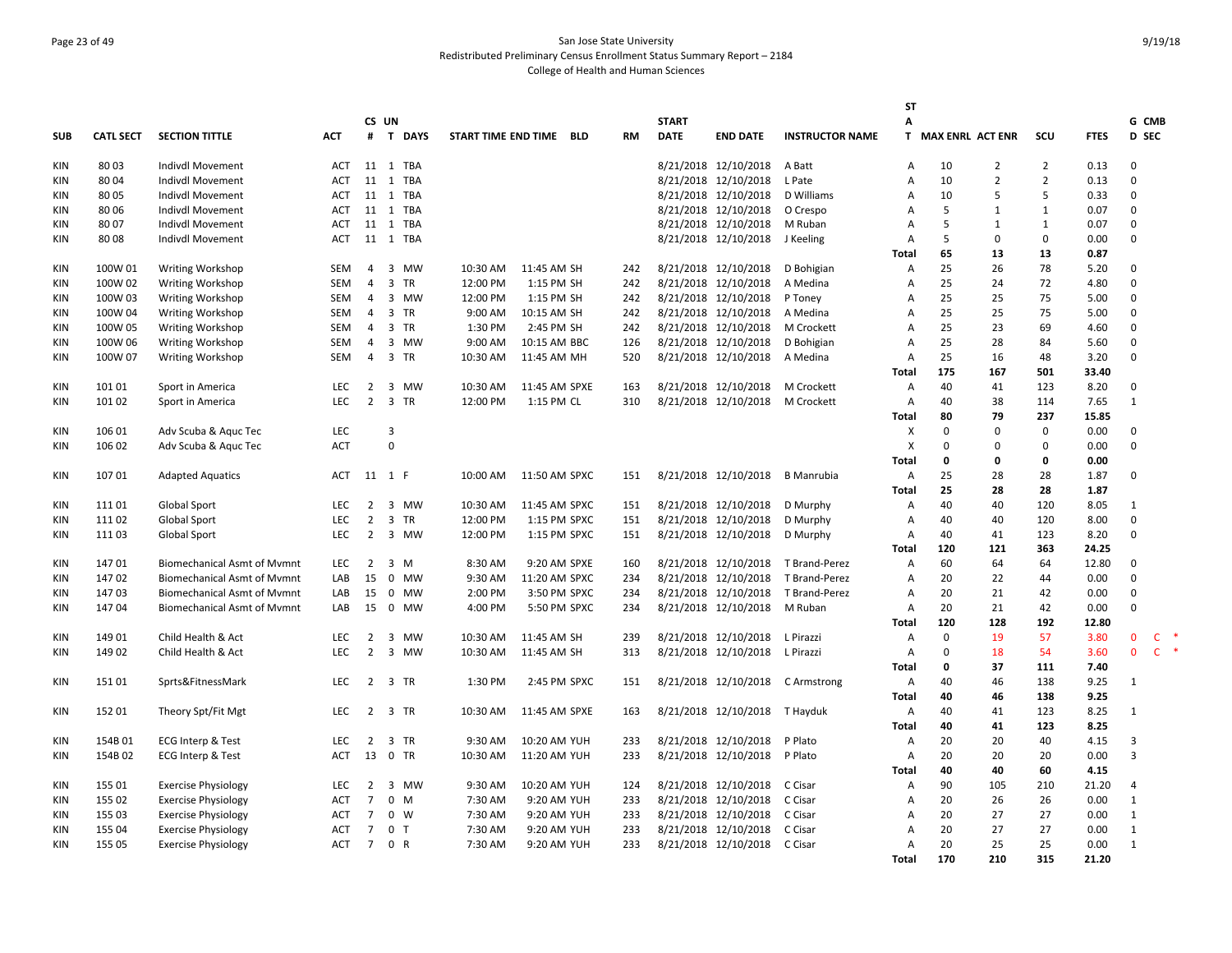# Page 23 of 49 San Jose State University Redistributed Preliminary Census Enrollment Status Summary Report – 2184 College of Health and Human Sciences

|            |                  |                                    |            |                |                |        |                         |               |           |              |                      |                        | SΤ             |                    |                |                |             |                |              |
|------------|------------------|------------------------------------|------------|----------------|----------------|--------|-------------------------|---------------|-----------|--------------|----------------------|------------------------|----------------|--------------------|----------------|----------------|-------------|----------------|--------------|
|            |                  |                                    |            |                | CS UN          |        |                         |               |           | <b>START</b> |                      |                        | А              |                    |                |                |             | G CMB          |              |
| <b>SUB</b> | <b>CATL SECT</b> | <b>SECTION TITTLE</b>              | <b>ACT</b> | #              |                | T DAYS | START TIME END TIME BLD |               | <b>RM</b> | <b>DATE</b>  | <b>END DATE</b>      | <b>INSTRUCTOR NAME</b> |                | T MAX ENRL ACT ENR |                | scu            | <b>FTES</b> | D SEC          |              |
| KIN        | 8003             | Indivdl Movement                   | <b>ACT</b> |                | 11 1 TBA       |        |                         |               |           |              | 8/21/2018 12/10/2018 | A Batt                 | A              | 10                 | $\overline{2}$ | $\overline{2}$ | 0.13        | 0              |              |
| KIN        | 80 04            | Indivdl Movement                   | <b>ACT</b> |                | 11 1 TBA       |        |                         |               |           |              | 8/21/2018 12/10/2018 | L Pate                 | A              | 10                 | $\overline{2}$ | $\overline{2}$ | 0.13        | 0              |              |
| KIN        | 80 05            | Indivdl Movement                   | ACT        |                | 11 1 TBA       |        |                         |               |           |              | 8/21/2018 12/10/2018 | D Williams             | A              | 10                 | $\overline{5}$ | 5              | 0.33        | $\mathsf 0$    |              |
| KIN        | 8006             | Indivdl Movement                   | ACT        |                | 11 1 TBA       |        |                         |               |           |              | 8/21/2018 12/10/2018 | O Crespo               | Α              | 5                  | 1              | $\mathbf{1}$   | 0.07        | $\mathbf 0$    |              |
| <b>KIN</b> | 8007             | Indivdl Movement                   | <b>ACT</b> |                | 11 1 TBA       |        |                         |               |           |              | 8/21/2018 12/10/2018 | M Ruban                | Α              | 5                  | 1              | $\mathbf{1}$   | 0.07        | $\mathbf{0}$   |              |
| <b>KIN</b> | 8008             | Indivdl Movement                   | <b>ACT</b> |                | 11 1 TBA       |        |                         |               |           |              | 8/21/2018 12/10/2018 | J Keeling              | A              | 5                  | $\mathbf 0$    | 0              | 0.00        | $\mathbf{0}$   |              |
|            |                  |                                    |            |                |                |        |                         |               |           |              |                      |                        | <b>Total</b>   | 65                 | 13             | 13             | 0.87        |                |              |
| <b>KIN</b> | 100W 01          | Writing Workshop                   | SEM        | 4              | 3 MW           |        | 10:30 AM                | 11:45 AM SH   | 242       |              | 8/21/2018 12/10/2018 | D Bohigian             | Α              | 25                 | 26             | 78             | 5.20        | $\mathbf{0}$   |              |
| <b>KIN</b> | 100W 02          | Writing Workshop                   | SEM        | 4              | 3 TR           |        | 12:00 PM                | 1:15 PM SH    | 242       |              | 8/21/2018 12/10/2018 | A Medina               | A              | 25                 | 24             | 72             | 4.80        | $\mathbf{0}$   |              |
| KIN        | 100W 03          | Writing Workshop                   | SEM        | $\overline{4}$ |                | 3 MW   | 12:00 PM                | 1:15 PM SH    | 242       |              | 8/21/2018 12/10/2018 | P Toney                | A              | 25                 | 25             | 75             | 5.00        | $\mathbf{0}$   |              |
| KIN        | 100W 04          | Writing Workshop                   | SEM        | 4              | 3 TR           |        | 9:00 AM                 | 10:15 AM SH   | 242       |              | 8/21/2018 12/10/2018 | A Medina               | A              | 25                 | 25             | 75             | 5.00        | $\Omega$       |              |
| KIN        | 100W 05          | <b>Writing Workshop</b>            | SEM        | 4              | 3 TR           |        | 1:30 PM                 | 2:45 PM SH    | 242       |              | 8/21/2018 12/10/2018 | M Crockett             | A              | 25                 | 23             | 69             | 4.60        | $\mathsf 0$    |              |
| KIN        | 100W 06          | <b>Writing Workshop</b>            | SEM        | 4              |                | 3 MW   | 9:00 AM                 | 10:15 AM BBC  | 126       |              | 8/21/2018 12/10/2018 | D Bohigian             | A              | 25                 | 28             | 84             | 5.60        | $\mathbf{0}$   |              |
| <b>KIN</b> | 100W 07          | <b>Writing Workshop</b>            | SEM        | 4              | 3 TR           |        | 10:30 AM                | 11:45 AM MH   | 520       |              | 8/21/2018 12/10/2018 | A Medina               | Α              | 25                 | 16             | 48             | 3.20        | $\mathbf 0$    |              |
|            |                  |                                    |            |                |                |        |                         |               |           |              |                      |                        | <b>Total</b>   | 175                | 167            | 501            | 33.40       |                |              |
| <b>KIN</b> | 101 01           | Sport in America                   | <b>LEC</b> | 2              | 3              | MW     | 10:30 AM                | 11:45 AM SPXE | 163       |              | 8/21/2018 12/10/2018 | M Crockett             | $\overline{A}$ | 40                 | 41             | 123            | 8.20        | $\mathbf{0}$   |              |
| KIN        | 101 02           |                                    | <b>LEC</b> |                | 2 3 TR         |        | 12:00 PM                | 1:15 PM CL    | 310       |              |                      | M Crockett             | $\overline{A}$ | 40                 | 38             | 114            | 7.65        | $\mathbf{1}$   |              |
|            |                  | Sport in America                   |            |                |                |        |                         |               |           |              | 8/21/2018 12/10/2018 |                        | <b>Total</b>   | 80                 | 79             | 237            | 15.85       |                |              |
|            |                  |                                    |            |                |                |        |                         |               |           |              |                      |                        |                |                    |                |                |             |                |              |
| KIN        | 106 01           | Adv Scuba & Aquc Tec               | <b>LEC</b> |                | 3              |        |                         |               |           |              |                      |                        | X              | 0                  | $\mathbf 0$    | 0              | 0.00        | 0              |              |
| KIN        | 106 02           | Adv Scuba & Aquc Tec               | <b>ACT</b> |                | $\mathbf 0$    |        |                         |               |           |              |                      |                        | X              | 0                  | 0              | 0              | 0.00        | $\mathsf 0$    |              |
|            |                  |                                    |            |                |                |        |                         |               |           |              |                      |                        | <b>Total</b>   | 0                  | 0              | 0              | 0.00        |                |              |
| <b>KIN</b> | 10701            | <b>Adapted Aquatics</b>            | ACT        |                | 11 1 F         |        | 10:00 AM                | 11:50 AM SPXC | 151       |              | 8/21/2018 12/10/2018 | <b>B</b> Manrubia      | Α              | 25                 | 28             | 28             | 1.87        | 0              |              |
|            |                  |                                    |            |                |                |        |                         |               |           |              |                      |                        | <b>Total</b>   | 25                 | 28             | 28             | 1.87        |                |              |
| <b>KIN</b> | 11101            | Global Sport                       | <b>LEC</b> | $\overline{2}$ | 3 MW           |        | 10:30 AM                | 11:45 AM SPXC | 151       |              | 8/21/2018 12/10/2018 | D Murphy               | Α              | 40                 | 40             | 120            | 8.05        | $\mathbf{1}$   |              |
| <b>KIN</b> | 11102            | <b>Global Sport</b>                | <b>LEC</b> | $\overline{2}$ | 3 TR           |        | 12:00 PM                | 1:15 PM SPXC  | 151       |              | 8/21/2018 12/10/2018 | D Murphy               | A              | 40                 | 40             | 120            | 8.00        | $\mathbf 0$    |              |
| KIN        | 11103            | Global Sport                       | <b>LEC</b> | $\overline{2}$ | 3 MW           |        | 12:00 PM                | 1:15 PM SPXC  | 151       |              | 8/21/2018 12/10/2018 | D Murphy               | $\overline{A}$ | 40                 | 41             | 123            | 8.20        | $\mathbf 0$    |              |
|            |                  |                                    |            |                |                |        |                         |               |           |              |                      |                        | Total          | 120                | 121            | 363            | 24.25       |                |              |
| <b>KIN</b> | 14701            | <b>Biomechanical Asmt of Mvmnt</b> | <b>LEC</b> | $\overline{2}$ | 3 M            |        | 8:30 AM                 | 9:20 AM SPXE  | 160       |              | 8/21/2018 12/10/2018 | T Brand-Perez          | A              | 60                 | 64             | 64             | 12.80       | $\mathsf 0$    |              |
| KIN        | 14702            | <b>Biomechanical Asmt of Mymnt</b> | LAB        | 15             | 0 MW           |        | 9:30 AM                 | 11:20 AM SPXC | 234       |              | 8/21/2018 12/10/2018 | T Brand-Perez          | A              | 20                 | 22             | 44             | 0.00        | 0              |              |
| KIN        | 14703            | Biomechanical Asmt of Mymnt        | LAB        | 15             | 0 MW           |        | 2:00 PM                 | 3:50 PM SPXC  | 234       |              | 8/21/2018 12/10/2018 | T Brand-Perez          | A              | 20                 | 21             | 42             | 0.00        | $\mathbf 0$    |              |
| <b>KIN</b> | 14704            | <b>Biomechanical Asmt of Mymnt</b> | LAB        | 15             | 0 MW           |        | 4:00 PM                 | 5:50 PM SPXC  | 234       |              | 8/21/2018 12/10/2018 | M Ruban                | $\overline{A}$ | 20                 | 21             | 42             | 0.00        | $\Omega$       |              |
|            |                  |                                    |            |                |                |        |                         |               |           |              |                      |                        | <b>Total</b>   | 120                | 128            | 192            | 12.80       |                |              |
| <b>KIN</b> | 149 01           | Child Health & Act                 | <b>LEC</b> | $\overline{2}$ | 3 MW           |        | 10:30 AM                | 11:45 AM SH   | 239       |              | 8/21/2018 12/10/2018 | L Pirazzi              | A              | 0                  | 19             | 57             | 3.80        | $\mathbf{0}$   | $\mathsf{C}$ |
| <b>KIN</b> | 149 02           | Child Health & Act                 | <b>LEC</b> | $\overline{2}$ | 3 MW           |        | 10:30 AM                | 11:45 AM SH   | 313       |              | 8/21/2018 12/10/2018 | L Pirazzi              | $\overline{A}$ | $\Omega$           | 18             | 54             | 3.60        | $\mathbf{0}$   | $C$ $*$      |
|            |                  |                                    |            |                |                |        |                         |               |           |              |                      |                        | <b>Total</b>   | 0                  | 37             | 111            | 7.40        |                |              |
| KIN        | 15101            | Sprts&FitnessMark                  | <b>LEC</b> | $\overline{2}$ | 3 TR           |        | 1:30 PM                 | 2:45 PM SPXC  | 151       |              | 8/21/2018 12/10/2018 | C Armstrong            | Α              | 40                 | 46             | 138            | 9.25        | $\mathbf{1}$   |              |
|            |                  |                                    |            |                |                |        |                         |               |           |              |                      |                        | Total          | 40                 | 46             | 138            | 9.25        |                |              |
| KIN        | 152 01           | Theory Spt/Fit Mgt                 | <b>LEC</b> | $\overline{2}$ | 3 TR           |        | 10:30 AM                | 11:45 AM SPXE | 163       |              | 8/21/2018 12/10/2018 | T Hayduk               | A              | 40                 | 41             | 123            | 8.25        | 1              |              |
|            |                  |                                    |            |                |                |        |                         |               |           |              |                      |                        | <b>Total</b>   | 40                 | 41             | 123            | 8.25        |                |              |
| <b>KIN</b> | 154B01           | <b>ECG Interp &amp; Test</b>       | <b>LEC</b> | 2              | 3 TR           |        | 9:30 AM                 | 10:20 AM YUH  | 233       |              | 8/21/2018 12/10/2018 | P Plato                | A              | 20                 | 20             | 40             | 4.15        | 3              |              |
| <b>KIN</b> | 154B02           | <b>ECG Interp &amp; Test</b>       | <b>ACT</b> | 13             | 0 TR           |        | 10:30 AM                | 11:20 AM YUH  | 233       |              | 8/21/2018 12/10/2018 | P Plato                | A              | 20                 | 20             | 20             | 0.00        | 3              |              |
|            |                  |                                    |            |                |                |        |                         |               |           |              |                      |                        | <b>Total</b>   | 40                 | 40             | 60             | 4.15        |                |              |
| KIN        | 155 01           | <b>Exercise Physiology</b>         | <b>LEC</b> | $\overline{2}$ |                | 3 MW   | 9:30 AM                 | 10:20 AM YUH  | 124       |              | 8/21/2018 12/10/2018 | C Cisar                | Α              | 90                 | 105            | 210            | 21.20       | $\overline{4}$ |              |
| KIN        | 155 02           | <b>Exercise Physiology</b>         | <b>ACT</b> | $\overline{7}$ | $0 \t M$       |        | 7:30 AM                 | 9:20 AM YUH   | 233       |              | 8/21/2018 12/10/2018 | C Cisar                | A              | 20                 | 26             | 26             | 0.00        | $\mathbf{1}$   |              |
| KIN        | 155 03           | <b>Exercise Physiology</b>         | <b>ACT</b> | 7              | $0 \quad W$    |        | 7:30 AM                 | 9:20 AM YUH   | 233       |              | 8/21/2018 12/10/2018 | C Cisar                | A              | 20                 | 27             | 27             | 0.00        | $\mathbf{1}$   |              |
| <b>KIN</b> | 155 04           | <b>Exercise Physiology</b>         | ACT        | $\overline{7}$ | 0 <sub>T</sub> |        | 7:30 AM                 | 9:20 AM YUH   | 233       |              | 8/21/2018 12/10/2018 | C Cisar                | A              | 20                 | 27             | 27             | 0.00        | $\mathbf{1}$   |              |
| <b>KIN</b> | 155 05           | <b>Exercise Physiology</b>         | <b>ACT</b> | $7^{\circ}$    | 0 R            |        | 7:30 AM                 | 9:20 AM YUH   | 233       |              | 8/21/2018 12/10/2018 | C Cisar                | A              | 20                 | 25             | 25             | 0.00        | $\mathbf{1}$   |              |
|            |                  |                                    |            |                |                |        |                         |               |           |              |                      |                        | <b>Total</b>   | 170                | 210            | 315            | 21.20       |                |              |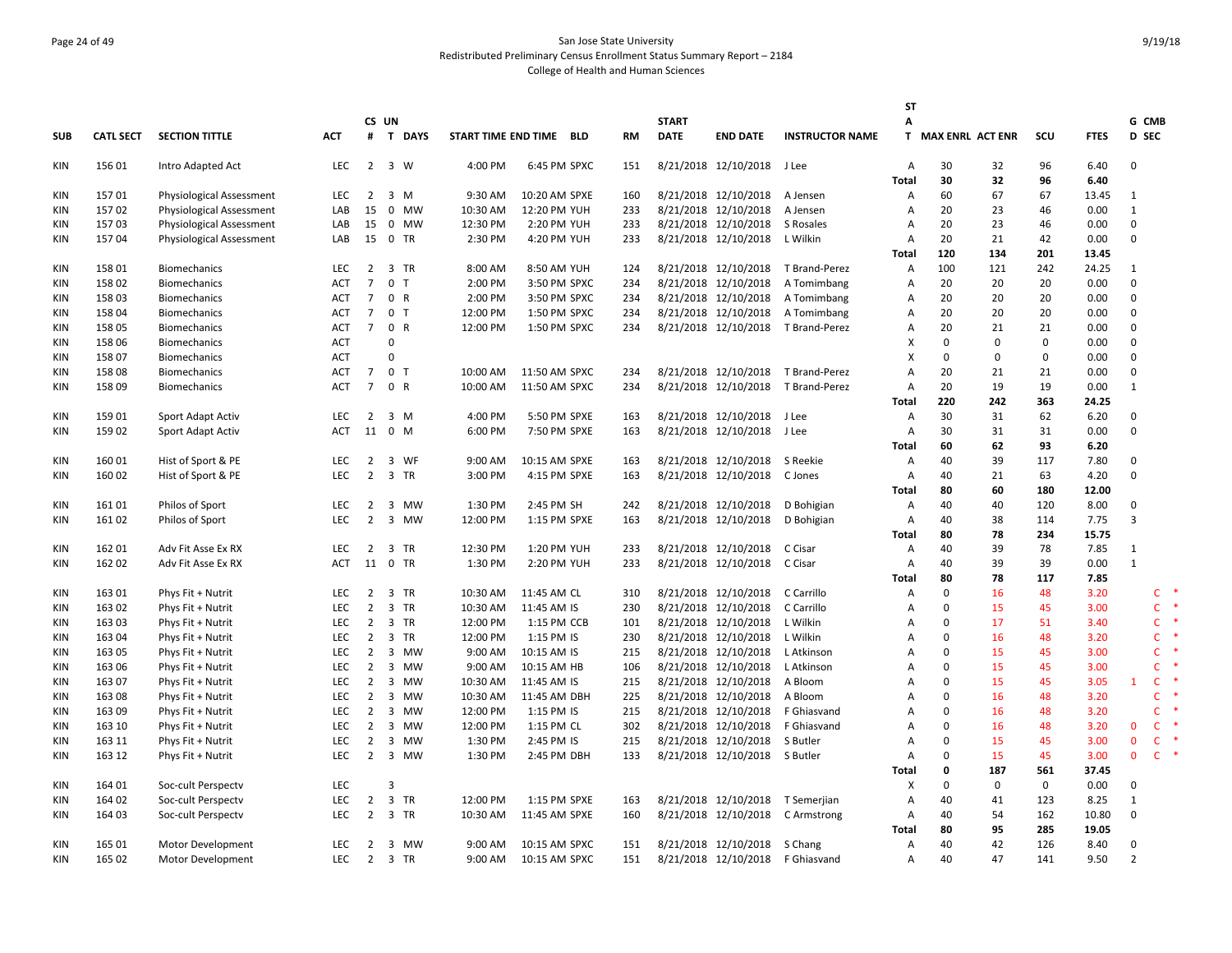# Page 24 of 49 San Jose State University Redistributed Preliminary Census Enrollment Status Summary Report – 2184 College of Health and Human Sciences

|            |                  |                          |            |                |                                      |          |                         |           |              |                      |                        | SΤ                        |                    |              |             |             |                |              |
|------------|------------------|--------------------------|------------|----------------|--------------------------------------|----------|-------------------------|-----------|--------------|----------------------|------------------------|---------------------------|--------------------|--------------|-------------|-------------|----------------|--------------|
|            |                  |                          |            |                | CS UN                                |          |                         |           | <b>START</b> |                      |                        | А                         |                    |              |             |             | G CMB          |              |
| <b>SUB</b> | <b>CATL SECT</b> | <b>SECTION TITTLE</b>    | <b>ACT</b> |                | # T DAYS                             |          | START TIME END TIME BLD | <b>RM</b> | <b>DATE</b>  | <b>END DATE</b>      | <b>INSTRUCTOR NAME</b> |                           | T MAX ENRL ACT ENR |              | SCU         | <b>FTES</b> | <b>D</b> SEC   |              |
| KIN        | 156 01           | Intro Adapted Act        | <b>LEC</b> | $\overline{2}$ | 3 W                                  | 4:00 PM  | 6:45 PM SPXC            | 151       |              | 8/21/2018 12/10/2018 | J Lee                  | A                         | 30                 | 32           | 96          | 6.40        | 0              |              |
|            |                  |                          |            |                |                                      |          |                         |           |              |                      |                        | <b>Total</b>              | 30                 | 32           | 96          | 6.40        |                |              |
| <b>KIN</b> | 15701            | Physiological Assessment | <b>LEC</b> | 2              | 3 M                                  | 9:30 AM  | 10:20 AM SPXE           | 160       |              | 8/21/2018 12/10/2018 | A Jensen               | A                         | 60                 | 67           | 67          | 13.45       | 1              |              |
| KIN        | 15702            | Physiological Assessment | LAB        | 15             | 0 MW                                 | 10:30 AM | 12:20 PM YUH            | 233       |              | 8/21/2018 12/10/2018 | A Jensen               | $\overline{A}$            | 20                 | 23           | 46          | 0.00        | $\mathbf{1}$   |              |
| <b>KIN</b> | 15703            | Physiological Assessment | LAB        | 15             | 0 MW                                 | 12:30 PM | 2:20 PM YUH             | 233       |              | 8/21/2018 12/10/2018 | S Rosales              | A                         | 20                 | 23           | 46          | 0.00        | $\mathsf 0$    |              |
| <b>KIN</b> | 15704            | Physiological Assessment | LAB        |                | 15 0 TR                              | 2:30 PM  | 4:20 PM YUH             | 233       |              | 8/21/2018 12/10/2018 | L Wilkin               | A                         | 20                 | 21           | 42          | 0.00        | $\mathbf{0}$   |              |
|            |                  |                          |            |                |                                      |          |                         |           |              |                      |                        | <b>Total</b>              | 120                | 134          | 201         | 13.45       |                |              |
| <b>KIN</b> | 158 01           | <b>Biomechanics</b>      | <b>LEC</b> | $\overline{2}$ | 3 TR                                 | 8:00 AM  | 8:50 AM YUH             | 124       |              | 8/21/2018 12/10/2018 | T Brand-Perez          | $\overline{A}$            | 100                | 121          | 242         | 24.25       | 1              |              |
| <b>KIN</b> | 158 02           | <b>Biomechanics</b>      | <b>ACT</b> | $\overline{7}$ | 0 <sub>T</sub>                       | 2:00 PM  | 3:50 PM SPXC            | 234       |              | 8/21/2018 12/10/2018 | A Tomimbang            | A                         | 20                 | 20           | 20          | 0.00        | $\mathsf 0$    |              |
| KIN        | 15803            | <b>Biomechanics</b>      | <b>ACT</b> | $\overline{7}$ | 0 R                                  | 2:00 PM  | 3:50 PM SPXC            | 234       |              | 8/21/2018 12/10/2018 | A Tomimbang            | A                         | 20                 | 20           | 20          | 0.00        | 0              |              |
| <b>KIN</b> | 158 04           | <b>Biomechanics</b>      | ACT        | $\overline{7}$ | 0 <sub>T</sub>                       | 12:00 PM | 1:50 PM SPXC            | 234       |              | 8/21/2018 12/10/2018 | A Tomimbang            | A                         | 20                 | 20           | 20          | 0.00        | $\mathbf{0}$   |              |
| <b>KIN</b> | 158 05           | <b>Biomechanics</b>      | <b>ACT</b> | $\overline{7}$ | 0 R                                  | 12:00 PM | 1:50 PM SPXC            | 234       |              | 8/21/2018 12/10/2018 | T Brand-Perez          | A                         | 20                 | 21           | 21          | 0.00        | $\mathbf{0}$   |              |
| <b>KIN</b> | 158 06           | Biomechanics             | <b>ACT</b> |                | $\Omega$                             |          |                         |           |              |                      |                        | $\boldsymbol{\mathsf{x}}$ | $\Omega$           | $\Omega$     | $\Omega$    | 0.00        | $\Omega$       |              |
| <b>KIN</b> | 158 07           | <b>Biomechanics</b>      | <b>ACT</b> |                | $\Omega$                             |          |                         |           |              |                      |                        | $\boldsymbol{\mathsf{X}}$ | 0                  | $\mathbf 0$  | $\mathbf 0$ | 0.00        | $\mathsf 0$    |              |
| <b>KIN</b> | 15808            | <b>Biomechanics</b>      | ACT        | $\overline{7}$ | 0 <sub>T</sub>                       | 10:00 AM | 11:50 AM SPXC           | 234       |              | 8/21/2018 12/10/2018 | T Brand-Perez          | A                         | 20                 | 21           | 21          | 0.00        | 0              |              |
| <b>KIN</b> | 158 09           | <b>Biomechanics</b>      | <b>ACT</b> | $\overline{7}$ | 0 R                                  | 10:00 AM | 11:50 AM SPXC           | 234       |              | 8/21/2018 12/10/2018 | T Brand-Perez          | A                         | 20                 | 19           | 19          | 0.00        | 1              |              |
|            |                  |                          |            |                |                                      |          |                         |           |              |                      |                        | <b>Total</b>              | 220                | 242          | 363         | 24.25       |                |              |
| <b>KIN</b> | 15901            | Sport Adapt Activ        | <b>LEC</b> | $\overline{2}$ | $3 \, M$                             | 4:00 PM  | 5:50 PM SPXE            | 163       |              | 8/21/2018 12/10/2018 | J Lee                  | A                         | 30                 | 31           | 62          | 6.20        | $\mathsf 0$    |              |
| KIN        | 15902            | Sport Adapt Activ        | ACT        | 11             | 0 M                                  | 6:00 PM  | 7:50 PM SPXE            | 163       |              | 8/21/2018 12/10/2018 | J Lee                  | A                         | 30                 | 31           | 31          | 0.00        | 0              |              |
|            |                  |                          |            |                |                                      |          |                         |           |              |                      |                        | Total                     | 60                 | 62           | 93          | 6.20        |                |              |
| <b>KIN</b> | 160 01           | Hist of Sport & PE       | <b>LEC</b> | 2              | $\overline{\mathbf{3}}$<br>WF        | 9:00 AM  | 10:15 AM SPXE           | 163       |              | 8/21/2018 12/10/2018 | S Reekie               | $\overline{A}$            | 40                 | 39           | 117         | 7.80        | $\mathbf{0}$   |              |
| <b>KIN</b> | 160 02           | Hist of Sport & PE       | <b>LEC</b> | $\overline{2}$ | 3 TR                                 | 3:00 PM  | 4:15 PM SPXE            | 163       |              | 8/21/2018 12/10/2018 | C Jones                | A                         | 40                 | 21           | 63          | 4.20        | $\mathsf 0$    |              |
|            |                  |                          |            |                |                                      |          |                         |           |              |                      |                        | <b>Total</b>              | 80                 | 60           | 180         | 12.00       |                |              |
| <b>KIN</b> | 16101            | Philos of Sport          | <b>LEC</b> | $\overline{2}$ | 3 MW                                 | 1:30 PM  | 2:45 PM SH              | 242       |              | 8/21/2018 12/10/2018 | D Bohigian             | A                         | 40                 | 40           | 120         | 8.00        | 0              |              |
| <b>KIN</b> | 161 02           | Philos of Sport          | <b>LEC</b> | $\overline{2}$ | 3 MW                                 | 12:00 PM | 1:15 PM SPXE            | 163       |              | 8/21/2018 12/10/2018 | D Bohigian             | A                         | 40                 | 38           | 114         | 7.75        | 3              |              |
|            |                  |                          |            |                |                                      |          |                         |           |              |                      |                        | <b>Total</b>              | 80                 | 78           | 234         | 15.75       |                |              |
| KIN        | 162 01           | Adv Fit Asse Ex RX       | <b>LEC</b> | $\overline{2}$ | 3 TR                                 | 12:30 PM | 1:20 PM YUH             | 233       |              | 8/21/2018 12/10/2018 | C Cisar                | A                         | 40                 | 39           | 78          | 7.85        | $\mathbf{1}$   |              |
| <b>KIN</b> | 162 02           | Adv Fit Asse Ex RX       | <b>ACT</b> |                | 11 0 TR                              | 1:30 PM  | 2:20 PM YUH             | 233       |              | 8/21/2018 12/10/2018 | C Cisar                | A                         | 40                 | 39           | 39          | 0.00        | $\mathbf{1}$   |              |
|            |                  |                          |            |                |                                      |          |                         |           |              |                      |                        | Total                     | 80                 | 78           | 117         | 7.85        |                |              |
| KIN        | 163 01           | Phys Fit + Nutrit        | <b>LEC</b> | 2              | 3 TR                                 | 10:30 AM | 11:45 AM CL             | 310       |              | 8/21/2018 12/10/2018 | C Carrillo             | $\overline{A}$            | 0                  | 16           | 48          | 3.20        |                | $\mathsf{C}$ |
| <b>KIN</b> | 163 02           | Phys Fit + Nutrit        | <b>LEC</b> | $\overline{2}$ | 3 TR                                 | 10:30 AM | 11:45 AM IS             | 230       |              | 8/21/2018 12/10/2018 | C Carrillo             | A                         | 0                  | 15           | 45          | 3.00        |                | $\mathsf{C}$ |
| <b>KIN</b> | 163 03           | Phys Fit + Nutrit        | <b>LEC</b> | 2              | 3 TR                                 | 12:00 PM | 1:15 PM CCB             | 101       |              | 8/21/2018 12/10/2018 | L Wilkin               | A                         | 0                  | 17           | 51          | 3.40        |                | C            |
| <b>KIN</b> | 163 04           | Phys Fit + Nutrit        | LEC        | 2              | $\overline{\mathbf{3}}$<br>TR        | 12:00 PM | 1:15 PM IS              | 230       |              | 8/21/2018 12/10/2018 | L Wilkin               | A                         | 0                  | 16           | 48          | 3.20        |                | C            |
| KIN        | 163 05           | Phys Fit + Nutrit        | <b>LEC</b> | 2              | 3 MW                                 | 9:00 AM  | 10:15 AM IS             | 215       |              | 8/21/2018 12/10/2018 | L Atkinson             | $\overline{A}$            | $\Omega$           | 15           | 45          | 3.00        |                | $\mathsf{C}$ |
| <b>KIN</b> | 163 06           | Phys Fit + Nutrit        | <b>LEC</b> | $\overline{2}$ | 3 MW                                 | 9:00 AM  | 10:15 AM HB             | 106       |              | 8/21/2018 12/10/2018 | L Atkinson             | A                         | $\Omega$           | 15           | 45          | 3.00        |                | $\mathsf{C}$ |
| <b>KIN</b> | 163 07           | Phys Fit + Nutrit        | LEC        | $\overline{2}$ | 3 MW                                 | 10:30 AM | 11:45 AM IS             | 215       |              | 8/21/2018 12/10/2018 | A Bloom                | A                         | 0                  | 15           | 45          | 3.05        | 1              | $\mathsf{C}$ |
| <b>KIN</b> | 163 08           | Phys Fit + Nutrit        | <b>LEC</b> | 2              | $\overline{\mathbf{3}}$<br><b>MW</b> | 10:30 AM | 11:45 AM DBH            | 225       |              | 8/21/2018 12/10/2018 | A Bloom                | A                         | O                  | 16           | 48          | 3.20        |                | $\mathsf{C}$ |
| <b>KIN</b> | 163 09           | Phys Fit + Nutrit        | <b>LEC</b> | 2              | 3 MW                                 | 12:00 PM | 1:15 PM IS              | 215       |              | 8/21/2018 12/10/2018 | F Ghiasvand            | $\overline{A}$            | $\Omega$           | 16           | 48          | 3.20        |                | $\mathsf{C}$ |
| KIN        | 163 10           | Phys Fit + Nutrit        | <b>LEC</b> | 2              | 3 MW                                 | 12:00 PM | 1:15 PM CL              | 302       |              | 8/21/2018 12/10/2018 | F Ghiasvand            | $\overline{A}$            | O                  | 16           | 48          | 3.20        | $\mathbf{0}$   | $\mathsf{C}$ |
| <b>KIN</b> | 163 11           | Phys Fit + Nutrit        | LEC        | $\overline{2}$ | 3 MW                                 | 1:30 PM  | 2:45 PM IS              | 215       |              | 8/21/2018 12/10/2018 | S Butler               | $\overline{A}$            | 0                  | 15           | 45          | 3.00        | $\mathbf{0}$   | $\mathsf{C}$ |
| KIN        | 163 12           | Phys Fit + Nutrit        | <b>LEC</b> | $\overline{2}$ | 3 MW                                 | 1:30 PM  | 2:45 PM DBH             | 133       |              | 8/21/2018 12/10/2018 | S Butler               | A                         | 0                  | 15           | 45          | 3.00        | $\mathbf{0}$   | $\mathsf{C}$ |
|            |                  |                          |            |                |                                      |          |                         |           |              |                      |                        | <b>Total</b>              | 0                  | 187          | 561         | 37.45       |                |              |
| KIN        | 164 01           | Soc-cult Perspectv       | <b>LEC</b> |                | $\overline{3}$                       |          |                         |           |              |                      |                        | $\boldsymbol{\mathsf{x}}$ | $\Omega$           | $\mathbf{0}$ | $\mathbf 0$ | 0.00        | $\mathbf{0}$   |              |
| KIN        | 164 02           | Soc-cult Perspectv       | LEC        | $\overline{2}$ | 3 TR                                 | 12:00 PM | 1:15 PM SPXE            | 163       |              | 8/21/2018 12/10/2018 | T Semerjian            | A                         | 40                 | 41           | 123         | 8.25        | $\mathbf{1}$   |              |
| <b>KIN</b> | 164 03           | Soc-cult Perspectv       | LEC        | $\overline{2}$ | 3 TR                                 | 10:30 AM | 11:45 AM SPXE           | 160       |              | 8/21/2018 12/10/2018 | C Armstrong            | A                         | 40                 | 54           | 162         | 10.80       | $\mathbf{0}$   |              |
|            |                  |                          |            |                |                                      |          |                         |           |              |                      |                        | <b>Total</b>              | 80                 | 95           | 285         | 19.05       |                |              |
| KIN        | 165 01           | Motor Development        | <b>LEC</b> | 2              | 3 MW                                 | 9:00 AM  | 10:15 AM SPXC           | 151       |              | 8/21/2018 12/10/2018 | S Chang                | $\overline{A}$            | 40                 | 42           | 126         | 8.40        | $\mathbf{0}$   |              |
| KIN        | 165 02           | Motor Development        | <b>LEC</b> | $\overline{2}$ | 3 TR                                 | 9:00 AM  | 10:15 AM SPXC           | 151       |              | 8/21/2018 12/10/2018 | F Ghiasvand            | $\overline{A}$            | 40                 | 47           | 141         | 9.50        | $\overline{2}$ |              |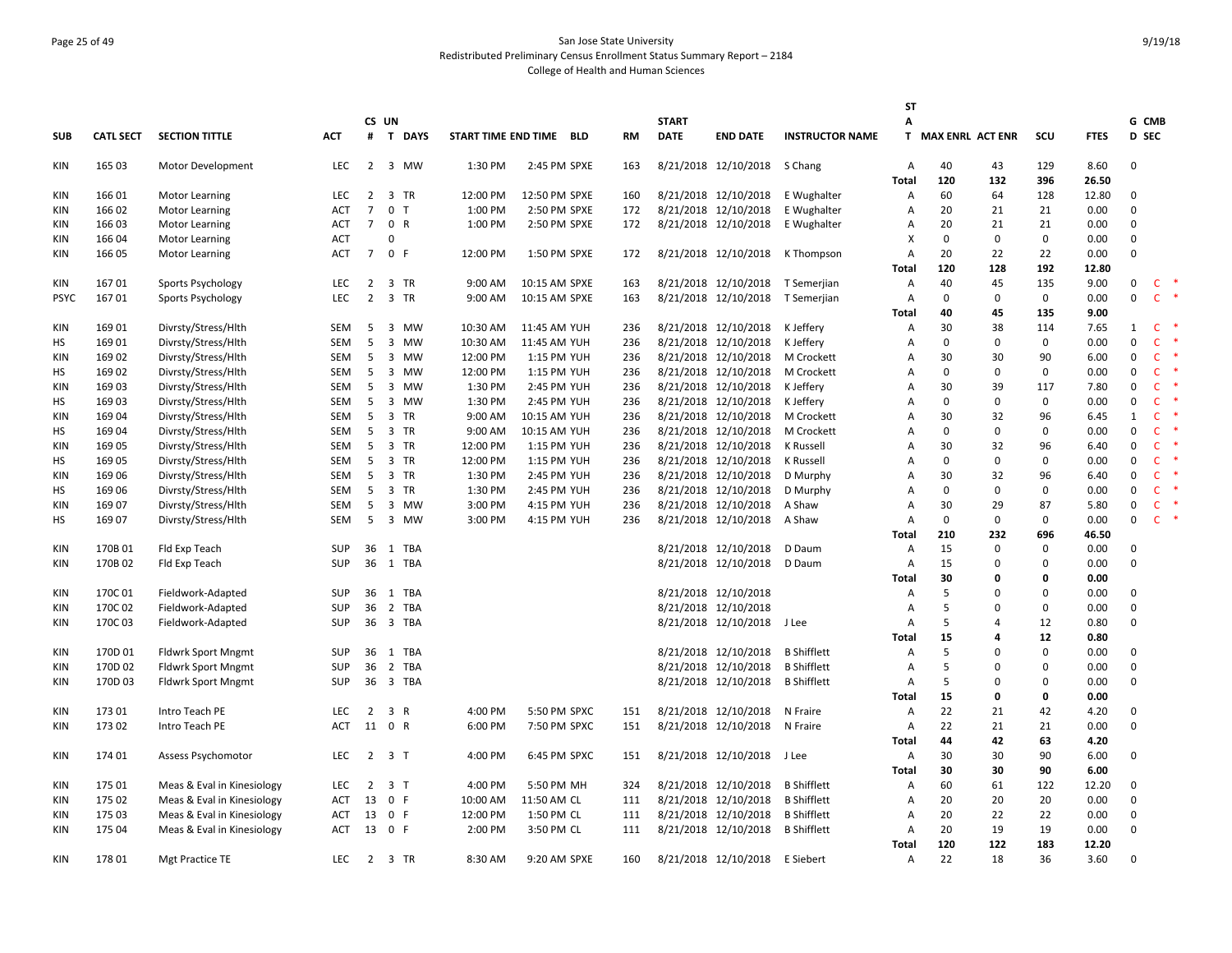# Page 25 of 49 San Jose State University Redistributed Preliminary Census Enrollment Status Summary Report – 2184 College of Health and Human Sciences

|             |                  |                            |            |                |                               |          |                         |           |              |                      |                        | ST             |                    |              |             |             |              |              |
|-------------|------------------|----------------------------|------------|----------------|-------------------------------|----------|-------------------------|-----------|--------------|----------------------|------------------------|----------------|--------------------|--------------|-------------|-------------|--------------|--------------|
|             |                  |                            |            |                | CS UN                         |          |                         |           | <b>START</b> |                      |                        | А              |                    |              |             |             | G CMB        |              |
| SUB         | <b>CATL SECT</b> | <b>SECTION TITTLE</b>      | <b>ACT</b> | #              | T DAYS                        |          | START TIME END TIME BLD | <b>RM</b> | <b>DATE</b>  | <b>END DATE</b>      | <b>INSTRUCTOR NAME</b> |                | T MAX ENRL ACT ENR |              | scu         | <b>FTES</b> | <b>D</b> SEC |              |
| <b>KIN</b>  | 165 03           | Motor Development          | <b>LEC</b> | $\overline{2}$ | 3 MW                          | 1:30 PM  | 2:45 PM SPXE            | 163       |              | 8/21/2018 12/10/2018 | S Chang                | A              | 40                 | 43           | 129         | 8.60        | $\mathbf{0}$ |              |
|             |                  |                            |            |                |                               |          |                         |           |              |                      |                        | <b>Total</b>   | 120                | 132          | 396         | 26.50       |              |              |
| KIN         | 166 01           | Motor Learning             | <b>LEC</b> | 2              | 3 TR                          | 12:00 PM | 12:50 PM SPXE           | 160       |              | 8/21/2018 12/10/2018 | E Wughalter            | A              | 60                 | 64           | 128         | 12.80       | 0            |              |
| KIN         | 16602            | Motor Learning             | <b>ACT</b> | $\overline{7}$ | 0 <sub>T</sub>                | 1:00 PM  | 2:50 PM SPXE            | 172       |              | 8/21/2018 12/10/2018 | E Wughalter            | Α              | 20                 | 21           | 21          | 0.00        | $\Omega$     |              |
| KIN         | 166 03           | Motor Learning             | <b>ACT</b> | $\overline{7}$ | 0 R                           | 1:00 PM  | 2:50 PM SPXE            | 172       |              | 8/21/2018 12/10/2018 | E Wughalter            | A              | 20                 | 21           | 21          | 0.00        | $\mathsf 0$  |              |
| <b>KIN</b>  | 166 04           | Motor Learning             | <b>ACT</b> |                | $\Omega$                      |          |                         |           |              |                      |                        | X              | 0                  | $\mathbf{0}$ | 0           | 0.00        | $\mathbf{0}$ |              |
| KIN         | 166 05           | Motor Learning             | <b>ACT</b> | $\overline{7}$ | 0 F                           | 12:00 PM | 1:50 PM SPXE            | 172       |              | 8/21/2018 12/10/2018 | K Thompson             | A              | 20                 | 22           | 22          | 0.00        | $\Omega$     |              |
|             |                  |                            |            |                |                               |          |                         |           |              |                      |                        | Total          | 120                | 128          | 192         | 12.80       |              |              |
| <b>KIN</b>  | 16701            | Sports Psychology          | <b>LEC</b> | 2              | 3 TR                          | 9:00 AM  | 10:15 AM SPXE           | 163       |              | 8/21/2018 12/10/2018 | T Semerjian            | A              | 40                 | 45           | 135         | 9.00        | 0            | C.           |
| <b>PSYC</b> | 16701            | Sports Psychology          | <b>LEC</b> | $\overline{2}$ | 3 TR                          | 9:00 AM  | 10:15 AM SPXE           | 163       |              | 8/21/2018 12/10/2018 | T Semerjian            | A              | 0                  | $\mathbf{0}$ | 0           | 0.00        | $\Omega$     | $\mathsf{C}$ |
|             |                  |                            |            |                |                               |          |                         |           |              |                      |                        | <b>Total</b>   | 40                 | 45           | 135         | 9.00        |              |              |
| KIN         | 169 01           | Divrsty/Stress/Hlth        | SEM        | 5              | $\overline{\mathbf{3}}$<br>MW | 10:30 AM | 11:45 AM YUH            | 236       |              | 8/21/2018 12/10/2018 | K Jeffery              | A              | 30                 | 38           | 114         | 7.65        | 1            | $\mathsf{C}$ |
| HS          | 169 01           | Divrsty/Stress/Hlth        | <b>SEM</b> | 5              | 3 MW                          | 10:30 AM | 11:45 AM YUH            | 236       |              | 8/21/2018 12/10/2018 | K Jeffery              | $\overline{A}$ | 0                  | $\mathbf{0}$ | 0           | 0.00        | $\mathbf 0$  | $\mathsf{C}$ |
| KIN         | 169 02           | Divrsty/Stress/Hlth        | SEM        | 5              | 3 MW                          | 12:00 PM | 1:15 PM YUH             | 236       |              | 8/21/2018 12/10/2018 | M Crockett             | A              | 30                 | 30           | 90          | 6.00        | $\mathbf 0$  | $\mathsf{C}$ |
| НS          | 16902            | Divrsty/Stress/Hlth        | SEM        | 5              | 3 MW                          | 12:00 PM | 1:15 PM YUH             | 236       |              | 8/21/2018 12/10/2018 | M Crockett             | $\overline{A}$ | 0                  | $\mathbf{0}$ | 0           | 0.00        | $\mathbf 0$  | $\mathsf{C}$ |
| <b>KIN</b>  | 169 03           | Divrsty/Stress/Hlth        | <b>SEM</b> | 5              | $\overline{\mathbf{3}}$<br>MW | 1:30 PM  | 2:45 PM YUH             | 236       |              | 8/21/2018 12/10/2018 | K Jeffery              | A              | 30                 | 39           | 117         | 7.80        | $\mathbf 0$  | $\mathsf{C}$ |
| НS          | 169 03           | Divrsty/Stress/Hlth        | <b>SEM</b> | 5              | 3 MW                          | 1:30 PM  | 2:45 PM YUH             | 236       |              | 8/21/2018 12/10/2018 | K Jeffery              | A              | 0                  | $\mathsf 0$  | 0           | 0.00        | $\mathbf 0$  | $\mathsf{C}$ |
| KIN         | 16904            | Divrsty/Stress/Hlth        | SEM        | 5              | 3 TR                          | 9:00 AM  | 10:15 AM YUH            | 236       |              | 8/21/2018 12/10/2018 | M Crockett             | Α              | 30                 | 32           | 96          | 6.45        | 1            | $\mathsf{C}$ |
| HS          | 16904            | Divrsty/Stress/Hlth        | <b>SEM</b> | 5              | 3 TR                          | 9:00 AM  | 10:15 AM YUH            | 236       |              | 8/21/2018 12/10/2018 | M Crockett             | $\overline{A}$ | 0                  | $\mathbf{0}$ | $\Omega$    | 0.00        | $\mathbf 0$  | $\mathsf{C}$ |
| <b>KIN</b>  | 169 05           | Divrsty/Stress/Hlth        | SEM        | 5              | 3 TR                          | 12:00 PM | 1:15 PM YUH             | 236       |              | 8/21/2018 12/10/2018 | K Russell              | A              | 30                 | 32           | 96          | 6.40        | $\mathsf 0$  | $\mathsf{C}$ |
| HS          | 169 05           | Divrsty/Stress/Hlth        | SEM        | 5              | 3 TR                          | 12:00 PM | 1:15 PM YUH             | 236       |              | 8/21/2018 12/10/2018 | K Russell              | Α              | 0                  | $\mathbf 0$  | 0           | 0.00        | $\mathbf 0$  | $\mathsf{C}$ |
| <b>KIN</b>  | 169 06           | Divrsty/Stress/Hlth        | <b>SEM</b> | 5              | 3 TR                          | 1:30 PM  | 2:45 PM YUH             | 236       |              | 8/21/2018 12/10/2018 | D Murphy               | $\overline{A}$ | 30                 | 32           | 96          | 6.40        | $\mathbf 0$  | $\mathsf{C}$ |
| НS          | 169 06           | Divrsty/Stress/Hlth        | <b>SEM</b> | 5              | 3 TR                          | 1:30 PM  | 2:45 PM YUH             | 236       |              | 8/21/2018 12/10/2018 | D Murphy               | $\overline{A}$ | 0                  | $\mathbf 0$  | $\Omega$    | 0.00        | $\mathbf 0$  | $\mathsf{C}$ |
| KIN         | 169 07           | Divrsty/Stress/Hlth        | SEM        | 5              | 3 MW                          | 3:00 PM  | 4:15 PM YUH             | 236       |              | 8/21/2018 12/10/2018 | A Shaw                 | Α              | 30                 | 29           | 87          | 5.80        | $\mathbf 0$  | $\mathsf{C}$ |
| HS          | 169 07           | Divrsty/Stress/Hlth        | SEM        | 5              | 3 MW                          | 3:00 PM  | 4:15 PM YUH             | 236       |              | 8/21/2018 12/10/2018 | A Shaw                 | A              | 0                  | $\mathbf{0}$ | 0           | 0.00        | $\mathbf 0$  | $\mathsf{C}$ |
|             |                  |                            |            |                |                               |          |                         |           |              |                      |                        | <b>Total</b>   | 210                | 232          | 696         | 46.50       |              |              |
| KIN         | 170B01           | Fld Exp Teach              | SUP        | 36             | 1 TBA                         |          |                         |           |              | 8/21/2018 12/10/2018 | D Daum                 | A              | 15                 | $\mathbf{0}$ | $\mathbf 0$ | 0.00        | 0            |              |
| <b>KIN</b>  | 170B02           | Fld Exp Teach              | SUP        | 36             | 1 TBA                         |          |                         |           |              | 8/21/2018 12/10/2018 | D Daum                 | A              | 15                 | $\mathbf{0}$ | $\mathbf 0$ | 0.00        | $\mathbf 0$  |              |
|             |                  |                            |            |                |                               |          |                         |           |              |                      |                        | Total          | 30                 | $\mathbf{0}$ | 0           | 0.00        |              |              |
| <b>KIN</b>  | 170C01           | Fieldwork-Adapted          | SUP        | 36             | 1<br>TBA                      |          |                         |           |              | 8/21/2018 12/10/2018 |                        | Α              | 5                  | $\Omega$     | $\mathbf 0$ | 0.00        | 0            |              |
| <b>KIN</b>  | 170C02           | Fieldwork-Adapted          | SUP        | 36             | $\overline{2}$<br>TBA         |          |                         |           |              | 8/21/2018 12/10/2018 |                        | $\overline{A}$ | 5                  | $\Omega$     | $\Omega$    | 0.00        | $\mathbf{0}$ |              |
| <b>KIN</b>  | 170C03           | Fieldwork-Adapted          | <b>SUP</b> | 36             | 3 TBA                         |          |                         |           |              | 8/21/2018 12/10/2018 | J Lee                  | A              | 5                  | 4            | 12          | 0.80        | $\mathbf{0}$ |              |
|             |                  |                            |            |                |                               |          |                         |           |              |                      |                        | <b>Total</b>   | 15                 | 4            | 12          | 0.80        |              |              |
| KIN         | 170D 01          | <b>Fldwrk Sport Mngmt</b>  | SUP        | 36             | 1 TBA                         |          |                         |           |              | 8/21/2018 12/10/2018 | <b>B</b> Shifflett     | Α              | 5                  | $\Omega$     | $\mathbf 0$ | 0.00        | 0            |              |
| <b>KIN</b>  | 170D 02          | <b>Fldwrk Sport Mngmt</b>  | <b>SUP</b> | 36             | 2 TBA                         |          |                         |           |              | 8/21/2018 12/10/2018 | <b>B</b> Shifflett     | $\overline{A}$ | 5                  | $\Omega$     | $\mathbf 0$ | 0.00        | 0            |              |
| KIN         | 170D03           | <b>Fldwrk Sport Mngmt</b>  | <b>SUP</b> |                | 36 3 TBA                      |          |                         |           |              | 8/21/2018 12/10/2018 | <b>B</b> Shifflett     | A              | 5                  | $\Omega$     | $\Omega$    | 0.00        | $\mathsf 0$  |              |
|             |                  |                            |            |                |                               |          |                         |           |              |                      |                        | <b>Total</b>   | 15                 | 0            | 0           | 0.00        |              |              |
| <b>KIN</b>  | 17301            | Intro Teach PE             | LEC.       | $\overline{2}$ | 3 R                           | 4:00 PM  | 5:50 PM SPXC            | 151       |              | 8/21/2018 12/10/2018 | N Fraire               | Α              | 22                 | 21           | 42          | 4.20        | $\mathbf{0}$ |              |
| <b>KIN</b>  | 173 02           | Intro Teach PE             | ACT        | 11             | 0 R                           | 6:00 PM  | 7:50 PM SPXC            | 151       |              | 8/21/2018 12/10/2018 | N Fraire               | A              | 22                 | 21           | 21          | 0.00        | $\mathsf 0$  |              |
|             |                  |                            |            |                |                               |          |                         |           |              |                      |                        | Total          | 44                 | 42           | 63          | 4.20        |              |              |
| KIN         | 174 01           | Assess Psychomotor         | LEC        | $\overline{2}$ | 3 <sub>1</sub>                | 4:00 PM  | 6:45 PM SPXC            | 151       |              | 8/21/2018 12/10/2018 | J Lee                  | Α              | 30                 | 30           | 90          | 6.00        | 0            |              |
|             |                  |                            |            |                |                               |          |                         |           |              |                      |                        | <b>Total</b>   | 30                 | 30           | 90          | 6.00        |              |              |
| KIN         | 175 01           | Meas & Eval in Kinesiology | <b>LEC</b> | $\overline{2}$ | 3 <sub>1</sub>                | 4:00 PM  | 5:50 PM MH              | 324       |              | 8/21/2018 12/10/2018 | <b>B</b> Shifflett     | A              | 60                 | 61           | 122         | 12.20       | 0            |              |
| <b>KIN</b>  | 175 02           | Meas & Eval in Kinesiology | ACT        | 13             | 0 F                           | 10:00 AM | 11:50 AM CL             | 111       |              | 8/21/2018 12/10/2018 | <b>B</b> Shifflett     | A              | 20                 | 20           | 20          | 0.00        | $\mathbf{0}$ |              |
| KIN         | 175 03           | Meas & Eval in Kinesiology | <b>ACT</b> |                | 13 0 F                        | 12:00 PM | 1:50 PM CL              | 111       |              | 8/21/2018 12/10/2018 | <b>B</b> Shifflett     | $\overline{A}$ | 20                 | 22           | 22          | 0.00        | $\mathbf{0}$ |              |
| KIN         | 175 04           | Meas & Eval in Kinesiology | ACT        | 13             | 0 F                           | 2:00 PM  | 3:50 PM CL              | 111       |              | 8/21/2018 12/10/2018 | <b>B</b> Shifflett     | A              | 20                 | 19           | 19          | 0.00        | $\Omega$     |              |
|             |                  |                            |            |                |                               |          |                         |           |              |                      |                        | Total          | 120                | 122          | 183         | 12.20       |              |              |
| <b>KIN</b>  | 17801            | Mgt Practice TE            | <b>LEC</b> | $\overline{2}$ | 3 TR                          | 8:30 AM  | 9:20 AM SPXE            | 160       |              | 8/21/2018 12/10/2018 | E Siebert              | $\overline{A}$ | 22                 | 18           | 36          | 3.60        | $\mathbf{0}$ |              |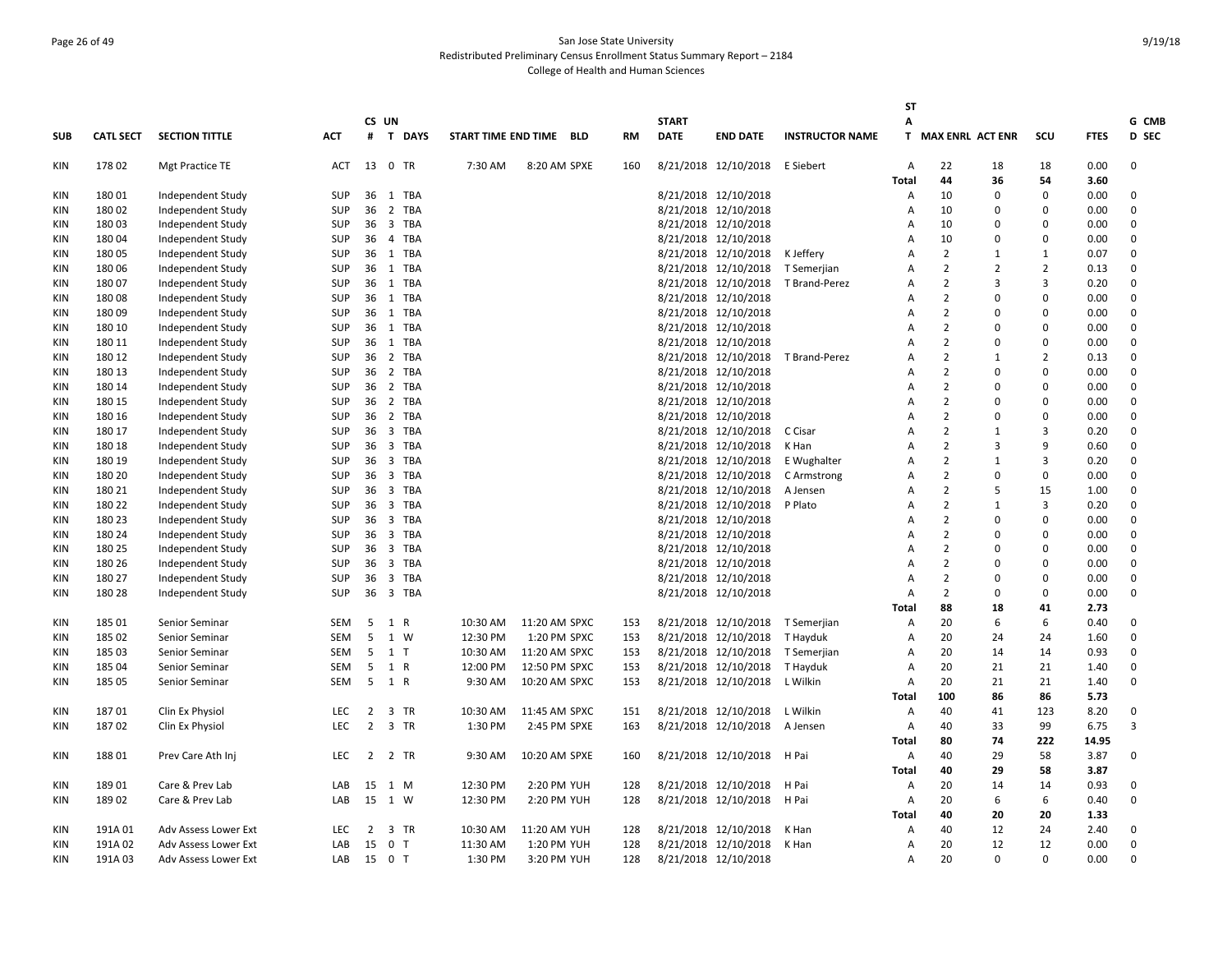# Page 26 of 49 San Jose State University Redistributed Preliminary Census Enrollment Status Summary Report – 2184 College of Health and Human Sciences

| CS UN<br><b>DATE</b><br>SCU<br><b>D</b> SEC<br><b>SUB</b><br><b>CATL SECT</b><br><b>SECTION TITTLE</b><br>ACT<br>#<br><b>T DAYS</b><br>START TIME END TIME<br>BLD<br><b>RM</b><br><b>END DATE</b><br><b>INSTRUCTOR NAME</b><br>T.<br><b>MAX ENRL ACT ENR</b><br><b>FTES</b><br>178 02<br>13<br>0 TR<br>8/21/2018 12/10/2018<br>0.00<br>0<br>KIN<br>Mgt Practice TE<br><b>ACT</b><br>7:30 AM<br>8:20 AM SPXE<br>160<br>E Siebert<br>$\overline{A}$<br>22<br>18<br>18<br>44<br>54<br>3.60<br>Total<br>36<br>18001<br>Independent Study<br>36<br>1 TBA<br>8/21/2018 12/10/2018<br>10<br>$\Omega$<br>0.00<br>KIN<br><b>SUP</b><br>A<br>$\Omega$<br>$\Omega$<br>0<br>18002<br>Independent Study<br><b>SUP</b><br>36<br>2 TBA<br>8/21/2018 12/10/2018<br>10<br>$\Omega$<br>0.00<br>KIN<br>A<br>$\Omega$<br>18003<br><b>SUP</b><br>36<br>3 TBA<br>8/21/2018 12/10/2018<br>10<br>$\Omega$<br>0.00<br>0<br>KIN<br>Independent Study<br>$\overline{A}$<br>$\Omega$<br>18004<br>Independent Study<br>SUP<br>36<br>4 TBA<br>8/21/2018 12/10/2018<br>10<br>$\Omega$<br>$\mathbf 0$<br>0.00<br>0<br>KIN<br>$\overline{A}$<br>$\overline{2}$<br>0<br>KIN<br>180 05<br>Independent Study<br><b>SUP</b><br>36<br>1 TBA<br>8/21/2018 12/10/2018<br>K Jeffery<br>$\overline{A}$<br>$\mathbf{1}$<br>0.07<br>1<br>$\overline{2}$<br>$\overline{2}$<br>180 06<br>36<br>1 TBA<br>8/21/2018 12/10/2018<br>$\overline{2}$<br>0.13<br>0<br>KIN<br>Independent Study<br><b>SUP</b><br>T Semerjian<br>$\overline{A}$<br>$\overline{2}$<br>3<br>18007<br>Independent Study<br><b>SUP</b><br>36<br>1 TBA<br>8/21/2018 12/10/2018<br>T Brand-Perez<br>Α<br>$\mathbf{3}$<br>0.20<br>0<br>KIN<br>$\overline{2}$<br>18008<br>8/21/2018 12/10/2018<br>$\Omega$<br>0.00<br>0<br>KIN<br>Independent Study<br><b>SUP</b><br>36<br>1 TBA<br>$\overline{A}$<br>ŋ<br>$\overline{2}$<br><b>SUP</b><br>36<br>1 TBA<br>8/21/2018 12/10/2018<br>$\Omega$<br>0<br><b>KIN</b><br>18009<br>Independent Study<br>$\overline{A}$<br>$\Omega$<br>0.00<br>8/21/2018 12/10/2018<br>$\overline{2}$<br>$\Omega$<br>0.00<br>180 10<br>Independent Study<br><b>SUP</b><br>36<br>1 TBA<br>$\overline{A}$<br>0<br>KIN<br>$\Omega$<br>180 11<br><b>SUP</b><br>36 1 TBA<br>8/21/2018 12/10/2018<br>$\overline{2}$<br>$\Omega$<br>0.00<br>0<br>KIN<br>Independent Study<br>$\overline{A}$<br>$\Omega$<br>$\overline{2}$<br>$\overline{2}$<br>180 12<br>Independent Study<br>SUP<br>36<br>2 TBA<br>8/21/2018 12/10/2018<br>0.13<br>$\Omega$<br>KIN<br>T Brand-Perez<br>Α<br>$\mathbf{1}$<br>$\overline{2}$<br>180 13<br>2 TBA<br>8/21/2018 12/10/2018<br>$\Omega$<br>0.00<br>0<br>KIN<br>Independent Study<br><b>SUP</b><br>36<br>$\overline{A}$<br>$\Omega$<br>180 14<br>36<br>2 TBA<br>8/21/2018 12/10/2018<br>$\overline{2}$<br>$\Omega$<br>0.00<br>0<br>KIN<br>Independent Study<br><b>SUP</b><br>$\overline{A}$<br>$\Omega$<br>$\overline{2}$<br>KIN<br>180 15<br>Independent Study<br><b>SUP</b><br>36<br>2 TBA<br>8/21/2018 12/10/2018<br>$\overline{A}$<br>$\Omega$<br>0.00<br>0<br>$\Omega$<br>$\overline{2}$<br>$\Omega$<br>0<br>180 16<br>Independent Study<br><b>SUP</b><br>36<br>2 TBA<br>8/21/2018 12/10/2018<br>$\overline{A}$<br>0<br>0.00<br>KIN<br>$\overline{2}$<br>3<br>180 17<br><b>SUP</b><br>36<br>3 TBA<br>8/21/2018 12/10/2018<br>$\overline{A}$<br>0.20<br>0<br>KIN<br>Independent Study<br>C Cisar<br>1<br>36<br>3 TBA<br>8/21/2018 12/10/2018<br>$\overline{2}$<br>9<br>0<br>180 18<br>Independent Study<br><b>SUP</b><br>K Han<br>$\overline{A}$<br>3<br>0.60<br>KIN<br>180 19<br>SUP<br>36<br>3 TBA<br>8/21/2018 12/10/2018<br>$\overline{2}$<br>3<br>0.20<br>0<br>KIN<br>Independent Study<br>E Wughalter<br>A<br>1<br>$\overline{2}$<br>$\Omega$<br>180 20<br><b>SUP</b><br>36<br>3 TBA<br>8/21/2018 12/10/2018<br>$\Omega$<br>0.00<br>0<br><b>KIN</b><br>Independent Study<br>C Armstrong<br>$\overline{A}$<br>180 21<br>8/21/2018 12/10/2018<br>$\overline{2}$<br>15<br>1.00<br>0<br>KIN<br>Independent Study<br><b>SUP</b><br>36<br>3 TBA<br>$\overline{A}$<br>5<br>A Jensen<br>$\overline{2}$<br>180 22<br>36<br>3 TBA<br>8/21/2018 12/10/2018<br>P Plato<br>3<br>0.20<br>0<br>KIN<br>Independent Study<br><b>SUP</b><br>$\overline{A}$<br>$\mathbf{1}$<br>$\overline{2}$<br>$\Omega$<br>180 23<br>Independent Study<br>SUP<br>36<br>3 TBA<br>8/21/2018 12/10/2018<br>0.00<br>0<br>KIN<br>$\overline{A}$<br>$\Omega$<br>$\overline{2}$<br>$\Omega$<br>0.00<br>0<br>180 24<br>Independent Study<br><b>SUP</b><br>36<br>3 TBA<br>8/21/2018 12/10/2018<br>KIN<br>A<br>0<br>$\overline{2}$<br>180 25<br><b>SUP</b><br>36<br>3 TBA<br>8/21/2018 12/10/2018<br>$\Omega$<br>0.00<br>0<br>KIN<br>Independent Study<br>$\overline{A}$<br>$\Omega$<br>$\overline{2}$<br>180 26<br>Independent Study<br>SUP<br>36<br>3 TBA<br>8/21/2018 12/10/2018<br>$\overline{A}$<br>$\Omega$<br>0.00<br>0<br>KIN<br>n<br>$\overline{2}$<br>3 TBA<br>8/21/2018 12/10/2018<br>$\Omega$<br>KIN<br>180 27<br>Independent Study<br><b>SUP</b><br>36<br>$\overline{A}$<br>$\Omega$<br>0.00<br>0<br>$\overline{2}$<br>$\Omega$<br>0.00<br>0<br>KIN<br>180 28<br><b>SUP</b><br>36<br>3 TBA<br>8/21/2018 12/10/2018<br>$\Omega$<br>Independent Study<br>$\overline{A}$<br>88<br>41<br>2.73<br>Total<br>18<br><b>SEM</b><br>5<br>10:30 AM<br>11:20 AM SPXC<br>8/21/2018 12/10/2018<br>20<br>6<br>0.40<br>KIN<br>185 01<br>Senior Seminar<br>1 R<br>153<br>T Semerjian<br>Α<br>6<br>0<br>5<br>185 02<br>SEM<br>1 W<br>12:30 PM<br>1:20 PM SPXC<br>153<br>8/21/2018 12/10/2018<br>20<br>24<br>1.60<br>$\Omega$<br>KIN<br>Senior Seminar<br>T Hayduk<br>$\overline{A}$<br>24<br>5<br>1 <sub>T</sub><br>10:30 AM<br>20<br>14<br>0.93<br>0<br>18503<br>SEM<br>11:20 AM SPXC<br>153<br>8/21/2018 12/10/2018<br>$\overline{A}$<br>KIN<br>Senior Seminar<br>T Semerjian<br>14<br>185 04<br><b>SEM</b><br>5<br>1 R<br>12:00 PM<br>12:50 PM SPXC<br>8/21/2018 12/10/2018<br>20<br>21<br>21<br>1.40<br>0<br>KIN<br>Senior Seminar<br>153<br>T Hayduk<br>$\overline{A}$<br>185 05<br>SEM<br>5<br>1 R<br>9:30 AM<br>10:20 AM SPXC<br>8/21/2018 12/10/2018<br>L Wilkin<br>Α<br>20<br>21<br>21<br>1.40<br>$\Omega$<br>KIN<br>Senior Seminar<br>153<br>100<br>86<br>5.73<br>86<br>Total<br>123<br>KIN<br>18701<br>Clin Ex Physiol<br><b>LEC</b><br>2<br>3 TR<br>10:30 AM<br>11:45 AM SPXC<br>8/21/2018 12/10/2018<br>L Wilkin<br>40<br>8.20<br>0<br>151<br>Α<br>41<br>18702<br>$\overline{2}$<br>3 TR<br>KIN<br>Clin Ex Physiol<br><b>LEC</b><br>1:30 PM<br>2:45 PM SPXE<br>163<br>8/21/2018 12/10/2018<br>Α<br>40<br>33<br>99<br>6.75<br>3<br>A Jensen<br><b>Total</b><br>80<br>74<br>222<br>14.95<br>18801<br>Prev Care Ath Inj<br><b>LEC</b><br>2 2 TR<br>9:30 AM<br>10:20 AM SPXE<br>8/21/2018 12/10/2018<br>H Pai<br>40<br>29<br>58<br>3.87<br>0<br>KIN<br>160<br>Α<br>40<br>58<br>3.87<br><b>Total</b><br>29<br>18901<br>Care & Prev Lab<br>15 1 M<br>12:30 PM<br>2:20 PM YUH<br>8/21/2018 12/10/2018<br>20<br>14<br>0.93<br>KIN<br>LAB<br>128<br>H Pai<br>Α<br>14<br>0<br>6<br>0<br>18902<br>15<br>1 W<br>12:30 PM<br>2:20 PM YUH<br>128<br>8/21/2018 12/10/2018<br>H Pai<br>20<br>0.40<br>KIN<br>Care & Prev Lab<br>LAB<br>Α<br>6<br>20<br>40<br>20<br>1.33<br>Total<br>191A01<br>3 TR<br>10:30 AM<br>11:20 AM YUH<br>8/21/2018 12/10/2018<br>40<br>12<br>24<br>2.40<br>0<br>KIN<br><b>Adv Assess Lower Ext</b><br><b>LEC</b><br>2<br>128<br>K Han<br>Α<br>191A02<br>Adv Assess Lower Ext<br>15<br>0 <sub>T</sub><br>11:30 AM<br>1:20 PM YUH<br>128<br>8/21/2018 12/10/2018<br>20<br>12<br>12<br>0.00<br>0<br>KIN<br>LAB<br>K Han<br>A<br>15 0 T<br>1:30 PM<br>8/21/2018 12/10/2018<br>20<br>$\Omega$<br>$\Omega$<br>0.00<br>0<br>KIN<br>191A03<br>3:20 PM YUH<br>128<br>Adv Assess Lower Ext<br>LAB<br>Α |  |  |  |  |  |              |  | <b>ST</b> |  |  |       |
|---------------------------------------------------------------------------------------------------------------------------------------------------------------------------------------------------------------------------------------------------------------------------------------------------------------------------------------------------------------------------------------------------------------------------------------------------------------------------------------------------------------------------------------------------------------------------------------------------------------------------------------------------------------------------------------------------------------------------------------------------------------------------------------------------------------------------------------------------------------------------------------------------------------------------------------------------------------------------------------------------------------------------------------------------------------------------------------------------------------------------------------------------------------------------------------------------------------------------------------------------------------------------------------------------------------------------------------------------------------------------------------------------------------------------------------------------------------------------------------------------------------------------------------------------------------------------------------------------------------------------------------------------------------------------------------------------------------------------------------------------------------------------------------------------------------------------------------------------------------------------------------------------------------------------------------------------------------------------------------------------------------------------------------------------------------------------------------------------------------------------------------------------------------------------------------------------------------------------------------------------------------------------------------------------------------------------------------------------------------------------------------------------------------------------------------------------------------------------------------------------------------------------------------------------------------------------------------------------------------------------------------------------------------------------------------------------------------------------------------------------------------------------------------------------------------------------------------------------------------------------------------------------------------------------------------------------------------------------------------------------------------------------------------------------------------------------------------------------------------------------------------------------------------------------------------------------------------------------------------------------------------------------------------------------------------------------------------------------------------------------------------------------------------------------------------------------------------------------------------------------------------------------------------------------------------------------------------------------------------------------------------------------------------------------------------------------------------------------------------------------------------------------------------------------------------------------------------------------------------------------------------------------------------------------------------------------------------------------------------------------------------------------------------------------------------------------------------------------------------------------------------------------------------------------------------------------------------------------------------------------------------------------------------------------------------------------------------------------------------------------------------------------------------------------------------------------------------------------------------------------------------------------------------------------------------------------------------------------------------------------------------------------------------------------------------------------------------------------------------------------------------------------------------------------------------------------------------------------------------------------------------------------------------------------------------------------------------------------------------------------------------------------------------------------------------------------------------------------------------------------------------------------------------------------------------------------------------------------------------------------------------------------------------------------------------------------------------------------------------------------------------------------------------------------------------------------------------------------------------------------------------------------------------------------------------------------------------------------------------------------------------------------------------------------------------------------------------------------------------------------------------------------------------------------------------------------------------------------------------------------------------------------------------------------------------------------------------------------------------------------------------------------------------------------------------------------------------------------------------------------------------------------------------------------------------------------------------------------------------------------------------------------------------------------------------------------------------------------------------------------------------------------------------------------------------------------------------------------------------------------------------------------------------------------------------------------------------------------------------------------------------------------------------------------------------------------------------------------------------------------------------------------------------------------------------------------------------------------------------------------------------------------------------------------------------------------------------------------------------------------------------------------------------------------------------------------------------------------------------------------------------------------------------------------------------------------------------------------------------------------------------------------------------------------------------------------------------------------------------------------------------------------------------------------------------------------------------------------------------------------------------------------------------------------------------------------------------------------------------------------------------------------------------------------------------------------------------------------------------|--|--|--|--|--|--------------|--|-----------|--|--|-------|
|                                                                                                                                                                                                                                                                                                                                                                                                                                                                                                                                                                                                                                                                                                                                                                                                                                                                                                                                                                                                                                                                                                                                                                                                                                                                                                                                                                                                                                                                                                                                                                                                                                                                                                                                                                                                                                                                                                                                                                                                                                                                                                                                                                                                                                                                                                                                                                                                                                                                                                                                                                                                                                                                                                                                                                                                                                                                                                                                                                                                                                                                                                                                                                                                                                                                                                                                                                                                                                                                                                                                                                                                                                                                                                                                                                                                                                                                                                                                                                                                                                                                                                                                                                                                                                                                                                                                                                                                                                                                                                                                                                                                                                                                                                                                                                                                                                                                                                                                                                                                                                                                                                                                                                                                                                                                                                                                                                                                                                                                                                                                                                                                                                                                                                                                                                                                                                                                                                                                                                                                                                                                                                                                                                                                                                                                                                                                                                                                                                                                                                                                                                                                                                                                                                                                                                                                                                                                                                                                                                                                                                                                                                                                                                                                                                                                                                                                                                                                                                                                                                                                                                                                                                                                                                                                       |  |  |  |  |  | <b>START</b> |  | А         |  |  | G CMB |
|                                                                                                                                                                                                                                                                                                                                                                                                                                                                                                                                                                                                                                                                                                                                                                                                                                                                                                                                                                                                                                                                                                                                                                                                                                                                                                                                                                                                                                                                                                                                                                                                                                                                                                                                                                                                                                                                                                                                                                                                                                                                                                                                                                                                                                                                                                                                                                                                                                                                                                                                                                                                                                                                                                                                                                                                                                                                                                                                                                                                                                                                                                                                                                                                                                                                                                                                                                                                                                                                                                                                                                                                                                                                                                                                                                                                                                                                                                                                                                                                                                                                                                                                                                                                                                                                                                                                                                                                                                                                                                                                                                                                                                                                                                                                                                                                                                                                                                                                                                                                                                                                                                                                                                                                                                                                                                                                                                                                                                                                                                                                                                                                                                                                                                                                                                                                                                                                                                                                                                                                                                                                                                                                                                                                                                                                                                                                                                                                                                                                                                                                                                                                                                                                                                                                                                                                                                                                                                                                                                                                                                                                                                                                                                                                                                                                                                                                                                                                                                                                                                                                                                                                                                                                                                                                       |  |  |  |  |  |              |  |           |  |  |       |
|                                                                                                                                                                                                                                                                                                                                                                                                                                                                                                                                                                                                                                                                                                                                                                                                                                                                                                                                                                                                                                                                                                                                                                                                                                                                                                                                                                                                                                                                                                                                                                                                                                                                                                                                                                                                                                                                                                                                                                                                                                                                                                                                                                                                                                                                                                                                                                                                                                                                                                                                                                                                                                                                                                                                                                                                                                                                                                                                                                                                                                                                                                                                                                                                                                                                                                                                                                                                                                                                                                                                                                                                                                                                                                                                                                                                                                                                                                                                                                                                                                                                                                                                                                                                                                                                                                                                                                                                                                                                                                                                                                                                                                                                                                                                                                                                                                                                                                                                                                                                                                                                                                                                                                                                                                                                                                                                                                                                                                                                                                                                                                                                                                                                                                                                                                                                                                                                                                                                                                                                                                                                                                                                                                                                                                                                                                                                                                                                                                                                                                                                                                                                                                                                                                                                                                                                                                                                                                                                                                                                                                                                                                                                                                                                                                                                                                                                                                                                                                                                                                                                                                                                                                                                                                                                       |  |  |  |  |  |              |  |           |  |  |       |
|                                                                                                                                                                                                                                                                                                                                                                                                                                                                                                                                                                                                                                                                                                                                                                                                                                                                                                                                                                                                                                                                                                                                                                                                                                                                                                                                                                                                                                                                                                                                                                                                                                                                                                                                                                                                                                                                                                                                                                                                                                                                                                                                                                                                                                                                                                                                                                                                                                                                                                                                                                                                                                                                                                                                                                                                                                                                                                                                                                                                                                                                                                                                                                                                                                                                                                                                                                                                                                                                                                                                                                                                                                                                                                                                                                                                                                                                                                                                                                                                                                                                                                                                                                                                                                                                                                                                                                                                                                                                                                                                                                                                                                                                                                                                                                                                                                                                                                                                                                                                                                                                                                                                                                                                                                                                                                                                                                                                                                                                                                                                                                                                                                                                                                                                                                                                                                                                                                                                                                                                                                                                                                                                                                                                                                                                                                                                                                                                                                                                                                                                                                                                                                                                                                                                                                                                                                                                                                                                                                                                                                                                                                                                                                                                                                                                                                                                                                                                                                                                                                                                                                                                                                                                                                                                       |  |  |  |  |  |              |  |           |  |  |       |
|                                                                                                                                                                                                                                                                                                                                                                                                                                                                                                                                                                                                                                                                                                                                                                                                                                                                                                                                                                                                                                                                                                                                                                                                                                                                                                                                                                                                                                                                                                                                                                                                                                                                                                                                                                                                                                                                                                                                                                                                                                                                                                                                                                                                                                                                                                                                                                                                                                                                                                                                                                                                                                                                                                                                                                                                                                                                                                                                                                                                                                                                                                                                                                                                                                                                                                                                                                                                                                                                                                                                                                                                                                                                                                                                                                                                                                                                                                                                                                                                                                                                                                                                                                                                                                                                                                                                                                                                                                                                                                                                                                                                                                                                                                                                                                                                                                                                                                                                                                                                                                                                                                                                                                                                                                                                                                                                                                                                                                                                                                                                                                                                                                                                                                                                                                                                                                                                                                                                                                                                                                                                                                                                                                                                                                                                                                                                                                                                                                                                                                                                                                                                                                                                                                                                                                                                                                                                                                                                                                                                                                                                                                                                                                                                                                                                                                                                                                                                                                                                                                                                                                                                                                                                                                                                       |  |  |  |  |  |              |  |           |  |  |       |
|                                                                                                                                                                                                                                                                                                                                                                                                                                                                                                                                                                                                                                                                                                                                                                                                                                                                                                                                                                                                                                                                                                                                                                                                                                                                                                                                                                                                                                                                                                                                                                                                                                                                                                                                                                                                                                                                                                                                                                                                                                                                                                                                                                                                                                                                                                                                                                                                                                                                                                                                                                                                                                                                                                                                                                                                                                                                                                                                                                                                                                                                                                                                                                                                                                                                                                                                                                                                                                                                                                                                                                                                                                                                                                                                                                                                                                                                                                                                                                                                                                                                                                                                                                                                                                                                                                                                                                                                                                                                                                                                                                                                                                                                                                                                                                                                                                                                                                                                                                                                                                                                                                                                                                                                                                                                                                                                                                                                                                                                                                                                                                                                                                                                                                                                                                                                                                                                                                                                                                                                                                                                                                                                                                                                                                                                                                                                                                                                                                                                                                                                                                                                                                                                                                                                                                                                                                                                                                                                                                                                                                                                                                                                                                                                                                                                                                                                                                                                                                                                                                                                                                                                                                                                                                                                       |  |  |  |  |  |              |  |           |  |  |       |
|                                                                                                                                                                                                                                                                                                                                                                                                                                                                                                                                                                                                                                                                                                                                                                                                                                                                                                                                                                                                                                                                                                                                                                                                                                                                                                                                                                                                                                                                                                                                                                                                                                                                                                                                                                                                                                                                                                                                                                                                                                                                                                                                                                                                                                                                                                                                                                                                                                                                                                                                                                                                                                                                                                                                                                                                                                                                                                                                                                                                                                                                                                                                                                                                                                                                                                                                                                                                                                                                                                                                                                                                                                                                                                                                                                                                                                                                                                                                                                                                                                                                                                                                                                                                                                                                                                                                                                                                                                                                                                                                                                                                                                                                                                                                                                                                                                                                                                                                                                                                                                                                                                                                                                                                                                                                                                                                                                                                                                                                                                                                                                                                                                                                                                                                                                                                                                                                                                                                                                                                                                                                                                                                                                                                                                                                                                                                                                                                                                                                                                                                                                                                                                                                                                                                                                                                                                                                                                                                                                                                                                                                                                                                                                                                                                                                                                                                                                                                                                                                                                                                                                                                                                                                                                                                       |  |  |  |  |  |              |  |           |  |  |       |
|                                                                                                                                                                                                                                                                                                                                                                                                                                                                                                                                                                                                                                                                                                                                                                                                                                                                                                                                                                                                                                                                                                                                                                                                                                                                                                                                                                                                                                                                                                                                                                                                                                                                                                                                                                                                                                                                                                                                                                                                                                                                                                                                                                                                                                                                                                                                                                                                                                                                                                                                                                                                                                                                                                                                                                                                                                                                                                                                                                                                                                                                                                                                                                                                                                                                                                                                                                                                                                                                                                                                                                                                                                                                                                                                                                                                                                                                                                                                                                                                                                                                                                                                                                                                                                                                                                                                                                                                                                                                                                                                                                                                                                                                                                                                                                                                                                                                                                                                                                                                                                                                                                                                                                                                                                                                                                                                                                                                                                                                                                                                                                                                                                                                                                                                                                                                                                                                                                                                                                                                                                                                                                                                                                                                                                                                                                                                                                                                                                                                                                                                                                                                                                                                                                                                                                                                                                                                                                                                                                                                                                                                                                                                                                                                                                                                                                                                                                                                                                                                                                                                                                                                                                                                                                                                       |  |  |  |  |  |              |  |           |  |  |       |
|                                                                                                                                                                                                                                                                                                                                                                                                                                                                                                                                                                                                                                                                                                                                                                                                                                                                                                                                                                                                                                                                                                                                                                                                                                                                                                                                                                                                                                                                                                                                                                                                                                                                                                                                                                                                                                                                                                                                                                                                                                                                                                                                                                                                                                                                                                                                                                                                                                                                                                                                                                                                                                                                                                                                                                                                                                                                                                                                                                                                                                                                                                                                                                                                                                                                                                                                                                                                                                                                                                                                                                                                                                                                                                                                                                                                                                                                                                                                                                                                                                                                                                                                                                                                                                                                                                                                                                                                                                                                                                                                                                                                                                                                                                                                                                                                                                                                                                                                                                                                                                                                                                                                                                                                                                                                                                                                                                                                                                                                                                                                                                                                                                                                                                                                                                                                                                                                                                                                                                                                                                                                                                                                                                                                                                                                                                                                                                                                                                                                                                                                                                                                                                                                                                                                                                                                                                                                                                                                                                                                                                                                                                                                                                                                                                                                                                                                                                                                                                                                                                                                                                                                                                                                                                                                       |  |  |  |  |  |              |  |           |  |  |       |
|                                                                                                                                                                                                                                                                                                                                                                                                                                                                                                                                                                                                                                                                                                                                                                                                                                                                                                                                                                                                                                                                                                                                                                                                                                                                                                                                                                                                                                                                                                                                                                                                                                                                                                                                                                                                                                                                                                                                                                                                                                                                                                                                                                                                                                                                                                                                                                                                                                                                                                                                                                                                                                                                                                                                                                                                                                                                                                                                                                                                                                                                                                                                                                                                                                                                                                                                                                                                                                                                                                                                                                                                                                                                                                                                                                                                                                                                                                                                                                                                                                                                                                                                                                                                                                                                                                                                                                                                                                                                                                                                                                                                                                                                                                                                                                                                                                                                                                                                                                                                                                                                                                                                                                                                                                                                                                                                                                                                                                                                                                                                                                                                                                                                                                                                                                                                                                                                                                                                                                                                                                                                                                                                                                                                                                                                                                                                                                                                                                                                                                                                                                                                                                                                                                                                                                                                                                                                                                                                                                                                                                                                                                                                                                                                                                                                                                                                                                                                                                                                                                                                                                                                                                                                                                                                       |  |  |  |  |  |              |  |           |  |  |       |
|                                                                                                                                                                                                                                                                                                                                                                                                                                                                                                                                                                                                                                                                                                                                                                                                                                                                                                                                                                                                                                                                                                                                                                                                                                                                                                                                                                                                                                                                                                                                                                                                                                                                                                                                                                                                                                                                                                                                                                                                                                                                                                                                                                                                                                                                                                                                                                                                                                                                                                                                                                                                                                                                                                                                                                                                                                                                                                                                                                                                                                                                                                                                                                                                                                                                                                                                                                                                                                                                                                                                                                                                                                                                                                                                                                                                                                                                                                                                                                                                                                                                                                                                                                                                                                                                                                                                                                                                                                                                                                                                                                                                                                                                                                                                                                                                                                                                                                                                                                                                                                                                                                                                                                                                                                                                                                                                                                                                                                                                                                                                                                                                                                                                                                                                                                                                                                                                                                                                                                                                                                                                                                                                                                                                                                                                                                                                                                                                                                                                                                                                                                                                                                                                                                                                                                                                                                                                                                                                                                                                                                                                                                                                                                                                                                                                                                                                                                                                                                                                                                                                                                                                                                                                                                                                       |  |  |  |  |  |              |  |           |  |  |       |
|                                                                                                                                                                                                                                                                                                                                                                                                                                                                                                                                                                                                                                                                                                                                                                                                                                                                                                                                                                                                                                                                                                                                                                                                                                                                                                                                                                                                                                                                                                                                                                                                                                                                                                                                                                                                                                                                                                                                                                                                                                                                                                                                                                                                                                                                                                                                                                                                                                                                                                                                                                                                                                                                                                                                                                                                                                                                                                                                                                                                                                                                                                                                                                                                                                                                                                                                                                                                                                                                                                                                                                                                                                                                                                                                                                                                                                                                                                                                                                                                                                                                                                                                                                                                                                                                                                                                                                                                                                                                                                                                                                                                                                                                                                                                                                                                                                                                                                                                                                                                                                                                                                                                                                                                                                                                                                                                                                                                                                                                                                                                                                                                                                                                                                                                                                                                                                                                                                                                                                                                                                                                                                                                                                                                                                                                                                                                                                                                                                                                                                                                                                                                                                                                                                                                                                                                                                                                                                                                                                                                                                                                                                                                                                                                                                                                                                                                                                                                                                                                                                                                                                                                                                                                                                                                       |  |  |  |  |  |              |  |           |  |  |       |
|                                                                                                                                                                                                                                                                                                                                                                                                                                                                                                                                                                                                                                                                                                                                                                                                                                                                                                                                                                                                                                                                                                                                                                                                                                                                                                                                                                                                                                                                                                                                                                                                                                                                                                                                                                                                                                                                                                                                                                                                                                                                                                                                                                                                                                                                                                                                                                                                                                                                                                                                                                                                                                                                                                                                                                                                                                                                                                                                                                                                                                                                                                                                                                                                                                                                                                                                                                                                                                                                                                                                                                                                                                                                                                                                                                                                                                                                                                                                                                                                                                                                                                                                                                                                                                                                                                                                                                                                                                                                                                                                                                                                                                                                                                                                                                                                                                                                                                                                                                                                                                                                                                                                                                                                                                                                                                                                                                                                                                                                                                                                                                                                                                                                                                                                                                                                                                                                                                                                                                                                                                                                                                                                                                                                                                                                                                                                                                                                                                                                                                                                                                                                                                                                                                                                                                                                                                                                                                                                                                                                                                                                                                                                                                                                                                                                                                                                                                                                                                                                                                                                                                                                                                                                                                                                       |  |  |  |  |  |              |  |           |  |  |       |
|                                                                                                                                                                                                                                                                                                                                                                                                                                                                                                                                                                                                                                                                                                                                                                                                                                                                                                                                                                                                                                                                                                                                                                                                                                                                                                                                                                                                                                                                                                                                                                                                                                                                                                                                                                                                                                                                                                                                                                                                                                                                                                                                                                                                                                                                                                                                                                                                                                                                                                                                                                                                                                                                                                                                                                                                                                                                                                                                                                                                                                                                                                                                                                                                                                                                                                                                                                                                                                                                                                                                                                                                                                                                                                                                                                                                                                                                                                                                                                                                                                                                                                                                                                                                                                                                                                                                                                                                                                                                                                                                                                                                                                                                                                                                                                                                                                                                                                                                                                                                                                                                                                                                                                                                                                                                                                                                                                                                                                                                                                                                                                                                                                                                                                                                                                                                                                                                                                                                                                                                                                                                                                                                                                                                                                                                                                                                                                                                                                                                                                                                                                                                                                                                                                                                                                                                                                                                                                                                                                                                                                                                                                                                                                                                                                                                                                                                                                                                                                                                                                                                                                                                                                                                                                                                       |  |  |  |  |  |              |  |           |  |  |       |
|                                                                                                                                                                                                                                                                                                                                                                                                                                                                                                                                                                                                                                                                                                                                                                                                                                                                                                                                                                                                                                                                                                                                                                                                                                                                                                                                                                                                                                                                                                                                                                                                                                                                                                                                                                                                                                                                                                                                                                                                                                                                                                                                                                                                                                                                                                                                                                                                                                                                                                                                                                                                                                                                                                                                                                                                                                                                                                                                                                                                                                                                                                                                                                                                                                                                                                                                                                                                                                                                                                                                                                                                                                                                                                                                                                                                                                                                                                                                                                                                                                                                                                                                                                                                                                                                                                                                                                                                                                                                                                                                                                                                                                                                                                                                                                                                                                                                                                                                                                                                                                                                                                                                                                                                                                                                                                                                                                                                                                                                                                                                                                                                                                                                                                                                                                                                                                                                                                                                                                                                                                                                                                                                                                                                                                                                                                                                                                                                                                                                                                                                                                                                                                                                                                                                                                                                                                                                                                                                                                                                                                                                                                                                                                                                                                                                                                                                                                                                                                                                                                                                                                                                                                                                                                                                       |  |  |  |  |  |              |  |           |  |  |       |
|                                                                                                                                                                                                                                                                                                                                                                                                                                                                                                                                                                                                                                                                                                                                                                                                                                                                                                                                                                                                                                                                                                                                                                                                                                                                                                                                                                                                                                                                                                                                                                                                                                                                                                                                                                                                                                                                                                                                                                                                                                                                                                                                                                                                                                                                                                                                                                                                                                                                                                                                                                                                                                                                                                                                                                                                                                                                                                                                                                                                                                                                                                                                                                                                                                                                                                                                                                                                                                                                                                                                                                                                                                                                                                                                                                                                                                                                                                                                                                                                                                                                                                                                                                                                                                                                                                                                                                                                                                                                                                                                                                                                                                                                                                                                                                                                                                                                                                                                                                                                                                                                                                                                                                                                                                                                                                                                                                                                                                                                                                                                                                                                                                                                                                                                                                                                                                                                                                                                                                                                                                                                                                                                                                                                                                                                                                                                                                                                                                                                                                                                                                                                                                                                                                                                                                                                                                                                                                                                                                                                                                                                                                                                                                                                                                                                                                                                                                                                                                                                                                                                                                                                                                                                                                                                       |  |  |  |  |  |              |  |           |  |  |       |
|                                                                                                                                                                                                                                                                                                                                                                                                                                                                                                                                                                                                                                                                                                                                                                                                                                                                                                                                                                                                                                                                                                                                                                                                                                                                                                                                                                                                                                                                                                                                                                                                                                                                                                                                                                                                                                                                                                                                                                                                                                                                                                                                                                                                                                                                                                                                                                                                                                                                                                                                                                                                                                                                                                                                                                                                                                                                                                                                                                                                                                                                                                                                                                                                                                                                                                                                                                                                                                                                                                                                                                                                                                                                                                                                                                                                                                                                                                                                                                                                                                                                                                                                                                                                                                                                                                                                                                                                                                                                                                                                                                                                                                                                                                                                                                                                                                                                                                                                                                                                                                                                                                                                                                                                                                                                                                                                                                                                                                                                                                                                                                                                                                                                                                                                                                                                                                                                                                                                                                                                                                                                                                                                                                                                                                                                                                                                                                                                                                                                                                                                                                                                                                                                                                                                                                                                                                                                                                                                                                                                                                                                                                                                                                                                                                                                                                                                                                                                                                                                                                                                                                                                                                                                                                                                       |  |  |  |  |  |              |  |           |  |  |       |
|                                                                                                                                                                                                                                                                                                                                                                                                                                                                                                                                                                                                                                                                                                                                                                                                                                                                                                                                                                                                                                                                                                                                                                                                                                                                                                                                                                                                                                                                                                                                                                                                                                                                                                                                                                                                                                                                                                                                                                                                                                                                                                                                                                                                                                                                                                                                                                                                                                                                                                                                                                                                                                                                                                                                                                                                                                                                                                                                                                                                                                                                                                                                                                                                                                                                                                                                                                                                                                                                                                                                                                                                                                                                                                                                                                                                                                                                                                                                                                                                                                                                                                                                                                                                                                                                                                                                                                                                                                                                                                                                                                                                                                                                                                                                                                                                                                                                                                                                                                                                                                                                                                                                                                                                                                                                                                                                                                                                                                                                                                                                                                                                                                                                                                                                                                                                                                                                                                                                                                                                                                                                                                                                                                                                                                                                                                                                                                                                                                                                                                                                                                                                                                                                                                                                                                                                                                                                                                                                                                                                                                                                                                                                                                                                                                                                                                                                                                                                                                                                                                                                                                                                                                                                                                                                       |  |  |  |  |  |              |  |           |  |  |       |
|                                                                                                                                                                                                                                                                                                                                                                                                                                                                                                                                                                                                                                                                                                                                                                                                                                                                                                                                                                                                                                                                                                                                                                                                                                                                                                                                                                                                                                                                                                                                                                                                                                                                                                                                                                                                                                                                                                                                                                                                                                                                                                                                                                                                                                                                                                                                                                                                                                                                                                                                                                                                                                                                                                                                                                                                                                                                                                                                                                                                                                                                                                                                                                                                                                                                                                                                                                                                                                                                                                                                                                                                                                                                                                                                                                                                                                                                                                                                                                                                                                                                                                                                                                                                                                                                                                                                                                                                                                                                                                                                                                                                                                                                                                                                                                                                                                                                                                                                                                                                                                                                                                                                                                                                                                                                                                                                                                                                                                                                                                                                                                                                                                                                                                                                                                                                                                                                                                                                                                                                                                                                                                                                                                                                                                                                                                                                                                                                                                                                                                                                                                                                                                                                                                                                                                                                                                                                                                                                                                                                                                                                                                                                                                                                                                                                                                                                                                                                                                                                                                                                                                                                                                                                                                                                       |  |  |  |  |  |              |  |           |  |  |       |
|                                                                                                                                                                                                                                                                                                                                                                                                                                                                                                                                                                                                                                                                                                                                                                                                                                                                                                                                                                                                                                                                                                                                                                                                                                                                                                                                                                                                                                                                                                                                                                                                                                                                                                                                                                                                                                                                                                                                                                                                                                                                                                                                                                                                                                                                                                                                                                                                                                                                                                                                                                                                                                                                                                                                                                                                                                                                                                                                                                                                                                                                                                                                                                                                                                                                                                                                                                                                                                                                                                                                                                                                                                                                                                                                                                                                                                                                                                                                                                                                                                                                                                                                                                                                                                                                                                                                                                                                                                                                                                                                                                                                                                                                                                                                                                                                                                                                                                                                                                                                                                                                                                                                                                                                                                                                                                                                                                                                                                                                                                                                                                                                                                                                                                                                                                                                                                                                                                                                                                                                                                                                                                                                                                                                                                                                                                                                                                                                                                                                                                                                                                                                                                                                                                                                                                                                                                                                                                                                                                                                                                                                                                                                                                                                                                                                                                                                                                                                                                                                                                                                                                                                                                                                                                                                       |  |  |  |  |  |              |  |           |  |  |       |
|                                                                                                                                                                                                                                                                                                                                                                                                                                                                                                                                                                                                                                                                                                                                                                                                                                                                                                                                                                                                                                                                                                                                                                                                                                                                                                                                                                                                                                                                                                                                                                                                                                                                                                                                                                                                                                                                                                                                                                                                                                                                                                                                                                                                                                                                                                                                                                                                                                                                                                                                                                                                                                                                                                                                                                                                                                                                                                                                                                                                                                                                                                                                                                                                                                                                                                                                                                                                                                                                                                                                                                                                                                                                                                                                                                                                                                                                                                                                                                                                                                                                                                                                                                                                                                                                                                                                                                                                                                                                                                                                                                                                                                                                                                                                                                                                                                                                                                                                                                                                                                                                                                                                                                                                                                                                                                                                                                                                                                                                                                                                                                                                                                                                                                                                                                                                                                                                                                                                                                                                                                                                                                                                                                                                                                                                                                                                                                                                                                                                                                                                                                                                                                                                                                                                                                                                                                                                                                                                                                                                                                                                                                                                                                                                                                                                                                                                                                                                                                                                                                                                                                                                                                                                                                                                       |  |  |  |  |  |              |  |           |  |  |       |
|                                                                                                                                                                                                                                                                                                                                                                                                                                                                                                                                                                                                                                                                                                                                                                                                                                                                                                                                                                                                                                                                                                                                                                                                                                                                                                                                                                                                                                                                                                                                                                                                                                                                                                                                                                                                                                                                                                                                                                                                                                                                                                                                                                                                                                                                                                                                                                                                                                                                                                                                                                                                                                                                                                                                                                                                                                                                                                                                                                                                                                                                                                                                                                                                                                                                                                                                                                                                                                                                                                                                                                                                                                                                                                                                                                                                                                                                                                                                                                                                                                                                                                                                                                                                                                                                                                                                                                                                                                                                                                                                                                                                                                                                                                                                                                                                                                                                                                                                                                                                                                                                                                                                                                                                                                                                                                                                                                                                                                                                                                                                                                                                                                                                                                                                                                                                                                                                                                                                                                                                                                                                                                                                                                                                                                                                                                                                                                                                                                                                                                                                                                                                                                                                                                                                                                                                                                                                                                                                                                                                                                                                                                                                                                                                                                                                                                                                                                                                                                                                                                                                                                                                                                                                                                                                       |  |  |  |  |  |              |  |           |  |  |       |
|                                                                                                                                                                                                                                                                                                                                                                                                                                                                                                                                                                                                                                                                                                                                                                                                                                                                                                                                                                                                                                                                                                                                                                                                                                                                                                                                                                                                                                                                                                                                                                                                                                                                                                                                                                                                                                                                                                                                                                                                                                                                                                                                                                                                                                                                                                                                                                                                                                                                                                                                                                                                                                                                                                                                                                                                                                                                                                                                                                                                                                                                                                                                                                                                                                                                                                                                                                                                                                                                                                                                                                                                                                                                                                                                                                                                                                                                                                                                                                                                                                                                                                                                                                                                                                                                                                                                                                                                                                                                                                                                                                                                                                                                                                                                                                                                                                                                                                                                                                                                                                                                                                                                                                                                                                                                                                                                                                                                                                                                                                                                                                                                                                                                                                                                                                                                                                                                                                                                                                                                                                                                                                                                                                                                                                                                                                                                                                                                                                                                                                                                                                                                                                                                                                                                                                                                                                                                                                                                                                                                                                                                                                                                                                                                                                                                                                                                                                                                                                                                                                                                                                                                                                                                                                                                       |  |  |  |  |  |              |  |           |  |  |       |
|                                                                                                                                                                                                                                                                                                                                                                                                                                                                                                                                                                                                                                                                                                                                                                                                                                                                                                                                                                                                                                                                                                                                                                                                                                                                                                                                                                                                                                                                                                                                                                                                                                                                                                                                                                                                                                                                                                                                                                                                                                                                                                                                                                                                                                                                                                                                                                                                                                                                                                                                                                                                                                                                                                                                                                                                                                                                                                                                                                                                                                                                                                                                                                                                                                                                                                                                                                                                                                                                                                                                                                                                                                                                                                                                                                                                                                                                                                                                                                                                                                                                                                                                                                                                                                                                                                                                                                                                                                                                                                                                                                                                                                                                                                                                                                                                                                                                                                                                                                                                                                                                                                                                                                                                                                                                                                                                                                                                                                                                                                                                                                                                                                                                                                                                                                                                                                                                                                                                                                                                                                                                                                                                                                                                                                                                                                                                                                                                                                                                                                                                                                                                                                                                                                                                                                                                                                                                                                                                                                                                                                                                                                                                                                                                                                                                                                                                                                                                                                                                                                                                                                                                                                                                                                                                       |  |  |  |  |  |              |  |           |  |  |       |
|                                                                                                                                                                                                                                                                                                                                                                                                                                                                                                                                                                                                                                                                                                                                                                                                                                                                                                                                                                                                                                                                                                                                                                                                                                                                                                                                                                                                                                                                                                                                                                                                                                                                                                                                                                                                                                                                                                                                                                                                                                                                                                                                                                                                                                                                                                                                                                                                                                                                                                                                                                                                                                                                                                                                                                                                                                                                                                                                                                                                                                                                                                                                                                                                                                                                                                                                                                                                                                                                                                                                                                                                                                                                                                                                                                                                                                                                                                                                                                                                                                                                                                                                                                                                                                                                                                                                                                                                                                                                                                                                                                                                                                                                                                                                                                                                                                                                                                                                                                                                                                                                                                                                                                                                                                                                                                                                                                                                                                                                                                                                                                                                                                                                                                                                                                                                                                                                                                                                                                                                                                                                                                                                                                                                                                                                                                                                                                                                                                                                                                                                                                                                                                                                                                                                                                                                                                                                                                                                                                                                                                                                                                                                                                                                                                                                                                                                                                                                                                                                                                                                                                                                                                                                                                                                       |  |  |  |  |  |              |  |           |  |  |       |
|                                                                                                                                                                                                                                                                                                                                                                                                                                                                                                                                                                                                                                                                                                                                                                                                                                                                                                                                                                                                                                                                                                                                                                                                                                                                                                                                                                                                                                                                                                                                                                                                                                                                                                                                                                                                                                                                                                                                                                                                                                                                                                                                                                                                                                                                                                                                                                                                                                                                                                                                                                                                                                                                                                                                                                                                                                                                                                                                                                                                                                                                                                                                                                                                                                                                                                                                                                                                                                                                                                                                                                                                                                                                                                                                                                                                                                                                                                                                                                                                                                                                                                                                                                                                                                                                                                                                                                                                                                                                                                                                                                                                                                                                                                                                                                                                                                                                                                                                                                                                                                                                                                                                                                                                                                                                                                                                                                                                                                                                                                                                                                                                                                                                                                                                                                                                                                                                                                                                                                                                                                                                                                                                                                                                                                                                                                                                                                                                                                                                                                                                                                                                                                                                                                                                                                                                                                                                                                                                                                                                                                                                                                                                                                                                                                                                                                                                                                                                                                                                                                                                                                                                                                                                                                                                       |  |  |  |  |  |              |  |           |  |  |       |
|                                                                                                                                                                                                                                                                                                                                                                                                                                                                                                                                                                                                                                                                                                                                                                                                                                                                                                                                                                                                                                                                                                                                                                                                                                                                                                                                                                                                                                                                                                                                                                                                                                                                                                                                                                                                                                                                                                                                                                                                                                                                                                                                                                                                                                                                                                                                                                                                                                                                                                                                                                                                                                                                                                                                                                                                                                                                                                                                                                                                                                                                                                                                                                                                                                                                                                                                                                                                                                                                                                                                                                                                                                                                                                                                                                                                                                                                                                                                                                                                                                                                                                                                                                                                                                                                                                                                                                                                                                                                                                                                                                                                                                                                                                                                                                                                                                                                                                                                                                                                                                                                                                                                                                                                                                                                                                                                                                                                                                                                                                                                                                                                                                                                                                                                                                                                                                                                                                                                                                                                                                                                                                                                                                                                                                                                                                                                                                                                                                                                                                                                                                                                                                                                                                                                                                                                                                                                                                                                                                                                                                                                                                                                                                                                                                                                                                                                                                                                                                                                                                                                                                                                                                                                                                                                       |  |  |  |  |  |              |  |           |  |  |       |
|                                                                                                                                                                                                                                                                                                                                                                                                                                                                                                                                                                                                                                                                                                                                                                                                                                                                                                                                                                                                                                                                                                                                                                                                                                                                                                                                                                                                                                                                                                                                                                                                                                                                                                                                                                                                                                                                                                                                                                                                                                                                                                                                                                                                                                                                                                                                                                                                                                                                                                                                                                                                                                                                                                                                                                                                                                                                                                                                                                                                                                                                                                                                                                                                                                                                                                                                                                                                                                                                                                                                                                                                                                                                                                                                                                                                                                                                                                                                                                                                                                                                                                                                                                                                                                                                                                                                                                                                                                                                                                                                                                                                                                                                                                                                                                                                                                                                                                                                                                                                                                                                                                                                                                                                                                                                                                                                                                                                                                                                                                                                                                                                                                                                                                                                                                                                                                                                                                                                                                                                                                                                                                                                                                                                                                                                                                                                                                                                                                                                                                                                                                                                                                                                                                                                                                                                                                                                                                                                                                                                                                                                                                                                                                                                                                                                                                                                                                                                                                                                                                                                                                                                                                                                                                                                       |  |  |  |  |  |              |  |           |  |  |       |
|                                                                                                                                                                                                                                                                                                                                                                                                                                                                                                                                                                                                                                                                                                                                                                                                                                                                                                                                                                                                                                                                                                                                                                                                                                                                                                                                                                                                                                                                                                                                                                                                                                                                                                                                                                                                                                                                                                                                                                                                                                                                                                                                                                                                                                                                                                                                                                                                                                                                                                                                                                                                                                                                                                                                                                                                                                                                                                                                                                                                                                                                                                                                                                                                                                                                                                                                                                                                                                                                                                                                                                                                                                                                                                                                                                                                                                                                                                                                                                                                                                                                                                                                                                                                                                                                                                                                                                                                                                                                                                                                                                                                                                                                                                                                                                                                                                                                                                                                                                                                                                                                                                                                                                                                                                                                                                                                                                                                                                                                                                                                                                                                                                                                                                                                                                                                                                                                                                                                                                                                                                                                                                                                                                                                                                                                                                                                                                                                                                                                                                                                                                                                                                                                                                                                                                                                                                                                                                                                                                                                                                                                                                                                                                                                                                                                                                                                                                                                                                                                                                                                                                                                                                                                                                                                       |  |  |  |  |  |              |  |           |  |  |       |
|                                                                                                                                                                                                                                                                                                                                                                                                                                                                                                                                                                                                                                                                                                                                                                                                                                                                                                                                                                                                                                                                                                                                                                                                                                                                                                                                                                                                                                                                                                                                                                                                                                                                                                                                                                                                                                                                                                                                                                                                                                                                                                                                                                                                                                                                                                                                                                                                                                                                                                                                                                                                                                                                                                                                                                                                                                                                                                                                                                                                                                                                                                                                                                                                                                                                                                                                                                                                                                                                                                                                                                                                                                                                                                                                                                                                                                                                                                                                                                                                                                                                                                                                                                                                                                                                                                                                                                                                                                                                                                                                                                                                                                                                                                                                                                                                                                                                                                                                                                                                                                                                                                                                                                                                                                                                                                                                                                                                                                                                                                                                                                                                                                                                                                                                                                                                                                                                                                                                                                                                                                                                                                                                                                                                                                                                                                                                                                                                                                                                                                                                                                                                                                                                                                                                                                                                                                                                                                                                                                                                                                                                                                                                                                                                                                                                                                                                                                                                                                                                                                                                                                                                                                                                                                                                       |  |  |  |  |  |              |  |           |  |  |       |
|                                                                                                                                                                                                                                                                                                                                                                                                                                                                                                                                                                                                                                                                                                                                                                                                                                                                                                                                                                                                                                                                                                                                                                                                                                                                                                                                                                                                                                                                                                                                                                                                                                                                                                                                                                                                                                                                                                                                                                                                                                                                                                                                                                                                                                                                                                                                                                                                                                                                                                                                                                                                                                                                                                                                                                                                                                                                                                                                                                                                                                                                                                                                                                                                                                                                                                                                                                                                                                                                                                                                                                                                                                                                                                                                                                                                                                                                                                                                                                                                                                                                                                                                                                                                                                                                                                                                                                                                                                                                                                                                                                                                                                                                                                                                                                                                                                                                                                                                                                                                                                                                                                                                                                                                                                                                                                                                                                                                                                                                                                                                                                                                                                                                                                                                                                                                                                                                                                                                                                                                                                                                                                                                                                                                                                                                                                                                                                                                                                                                                                                                                                                                                                                                                                                                                                                                                                                                                                                                                                                                                                                                                                                                                                                                                                                                                                                                                                                                                                                                                                                                                                                                                                                                                                                                       |  |  |  |  |  |              |  |           |  |  |       |
|                                                                                                                                                                                                                                                                                                                                                                                                                                                                                                                                                                                                                                                                                                                                                                                                                                                                                                                                                                                                                                                                                                                                                                                                                                                                                                                                                                                                                                                                                                                                                                                                                                                                                                                                                                                                                                                                                                                                                                                                                                                                                                                                                                                                                                                                                                                                                                                                                                                                                                                                                                                                                                                                                                                                                                                                                                                                                                                                                                                                                                                                                                                                                                                                                                                                                                                                                                                                                                                                                                                                                                                                                                                                                                                                                                                                                                                                                                                                                                                                                                                                                                                                                                                                                                                                                                                                                                                                                                                                                                                                                                                                                                                                                                                                                                                                                                                                                                                                                                                                                                                                                                                                                                                                                                                                                                                                                                                                                                                                                                                                                                                                                                                                                                                                                                                                                                                                                                                                                                                                                                                                                                                                                                                                                                                                                                                                                                                                                                                                                                                                                                                                                                                                                                                                                                                                                                                                                                                                                                                                                                                                                                                                                                                                                                                                                                                                                                                                                                                                                                                                                                                                                                                                                                                                       |  |  |  |  |  |              |  |           |  |  |       |
|                                                                                                                                                                                                                                                                                                                                                                                                                                                                                                                                                                                                                                                                                                                                                                                                                                                                                                                                                                                                                                                                                                                                                                                                                                                                                                                                                                                                                                                                                                                                                                                                                                                                                                                                                                                                                                                                                                                                                                                                                                                                                                                                                                                                                                                                                                                                                                                                                                                                                                                                                                                                                                                                                                                                                                                                                                                                                                                                                                                                                                                                                                                                                                                                                                                                                                                                                                                                                                                                                                                                                                                                                                                                                                                                                                                                                                                                                                                                                                                                                                                                                                                                                                                                                                                                                                                                                                                                                                                                                                                                                                                                                                                                                                                                                                                                                                                                                                                                                                                                                                                                                                                                                                                                                                                                                                                                                                                                                                                                                                                                                                                                                                                                                                                                                                                                                                                                                                                                                                                                                                                                                                                                                                                                                                                                                                                                                                                                                                                                                                                                                                                                                                                                                                                                                                                                                                                                                                                                                                                                                                                                                                                                                                                                                                                                                                                                                                                                                                                                                                                                                                                                                                                                                                                                       |  |  |  |  |  |              |  |           |  |  |       |
|                                                                                                                                                                                                                                                                                                                                                                                                                                                                                                                                                                                                                                                                                                                                                                                                                                                                                                                                                                                                                                                                                                                                                                                                                                                                                                                                                                                                                                                                                                                                                                                                                                                                                                                                                                                                                                                                                                                                                                                                                                                                                                                                                                                                                                                                                                                                                                                                                                                                                                                                                                                                                                                                                                                                                                                                                                                                                                                                                                                                                                                                                                                                                                                                                                                                                                                                                                                                                                                                                                                                                                                                                                                                                                                                                                                                                                                                                                                                                                                                                                                                                                                                                                                                                                                                                                                                                                                                                                                                                                                                                                                                                                                                                                                                                                                                                                                                                                                                                                                                                                                                                                                                                                                                                                                                                                                                                                                                                                                                                                                                                                                                                                                                                                                                                                                                                                                                                                                                                                                                                                                                                                                                                                                                                                                                                                                                                                                                                                                                                                                                                                                                                                                                                                                                                                                                                                                                                                                                                                                                                                                                                                                                                                                                                                                                                                                                                                                                                                                                                                                                                                                                                                                                                                                                       |  |  |  |  |  |              |  |           |  |  |       |
|                                                                                                                                                                                                                                                                                                                                                                                                                                                                                                                                                                                                                                                                                                                                                                                                                                                                                                                                                                                                                                                                                                                                                                                                                                                                                                                                                                                                                                                                                                                                                                                                                                                                                                                                                                                                                                                                                                                                                                                                                                                                                                                                                                                                                                                                                                                                                                                                                                                                                                                                                                                                                                                                                                                                                                                                                                                                                                                                                                                                                                                                                                                                                                                                                                                                                                                                                                                                                                                                                                                                                                                                                                                                                                                                                                                                                                                                                                                                                                                                                                                                                                                                                                                                                                                                                                                                                                                                                                                                                                                                                                                                                                                                                                                                                                                                                                                                                                                                                                                                                                                                                                                                                                                                                                                                                                                                                                                                                                                                                                                                                                                                                                                                                                                                                                                                                                                                                                                                                                                                                                                                                                                                                                                                                                                                                                                                                                                                                                                                                                                                                                                                                                                                                                                                                                                                                                                                                                                                                                                                                                                                                                                                                                                                                                                                                                                                                                                                                                                                                                                                                                                                                                                                                                                                       |  |  |  |  |  |              |  |           |  |  |       |
|                                                                                                                                                                                                                                                                                                                                                                                                                                                                                                                                                                                                                                                                                                                                                                                                                                                                                                                                                                                                                                                                                                                                                                                                                                                                                                                                                                                                                                                                                                                                                                                                                                                                                                                                                                                                                                                                                                                                                                                                                                                                                                                                                                                                                                                                                                                                                                                                                                                                                                                                                                                                                                                                                                                                                                                                                                                                                                                                                                                                                                                                                                                                                                                                                                                                                                                                                                                                                                                                                                                                                                                                                                                                                                                                                                                                                                                                                                                                                                                                                                                                                                                                                                                                                                                                                                                                                                                                                                                                                                                                                                                                                                                                                                                                                                                                                                                                                                                                                                                                                                                                                                                                                                                                                                                                                                                                                                                                                                                                                                                                                                                                                                                                                                                                                                                                                                                                                                                                                                                                                                                                                                                                                                                                                                                                                                                                                                                                                                                                                                                                                                                                                                                                                                                                                                                                                                                                                                                                                                                                                                                                                                                                                                                                                                                                                                                                                                                                                                                                                                                                                                                                                                                                                                                                       |  |  |  |  |  |              |  |           |  |  |       |
|                                                                                                                                                                                                                                                                                                                                                                                                                                                                                                                                                                                                                                                                                                                                                                                                                                                                                                                                                                                                                                                                                                                                                                                                                                                                                                                                                                                                                                                                                                                                                                                                                                                                                                                                                                                                                                                                                                                                                                                                                                                                                                                                                                                                                                                                                                                                                                                                                                                                                                                                                                                                                                                                                                                                                                                                                                                                                                                                                                                                                                                                                                                                                                                                                                                                                                                                                                                                                                                                                                                                                                                                                                                                                                                                                                                                                                                                                                                                                                                                                                                                                                                                                                                                                                                                                                                                                                                                                                                                                                                                                                                                                                                                                                                                                                                                                                                                                                                                                                                                                                                                                                                                                                                                                                                                                                                                                                                                                                                                                                                                                                                                                                                                                                                                                                                                                                                                                                                                                                                                                                                                                                                                                                                                                                                                                                                                                                                                                                                                                                                                                                                                                                                                                                                                                                                                                                                                                                                                                                                                                                                                                                                                                                                                                                                                                                                                                                                                                                                                                                                                                                                                                                                                                                                                       |  |  |  |  |  |              |  |           |  |  |       |
|                                                                                                                                                                                                                                                                                                                                                                                                                                                                                                                                                                                                                                                                                                                                                                                                                                                                                                                                                                                                                                                                                                                                                                                                                                                                                                                                                                                                                                                                                                                                                                                                                                                                                                                                                                                                                                                                                                                                                                                                                                                                                                                                                                                                                                                                                                                                                                                                                                                                                                                                                                                                                                                                                                                                                                                                                                                                                                                                                                                                                                                                                                                                                                                                                                                                                                                                                                                                                                                                                                                                                                                                                                                                                                                                                                                                                                                                                                                                                                                                                                                                                                                                                                                                                                                                                                                                                                                                                                                                                                                                                                                                                                                                                                                                                                                                                                                                                                                                                                                                                                                                                                                                                                                                                                                                                                                                                                                                                                                                                                                                                                                                                                                                                                                                                                                                                                                                                                                                                                                                                                                                                                                                                                                                                                                                                                                                                                                                                                                                                                                                                                                                                                                                                                                                                                                                                                                                                                                                                                                                                                                                                                                                                                                                                                                                                                                                                                                                                                                                                                                                                                                                                                                                                                                                       |  |  |  |  |  |              |  |           |  |  |       |
|                                                                                                                                                                                                                                                                                                                                                                                                                                                                                                                                                                                                                                                                                                                                                                                                                                                                                                                                                                                                                                                                                                                                                                                                                                                                                                                                                                                                                                                                                                                                                                                                                                                                                                                                                                                                                                                                                                                                                                                                                                                                                                                                                                                                                                                                                                                                                                                                                                                                                                                                                                                                                                                                                                                                                                                                                                                                                                                                                                                                                                                                                                                                                                                                                                                                                                                                                                                                                                                                                                                                                                                                                                                                                                                                                                                                                                                                                                                                                                                                                                                                                                                                                                                                                                                                                                                                                                                                                                                                                                                                                                                                                                                                                                                                                                                                                                                                                                                                                                                                                                                                                                                                                                                                                                                                                                                                                                                                                                                                                                                                                                                                                                                                                                                                                                                                                                                                                                                                                                                                                                                                                                                                                                                                                                                                                                                                                                                                                                                                                                                                                                                                                                                                                                                                                                                                                                                                                                                                                                                                                                                                                                                                                                                                                                                                                                                                                                                                                                                                                                                                                                                                                                                                                                                                       |  |  |  |  |  |              |  |           |  |  |       |
|                                                                                                                                                                                                                                                                                                                                                                                                                                                                                                                                                                                                                                                                                                                                                                                                                                                                                                                                                                                                                                                                                                                                                                                                                                                                                                                                                                                                                                                                                                                                                                                                                                                                                                                                                                                                                                                                                                                                                                                                                                                                                                                                                                                                                                                                                                                                                                                                                                                                                                                                                                                                                                                                                                                                                                                                                                                                                                                                                                                                                                                                                                                                                                                                                                                                                                                                                                                                                                                                                                                                                                                                                                                                                                                                                                                                                                                                                                                                                                                                                                                                                                                                                                                                                                                                                                                                                                                                                                                                                                                                                                                                                                                                                                                                                                                                                                                                                                                                                                                                                                                                                                                                                                                                                                                                                                                                                                                                                                                                                                                                                                                                                                                                                                                                                                                                                                                                                                                                                                                                                                                                                                                                                                                                                                                                                                                                                                                                                                                                                                                                                                                                                                                                                                                                                                                                                                                                                                                                                                                                                                                                                                                                                                                                                                                                                                                                                                                                                                                                                                                                                                                                                                                                                                                                       |  |  |  |  |  |              |  |           |  |  |       |
|                                                                                                                                                                                                                                                                                                                                                                                                                                                                                                                                                                                                                                                                                                                                                                                                                                                                                                                                                                                                                                                                                                                                                                                                                                                                                                                                                                                                                                                                                                                                                                                                                                                                                                                                                                                                                                                                                                                                                                                                                                                                                                                                                                                                                                                                                                                                                                                                                                                                                                                                                                                                                                                                                                                                                                                                                                                                                                                                                                                                                                                                                                                                                                                                                                                                                                                                                                                                                                                                                                                                                                                                                                                                                                                                                                                                                                                                                                                                                                                                                                                                                                                                                                                                                                                                                                                                                                                                                                                                                                                                                                                                                                                                                                                                                                                                                                                                                                                                                                                                                                                                                                                                                                                                                                                                                                                                                                                                                                                                                                                                                                                                                                                                                                                                                                                                                                                                                                                                                                                                                                                                                                                                                                                                                                                                                                                                                                                                                                                                                                                                                                                                                                                                                                                                                                                                                                                                                                                                                                                                                                                                                                                                                                                                                                                                                                                                                                                                                                                                                                                                                                                                                                                                                                                                       |  |  |  |  |  |              |  |           |  |  |       |
|                                                                                                                                                                                                                                                                                                                                                                                                                                                                                                                                                                                                                                                                                                                                                                                                                                                                                                                                                                                                                                                                                                                                                                                                                                                                                                                                                                                                                                                                                                                                                                                                                                                                                                                                                                                                                                                                                                                                                                                                                                                                                                                                                                                                                                                                                                                                                                                                                                                                                                                                                                                                                                                                                                                                                                                                                                                                                                                                                                                                                                                                                                                                                                                                                                                                                                                                                                                                                                                                                                                                                                                                                                                                                                                                                                                                                                                                                                                                                                                                                                                                                                                                                                                                                                                                                                                                                                                                                                                                                                                                                                                                                                                                                                                                                                                                                                                                                                                                                                                                                                                                                                                                                                                                                                                                                                                                                                                                                                                                                                                                                                                                                                                                                                                                                                                                                                                                                                                                                                                                                                                                                                                                                                                                                                                                                                                                                                                                                                                                                                                                                                                                                                                                                                                                                                                                                                                                                                                                                                                                                                                                                                                                                                                                                                                                                                                                                                                                                                                                                                                                                                                                                                                                                                                                       |  |  |  |  |  |              |  |           |  |  |       |
|                                                                                                                                                                                                                                                                                                                                                                                                                                                                                                                                                                                                                                                                                                                                                                                                                                                                                                                                                                                                                                                                                                                                                                                                                                                                                                                                                                                                                                                                                                                                                                                                                                                                                                                                                                                                                                                                                                                                                                                                                                                                                                                                                                                                                                                                                                                                                                                                                                                                                                                                                                                                                                                                                                                                                                                                                                                                                                                                                                                                                                                                                                                                                                                                                                                                                                                                                                                                                                                                                                                                                                                                                                                                                                                                                                                                                                                                                                                                                                                                                                                                                                                                                                                                                                                                                                                                                                                                                                                                                                                                                                                                                                                                                                                                                                                                                                                                                                                                                                                                                                                                                                                                                                                                                                                                                                                                                                                                                                                                                                                                                                                                                                                                                                                                                                                                                                                                                                                                                                                                                                                                                                                                                                                                                                                                                                                                                                                                                                                                                                                                                                                                                                                                                                                                                                                                                                                                                                                                                                                                                                                                                                                                                                                                                                                                                                                                                                                                                                                                                                                                                                                                                                                                                                                                       |  |  |  |  |  |              |  |           |  |  |       |
|                                                                                                                                                                                                                                                                                                                                                                                                                                                                                                                                                                                                                                                                                                                                                                                                                                                                                                                                                                                                                                                                                                                                                                                                                                                                                                                                                                                                                                                                                                                                                                                                                                                                                                                                                                                                                                                                                                                                                                                                                                                                                                                                                                                                                                                                                                                                                                                                                                                                                                                                                                                                                                                                                                                                                                                                                                                                                                                                                                                                                                                                                                                                                                                                                                                                                                                                                                                                                                                                                                                                                                                                                                                                                                                                                                                                                                                                                                                                                                                                                                                                                                                                                                                                                                                                                                                                                                                                                                                                                                                                                                                                                                                                                                                                                                                                                                                                                                                                                                                                                                                                                                                                                                                                                                                                                                                                                                                                                                                                                                                                                                                                                                                                                                                                                                                                                                                                                                                                                                                                                                                                                                                                                                                                                                                                                                                                                                                                                                                                                                                                                                                                                                                                                                                                                                                                                                                                                                                                                                                                                                                                                                                                                                                                                                                                                                                                                                                                                                                                                                                                                                                                                                                                                                                                       |  |  |  |  |  |              |  |           |  |  |       |
|                                                                                                                                                                                                                                                                                                                                                                                                                                                                                                                                                                                                                                                                                                                                                                                                                                                                                                                                                                                                                                                                                                                                                                                                                                                                                                                                                                                                                                                                                                                                                                                                                                                                                                                                                                                                                                                                                                                                                                                                                                                                                                                                                                                                                                                                                                                                                                                                                                                                                                                                                                                                                                                                                                                                                                                                                                                                                                                                                                                                                                                                                                                                                                                                                                                                                                                                                                                                                                                                                                                                                                                                                                                                                                                                                                                                                                                                                                                                                                                                                                                                                                                                                                                                                                                                                                                                                                                                                                                                                                                                                                                                                                                                                                                                                                                                                                                                                                                                                                                                                                                                                                                                                                                                                                                                                                                                                                                                                                                                                                                                                                                                                                                                                                                                                                                                                                                                                                                                                                                                                                                                                                                                                                                                                                                                                                                                                                                                                                                                                                                                                                                                                                                                                                                                                                                                                                                                                                                                                                                                                                                                                                                                                                                                                                                                                                                                                                                                                                                                                                                                                                                                                                                                                                                                       |  |  |  |  |  |              |  |           |  |  |       |
|                                                                                                                                                                                                                                                                                                                                                                                                                                                                                                                                                                                                                                                                                                                                                                                                                                                                                                                                                                                                                                                                                                                                                                                                                                                                                                                                                                                                                                                                                                                                                                                                                                                                                                                                                                                                                                                                                                                                                                                                                                                                                                                                                                                                                                                                                                                                                                                                                                                                                                                                                                                                                                                                                                                                                                                                                                                                                                                                                                                                                                                                                                                                                                                                                                                                                                                                                                                                                                                                                                                                                                                                                                                                                                                                                                                                                                                                                                                                                                                                                                                                                                                                                                                                                                                                                                                                                                                                                                                                                                                                                                                                                                                                                                                                                                                                                                                                                                                                                                                                                                                                                                                                                                                                                                                                                                                                                                                                                                                                                                                                                                                                                                                                                                                                                                                                                                                                                                                                                                                                                                                                                                                                                                                                                                                                                                                                                                                                                                                                                                                                                                                                                                                                                                                                                                                                                                                                                                                                                                                                                                                                                                                                                                                                                                                                                                                                                                                                                                                                                                                                                                                                                                                                                                                                       |  |  |  |  |  |              |  |           |  |  |       |
|                                                                                                                                                                                                                                                                                                                                                                                                                                                                                                                                                                                                                                                                                                                                                                                                                                                                                                                                                                                                                                                                                                                                                                                                                                                                                                                                                                                                                                                                                                                                                                                                                                                                                                                                                                                                                                                                                                                                                                                                                                                                                                                                                                                                                                                                                                                                                                                                                                                                                                                                                                                                                                                                                                                                                                                                                                                                                                                                                                                                                                                                                                                                                                                                                                                                                                                                                                                                                                                                                                                                                                                                                                                                                                                                                                                                                                                                                                                                                                                                                                                                                                                                                                                                                                                                                                                                                                                                                                                                                                                                                                                                                                                                                                                                                                                                                                                                                                                                                                                                                                                                                                                                                                                                                                                                                                                                                                                                                                                                                                                                                                                                                                                                                                                                                                                                                                                                                                                                                                                                                                                                                                                                                                                                                                                                                                                                                                                                                                                                                                                                                                                                                                                                                                                                                                                                                                                                                                                                                                                                                                                                                                                                                                                                                                                                                                                                                                                                                                                                                                                                                                                                                                                                                                                                       |  |  |  |  |  |              |  |           |  |  |       |
|                                                                                                                                                                                                                                                                                                                                                                                                                                                                                                                                                                                                                                                                                                                                                                                                                                                                                                                                                                                                                                                                                                                                                                                                                                                                                                                                                                                                                                                                                                                                                                                                                                                                                                                                                                                                                                                                                                                                                                                                                                                                                                                                                                                                                                                                                                                                                                                                                                                                                                                                                                                                                                                                                                                                                                                                                                                                                                                                                                                                                                                                                                                                                                                                                                                                                                                                                                                                                                                                                                                                                                                                                                                                                                                                                                                                                                                                                                                                                                                                                                                                                                                                                                                                                                                                                                                                                                                                                                                                                                                                                                                                                                                                                                                                                                                                                                                                                                                                                                                                                                                                                                                                                                                                                                                                                                                                                                                                                                                                                                                                                                                                                                                                                                                                                                                                                                                                                                                                                                                                                                                                                                                                                                                                                                                                                                                                                                                                                                                                                                                                                                                                                                                                                                                                                                                                                                                                                                                                                                                                                                                                                                                                                                                                                                                                                                                                                                                                                                                                                                                                                                                                                                                                                                                                       |  |  |  |  |  |              |  |           |  |  |       |
|                                                                                                                                                                                                                                                                                                                                                                                                                                                                                                                                                                                                                                                                                                                                                                                                                                                                                                                                                                                                                                                                                                                                                                                                                                                                                                                                                                                                                                                                                                                                                                                                                                                                                                                                                                                                                                                                                                                                                                                                                                                                                                                                                                                                                                                                                                                                                                                                                                                                                                                                                                                                                                                                                                                                                                                                                                                                                                                                                                                                                                                                                                                                                                                                                                                                                                                                                                                                                                                                                                                                                                                                                                                                                                                                                                                                                                                                                                                                                                                                                                                                                                                                                                                                                                                                                                                                                                                                                                                                                                                                                                                                                                                                                                                                                                                                                                                                                                                                                                                                                                                                                                                                                                                                                                                                                                                                                                                                                                                                                                                                                                                                                                                                                                                                                                                                                                                                                                                                                                                                                                                                                                                                                                                                                                                                                                                                                                                                                                                                                                                                                                                                                                                                                                                                                                                                                                                                                                                                                                                                                                                                                                                                                                                                                                                                                                                                                                                                                                                                                                                                                                                                                                                                                                                                       |  |  |  |  |  |              |  |           |  |  |       |
|                                                                                                                                                                                                                                                                                                                                                                                                                                                                                                                                                                                                                                                                                                                                                                                                                                                                                                                                                                                                                                                                                                                                                                                                                                                                                                                                                                                                                                                                                                                                                                                                                                                                                                                                                                                                                                                                                                                                                                                                                                                                                                                                                                                                                                                                                                                                                                                                                                                                                                                                                                                                                                                                                                                                                                                                                                                                                                                                                                                                                                                                                                                                                                                                                                                                                                                                                                                                                                                                                                                                                                                                                                                                                                                                                                                                                                                                                                                                                                                                                                                                                                                                                                                                                                                                                                                                                                                                                                                                                                                                                                                                                                                                                                                                                                                                                                                                                                                                                                                                                                                                                                                                                                                                                                                                                                                                                                                                                                                                                                                                                                                                                                                                                                                                                                                                                                                                                                                                                                                                                                                                                                                                                                                                                                                                                                                                                                                                                                                                                                                                                                                                                                                                                                                                                                                                                                                                                                                                                                                                                                                                                                                                                                                                                                                                                                                                                                                                                                                                                                                                                                                                                                                                                                                                       |  |  |  |  |  |              |  |           |  |  |       |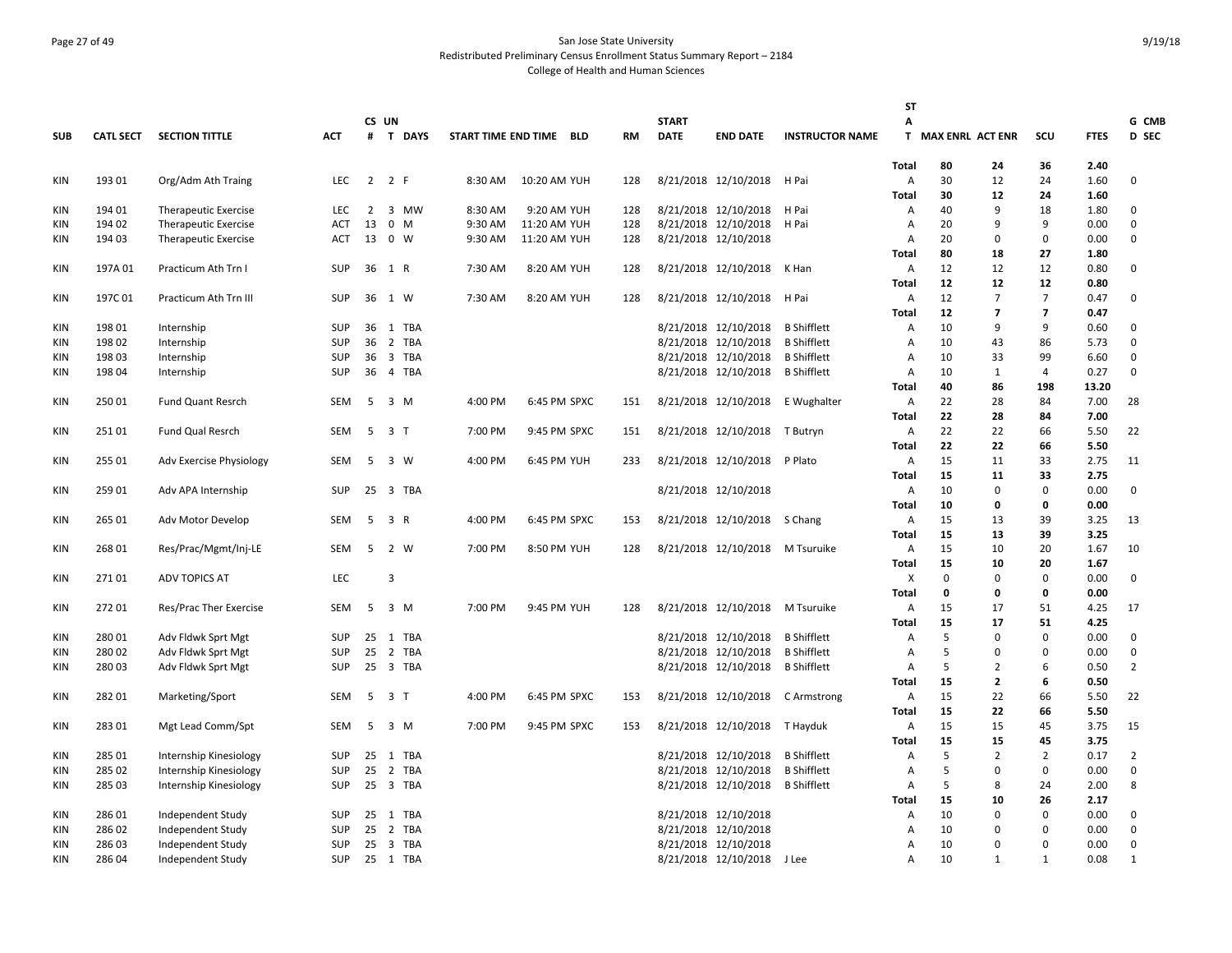# Page 27 of 49 San Jose State University Redistributed Preliminary Census Enrollment Status Summary Report – 2184 College of Health and Human Sciences

|            |                  |                             |            |       |                                       |                         |              |              |           |              |                                  |                        | <b>ST</b>                      |                         |                    |                |              |                |
|------------|------------------|-----------------------------|------------|-------|---------------------------------------|-------------------------|--------------|--------------|-----------|--------------|----------------------------------|------------------------|--------------------------------|-------------------------|--------------------|----------------|--------------|----------------|
|            |                  |                             |            | CS UN |                                       |                         |              |              |           | <b>START</b> |                                  |                        | A                              |                         |                    |                |              | G CMB          |
| <b>SUB</b> | <b>CATL SECT</b> | <b>SECTION TITTLE</b>       | <b>ACT</b> | #     | <b>T DAYS</b>                         | START TIME END TIME BLD |              |              | <b>RM</b> | <b>DATE</b>  | <b>END DATE</b>                  | <b>INSTRUCTOR NAME</b> | T.                             | <b>MAX ENRL ACT ENR</b> |                    | SCU            | <b>FTES</b>  | D SEC          |
|            |                  |                             |            |       |                                       |                         |              |              |           |              |                                  |                        | <b>Total</b>                   | 80                      | 24                 | 36             | 2.40         |                |
| KIN        | 193 01           | Org/Adm Ath Traing          | <b>LEC</b> |       | 2 2 F                                 | 8:30 AM                 | 10:20 AM YUH |              | 128       |              | 8/21/2018 12/10/2018 H Pai       |                        | A                              | 30                      | 12                 | 24             | 1.60         | 0              |
|            |                  |                             |            |       |                                       |                         |              |              |           |              |                                  |                        | <b>Total</b>                   | 30                      | 12                 | 24             | 1.60         |                |
| KIN        | 194 01           | <b>Therapeutic Exercise</b> | <b>LEC</b> | 2     | 3 MW                                  | 8:30 AM                 |              | 9:20 AM YUH  | 128       |              | 8/21/2018 12/10/2018             | H Pai                  | A                              | 40                      | 9                  | 18             | 1.80         | 0              |
| <b>KIN</b> | 194 02           | <b>Therapeutic Exercise</b> | <b>ACT</b> | 13    | $0 \t M$                              | 9:30 AM                 | 11:20 AM YUH |              | 128       |              | 8/21/2018 12/10/2018             | H Pai                  | $\overline{A}$                 | 20                      | 9                  | 9              | 0.00         | 0              |
| <b>KIN</b> | 194 03           | <b>Therapeutic Exercise</b> | ACT        | 13    | 0 W                                   | 9:30 AM                 | 11:20 AM YUH |              | 128       |              | 8/21/2018 12/10/2018             |                        | Α                              | 20                      | $\Omega$           | $\mathbf 0$    | 0.00         | 0              |
|            |                  |                             |            |       |                                       |                         |              |              |           |              |                                  |                        | <b>Total</b>                   | 80                      | 18                 | 27             | 1.80         |                |
| KIN        | 197A 01          | Practicum Ath Trn I         | <b>SUP</b> | 36    | 1 R                                   | 7:30 AM                 |              | 8:20 AM YUH  | 128       |              | 8/21/2018 12/10/2018             | K Han                  | A                              | 12                      | 12                 | 12             | 0.80         | 0              |
|            |                  |                             |            |       |                                       |                         |              |              |           |              |                                  |                        | Total                          | 12                      | 12                 | 12             | 0.80         |                |
| KIN        | 197C01           | Practicum Ath Trn III       | <b>SUP</b> | 36    | 1 W                                   | 7:30 AM                 |              | 8:20 AM YUH  | 128       |              | 8/21/2018 12/10/2018 H Pai       |                        | A                              | 12                      | $\overline{7}$     | $\overline{7}$ | 0.47         | 0              |
|            |                  |                             |            |       |                                       |                         |              |              |           |              |                                  |                        | <b>Total</b>                   | 12                      | $\overline{7}$     | $\overline{7}$ | 0.47         |                |
| <b>KIN</b> | 198 01           | Internship                  | <b>SUP</b> | 36    | 1 TBA                                 |                         |              |              |           |              | 8/21/2018 12/10/2018             | <b>B</b> Shifflett     | $\overline{A}$                 | 10                      | 9                  | 9              | 0.60         | 0              |
| KIN        | 198 02           | Internship                  | SUP        | 36    | 2 TBA                                 |                         |              |              |           |              | 8/21/2018 12/10/2018             | <b>B</b> Shifflett     | A                              | 10                      | 43                 | 86             | 5.73         | 0              |
| KIN        | 198 03           | Internship                  | SUP        | 36    | 3 TBA                                 |                         |              |              |           |              | 8/21/2018 12/10/2018             | <b>B</b> Shifflett     | A                              | 10                      | 33                 | 99             | 6.60         | 0              |
| <b>KIN</b> | 198 04           | Internship                  | SUP        | 36    | 4 TBA                                 |                         |              |              |           |              | 8/21/2018 12/10/2018             | <b>B</b> Shifflett     | A                              | 10                      | 1                  | $\overline{4}$ | 0.27         | 0              |
|            |                  |                             |            |       |                                       |                         |              |              |           |              |                                  |                        | Total                          | 40                      | 86                 | 198            | 13.20        |                |
| KIN        | 25001            | <b>Fund Quant Resrch</b>    | SEM        | 5     | 3 M                                   | 4:00 PM                 |              | 6:45 PM SPXC | 151       |              | 8/21/2018 12/10/2018 E Wughalter |                        | A                              | 22                      | 28                 | 84             | 7.00         | 28             |
|            |                  |                             |            |       |                                       |                         |              |              |           |              |                                  |                        | Total                          | 22                      | 28                 | 84             | 7.00         |                |
| KIN        | 25101            | Fund Qual Resrch            | <b>SEM</b> | 5     | 3 <sub>1</sub>                        | 7:00 PM                 |              | 9:45 PM SPXC | 151       |              | 8/21/2018 12/10/2018 T Butryn    |                        | A                              | 22                      | 22                 | 66             | 5.50         | 22             |
|            |                  |                             |            |       |                                       |                         |              |              |           |              |                                  |                        | <b>Total</b>                   | 22                      | 22                 | 66             | 5.50         |                |
| KIN        | 255 01           | Adv Exercise Physiology     | SEM        | 5     | 3 W                                   | 4:00 PM                 |              | 6:45 PM YUH  | 233       |              | 8/21/2018 12/10/2018 P Plato     |                        | A                              | 15                      | 11                 | 33             | 2.75         | 11             |
|            |                  |                             |            |       |                                       |                         |              |              |           |              |                                  |                        | Total                          | 15                      | 11                 | 33             | 2.75         |                |
| KIN        | 259 01           | Adv APA Internship          | <b>SUP</b> | 25    | $\overline{\mathbf{3}}$<br><b>TBA</b> |                         |              |              |           |              | 8/21/2018 12/10/2018             |                        | $\overline{A}$                 | 10                      | $\Omega$           | $\Omega$       | 0.00         | $\Omega$       |
|            |                  |                             |            |       |                                       |                         |              |              |           |              |                                  |                        | Total                          | 10                      | 0                  | 0              | 0.00         |                |
| KIN        | 265 01           | Adv Motor Develop           | SEM        | 5     | 3 R                                   | 4:00 PM                 |              | 6:45 PM SPXC | 153       |              | 8/21/2018 12/10/2018             | S Chang                | A                              | 15                      | 13                 | 39             | 3.25         | 13             |
|            |                  |                             |            |       |                                       |                         |              |              |           |              |                                  |                        | <b>Total</b>                   | 15                      | 13                 | 39             | 3.25         |                |
| KIN        | 268 01           | Res/Prac/Mgmt/Inj-LE        | SEM        | 5     | 2 W                                   | 7:00 PM                 |              | 8:50 PM YUH  | 128       |              | 8/21/2018 12/10/2018 M Tsuruike  |                        | A                              | 15                      | 10                 | 20             | 1.67         | 10             |
|            |                  |                             |            |       |                                       |                         |              |              |           |              |                                  |                        | <b>Total</b>                   | 15                      | 10                 | 20             | 1.67         |                |
| KIN        | 27101            | <b>ADV TOPICS AT</b>        | LEC        |       | 3                                     |                         |              |              |           |              |                                  |                        | X                              | 0                       | $\Omega$           | $\mathbf 0$    | 0.00         | $\mathbf 0$    |
|            |                  |                             |            |       |                                       |                         |              |              |           |              |                                  |                        | <b>Total</b>                   | 0                       | $\Omega$           | $\mathbf 0$    | 0.00         |                |
| KIN        | 272 01           | Res/Prac Ther Exercise      | SEM        |       | 5 3 M                                 | 7:00 PM                 |              | 9:45 PM YUH  | 128       |              | 8/21/2018 12/10/2018 M Tsuruike  |                        | A                              | 15                      | 17                 | 51             | 4.25         | 17             |
|            |                  |                             |            |       |                                       |                         |              |              |           |              |                                  |                        | <b>Total</b>                   | 15                      | 17                 | 51             | 4.25         |                |
| <b>KIN</b> | 28001            | Adv Fldwk Sprt Mgt          | <b>SUP</b> | 25    | 1 TBA                                 |                         |              |              |           |              | 8/21/2018 12/10/2018             | <b>B</b> Shifflett     | A                              | 5                       | $\Omega$           | $\mathbf 0$    | 0.00         | 0              |
| <b>KIN</b> | 280 02           | Adv Fldwk Sprt Mgt          | <b>SUP</b> | 25    | 2 TBA                                 |                         |              |              |           |              | 8/21/2018 12/10/2018             | <b>B</b> Shifflett     | A                              | 5                       | $\Omega$           | 0              | 0.00         | 0              |
| KIN        | 28003            | Adv Fldwk Sprt Mgt          | SUP        |       | 25 3 TBA                              |                         |              |              |           |              | 8/21/2018 12/10/2018             | <b>B</b> Shifflett     | A                              | 5                       | 2                  | 6              | 0.50         | $\overline{2}$ |
|            |                  |                             |            |       |                                       |                         |              |              | 153       |              |                                  |                        | <b>Total</b><br>$\overline{A}$ | 15<br>15                | $\mathbf{2}$<br>22 | 6              | 0.50         | 22             |
| <b>KIN</b> | 282 01           | Marketing/Sport             | SEM        | 5     | 3 <sub>1</sub>                        | 4:00 PM                 |              | 6:45 PM SPXC |           |              | 8/21/2018 12/10/2018             | C Armstrong            |                                | 15                      | 22                 | 66<br>66       | 5.50<br>5.50 |                |
| KIN        | 28301            | Mgt Lead Comm/Spt           | SEM        | 5     | 3 M                                   | 7:00 PM                 |              | 9:45 PM SPXC | 153       |              | 8/21/2018 12/10/2018 T Hayduk    |                        | <b>Total</b><br>A              | 15                      | 15                 | 45             | 3.75         | 15             |
|            |                  |                             |            |       |                                       |                         |              |              |           |              |                                  |                        | <b>Total</b>                   | 15                      | 15                 | 45             | 3.75         |                |
| <b>KIN</b> | 285 01           | Internship Kinesiology      | <b>SUP</b> | 25    | TBA<br>1                              |                         |              |              |           |              | 8/21/2018 12/10/2018             | <b>B</b> Shifflett     | A                              | 5                       | $\overline{2}$     | $\overline{2}$ | 0.17         | $\overline{2}$ |
| <b>KIN</b> | 285 02           | Internship Kinesiology      | SUP        | 25    | 2 TBA                                 |                         |              |              |           |              | 8/21/2018 12/10/2018             | <b>B</b> Shifflett     | A                              | 5                       | $\Omega$           | 0              | 0.00         | 0              |
| <b>KIN</b> | 285 03           | Internship Kinesiology      | SUP        | 25    | 3 TBA                                 |                         |              |              |           |              | 8/21/2018 12/10/2018             | <b>B</b> Shifflett     | A                              | 5                       | 8                  | 24             | 2.00         | 8              |
|            |                  |                             |            |       |                                       |                         |              |              |           |              |                                  |                        | <b>Total</b>                   | 15                      | 10                 | 26             | 2.17         |                |
| KIN        | 28601            | Independent Study           | SUP        | 25    | 1 TBA                                 |                         |              |              |           |              | 8/21/2018 12/10/2018             |                        | Α                              | 10                      | $\Omega$           | $\mathbf 0$    | 0.00         | 0              |
| <b>KIN</b> | 286 02           | Independent Study           | SUP        | 25    | 2 TBA                                 |                         |              |              |           |              | 8/21/2018 12/10/2018             |                        | A                              | 10                      | $\Omega$           | $\mathbf 0$    | 0.00         | 0              |
| <b>KIN</b> | 28603            | Independent Study           | <b>SUP</b> | 25    | 3 TBA                                 |                         |              |              |           |              | 8/21/2018 12/10/2018             |                        | $\overline{A}$                 | 10                      | $\Omega$           | $\mathbf 0$    | 0.00         | 0              |
| <b>KIN</b> | 286 04           | Independent Study           | SUP        |       | 25 1 TBA                              |                         |              |              |           |              | 8/21/2018 12/10/2018             | J Lee                  | A                              | 10                      | $\mathbf{1}$       | $\mathbf{1}$   | 0.08         | $\mathbf{1}$   |
|            |                  |                             |            |       |                                       |                         |              |              |           |              |                                  |                        |                                |                         |                    |                |              |                |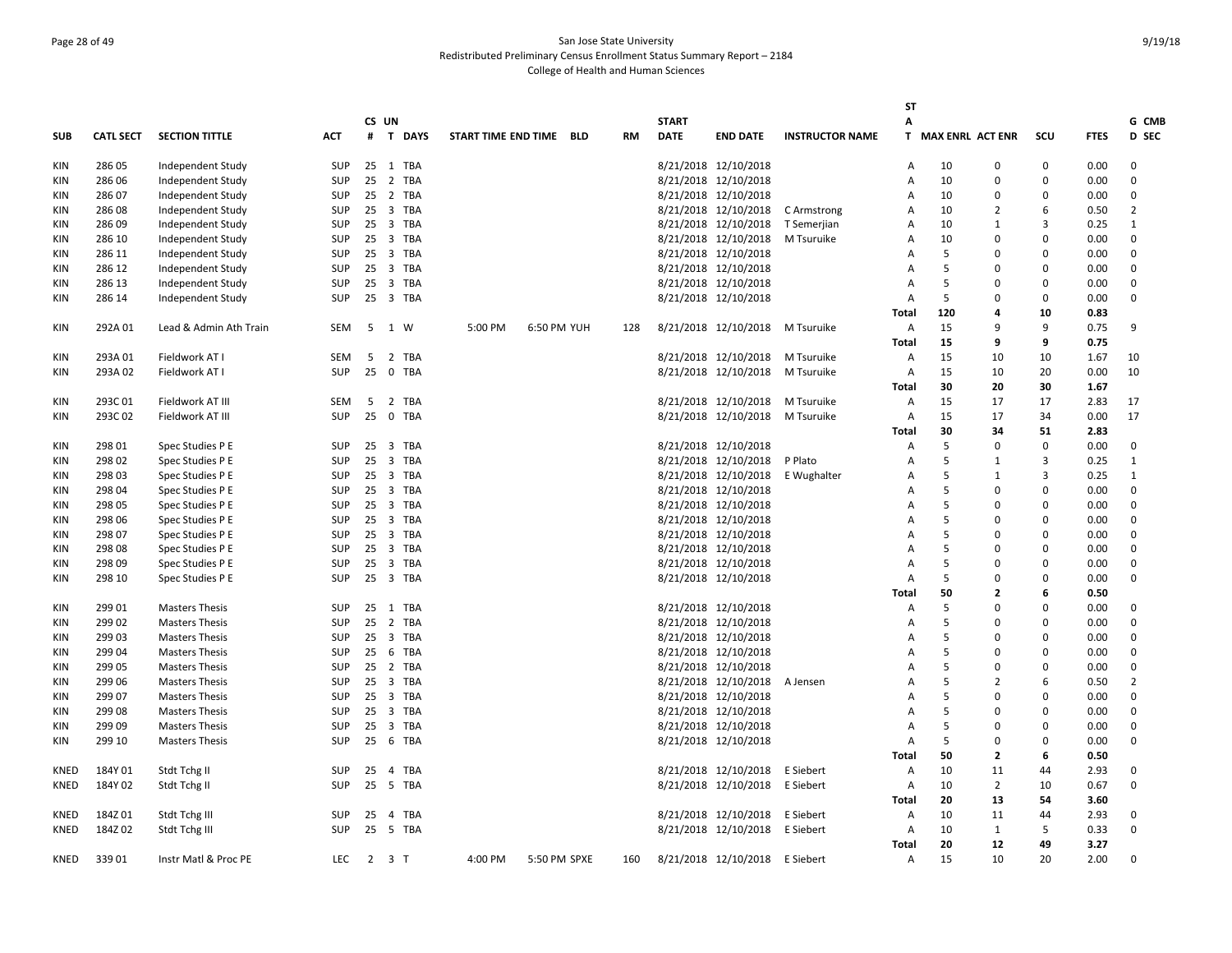# Page 28 of 49 San Jose State University Redistributed Preliminary Census Enrollment Status Summary Report – 2184 College of Health and Human Sciences

|             |                  |                        |            |     |                     |          |                     |              |            |           |              |                                |                        | <b>ST</b>      |                    |                |             |             |                |
|-------------|------------------|------------------------|------------|-----|---------------------|----------|---------------------|--------------|------------|-----------|--------------|--------------------------------|------------------------|----------------|--------------------|----------------|-------------|-------------|----------------|
|             |                  |                        |            |     | CS UN               |          |                     |              |            |           | <b>START</b> |                                |                        | A              |                    |                |             |             | G CMB          |
| <b>SUB</b>  | <b>CATL SECT</b> | <b>SECTION TITTLE</b>  | <b>ACT</b> |     |                     | # T DAYS | START TIME END TIME |              | <b>BLD</b> | <b>RM</b> | <b>DATE</b>  | <b>END DATE</b>                | <b>INSTRUCTOR NAME</b> |                | T MAX ENRL ACT ENR |                | SCU         | <b>FTES</b> | D SEC          |
| KIN         | 286 05           | Independent Study      | SUP        |     |                     | 25 1 TBA |                     |              |            |           |              | 8/21/2018 12/10/2018           |                        | A              | 10                 | 0              | 0           | 0.00        | 0              |
| KIN         | 286 06           | Independent Study      | SUP        |     |                     | 25 2 TBA |                     |              |            |           |              | 8/21/2018 12/10/2018           |                        | Α              | 10                 | $\Omega$       | $\mathbf 0$ | 0.00        | 0              |
| KIN         | 286 07           | Independent Study      | <b>SUP</b> |     |                     | 25 2 TBA |                     |              |            |           |              | 8/21/2018 12/10/2018           |                        | $\overline{A}$ | 10                 | $\Omega$       | $\Omega$    | 0.00        | 0              |
| KIN         | 28608            | Independent Study      | <b>SUP</b> |     |                     | 25 3 TBA |                     |              |            |           |              | 8/21/2018 12/10/2018           | C Armstrong            | $\overline{A}$ | 10                 | $\overline{2}$ | 6           | 0.50        | $\overline{2}$ |
| KIN         | 286 09           | Independent Study      | <b>SUP</b> |     |                     | 25 3 TBA |                     |              |            |           |              | 8/21/2018 12/10/2018           | T Semerjian            | Α              | 10                 | 1              | 3           | 0.25        | $\mathbf{1}$   |
| KIN         | 286 10           | Independent Study      | SUP        |     |                     | 25 3 TBA |                     |              |            |           |              | 8/21/2018 12/10/2018           | M Tsuruike             | Α              | 10                 | n              | $\Omega$    | 0.00        | 0              |
| KIN         | 286 11           | Independent Study      | SUP        |     |                     | 25 3 TBA |                     |              |            |           |              | 8/21/2018 12/10/2018           |                        | A              | 5                  | 0              | $\Omega$    | 0.00        | 0              |
| KIN         | 286 12           | Independent Study      | SUP        |     |                     | 25 3 TBA |                     |              |            |           |              | 8/21/2018 12/10/2018           |                        | $\overline{A}$ | 5                  | 0              | $\Omega$    | 0.00        | 0              |
| KIN         | 286 13           | Independent Study      | <b>SUP</b> | 25  |                     | 3 TBA    |                     |              |            |           |              | 8/21/2018 12/10/2018           |                        | $\overline{A}$ | 5                  | $\Omega$       | $\Omega$    | 0.00        | 0              |
| KIN         | 286 14           | Independent Study      | <b>SUP</b> |     |                     | 25 3 TBA |                     |              |            |           |              | 8/21/2018 12/10/2018           |                        | $\overline{A}$ | 5                  | $\mathbf{0}$   | $\Omega$    | 0.00        | $\Omega$       |
|             |                  |                        |            |     |                     |          |                     |              |            |           |              |                                |                        | Total          | 120                | 4              | 10          | 0.83        |                |
| KIN         | 292A01           | Lead & Admin Ath Train | SEM        | 5   | 1 W                 |          | 5:00 PM             | 6:50 PM YUH  |            | 128       |              | 8/21/2018 12/10/2018           | M Tsuruike             | A              | 15                 | 9              | 9           | 0.75        | 9              |
|             |                  |                        |            |     |                     |          |                     |              |            |           |              |                                |                        | Total          | 15                 | 9              | 9           | 0.75        |                |
| KIN         | 293A01           | Fieldwork AT I         | <b>SEM</b> | 5   |                     | 2 TBA    |                     |              |            |           |              | 8/21/2018 12/10/2018           | M Tsuruike             | Α              | 15                 | 10             | 10          | 1.67        | 10             |
| KIN         | 293A02           | Fieldwork AT I         | <b>SUP</b> |     |                     | 25 0 TBA |                     |              |            |           |              | 8/21/2018 12/10/2018           | M Tsuruike             | Α              | 15                 | 10             | 20          | 0.00        | 10             |
|             |                  |                        |            |     |                     |          |                     |              |            |           |              |                                |                        | Total          | 30                 | 20             | 30          | 1.67        |                |
| KIN         | 293C01           | Fieldwork AT III       | SEM        | - 5 |                     | 2 TBA    |                     |              |            |           |              | 8/21/2018 12/10/2018           | M Tsuruike             | Α              | 15                 | 17             | 17          | 2.83        | 17             |
| KIN         | 293C02           | Fieldwork AT III       | <b>SUP</b> | 25  |                     | 0 TBA    |                     |              |            |           |              | 8/21/2018 12/10/2018           | M Tsuruike             | Α              | 15                 | 17             | 34          | 0.00        | 17             |
|             |                  |                        |            |     |                     |          |                     |              |            |           |              |                                |                        | Total          | 30                 | 34             | 51          | 2.83        |                |
| KIN         | 298 01           | Spec Studies P E       | <b>SUP</b> |     |                     | 25 3 TBA |                     |              |            |           |              | 8/21/2018 12/10/2018           |                        | Α              | 5                  | $\Omega$       | $\mathbf 0$ | 0.00        | $\mathbf 0$    |
| KIN         | 298 02           | Spec Studies P E       | <b>SUP</b> |     |                     | 25 3 TBA |                     |              |            |           |              | 8/21/2018 12/10/2018           | P Plato                | A              | 5                  | 1              | 3           | 0.25        | $\mathbf{1}$   |
| KIN         | 298 03           | Spec Studies P E       | <b>SUP</b> |     |                     | 25 3 TBA |                     |              |            |           |              | 8/21/2018 12/10/2018           | E Wughalter            | $\overline{A}$ | 5                  | 1              | 3           | 0.25        | 1              |
| KIN         | 298 04           | Spec Studies P E       | <b>SUP</b> |     |                     | 25 3 TBA |                     |              |            |           |              | 8/21/2018 12/10/2018           |                        | Α              | 5                  | $\Omega$       | $\mathbf 0$ | 0.00        | 0              |
| KIN         | 298 05           | Spec Studies P E       | <b>SUP</b> |     |                     | 25 3 TBA |                     |              |            |           |              | 8/21/2018 12/10/2018           |                        | A              | 5                  | $\Omega$       | $\Omega$    | 0.00        | 0              |
| KIN         | 298 06           | Spec Studies P E       | <b>SUP</b> |     |                     | 25 3 TBA |                     |              |            |           |              | 8/21/2018 12/10/2018           |                        | A              | 5                  | $\Omega$       | $\Omega$    | 0.00        | 0              |
| KIN         | 298 07           | Spec Studies P E       | <b>SUP</b> |     |                     | 25 3 TBA |                     |              |            |           |              | 8/21/2018 12/10/2018           |                        | $\overline{A}$ | 5                  | $\Omega$       | $\Omega$    | 0.00        | 0              |
| <b>KIN</b>  | 298 08           | Spec Studies P E       | <b>SUP</b> | 25  |                     | 3 TBA    |                     |              |            |           |              | 8/21/2018 12/10/2018           |                        | A              | 5                  | 0              | $\Omega$    | 0.00        | 0              |
| KIN         | 298 09           | Spec Studies P E       | <b>SUP</b> |     |                     | 25 3 TBA |                     |              |            |           |              | 8/21/2018 12/10/2018           |                        | $\overline{A}$ | 5                  | $\Omega$       | $\Omega$    | 0.00        | 0              |
| KIN         | 298 10           | Spec Studies P E       | <b>SUP</b> |     |                     | 25 3 TBA |                     |              |            |           |              | 8/21/2018 12/10/2018           |                        | $\overline{A}$ | 5                  | $\Omega$       | $\Omega$    | 0.00        | $\mathbf 0$    |
|             |                  |                        |            |     |                     |          |                     |              |            |           |              |                                |                        | <b>Total</b>   | 50                 | $\overline{2}$ | 6           | 0.50        |                |
| KIN         | 299 01           | <b>Masters Thesis</b>  | <b>SUP</b> |     |                     | 25 1 TBA |                     |              |            |           |              | 8/21/2018 12/10/2018           |                        | Α              | 5                  | $\Omega$       | 0           | 0.00        | 0              |
| KIN         | 299 02           | <b>Masters Thesis</b>  | <b>SUP</b> |     |                     | 25 2 TBA |                     |              |            |           |              | 8/21/2018 12/10/2018           |                        | Α              | 5                  | $\Omega$       | $\Omega$    | 0.00        | 0              |
| KIN         | 299 03           | <b>Masters Thesis</b>  | <b>SUP</b> |     |                     | 25 3 TBA |                     |              |            |           |              | 8/21/2018 12/10/2018           |                        | A              | 5                  | 0              | $\Omega$    | 0.00        | 0              |
| KIN         | 299 04           | <b>Masters Thesis</b>  | <b>SUP</b> | 25  |                     | 6 TBA    |                     |              |            |           |              | 8/21/2018 12/10/2018           |                        | Α              | 5                  | $\Omega$       | $\Omega$    | 0.00        | 0              |
| KIN         | 299 05           | <b>Masters Thesis</b>  | <b>SUP</b> |     |                     | 25 2 TBA |                     |              |            |           |              | 8/21/2018 12/10/2018           |                        | A              | 5                  | $\Omega$       | $\Omega$    | 0.00        | 0              |
| <b>KIN</b>  | 299 06           | <b>Masters Thesis</b>  | <b>SUP</b> |     |                     | 25 3 TBA |                     |              |            |           |              | 8/21/2018 12/10/2018           | A Jensen               | Α              | 5                  | $\overline{2}$ | 6           | 0.50        | $\overline{2}$ |
| KIN         | 299 07           | <b>Masters Thesis</b>  | <b>SUP</b> |     |                     | 25 3 TBA |                     |              |            |           |              | 8/21/2018 12/10/2018           |                        | Α              | 5                  | $\Omega$       | $\Omega$    | 0.00        | 0              |
| KIN         | 299 08           | <b>Masters Thesis</b>  | <b>SUP</b> |     |                     | 25 3 TBA |                     |              |            |           |              | 8/21/2018 12/10/2018           |                        | A              | 5                  | $\Omega$       | $\Omega$    | 0.00        | 0              |
| KIN         | 299 09           | <b>Masters Thesis</b>  | <b>SUP</b> |     |                     | 25 3 TBA |                     |              |            |           |              | 8/21/2018 12/10/2018           |                        | $\overline{A}$ | 5                  | $\Omega$       | $\Omega$    | 0.00        | 0              |
| KIN         | 299 10           | <b>Masters Thesis</b>  | <b>SUP</b> |     |                     | 25 6 TBA |                     |              |            |           |              | 8/21/2018 12/10/2018           |                        | $\overline{A}$ | 5                  | $\Omega$       | $\Omega$    | 0.00        | 0              |
|             |                  |                        |            |     |                     |          |                     |              |            |           |              |                                |                        | <b>Total</b>   | 50                 | $\overline{2}$ | 6           | 0.50        |                |
| <b>KNED</b> | 184Y 01          | Stdt Tchg II           | <b>SUP</b> |     |                     | 25 4 TBA |                     |              |            |           |              | 8/21/2018 12/10/2018           | E Siebert              | Α              | 10                 | 11             | 44          | 2.93        | 0              |
| KNED        | 184Y 02          | Stdt Tchg II           | <b>SUP</b> |     |                     | 25 5 TBA |                     |              |            |           |              | 8/21/2018 12/10/2018           | E Siebert              | Α              | 10                 | $\overline{2}$ | 10          | 0.67        | 0              |
|             |                  |                        |            |     |                     |          |                     |              |            |           |              |                                |                        | Total          | 20                 | 13             | 54          | 3.60        |                |
| KNED        | 184Z01           | Stdt Tchg III          | <b>SUP</b> | 25  | $\overline{4}$      | TBA      |                     |              |            |           |              | 8/21/2018 12/10/2018           | E Siebert              | Α              | 10                 | 11             | 44          | 2.93        | 0              |
| <b>KNED</b> | 184Z02           | Stdt Tchg III          | <b>SUP</b> |     |                     | 25 5 TBA |                     |              |            |           |              | 8/21/2018 12/10/2018           | E Siebert              | Α              | 10                 | 1              | 5           | 0.33        | $\Omega$       |
|             |                  |                        |            |     |                     |          |                     |              |            |           |              |                                |                        | Total          | 20                 | 12             | 49          | 3.27        |                |
| KNED        | 33901            | Instr Matl & Proc PE   | <b>LEC</b> |     | $2 \quad 3 \quad T$ |          | 4:00 PM             | 5:50 PM SPXE |            | 160       |              | 8/21/2018 12/10/2018 E Siebert |                        | Α              | 15                 | 10             | 20          | 2.00        | $\Omega$       |
|             |                  |                        |            |     |                     |          |                     |              |            |           |              |                                |                        |                |                    |                |             |             |                |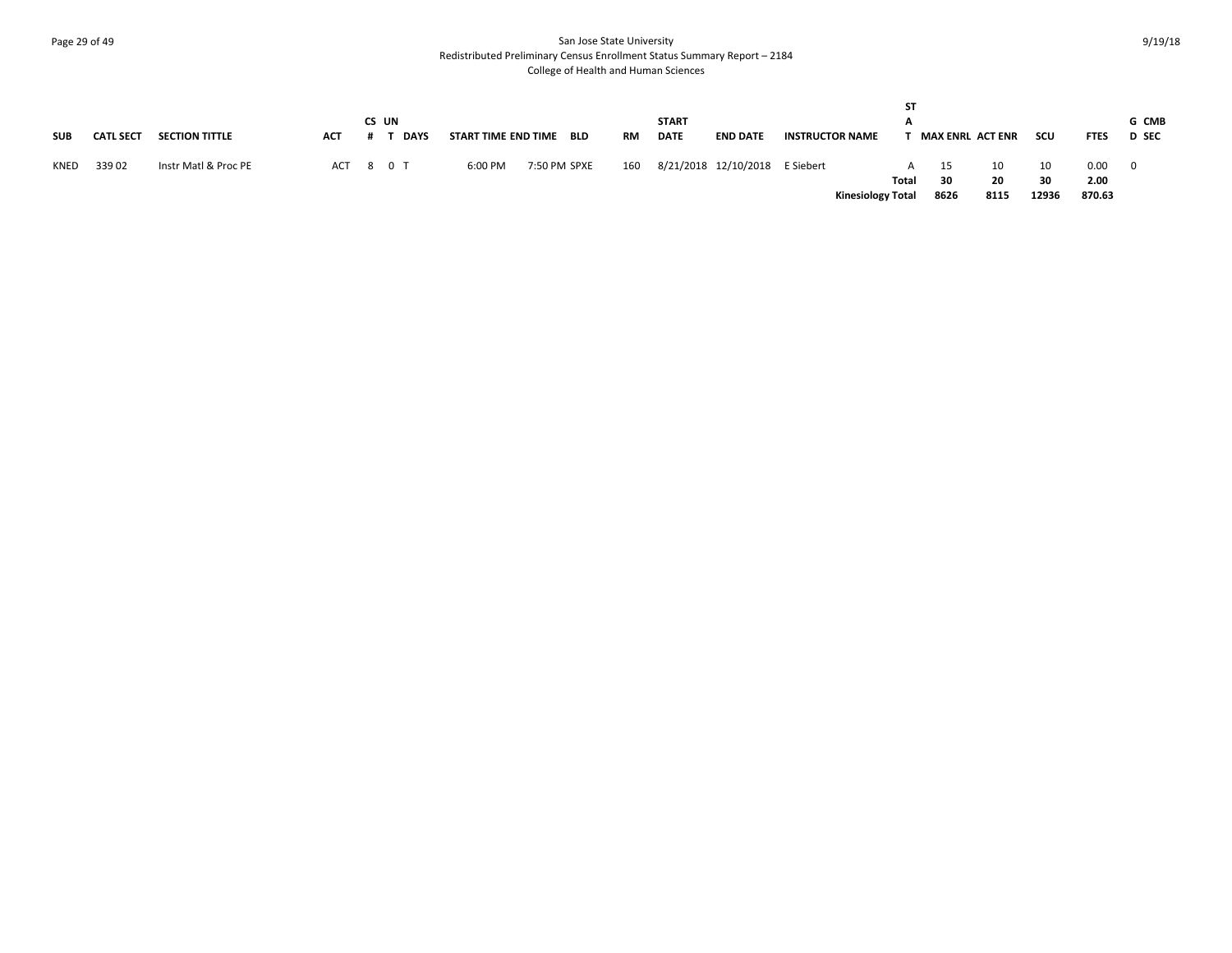# Page 29 of 49 San Jose State University Redistributed Preliminary Census Enrollment Status Summary Report – 2184 College of Health and Human Sciences

| <b>SUB</b> | <b>CATL SECT</b> | <b>SECTION TITTLE</b> | ACT | CS UN<br><b>DAYS</b> | START TIME END TIME |              | BLD | RM  | <b>START</b><br><b>DATE</b> | <b>END DATE</b>                | <b>INSTRUCTOR NAME</b> | <b>ST</b>                                         |                  | <b>MAX ENRL ACT ENR</b> | scu               | <b>FTES</b>            | G CMB<br><b>D</b> SEC |
|------------|------------------|-----------------------|-----|----------------------|---------------------|--------------|-----|-----|-----------------------------|--------------------------------|------------------------|---------------------------------------------------|------------------|-------------------------|-------------------|------------------------|-----------------------|
| KNED       | 33902            | Instr Matl & Proc PE  |     | ACT 8 0 T            | 6:00 PM             | 7:50 PM SPXE |     | 160 |                             | 8/21/2018 12/10/2018 E Siebert |                        | $\mathsf{A}$<br>Total<br><b>Kinesiology Total</b> | 15<br>30<br>8626 | 10<br>20<br>8115        | 10<br>30<br>12936 | 0.00<br>2.00<br>870.63 |                       |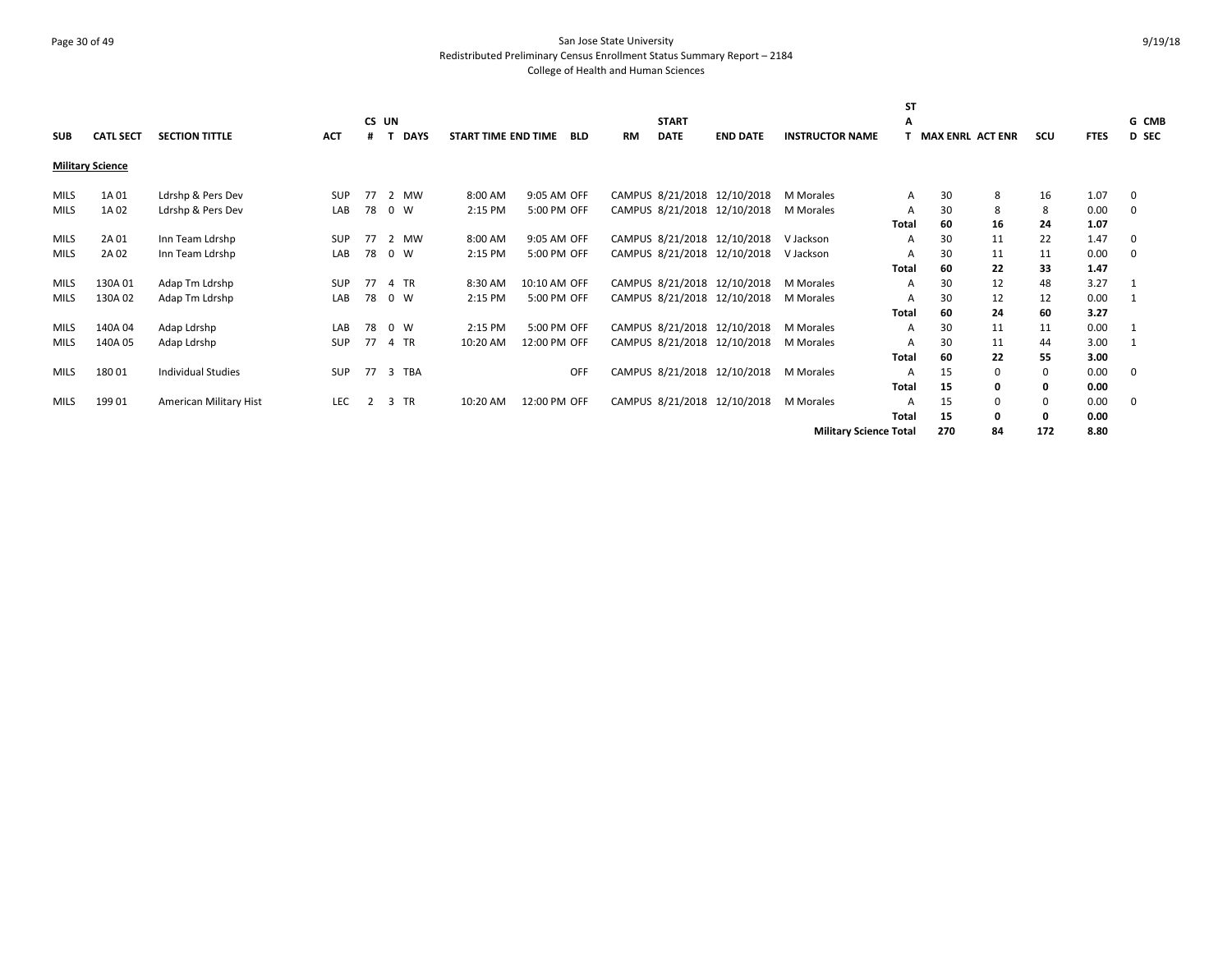# Page 30 of 49 San Jose State University Redistributed Preliminary Census Enrollment Status Summary Report – 2184 College of Health and Human Sciences

|             |                         |                           |            |       |             |                     |              |            |           |              |                             |                               | <b>ST</b>    |                         |    |             |             |              |
|-------------|-------------------------|---------------------------|------------|-------|-------------|---------------------|--------------|------------|-----------|--------------|-----------------------------|-------------------------------|--------------|-------------------------|----|-------------|-------------|--------------|
|             |                         |                           |            | CS UN |             |                     |              |            |           | <b>START</b> |                             |                               | А            |                         |    |             |             | G CMB        |
| <b>SUB</b>  | <b>CATL SECT</b>        | <b>SECTION TITTLE</b>     | <b>ACT</b> | #     | <b>DAYS</b> | START TIME END TIME |              | <b>BLD</b> | <b>RM</b> | <b>DATE</b>  | <b>END DATE</b>             | <b>INSTRUCTOR NAME</b>        |              | <b>MAX ENRL ACT ENR</b> |    | scu         | <b>FTES</b> | <b>D</b> SEC |
|             | <b>Military Science</b> |                           |            |       |             |                     |              |            |           |              |                             |                               |              |                         |    |             |             |              |
| <b>MILS</b> | 1A 01                   | Ldrshp & Pers Dev         | <b>SUP</b> | 77    | 2 MW        | 8:00 AM             | 9:05 AM OFF  |            |           |              | CAMPUS 8/21/2018 12/10/2018 | <b>M</b> Morales              | A            | 30                      | 8  | 16          | 1.07        | 0            |
| <b>MILS</b> | 1A 02                   | Ldrshp & Pers Dev         | LAB        | 78    | 0 W         | 2:15 PM             | 5:00 PM OFF  |            |           |              | CAMPUS 8/21/2018 12/10/2018 | <b>M</b> Morales              | A            | 30                      | 8  | 8           | 0.00        | 0            |
|             |                         |                           |            |       |             |                     |              |            |           |              |                             |                               | <b>Total</b> | 60                      | 16 | 24          | 1.07        |              |
| <b>MILS</b> | 2A 01                   | Inn Team Ldrshp           | <b>SUP</b> | 77    | 2 MW        | 8:00 AM             | 9:05 AM OFF  |            |           |              | CAMPUS 8/21/2018 12/10/2018 | V Jackson                     | A            | 30                      | 11 | 22          | 1.47        | 0            |
| <b>MILS</b> | 2A 02                   | Inn Team Ldrshp           | LAB        | 78    | 0 W         | 2:15 PM             | 5:00 PM OFF  |            |           |              | CAMPUS 8/21/2018 12/10/2018 | V Jackson                     |              | 30                      | 11 | 11          | 0.00        | 0            |
|             |                         |                           |            |       |             |                     |              |            |           |              |                             |                               | <b>Total</b> | 60                      | 22 | 33          | 1.47        |              |
| <b>MILS</b> | 130A01                  | Adap Tm Ldrshp            | SUP        | 77    | 4 TR        | 8:30 AM             | 10:10 AM OFF |            |           |              | CAMPUS 8/21/2018 12/10/2018 | M Morales                     | A            | 30                      | 12 | 48          | 3.27        |              |
| <b>MILS</b> | 130A02                  | Adap Tm Ldrshp            | LAB        | 78    | 0 W         | 2:15 PM             | 5:00 PM OFF  |            |           |              | CAMPUS 8/21/2018 12/10/2018 | M Morales                     | A            | 30                      | 12 | 12          | 0.00        |              |
|             |                         |                           |            |       |             |                     |              |            |           |              |                             |                               | <b>Total</b> | 60                      | 24 | 60          | 3.27        |              |
| <b>MILS</b> | 140A 04                 | Adap Ldrshp               | LAB        | 78    | 0 W         | 2:15 PM             | 5:00 PM OFF  |            |           |              | CAMPUS 8/21/2018 12/10/2018 | M Morales                     | A            | 30                      | 11 | 11          | 0.00        | -1           |
| <b>MILS</b> | 140A 05                 | Adap Ldrshp               | SUP        | 77    | 4 TR        | 10:20 AM            | 12:00 PM OFF |            |           |              | CAMPUS 8/21/2018 12/10/2018 | M Morales                     |              | 30                      | 11 | 44          | 3.00        |              |
|             |                         |                           |            |       |             |                     |              |            |           |              |                             |                               | <b>Total</b> | 60                      | 22 | 55          | 3.00        |              |
| <b>MILS</b> | 18001                   | <b>Individual Studies</b> | <b>SUP</b> |       | 77 3 TBA    |                     |              | OFF        |           |              | CAMPUS 8/21/2018 12/10/2018 | M Morales                     | A            | 15                      | 0  | $\mathbf 0$ | 0.00        | 0            |
|             |                         |                           |            |       |             |                     |              |            |           |              |                             |                               | <b>Total</b> | 15                      | 0  | 0           | 0.00        |              |
| <b>MILS</b> | 199 01                  | American Military Hist    | LEC        | 2     | 3 TR        | 10:20 AM            | 12:00 PM OFF |            |           |              | CAMPUS 8/21/2018 12/10/2018 | M Morales                     |              | 15                      |    | 0           | 0.00        | 0            |
|             |                         |                           |            |       |             |                     |              |            |           |              |                             |                               | <b>Total</b> | 15                      | 0  | 0           | 0.00        |              |
|             |                         |                           |            |       |             |                     |              |            |           |              |                             | <b>Military Science Total</b> |              | 270                     | 84 | 172         | 8.80        |              |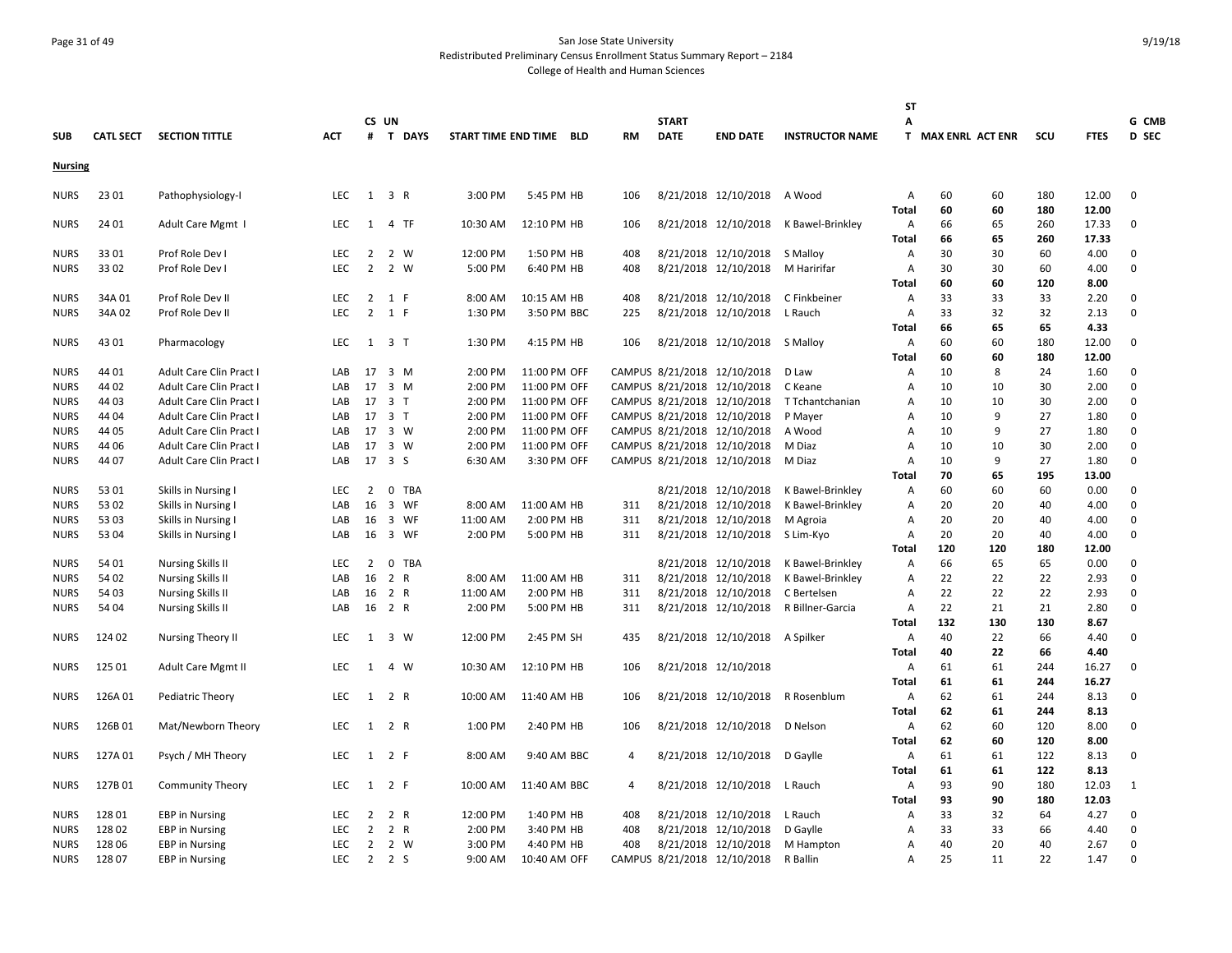# Page 31 of 49 San Jose State University Redistributed Preliminary Census Enrollment Status Summary Report – 2184 College of Health and Human Sciences

|                            |                  |                                                      |                   |                                  |                |            |                     |                            |            |           |                             |                                              |                                      | <b>ST</b>           |                    |          |           |              |             |
|----------------------------|------------------|------------------------------------------------------|-------------------|----------------------------------|----------------|------------|---------------------|----------------------------|------------|-----------|-----------------------------|----------------------------------------------|--------------------------------------|---------------------|--------------------|----------|-----------|--------------|-------------|
|                            |                  |                                                      |                   |                                  | CS UN          |            |                     |                            |            |           | <b>START</b><br><b>DATE</b> |                                              |                                      | Α                   |                    |          |           |              | G CMB       |
| <b>SUB</b>                 | <b>CATL SECT</b> | <b>SECTION TITTLE</b>                                | <b>ACT</b>        |                                  |                | # T DAYS   | START TIME END TIME |                            | <b>BLD</b> | <b>RM</b> |                             | <b>END DATE</b>                              | <b>INSTRUCTOR NAME</b>               |                     | T MAX ENRL ACT ENR |          | SCU       | <b>FTES</b>  | D SEC       |
| <b>Nursing</b>             |                  |                                                      |                   |                                  |                |            |                     |                            |            |           |                             |                                              |                                      |                     |                    |          |           |              |             |
| <b>NURS</b>                | 23 01            | Pathophysiology-I                                    | <b>LEC</b>        | 1                                | 3 R            |            | 3:00 PM             | 5:45 PM HB                 |            | 106       |                             | 8/21/2018 12/10/2018                         | A Wood                               | $\overline{A}$      | 60                 | 60       | 180       | 12.00        | 0           |
|                            |                  |                                                      |                   |                                  |                |            |                     |                            |            |           |                             |                                              |                                      | Total               | 60                 | 60       | 180       | 12.00        |             |
| <b>NURS</b>                | 24 01            | Adult Care Mgmt                                      | <b>LEC</b>        | 1                                |                | 4 TF       | 10:30 AM            | 12:10 PM HB                |            | 106       |                             | 8/21/2018 12/10/2018                         | K Bawel-Brinkley                     | Α                   | 66                 | 65       | 260       | 17.33        | $\mathbf 0$ |
|                            |                  |                                                      |                   |                                  |                |            |                     |                            |            |           |                             |                                              |                                      | <b>Total</b>        | 66                 | 65       | 260       | 17.33        |             |
| NURS                       | 3301             | Prof Role Dev I                                      | <b>LEC</b>        | 2                                |                | 2 W        | 12:00 PM            | 1:50 PM HB                 |            | 408       |                             | 8/21/2018 12/10/2018                         | S Malloy                             | Α                   | 30                 | 30       | 60        | 4.00         | 0           |
| <b>NURS</b>                | 3302             | Prof Role Dev I                                      | <b>LEC</b>        | $\overline{2}$                   |                | 2 W        | 5:00 PM             | 6:40 PM HB                 |            | 408       |                             | 8/21/2018 12/10/2018                         | M Haririfar                          | $\overline{A}$      | 30                 | 30       | 60<br>120 | 4.00         | 0           |
|                            |                  |                                                      | <b>LEC</b>        |                                  | 1 F            |            |                     |                            |            | 408       |                             |                                              |                                      | Total               | 60<br>33           | 60       |           | 8.00         | 0           |
| <b>NURS</b><br>NURS        | 34A 01<br>34A 02 | Prof Role Dev II<br>Prof Role Dev II                 | <b>LEC</b>        | $\overline{2}$<br>$\overline{2}$ | 1 F            |            | 8:00 AM<br>1:30 PM  | 10:15 AM HB<br>3:50 PM BBC |            | 225       |                             | 8/21/2018 12/10/2018<br>8/21/2018 12/10/2018 | C Finkbeiner<br>L Rauch              | A<br>Α              | 33                 | 33<br>32 | 33<br>32  | 2.20<br>2.13 | 0           |
|                            |                  |                                                      |                   |                                  |                |            |                     |                            |            |           |                             |                                              |                                      | Total               | 66                 | 65       | 65        | 4.33         |             |
| <b>NURS</b>                | 43 01            | Pharmacology                                         | LEC               | 1 3 T                            |                |            | 1:30 PM             | 4:15 PM HB                 |            | 106       |                             | 8/21/2018 12/10/2018 S Malloy                |                                      | Α                   | 60                 | 60       | 180       | 12.00        | $\mathbf 0$ |
|                            |                  |                                                      |                   |                                  |                |            |                     |                            |            |           |                             |                                              |                                      | Total               | 60                 | 60       | 180       | 12.00        |             |
| <b>NURS</b>                | 44 01            | <b>Adult Care Clin Pract I</b>                       | LAB               | 17 3 M                           |                |            | 2:00 PM             | 11:00 PM OFF               |            |           |                             | CAMPUS 8/21/2018 12/10/2018                  | D Law                                | Α                   | 10                 | 8        | 24        | 1.60         | 0           |
| <b>NURS</b>                | 44 02            | Adult Care Clin Pract I                              | LAB               | 17                               |                | 3 M        | 2:00 PM             | 11:00 PM OFF               |            |           |                             | CAMPUS 8/21/2018 12/10/2018                  | C Keane                              | $\overline{A}$      | 10                 | 10       | 30        | 2.00         | 0           |
| <b>NURS</b>                | 44 03            | <b>Adult Care Clin Pract I</b>                       | LAB               | 17                               | 3 T            |            | 2:00 PM             | 11:00 PM OFF               |            |           |                             | CAMPUS 8/21/2018 12/10/2018                  | T Tchantchanian                      | A                   | 10                 | 10       | 30        | 2.00         | 0           |
| <b>NURS</b>                | 44 04            | <b>Adult Care Clin Pract I</b>                       | LAB               | 17                               | 3 <sub>1</sub> |            | 2:00 PM             | 11:00 PM OFF               |            |           |                             | CAMPUS 8/21/2018 12/10/2018                  | P Mayer                              | $\overline{A}$      | 10                 | 9        | 27        | 1.80         | 0           |
| <b>NURS</b>                | 44 05            | Adult Care Clin Pract I                              | LAB               | 17 3 W                           |                |            | 2:00 PM             | 11:00 PM OFF               |            |           |                             | CAMPUS 8/21/2018 12/10/2018                  | A Wood                               | $\overline{A}$      | 10                 | 9        | 27        | 1.80         | 0           |
| <b>NURS</b>                | 44 06            | Adult Care Clin Pract I                              | LAB               | 17                               | 3 W            |            | 2:00 PM             | 11:00 PM OFF               |            |           |                             | CAMPUS 8/21/2018 12/10/2018                  | M Diaz                               | $\overline{A}$      | 10                 | 10       | 30        | 2.00         | 0           |
| <b>NURS</b>                | 44 07            | Adult Care Clin Pract I                              | LAB               | 17 3 S                           |                |            | 6:30 AM             | 3:30 PM OFF                |            |           |                             | CAMPUS 8/21/2018 12/10/2018                  | M Diaz                               | A                   | 10                 | 9        | 27        | 1.80         | 0           |
|                            |                  |                                                      |                   |                                  |                |            |                     |                            |            |           |                             |                                              |                                      | Total               | 70                 | 65       | 195       | 13.00        |             |
| <b>NURS</b>                | 53 01            | Skills in Nursing I                                  | <b>LEC</b>        | 2                                | 0              | <b>TBA</b> |                     |                            |            |           |                             | 8/21/2018 12/10/2018                         | K Bawel-Brinkley                     | Α                   | 60                 | 60       | 60        | 0.00         | 0           |
| <b>NURS</b>                | 53 02            | Skills in Nursing I                                  | LAB               | 16                               |                | 3 WF       | 8:00 AM             | 11:00 AM HB                |            | 311       |                             | 8/21/2018 12/10/2018                         | K Bawel-Brinkley                     | Α                   | 20                 | 20       | 40        | 4.00         | 0           |
| <b>NURS</b>                | 53 03            | Skills in Nursing                                    | LAB               | 16                               |                | 3 WF       | 11:00 AM            | 2:00 PM HB                 |            | 311       |                             | 8/21/2018 12/10/2018                         | M Agroia                             | $\overline{A}$      | 20                 | 20       | 40        | 4.00         | 0           |
| <b>NURS</b>                | 53 04            | Skills in Nursing I                                  | LAB               | 16                               |                | 3 WF       | 2:00 PM             | 5:00 PM HB                 |            | 311       |                             | 8/21/2018 12/10/2018                         | S Lim-Kyo                            | A                   | 20                 | 20       | 40        | 4.00         | 0           |
|                            |                  |                                                      |                   |                                  |                |            |                     |                            |            |           |                             |                                              |                                      | Total               | 120                | 120      | 180       | 12.00        |             |
| <b>NURS</b><br><b>NURS</b> | 54 01<br>54 02   | <b>Nursing Skills II</b><br><b>Nursing Skills II</b> | <b>LEC</b><br>LAB | 2<br>16                          | 2 R            | 0 TBA      | 8:00 AM             | 11:00 AM HB                |            | 311       |                             | 8/21/2018 12/10/2018<br>8/21/2018 12/10/2018 | K Bawel-Brinkley<br>K Bawel-Brinkley | Α<br>$\overline{A}$ | 66<br>22           | 65<br>22 | 65<br>22  | 0.00<br>2.93 | 0<br>0      |
| <b>NURS</b>                | 54 03            | <b>Nursing Skills II</b>                             | LAB               | 16                               | 2 R            |            | 11:00 AM            | 2:00 PM HB                 |            | 311       |                             | 8/21/2018 12/10/2018                         | C Bertelsen                          | $\overline{A}$      | 22                 | 22       | 22        | 2.93         | 0           |
| <b>NURS</b>                | 54 04            | <b>Nursing Skills II</b>                             | LAB               | 16                               | 2 R            |            | 2:00 PM             | 5:00 PM HB                 |            | 311       |                             | 8/21/2018 12/10/2018                         | R Billner-Garcia                     | $\overline{A}$      | 22                 | 21       | 21        | 2.80         | 0           |
|                            |                  |                                                      |                   |                                  |                |            |                     |                            |            |           |                             |                                              |                                      | Total               | 132                | 130      | 130       | 8.67         |             |
| <b>NURS</b>                | 124 02           | <b>Nursing Theory II</b>                             | LEC               |                                  | 1 3 W          |            | 12:00 PM            | 2:45 PM SH                 |            | 435       |                             | 8/21/2018 12/10/2018 A Spilker               |                                      | Α                   | 40                 | 22       | 66        | 4.40         | $\Omega$    |
|                            |                  |                                                      |                   |                                  |                |            |                     |                            |            |           |                             |                                              |                                      | Total               | 40                 | 22       | 66        | 4.40         |             |
| <b>NURS</b>                | 125 01           | Adult Care Mgmt II                                   | <b>LEC</b>        |                                  | 1 4 W          |            | 10:30 AM            | 12:10 PM HB                |            | 106       |                             | 8/21/2018 12/10/2018                         |                                      | Α                   | 61                 | 61       | 244       | 16.27        | $\mathbf 0$ |
|                            |                  |                                                      |                   |                                  |                |            |                     |                            |            |           |                             |                                              |                                      | <b>Total</b>        | 61                 | 61       | 244       | 16.27        |             |
| NURS                       | 126A01           | Pediatric Theory                                     | LEC               | 1                                | 2 R            |            | 10:00 AM            | 11:40 AM HB                |            | 106       |                             | 8/21/2018 12/10/2018                         | R Rosenblum                          | A                   | 62                 | 61       | 244       | 8.13         | 0           |
|                            |                  |                                                      |                   |                                  |                |            |                     |                            |            |           |                             |                                              |                                      | <b>Total</b>        | 62                 | 61       | 244       | 8.13         |             |
| NURS                       | 126B01           | Mat/Newborn Theory                                   | LEC               |                                  | 1 2 R          |            | 1:00 PM             | 2:40 PM HB                 |            | 106       |                             | 8/21/2018 12/10/2018                         | D Nelson                             | Α                   | 62                 | 60       | 120       | 8.00         | 0           |
|                            |                  |                                                      |                   |                                  |                |            |                     |                            |            |           |                             |                                              |                                      | <b>Total</b>        | 62                 | 60       | 120       | 8.00         |             |
| <b>NURS</b>                | 127A01           | Psych / MH Theory                                    | <b>LEC</b>        | 1                                | 2 F            |            | 8:00 AM             | 9:40 AM BBC                |            | 4         |                             | 8/21/2018 12/10/2018                         | D Gaylle                             | A                   | 61                 | 61       | 122       | 8.13         | $\Omega$    |
|                            |                  |                                                      |                   |                                  |                |            |                     |                            |            |           |                             |                                              |                                      | <b>Total</b>        | 61                 | 61       | 122       | 8.13         |             |
| NURS                       | 127B01           | Community Theory                                     | LEC               | 1                                | 2 F            |            | 10:00 AM            | 11:40 AM BBC               |            | 4         |                             | 8/21/2018 12/10/2018                         | L Rauch                              | Α                   | 93                 | 90       | 180       | 12.03        | 1           |
|                            |                  |                                                      |                   |                                  |                |            |                     |                            |            |           |                             |                                              |                                      | Total               | 93                 | 90       | 180       | 12.03        |             |
| <b>NURS</b>                | 128 01           | <b>EBP</b> in Nursing                                | <b>LEC</b>        | 2                                | 2 R            |            | 12:00 PM            | 1:40 PM HB                 |            | 408       |                             | 8/21/2018 12/10/2018                         | L Rauch                              | Α                   | 33                 | 32       | 64        | 4.27         | 0           |
| <b>NURS</b>                | 128 02           | <b>EBP</b> in Nursing                                | <b>LEC</b>        | $\overline{2}$                   | 2 R            |            | 2:00 PM             | 3:40 PM HB                 |            | 408       |                             | 8/21/2018 12/10/2018                         | D Gaylle                             | $\overline{A}$      | 33                 | 33       | 66        | 4.40         | $\Omega$    |
| <b>NURS</b>                | 128 06<br>128 07 | <b>EBP</b> in Nursing                                | LEC<br><b>LEC</b> | $\overline{2}$                   | 2 2 S          | 2 W        | 3:00 PM<br>9:00 AM  | 4:40 PM HB                 |            | 408       |                             | 8/21/2018 12/10/2018                         | M Hampton                            | A                   | 40<br>25           | 20<br>11 | 40<br>22  | 2.67<br>1.47 | 0<br>0      |
| <b>NURS</b>                |                  | <b>EBP</b> in Nursing                                |                   |                                  |                |            |                     | 10:40 AM OFF               |            |           |                             | CAMPUS 8/21/2018 12/10/2018                  | R Ballin                             | Α                   |                    |          |           |              |             |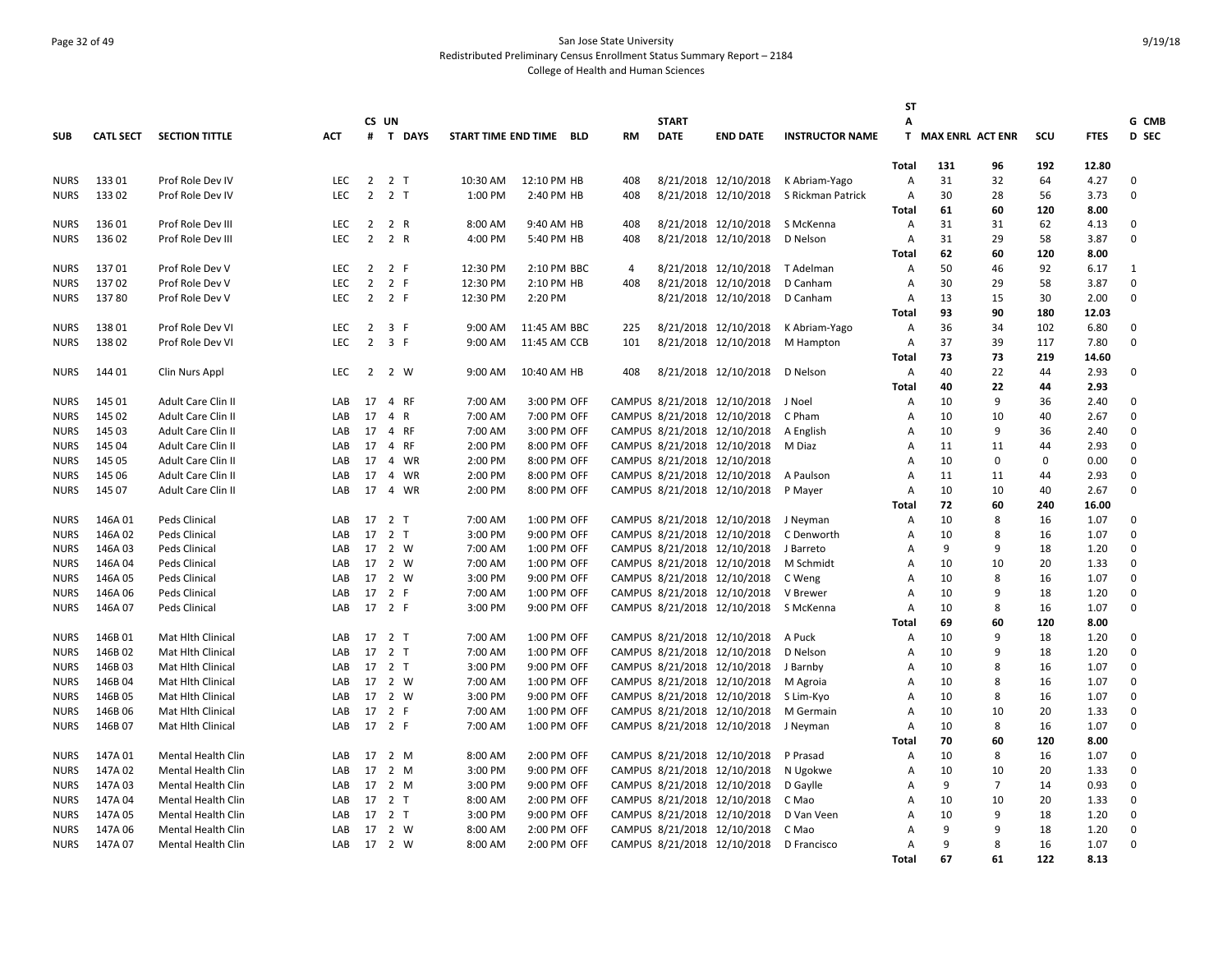# Page 32 of 49 San Jose State University Redistributed Preliminary Census Enrollment Status Summary Report – 2184 College of Health and Human Sciences

|             |                  |                          |            |                |                     |                         |              |           |              |                             |                                        | SΤ             |                    |              |             |             |             |
|-------------|------------------|--------------------------|------------|----------------|---------------------|-------------------------|--------------|-----------|--------------|-----------------------------|----------------------------------------|----------------|--------------------|--------------|-------------|-------------|-------------|
|             |                  |                          |            | CS UN          |                     |                         |              |           | <b>START</b> |                             |                                        | А              |                    |              |             |             | G CMB       |
| <b>SUB</b>  | <b>CATL SECT</b> | <b>SECTION TITTLE</b>    | <b>ACT</b> |                | # T DAYS            | START TIME END TIME BLD |              | <b>RM</b> | <b>DATE</b>  | <b>END DATE</b>             | <b>INSTRUCTOR NAME</b>                 |                | T MAX ENRL ACT ENR |              | SCU         | <b>FTES</b> | D SEC       |
|             |                  |                          |            |                |                     |                         |              |           |              |                             |                                        | Total          | 131                | 96           | 192         | 12.80       |             |
| <b>NURS</b> |                  |                          |            |                |                     | 10:30 AM                | 12:10 PM HB  |           |              |                             |                                        |                | 31                 |              |             |             | 0           |
|             | 13301            | Prof Role Dev IV         | <b>LEC</b> |                | $2 \quad 2 \quad T$ |                         |              | 408       |              | 8/21/2018 12/10/2018        | K Abriam-Yago                          | Α              |                    | 32           | 64          | 4.27        | $\Omega$    |
| <b>NURS</b> | 13302            | Prof Role Dev IV         | <b>LEC</b> |                | $2 \quad 2 \quad T$ | 1:00 PM                 | 2:40 PM HB   | 408       |              |                             | 8/21/2018 12/10/2018 S Rickman Patrick | A              | 30                 | 28           | 56          | 3.73        |             |
|             |                  |                          |            |                |                     |                         |              |           |              |                             |                                        | Total          | 61                 | 60           | 120         | 8.00        |             |
| NURS        | 136 01           | Prof Role Dev III        | LEC        | $\overline{2}$ | 2 R                 | 8:00 AM                 | 9:40 AM HB   | 408       |              | 8/21/2018 12/10/2018        | S McKenna                              | Α              | 31                 | 31           | 62          | 4.13        | 0           |
| <b>NURS</b> | 136 02           | Prof Role Dev III        | <b>LEC</b> |                | 2 2 R               | 4:00 PM                 | 5:40 PM HB   | 408       |              | 8/21/2018 12/10/2018        | D Nelson                               | A              | 31                 | 29           | 58          | 3.87        | 0           |
|             |                  |                          |            |                |                     |                         |              |           |              |                             |                                        | Total          | 62                 | 60           | 120         | 8.00        |             |
| <b>NURS</b> | 13701            | Prof Role Dev V          | LEC        | $\overline{2}$ | 2 F                 | 12:30 PM                | 2:10 PM BBC  | 4         |              | 8/21/2018 12/10/2018        | T Adelman                              | Α              | 50                 | 46           | 92          | 6.17        | 1           |
| <b>NURS</b> | 13702            | Prof Role Dev V          | LEC        | $\overline{2}$ | 2 F                 | 12:30 PM                | 2:10 PM HB   | 408       |              | 8/21/2018 12/10/2018        | D Canham                               | A              | 30                 | 29           | 58          | 3.87        | 0           |
| <b>NURS</b> | 13780            | Prof Role Dev V          | <b>LEC</b> |                | $2 \t2 \tF$         | 12:30 PM                | 2:20 PM      |           |              | 8/21/2018 12/10/2018        | D Canham                               | $\overline{A}$ | 13                 | 15           | 30          | 2.00        | 0           |
|             |                  |                          |            |                |                     |                         |              |           |              |                             |                                        | Total          | 93                 | 90           | 180         | 12.03       |             |
| <b>NURS</b> | 13801            | Prof Role Dev VI         | <b>LEC</b> | $\overline{2}$ | 3 F                 | 9:00 AM                 | 11:45 AM BBC | 225       |              | 8/21/2018 12/10/2018        | K Abriam-Yago                          | A              | 36                 | 34           | 102         | 6.80        | 0           |
| <b>NURS</b> | 13802            | Prof Role Dev VI         | <b>LEC</b> | $\overline{2}$ | 3 F                 | 9:00 AM                 | 11:45 AM CCB | 101       |              | 8/21/2018 12/10/2018        | M Hampton                              | A              | 37                 | 39           | 117         | 7.80        | $\mathbf 0$ |
|             |                  |                          |            |                |                     |                         |              |           |              |                             |                                        | Total          | 73                 | 73           | 219         | 14.60       |             |
| <b>NURS</b> | 144 01           | Clin Nurs Appl           | LEC        |                | 2 2 W               | 9:00 AM                 | 10:40 AM HB  | 408       |              | 8/21/2018 12/10/2018        | D Nelson                               | Α              | 40                 | 22           | 44          | 2.93        | 0           |
|             |                  |                          |            |                |                     |                         |              |           |              |                             |                                        | Total          | 40                 | 22           | 44          | 2.93        |             |
| <b>NURS</b> | 145 01           | Adult Care Clin II       | LAB        | 17             | 4 RF                | 7:00 AM                 | 3:00 PM OFF  |           |              | CAMPUS 8/21/2018 12/10/2018 | J Noel                                 | Α              | 10                 | 9            | 36          | 2.40        | 0           |
| <b>NURS</b> | 145 02           | Adult Care Clin II       | LAB        | 17             | 4 R                 | 7:00 AM                 | 7:00 PM OFF  |           |              | CAMPUS 8/21/2018 12/10/2018 | C Pham                                 | Α              | 10                 | 10           | 40          | 2.67        | 0           |
| <b>NURS</b> | 145 03           | Adult Care Clin II       | LAB        | 17             | 4 RF                | 7:00 AM                 | 3:00 PM OFF  |           |              | CAMPUS 8/21/2018 12/10/2018 | A English                              | Α              | 10                 | 9            | 36          | 2.40        | 0           |
| <b>NURS</b> | 145 04           | Adult Care Clin II       | LAB        | 17             | 4 RF                | 2:00 PM                 | 8:00 PM OFF  |           |              | CAMPUS 8/21/2018 12/10/2018 | M Diaz                                 | $\overline{A}$ | 11                 | 11           | 44          | 2.93        | 0           |
| <b>NURS</b> | 145 05           | Adult Care Clin II       | LAB        | 17             | 4 WR                | 2:00 PM                 | 8:00 PM OFF  |           |              | CAMPUS 8/21/2018 12/10/2018 |                                        | $\overline{A}$ | 10                 | $\mathbf{0}$ | $\mathbf 0$ | 0.00        | 0           |
| <b>NURS</b> | 145 06           | Adult Care Clin II       | LAB        | 17             | 4 WR                | 2:00 PM                 | 8:00 PM OFF  |           |              | CAMPUS 8/21/2018 12/10/2018 | A Paulson                              | A              | 11                 | 11           | 44          | 2.93        | 0           |
| NURS        | 145 07           | Adult Care Clin II       | LAB        | 17             | 4 WR                | 2:00 PM                 | 8:00 PM OFF  |           |              | CAMPUS 8/21/2018 12/10/2018 | P Mayer                                | A              | 10                 | 10           | 40          | 2.67        | 0           |
|             |                  |                          |            |                |                     |                         |              |           |              |                             |                                        | Total          | 72                 | 60           | 240         | 16.00       |             |
| NURS        | 146A 01          | Peds Clinical            | LAB        | 17             | 2 T                 | 7:00 AM                 | 1:00 PM OFF  |           |              | CAMPUS 8/21/2018 12/10/2018 | J Neyman                               | Α              | 10                 | 8            | 16          | 1.07        | 0           |
| <b>NURS</b> | 146A 02          | Peds Clinical            | LAB        |                | 17 2 T              | 3:00 PM                 | 9:00 PM OFF  |           |              | CAMPUS 8/21/2018 12/10/2018 | C Denworth                             | Α              | 10                 | 8            | 16          | 1.07        | 0           |
| <b>NURS</b> | 146A03           | Peds Clinical            | LAB        |                | 17 2 W              | 7:00 AM                 | 1:00 PM OFF  |           |              | CAMPUS 8/21/2018 12/10/2018 | J Barreto                              | $\overline{A}$ | 9                  | 9            | 18          | 1.20        | 0           |
| <b>NURS</b> | 146A 04          | Peds Clinical            | LAB        |                | 17 2 W              | 7:00 AM                 | 1:00 PM OFF  |           |              | CAMPUS 8/21/2018 12/10/2018 | M Schmidt                              | $\overline{A}$ | 10                 | 10           | 20          | 1.33        | 0           |
| <b>NURS</b> | 146A05           | Peds Clinical            | LAB        | 17             | 2 W                 | 3:00 PM                 | 9:00 PM OFF  |           |              | CAMPUS 8/21/2018 12/10/2018 | C Weng                                 | $\overline{A}$ | 10                 | 8            | 16          | 1.07        | 0           |
| <b>NURS</b> | 146A06           | Peds Clinical            | LAB        | 17             | 2 F                 | 7:00 AM                 | 1:00 PM OFF  |           |              | CAMPUS 8/21/2018 12/10/2018 | V Brewer                               | $\overline{A}$ | 10                 | 9            | 18          | 1.20        | 0           |
| <b>NURS</b> | 146A07           | Peds Clinical            | LAB        |                | 17 2 F              | 3:00 PM                 | 9:00 PM OFF  |           |              | CAMPUS 8/21/2018 12/10/2018 | S McKenna                              | Α              | 10                 | 8            | 16          | 1.07        | 0           |
|             |                  |                          |            |                |                     |                         |              |           |              |                             |                                        | Total          | 69                 | 60           | 120         | 8.00        |             |
| <b>NURS</b> | 146B 01          | Mat Hith Clinical        | LAB        | 17             | 2 T                 | 7:00 AM                 | 1:00 PM OFF  |           |              | CAMPUS 8/21/2018 12/10/2018 | A Puck                                 | Α              | 10                 | 9            | 18          | 1.20        | 0           |
| <b>NURS</b> | 146B02           | <b>Mat Hith Clinical</b> | LAB        |                | 17 2 T              | 7:00 AM                 | 1:00 PM OFF  |           |              | CAMPUS 8/21/2018 12/10/2018 | D Nelson                               | Α              | 10                 | 9            | 18          | 1.20        | 0           |
| <b>NURS</b> | 146B03           | Mat Hith Clinical        | LAB        |                | 17 2 T              | 3:00 PM                 | 9:00 PM OFF  |           |              | CAMPUS 8/21/2018 12/10/2018 | J Barnby                               | Α              | 10                 | 8            | 16          | 1.07        | 0           |
| <b>NURS</b> | 146B04           | <b>Mat Hith Clinical</b> | LAB        |                | 17 2 W              | 7:00 AM                 | 1:00 PM OFF  |           |              | CAMPUS 8/21/2018 12/10/2018 | M Agroia                               | A              | 10                 | 8            | 16          | 1.07        | 0           |
| <b>NURS</b> | 146B05           | Mat Hith Clinical        | LAB        |                | 17 2 W              | 3:00 PM                 | 9:00 PM OFF  |           |              | CAMPUS 8/21/2018 12/10/2018 | S Lim-Kyo                              | $\overline{A}$ | 10                 | 8            | 16          | 1.07        | $\Omega$    |
| <b>NURS</b> | 146B06           | <b>Mat Hith Clinical</b> | LAB        | 17             | 2 F                 | 7:00 AM                 | 1:00 PM OFF  |           |              | CAMPUS 8/21/2018 12/10/2018 | M Germain                              | $\overline{A}$ | 10                 | 10           | 20          | 1.33        | $\Omega$    |
| <b>NURS</b> | 146B07           | Mat Hith Clinical        | LAB        |                | 17 2 F              | 7:00 AM                 | 1:00 PM OFF  |           |              | CAMPUS 8/21/2018 12/10/2018 | J Neyman                               | $\overline{A}$ | 10                 | 8            | 16          | 1.07        | 0           |
|             |                  |                          |            |                |                     |                         |              |           |              |                             |                                        | Total          | 70                 | 60           | 120         | 8.00        |             |
| <b>NURS</b> | 147A 01          | Mental Health Clin       | LAB        | 17             | 2 M                 | 8:00 AM                 | 2:00 PM OFF  |           |              | CAMPUS 8/21/2018 12/10/2018 | P Prasad                               | Α              | 10                 | 8            | 16          | 1.07        | 0           |
| <b>NURS</b> | 147A 02          | Mental Health Clin       | LAB        | 17             | 2 M                 | 3:00 PM                 | 9:00 PM OFF  |           |              | CAMPUS 8/21/2018 12/10/2018 | N Ugokwe                               | A              | 10                 | 10           | 20          | 1.33        | 0           |
| NURS        | 147A 03          | Mental Health Clin       | LAB        | 17             | 2 M                 | 3:00 PM                 | 9:00 PM OFF  |           |              | CAMPUS 8/21/2018 12/10/2018 | D Gaylle                               | Α              | 9                  | 7            | 14          | 0.93        | 0           |
| NURS        | 147A 04          | Mental Health Clin       | LAB        |                | 17 2 T              | 8:00 AM                 | 2:00 PM OFF  |           |              | CAMPUS 8/21/2018 12/10/2018 | C Mao                                  | A              | 10                 | 10           | 20          | 1.33        | 0           |
| <b>NURS</b> | 147A 05          | Mental Health Clin       | LAB        | 17             | 2 T                 | 3:00 PM                 | 9:00 PM OFF  |           |              | CAMPUS 8/21/2018 12/10/2018 | D Van Veen                             | A              | 10                 | 9            | 18          | 1.20        | 0           |
| <b>NURS</b> | 147A 06          | Mental Health Clin       | LAB        | 17             | 2 W                 | 8:00 AM                 | 2:00 PM OFF  |           |              | CAMPUS 8/21/2018 12/10/2018 | C Mao                                  | $\overline{A}$ | 9                  | q            | 18          | 1.20        | 0           |
| <b>NURS</b> | 147A 07          | Mental Health Clin       | LAB        |                | 17 2 W              | 8:00 AM                 | 2:00 PM OFF  |           |              | CAMPUS 8/21/2018 12/10/2018 | D Francisco                            | $\overline{A}$ | 9                  | 8            | 16          | 1.07        | 0           |
|             |                  |                          |            |                |                     |                         |              |           |              |                             |                                        | Total          | 67                 | 61           | 122         | 8.13        |             |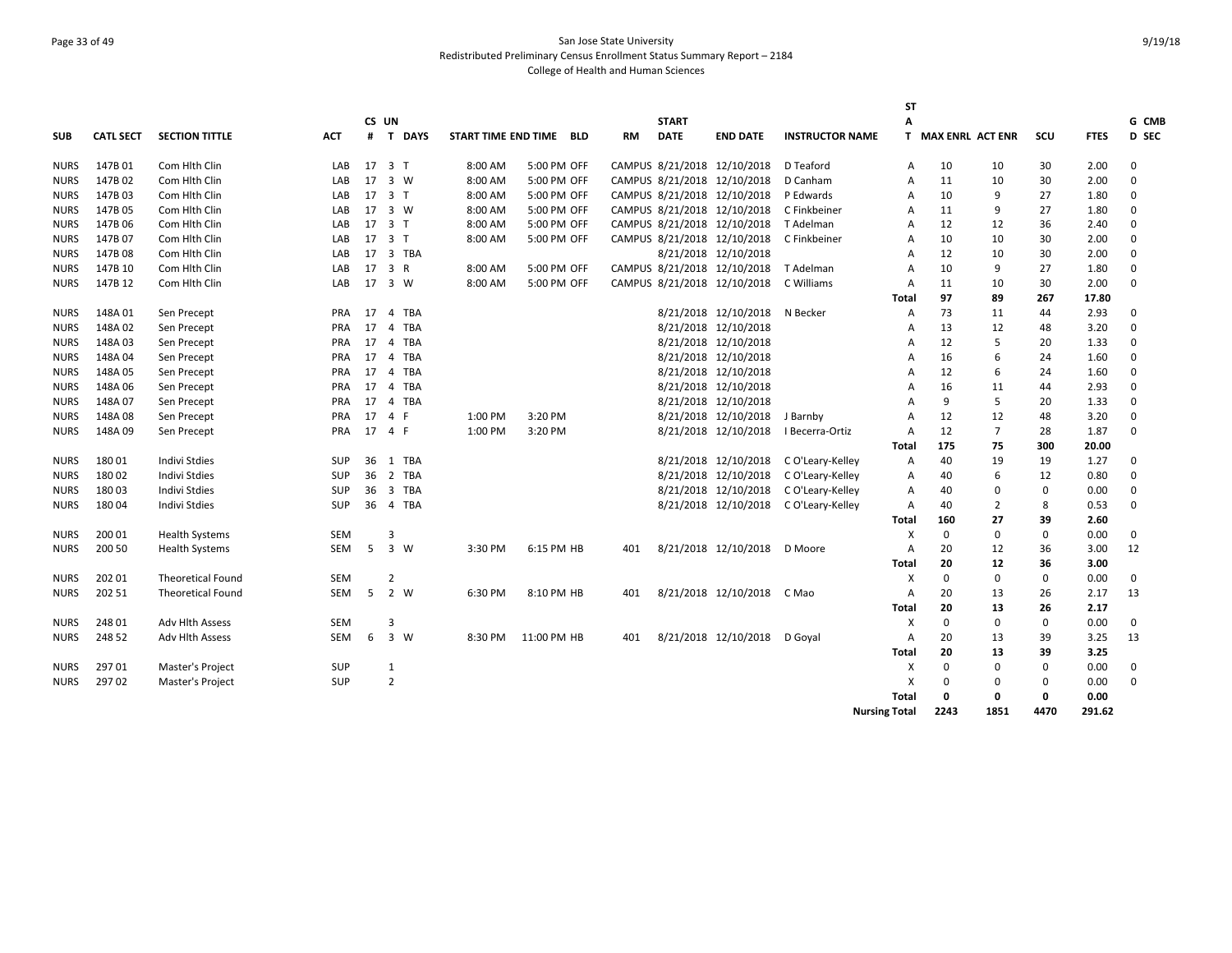# Page 33 of 49 San Jose State University Redistributed Preliminary Census Enrollment Status Summary Report – 2184 College of Health and Human Sciences

|             |                  |                          |            |       |                |                     |             |            |           |              |                             |                        | <b>ST</b>            |                    |                |              |             |              |
|-------------|------------------|--------------------------|------------|-------|----------------|---------------------|-------------|------------|-----------|--------------|-----------------------------|------------------------|----------------------|--------------------|----------------|--------------|-------------|--------------|
|             |                  |                          |            | CS UN |                |                     |             |            |           | <b>START</b> |                             |                        | А                    |                    |                |              |             | G CMB        |
| <b>SUB</b>  | <b>CATL SECT</b> | <b>SECTION TITTLE</b>    | <b>ACT</b> | #     | T DAYS         | START TIME END TIME |             | <b>BLD</b> | <b>RM</b> | <b>DATE</b>  | <b>END DATE</b>             | <b>INSTRUCTOR NAME</b> |                      | T MAX ENRL ACT ENR |                | scu          | <b>FTES</b> | <b>D SEC</b> |
| <b>NURS</b> | 147B01           | Com Hith Clin            | LAB        |       | 17 3 T         | 8:00 AM             | 5:00 PM OFF |            |           |              | CAMPUS 8/21/2018 12/10/2018 | D Teaford              | A                    | 10                 | 10             | 30           | 2.00        | 0            |
| <b>NURS</b> | 147B 02          | Com Hith Clin            | LAB        | 17    | 3 W            | 8:00 AM             | 5:00 PM OFF |            |           |              | CAMPUS 8/21/2018 12/10/2018 | D Canham               | $\overline{A}$       | 11                 | 10             | 30           | 2.00        | 0            |
| <b>NURS</b> | 147B03           | Com Hith Clin            | LAB        |       | 17 3 T         | 8:00 AM             | 5:00 PM OFF |            |           |              | CAMPUS 8/21/2018 12/10/2018 | P Edwards              | A                    | 10                 | 9              | 27           | 1.80        | 0            |
| <b>NURS</b> | 147B 05          | Com Hith Clin            | LAB        |       | 17 3 W         | 8:00 AM             | 5:00 PM OFF |            |           |              | CAMPUS 8/21/2018 12/10/2018 | C Finkbeiner           | A                    | 11                 | 9              | 27           | 1.80        | 0            |
| <b>NURS</b> | 147B 06          | Com Hith Clin            | LAB        | 17    | 3 T            | 8:00 AM             | 5:00 PM OFF |            |           |              | CAMPUS 8/21/2018 12/10/2018 | T Adelman              | Α                    | 12                 | 12             | 36           | 2.40        | 0            |
| <b>NURS</b> | 147B 07          | Com Hith Clin            | LAB        |       | 17 3 T         | 8:00 AM             | 5:00 PM OFF |            |           |              | CAMPUS 8/21/2018 12/10/2018 | C Finkbeiner           | $\overline{A}$       | 10                 | 10             | 30           | 2.00        | 0            |
| <b>NURS</b> | 147B08           | Com Hith Clin            | LAB        | 17    | 3 TBA          |                     |             |            |           |              | 8/21/2018 12/10/2018        |                        | $\overline{A}$       | 12                 | 10             | 30           | 2.00        | 0            |
| <b>NURS</b> | 147B 10          | Com Hith Clin            | LAB        | 17    | 3 R            | 8:00 AM             | 5:00 PM OFF |            |           |              | CAMPUS 8/21/2018 12/10/2018 | T Adelman              | $\overline{A}$       | 10                 | 9              | 27           | 1.80        | $\Omega$     |
| <b>NURS</b> | 147B 12          | Com Hith Clin            | LAB        |       | 17 3 W         | 8:00 AM             | 5:00 PM OFF |            |           |              | CAMPUS 8/21/2018 12/10/2018 | C Williams             | A                    | 11                 | 10             | 30           | 2.00        | 0            |
|             |                  |                          |            |       |                |                     |             |            |           |              |                             |                        | <b>Total</b>         | 97                 | 89             | 267          | 17.80       |              |
| NURS        | 148A01           | Sen Precept              | <b>PRA</b> | 17    | 4 TBA          |                     |             |            |           |              | 8/21/2018 12/10/2018        | N Becker               | Α                    | 73                 | 11             | 44           | 2.93        | 0            |
| <b>NURS</b> | 148A02           | Sen Precept              | <b>PRA</b> | 17    | 4 TBA          |                     |             |            |           |              | 8/21/2018 12/10/2018        |                        | A                    | 13                 | 12             | 48           | 3.20        | 0            |
| <b>NURS</b> | 148A03           | Sen Precept              | <b>PRA</b> | 17    | 4 TBA          |                     |             |            |           |              | 8/21/2018 12/10/2018        |                        | A                    | 12                 | 5              | 20           | 1.33        | $\Omega$     |
| <b>NURS</b> | 148A04           | Sen Precept              | PRA        | 17    | 4 TBA          |                     |             |            |           |              | 8/21/2018 12/10/2018        |                        | A                    | 16                 | 6              | 24           | 1.60        | 0            |
| NURS        | 148A05           | Sen Precept              | <b>PRA</b> | 17    | 4 TBA          |                     |             |            |           |              | 8/21/2018 12/10/2018        |                        | $\overline{A}$       | 12                 | 6              | 24           | 1.60        | 0            |
| NURS        | 148A06           | Sen Precept              | PRA        | 17    | 4 TBA          |                     |             |            |           |              | 8/21/2018 12/10/2018        |                        | A                    | 16                 | 11             | 44           | 2.93        | 0            |
| <b>NURS</b> | 148A07           | Sen Precept              | <b>PRA</b> | 17    | 4 TBA          |                     |             |            |           |              | 8/21/2018 12/10/2018        |                        | $\Delta$             | 9                  | 5              | 20           | 1.33        | 0            |
| <b>NURS</b> | 148A08           | Sen Precept              | PRA        | 17    | 4 F            | 1:00 PM             | 3:20 PM     |            |           |              | 8/21/2018 12/10/2018        | J Barnby               | A                    | 12                 | 12             | 48           | 3.20        | $\Omega$     |
| <b>NURS</b> | 148A09           | Sen Precept              | PRA        | 17    | 4 F            | 1:00 PM             | 3:20 PM     |            |           |              | 8/21/2018 12/10/2018        | I Becerra-Ortiz        | $\overline{A}$       | 12                 | $\overline{7}$ | 28           | 1.87        | 0            |
|             |                  |                          |            |       |                |                     |             |            |           |              |                             |                        | Total                | 175                | 75             | 300          | 20.00       |              |
| <b>NURS</b> | 18001            | <b>Indivi Stdies</b>     | <b>SUP</b> | 36    | 1 TBA          |                     |             |            |           |              | 8/21/2018 12/10/2018        | C O'Leary-Kelley       | Α                    | 40                 | 19             | 19           | 1.27        | 0            |
| <b>NURS</b> | 180 02           | <b>Indivi Stdies</b>     | <b>SUP</b> | 36    | 2 TBA          |                     |             |            |           |              | 8/21/2018 12/10/2018        | C O'Leary-Kelley       | Α                    | 40                 | 6              | 12           | 0.80        | 0            |
| <b>NURS</b> | 18003            | <b>Indivi Stdies</b>     | <b>SUP</b> | 36    | 3 TBA          |                     |             |            |           |              | 8/21/2018 12/10/2018        | C O'Leary-Kelley       | A                    | 40                 | $\mathbf 0$    | 0            | 0.00        | 0            |
| NURS        | 18004            | <b>Indivi Stdies</b>     | <b>SUP</b> | 36    | 4 TBA          |                     |             |            |           |              | 8/21/2018 12/10/2018        | C O'Leary-Kelley       | A                    | 40                 | $\overline{2}$ | 8            | 0.53        | $\Omega$     |
|             |                  |                          |            |       |                |                     |             |            |           |              |                             |                        | <b>Total</b>         | 160                | 27             | 39           | 2.60        |              |
| <b>NURS</b> | 200 01           | <b>Health Systems</b>    | <b>SEM</b> |       | $\overline{3}$ |                     |             |            |           |              |                             |                        | X                    | 0                  | $\mathbf 0$    | $\mathbf 0$  | 0.00        | $\mathbf 0$  |
| <b>NURS</b> | 200 50           | <b>Health Systems</b>    | SEM        | 5     | 3 W            | 3:30 PM             | 6:15 PM HB  |            | 401       |              | 8/21/2018 12/10/2018        | D Moore                | $\overline{A}$       | 20                 | 12             | 36           | 3.00        | 12           |
|             |                  |                          |            |       |                |                     |             |            |           |              |                             |                        | <b>Total</b>         | 20                 | 12             | 36           | 3.00        |              |
| <b>NURS</b> | 202 01           | <b>Theoretical Found</b> | <b>SEM</b> |       | 2              |                     |             |            |           |              |                             |                        | Х                    | 0                  | 0              | $\mathbf 0$  | 0.00        | $\mathbf 0$  |
| <b>NURS</b> | 202 51           | <b>Theoretical Found</b> | <b>SEM</b> | -5    | 2 W            | 6:30 PM             | 8:10 PM HB  |            | 401       |              | 8/21/2018 12/10/2018        | C Mao                  | $\overline{A}$       | 20                 | 13             | 26           | 2.17        | 13           |
|             |                  |                          |            |       |                |                     |             |            |           |              |                             |                        | Total                | 20                 | 13             | 26           | 2.17        |              |
| <b>NURS</b> | 248 01           | <b>Adv Hlth Assess</b>   | SEM        |       | 3              |                     |             |            |           |              |                             |                        | X                    | 0                  | $\mathbf 0$    | $\mathbf 0$  | 0.00        | 0            |
| NURS        | 248 52           | <b>Adv Hlth Assess</b>   | <b>SEM</b> | 6     | 3 W            | 8:30 PM             | 11:00 PM HB |            | 401       |              | 8/21/2018 12/10/2018        | D Goyal                | A                    | 20                 | 13             | 39           | 3.25        | 13           |
|             |                  |                          |            |       |                |                     |             |            |           |              |                             |                        | <b>Total</b>         | 20                 | 13             | 39           | 3.25        |              |
| <b>NURS</b> | 29701            | Master's Project         | <b>SUP</b> |       | 1              |                     |             |            |           |              |                             |                        | X                    | $\Omega$           | $\Omega$       | $\mathbf 0$  | 0.00        | 0            |
| <b>NURS</b> | 297 02           | Master's Project         | <b>SUP</b> |       | $\overline{2}$ |                     |             |            |           |              |                             |                        | х                    | $\Omega$           | $\Omega$       | $\mathbf 0$  | 0.00        | 0            |
|             |                  |                          |            |       |                |                     |             |            |           |              |                             |                        | <b>Total</b>         | 0                  | $\mathbf{0}$   | $\mathbf{0}$ | 0.00        |              |
|             |                  |                          |            |       |                |                     |             |            |           |              |                             |                        | <b>Nursing Total</b> | 2243               | 1851           | 4470         | 291.62      |              |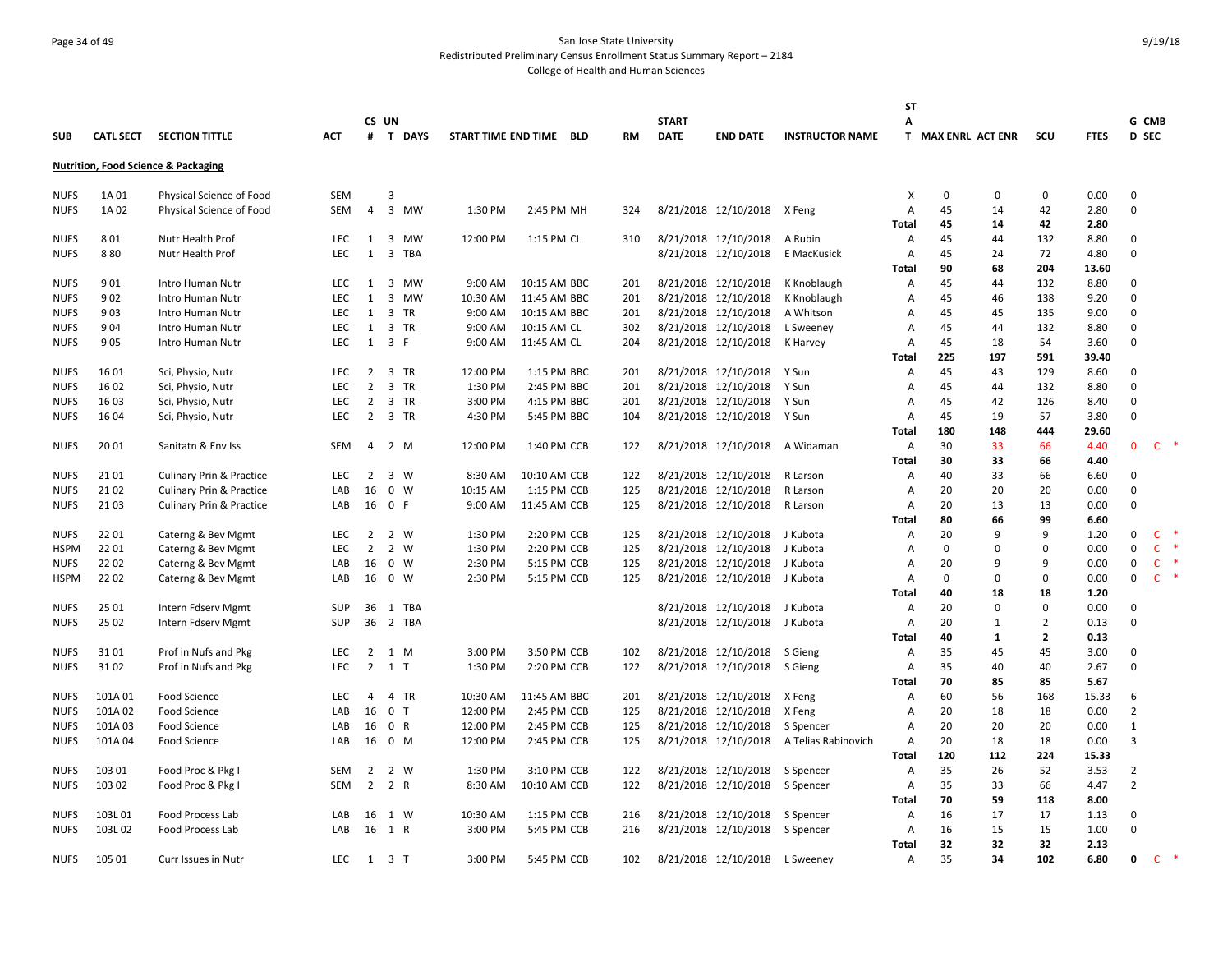# Page 34 of 49 San Jose State University Redistributed Preliminary Census Enrollment Status Summary Report – 2184 College of Health and Human Sciences

|             |                  |                                                |            |                |                |          |                         |           |              |                             |                        | SΤ             |                    |              |                |              |                |              |
|-------------|------------------|------------------------------------------------|------------|----------------|----------------|----------|-------------------------|-----------|--------------|-----------------------------|------------------------|----------------|--------------------|--------------|----------------|--------------|----------------|--------------|
|             |                  |                                                |            |                | CS UN          |          |                         |           | <b>START</b> |                             |                        | А              |                    |              |                |              | G CMB          |              |
| <b>SUB</b>  | <b>CATL SECT</b> | <b>SECTION TITTLE</b>                          | <b>ACT</b> | #              | <b>T DAYS</b>  |          | START TIME END TIME BLD | <b>RM</b> | <b>DATE</b>  | <b>END DATE</b>             | <b>INSTRUCTOR NAME</b> |                | T MAX ENRL ACT ENR |              | scu            | <b>FTES</b>  | <b>D</b> SEC   |              |
|             |                  | <b>Nutrition, Food Science &amp; Packaging</b> |            |                |                |          |                         |           |              |                             |                        |                |                    |              |                |              |                |              |
| <b>NUFS</b> | 1A 01            | Physical Science of Food                       | SEM        |                | $\overline{3}$ |          |                         |           |              |                             |                        | X              | 0                  | $\mathbf{0}$ | $\mathbf 0$    | 0.00         | $\mathbf{0}$   |              |
| <b>NUFS</b> | 1A 02            | Physical Science of Food                       | <b>SEM</b> | $\overline{4}$ | 3 MW           | 1:30 PM  | 2:45 PM MH              | 324       |              | 8/21/2018 12/10/2018 X Feng |                        | A              | 45                 | 14           | 42             | 2.80         | $\mathbf{0}$   |              |
|             |                  |                                                |            |                |                |          |                         |           |              |                             |                        | <b>Total</b>   | 45                 | 14           | 42             | 2.80         |                |              |
| <b>NUFS</b> | 801              | Nutr Health Prof                               | <b>LEC</b> | 1              | 3 MW           | 12:00 PM | 1:15 PM CL              | 310       |              | 8/21/2018 12/10/2018        | A Rubin                | Α              | 45                 | 44           | 132            | 8.80         | 0              |              |
| <b>NUFS</b> | 880              | Nutr Health Prof                               | <b>LEC</b> | 1              | 3<br>TBA       |          |                         |           |              | 8/21/2018 12/10/2018        | E MacKusick            | A              | 45                 | 24           | 72             | 4.80         | $\mathbf 0$    |              |
|             |                  |                                                |            |                |                |          |                         |           |              |                             |                        | Total          | 90                 | 68           | 204            | 13.60        |                |              |
| <b>NUFS</b> | 901              | Intro Human Nutr                               | <b>LEC</b> | 1              | 3 MW           | 9:00 AM  | 10:15 AM BBC            | 201       |              | 8/21/2018 12/10/2018        | K Knoblaugh            | A              | 45                 | 44           | 132            | 8.80         | 0              |              |
| <b>NUFS</b> | 902              | Intro Human Nutr                               | <b>LEC</b> | 1              | 3 MW           | 10:30 AM | 11:45 AM BBC            | 201       |              | 8/21/2018 12/10/2018        | K Knoblaugh            | A              | 45                 | 46           | 138            | 9.20         | $\mathbf{0}$   |              |
| <b>NUFS</b> | 903              | Intro Human Nutr                               | <b>LEC</b> | 1              | 3 TR           | 9:00 AM  | 10:15 AM BBC            | 201       |              | 8/21/2018 12/10/2018        | A Whitson              | $\overline{A}$ | 45                 | 45           | 135            | 9.00         | $\mathbf{0}$   |              |
| <b>NUFS</b> | 904              | Intro Human Nutr                               | <b>LEC</b> | 1              | 3 TR           | 9:00 AM  | 10:15 AM CL             | 302       |              | 8/21/2018 12/10/2018        | L Sweeney              | A              | 45                 | 44           | 132            | 8.80         | $\mathbf{0}$   |              |
| <b>NUFS</b> | 905              | Intro Human Nutr                               | <b>LEC</b> | 1              | 3 F            | 9:00 AM  | 11:45 AM CL             | 204       |              | 8/21/2018 12/10/2018        | K Harvey               | $\overline{A}$ | 45                 | 18           | 54             | 3.60         | $\Omega$       |              |
|             |                  |                                                |            |                |                |          |                         |           |              |                             |                        | <b>Total</b>   | 225                | 197          | 591            | 39.40        |                |              |
| <b>NUFS</b> | 16 01            | Sci, Physio, Nutr                              | <b>LEC</b> | $\overline{2}$ | 3 TR           | 12:00 PM | 1:15 PM BBC             | 201       |              | 8/21/2018 12/10/2018        | Y Sun                  | A              | 45                 | 43           | 129            | 8.60         | 0              |              |
| <b>NUFS</b> | 16 02            | Sci, Physio, Nutr                              | <b>LEC</b> | $\overline{2}$ | 3 TR           | 1:30 PM  | 2:45 PM BBC             | 201       |              | 8/21/2018 12/10/2018        | Y Sun                  | A              | 45                 | 44           | 132            | 8.80         | $\mathsf 0$    |              |
| <b>NUFS</b> | 1603             | Sci, Physio, Nutr                              | <b>LEC</b> | $\overline{2}$ | 3 TR           | 3:00 PM  | 4:15 PM BBC             | 201       |              | 8/21/2018 12/10/2018        | Y Sun                  | A              | 45                 | 42           | 126            | 8.40         | 0              |              |
| <b>NUFS</b> | 16 04            | Sci, Physio, Nutr                              | <b>LEC</b> | $\overline{2}$ | 3 TR           | 4:30 PM  | 5:45 PM BBC             | 104       |              | 8/21/2018 12/10/2018        | Y Sun                  | A              | 45<br>180          | 19           | 57             | 3.80         | $\Omega$       |              |
|             |                  |                                                |            |                |                |          |                         |           |              |                             |                        | <b>Total</b>   | 30                 | 148<br>33    | 444<br>66      | 29.60        | $\mathbf{0}$   | $C$ $*$      |
| <b>NUFS</b> | 20 01            | Sanitatn & Env Iss                             | <b>SEM</b> | 4              | 2 M            | 12:00 PM | 1:40 PM CCB             | 122       |              | 8/21/2018 12/10/2018        | A Widaman              | $\overline{A}$ | 30                 | 33           | 66             | 4.40<br>4.40 |                |              |
| <b>NUFS</b> | 21 01            | <b>Culinary Prin &amp; Practice</b>            | <b>LEC</b> | 2              | 3 W            | 8:30 AM  | 10:10 AM CCB            | 122       |              | 8/21/2018 12/10/2018        | R Larson               | Total<br>A     | 40                 | 33           | 66             | 6.60         | $\mathbf{0}$   |              |
| <b>NUFS</b> | 21 02            | <b>Culinary Prin &amp; Practice</b>            | LAB        | 16             | $0 \quad W$    | 10:15 AM | 1:15 PM CCB             | 125       |              | 8/21/2018 12/10/2018        | R Larson               | A              | 20                 | 20           | 20             | 0.00         | $\mathbf{0}$   |              |
| <b>NUFS</b> | 2103             | <b>Culinary Prin &amp; Practice</b>            | LAB        |                | 16 0 F         | 9:00 AM  | 11:45 AM CCB            | 125       |              | 8/21/2018 12/10/2018        | R Larson               | A              | 20                 | 13           | 13             | 0.00         | $\Omega$       |              |
|             |                  |                                                |            |                |                |          |                         |           |              |                             |                        | Total          | 80                 | 66           | 99             | 6.60         |                |              |
| <b>NUFS</b> | 22 01            | Caterng & Bev Mgmt                             | <b>LEC</b> | $\overline{2}$ | 2 W            | 1:30 PM  | 2:20 PM CCB             | 125       |              | 8/21/2018 12/10/2018        | J Kubota               | Α              | 20                 | 9            | 9              | 1.20         | $\mathsf 0$    | $\mathsf{C}$ |
| HSPM        | 22 01            | Caterng & Bev Mgmt                             | <b>LEC</b> | $\overline{2}$ | 2 W            | 1:30 PM  | 2:20 PM CCB             | 125       |              | 8/21/2018 12/10/2018        | J Kubota               | A              | 0                  | $\mathbf{0}$ | $\mathbf 0$    | 0.00         | 0              | $\mathsf{C}$ |
| <b>NUFS</b> | 22 02            | Caterng & Bev Mgmt                             | LAB        | 16             | 0 W            | 2:30 PM  | 5:15 PM CCB             | 125       |              | 8/21/2018 12/10/2018        | J Kubota               | A              | 20                 | 9            | 9              | 0.00         | $\mathbf 0$    | $\mathsf{C}$ |
| <b>HSPM</b> | 2202             | Caterng & Bev Mgmt                             | LAB        | 16             | 0 W            | 2:30 PM  | 5:15 PM CCB             | 125       |              | 8/21/2018 12/10/2018        | J Kubota               | $\overline{A}$ | 0                  | 0            | $\mathbf 0$    | 0.00         | 0              | $\mathsf{C}$ |
|             |                  |                                                |            |                |                |          |                         |           |              |                             |                        | Total          | 40                 | 18           | 18             | 1.20         |                |              |
| <b>NUFS</b> | 25 01            | Intern Fdserv Mgmt                             | SUP        | 36             | 1 TBA          |          |                         |           |              | 8/21/2018 12/10/2018        | J Kubota               | A              | 20                 | $\mathbf{0}$ | $\Omega$       | 0.00         | $\mathbf{0}$   |              |
| <b>NUFS</b> | 25 02            | Intern Fdserv Mgmt                             | SUP        |                | 36 2 TBA       |          |                         |           |              | 8/21/2018 12/10/2018        | J Kubota               | A              | 20                 | 1            | $\overline{2}$ | 0.13         | $\mathbf{0}$   |              |
|             |                  |                                                |            |                |                |          |                         |           |              |                             |                        | <b>Total</b>   | 40                 | 1            | $\overline{2}$ | 0.13         |                |              |
| <b>NUFS</b> | 3101             | Prof in Nufs and Pkg                           | <b>LEC</b> | 2              | 1 M            | 3:00 PM  | 3:50 PM CCB             | 102       |              | 8/21/2018 12/10/2018        | S Gieng                | A              | 35                 | 45           | 45             | 3.00         | 0              |              |
| <b>NUFS</b> | 31 02            | Prof in Nufs and Pkg                           | <b>LEC</b> | $\overline{2}$ | 1 T            | 1:30 PM  | 2:20 PM CCB             | 122       |              | 8/21/2018 12/10/2018        | S Gieng                | A              | 35                 | 40           | 40             | 2.67         | $\mathbf 0$    |              |
|             |                  |                                                |            |                |                |          |                         |           |              |                             |                        | Total          | 70                 | 85           | 85             | 5.67         |                |              |
| <b>NUFS</b> | 101A01           | Food Science                                   | <b>LEC</b> | 4              | 4 TR           | 10:30 AM | 11:45 AM BBC            | 201       |              | 8/21/2018 12/10/2018        | X Feng                 | Α              | 60                 | 56           | 168            | 15.33        | 6              |              |
| <b>NUFS</b> | 101A02           | Food Science                                   | LAB        | 16             | 0 <sub>T</sub> | 12:00 PM | 2:45 PM CCB             | 125       |              | 8/21/2018 12/10/2018        | X Feng                 | A              | 20                 | 18           | 18             | 0.00         | $\overline{2}$ |              |
| <b>NUFS</b> | 101A03           | <b>Food Science</b>                            | LAB        | 16             | 0 R            | 12:00 PM | 2:45 PM CCB             | 125       |              | 8/21/2018 12/10/2018        | S Spencer              | $\overline{A}$ | 20                 | 20           | 20             | 0.00         | 1              |              |
| <b>NUFS</b> | 101A04           | Food Science                                   | LAB        | 16             | 0 M            | 12:00 PM | 2:45 PM CCB             | 125       |              | 8/21/2018 12/10/2018        | A Telias Rabinovich    | $\overline{A}$ | 20                 | 18           | 18             | 0.00         | 3              |              |
|             |                  |                                                |            |                |                |          |                         |           |              |                             |                        | <b>Total</b>   | 120                | 112          | 224            | 15.33        |                |              |
| <b>NUFS</b> | 103 01           | Food Proc & Pkg I                              | <b>SEM</b> | $\overline{2}$ | 2 W            | 1:30 PM  | 3:10 PM CCB             | 122       |              | 8/21/2018 12/10/2018        | S Spencer              | $\overline{A}$ | 35                 | 26           | 52             | 3.53         | $\overline{2}$ |              |
| <b>NUFS</b> | 103 02           | Food Proc & Pkg I                              | SEM        | $\overline{2}$ | 2 R            | 8:30 AM  | 10:10 AM CCB            | 122       |              | 8/21/2018 12/10/2018        | S Spencer              | Α              | 35                 | 33           | 66             | 4.47         | $\overline{2}$ |              |
|             |                  |                                                |            |                |                |          |                         |           |              |                             |                        | Total          | 70                 | 59           | 118            | 8.00         |                |              |
| <b>NUFS</b> | 103L01           | Food Process Lab                               | LAB        | 16             | 1 W            | 10:30 AM | 1:15 PM CCB             | 216       |              | 8/21/2018 12/10/2018        | S Spencer              | A              | 16                 | 17           | 17             | 1.13         | 0              |              |
| <b>NUFS</b> | 103L02           | Food Process Lab                               | LAB        |                | 16 1 R         | 3:00 PM  | 5:45 PM CCB             | 216       |              | 8/21/2018 12/10/2018        | S Spencer              | A              | 16                 | 15           | 15             | 1.00         | 0              |              |
|             |                  |                                                |            |                |                |          |                         |           |              |                             |                        | <b>Total</b>   | 32                 | 32           | 32             | 2.13         |                |              |
| <b>NUFS</b> | 105 01           | Curr Issues in Nutr                            | LEC.       | 1              | 3 T            | 3:00 PM  | 5:45 PM CCB             | 102       |              | 8/21/2018 12/10/2018        | L Sweeney              | $\overline{A}$ | 35                 | 34           | 102            | 6.80         | 0              | C.           |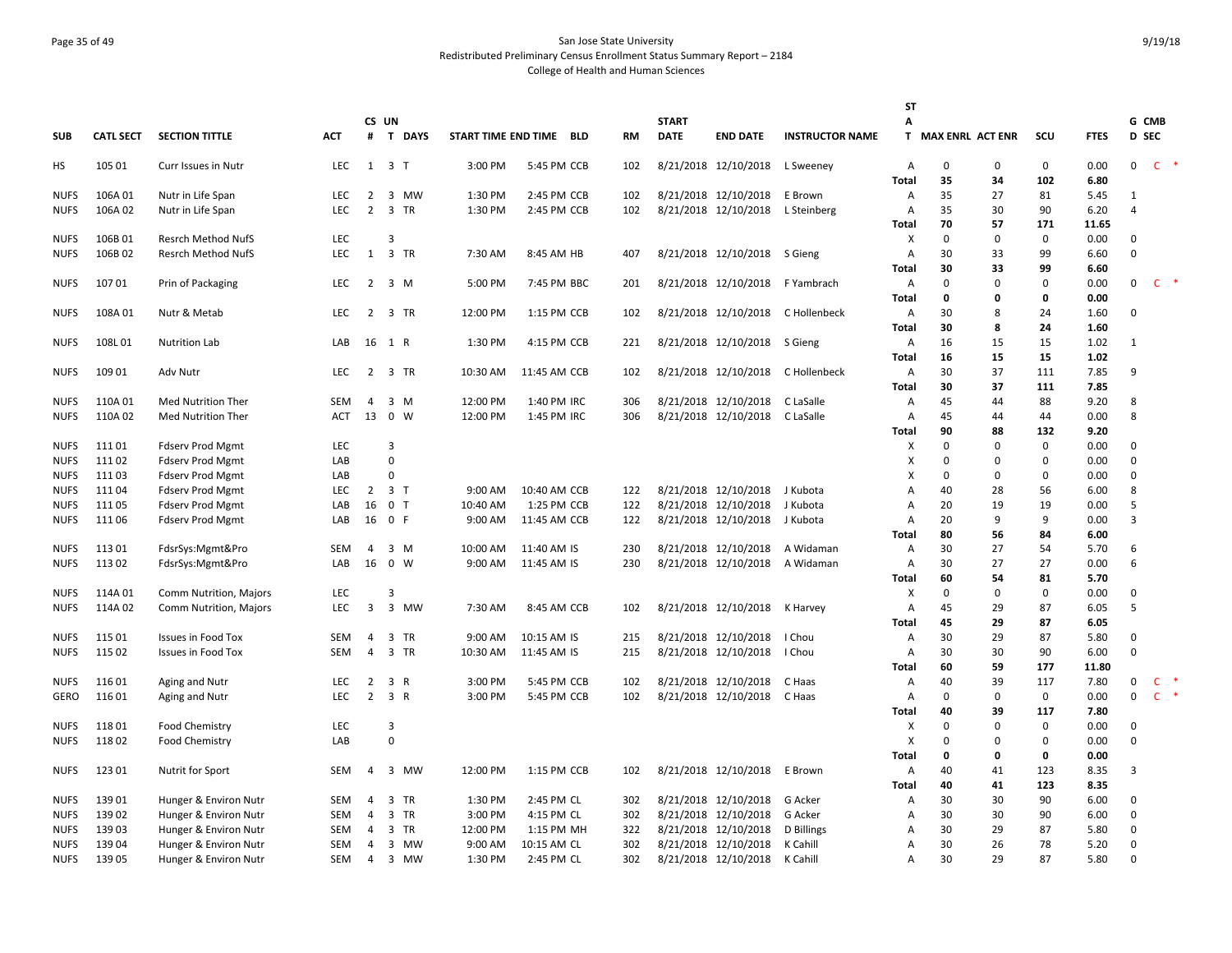# Page 35 of 49 San Jose State University Redistributed Preliminary Census Enrollment Status Summary Report – 2184 College of Health and Human Sciences

|             |                  |                           |            |                         |                     |          |                         |           |              |                              |                        | SΤ           |                    |             |              |             |                |              |    |
|-------------|------------------|---------------------------|------------|-------------------------|---------------------|----------|-------------------------|-----------|--------------|------------------------------|------------------------|--------------|--------------------|-------------|--------------|-------------|----------------|--------------|----|
|             |                  |                           |            | CS UN                   |                     |          |                         |           | <b>START</b> |                              |                        | Α            |                    |             |              |             | G CMB          |              |    |
| <b>SUB</b>  | <b>CATL SECT</b> | <b>SECTION TITTLE</b>     | <b>ACT</b> |                         | # T DAYS            |          | START TIME END TIME BLD | <b>RM</b> | <b>DATE</b>  | <b>END DATE</b>              | <b>INSTRUCTOR NAME</b> |              | T MAX ENRL ACT ENR |             | scu          | <b>FTES</b> | <b>D</b> SEC   |              |    |
| НS          | 105 01           | Curr Issues in Nutr       | <b>LEC</b> | 1                       | 3 T                 | 3:00 PM  | 5:45 PM CCB             | 102       |              | 8/21/2018 12/10/2018         | L Sweeney              | Α            | 0                  | $\mathbf 0$ | 0            | 0.00        | 0              | $C$ *        |    |
|             |                  |                           |            |                         |                     |          |                         |           |              |                              |                        | Total        | 35                 | 34          | 102          | 6.80        |                |              |    |
| <b>NUFS</b> | 106A01           | Nutr in Life Span         | <b>LEC</b> | $\overline{2}$          | 3 MW                | 1:30 PM  | 2:45 PM CCB             | 102       |              | 8/21/2018 12/10/2018         | E Brown                | Α            | 35                 | 27          | 81           | 5.45        | 1              |              |    |
| <b>NUFS</b> | 106A02           | Nutr in Life Span         | <b>LEC</b> | $\overline{2}$          | 3 TR                | 1:30 PM  | 2:45 PM CCB             | 102       |              | 8/21/2018 12/10/2018         | L Steinberg            | A            | 35                 | 30          | 90           | 6.20        | $\overline{4}$ |              |    |
|             |                  |                           |            |                         |                     |          |                         |           |              |                              |                        | Total        | 70                 | 57          | 171          | 11.65       |                |              |    |
| <b>NUFS</b> | 106B01           | Resrch Method NufS        | <b>LEC</b> |                         | $\overline{3}$      |          |                         |           |              |                              |                        | Х            | $\mathbf 0$        | $\mathbf 0$ | $\mathbf 0$  | 0.00        | $\mathbf{0}$   |              |    |
| <b>NUFS</b> | 106B02           | Resrch Method NufS        | <b>LEC</b> | 1                       | 3 TR                | 7:30 AM  | 8:45 AM HB              | 407       |              | 8/21/2018 12/10/2018         | S Gieng                | Α            | 30                 | 33          | 99           | 6.60        | $\mathsf 0$    |              |    |
|             |                  |                           |            |                         |                     |          |                         |           |              |                              |                        | Total        | 30                 | 33          | 99           | 6.60        |                |              |    |
| <b>NUFS</b> | 10701            | Prin of Packaging         | <b>LEC</b> |                         | $2 \quad 3 \quad M$ | 5:00 PM  | 7:45 PM BBC             | 201       |              | 8/21/2018 12/10/2018         | F Yambrach             | A            | $\Omega$           | $\mathbf 0$ | $\mathbf 0$  | 0.00        | $\mathbf 0$    | $\mathsf{C}$ |    |
|             |                  |                           |            |                         |                     |          |                         |           |              |                              |                        | <b>Total</b> | $\mathbf{0}$       | 0           | 0            | 0.00        |                |              |    |
| <b>NUFS</b> | 108A01           | Nutr & Metab              | <b>LEC</b> |                         | 2 3 TR              | 12:00 PM | 1:15 PM CCB             | 102       |              | 8/21/2018 12/10/2018         | C Hollenbeck           | Α            | 30                 | 8           | 24           | 1.60        | 0              |              |    |
|             |                  |                           |            |                         |                     |          |                         |           |              |                              |                        | Total        | 30                 | 8           | 24           | 1.60        |                |              |    |
| <b>NUFS</b> | 108L01           | <b>Nutrition Lab</b>      | LAB        |                         | 16 1 R              | 1:30 PM  | 4:15 PM CCB             | 221       |              | 8/21/2018 12/10/2018 S Gieng |                        | Α            | 16                 | 15          | 15           | 1.02        | 1              |              |    |
|             |                  |                           |            |                         |                     |          |                         |           |              |                              |                        | <b>Total</b> | 16                 | 15          | 15           | 1.02        |                |              |    |
| <b>NUFS</b> | 109 01           | Adv Nutr                  | <b>LEC</b> | 2                       | 3 TR                | 10:30 AM | 11:45 AM CCB            | 102       |              | 8/21/2018 12/10/2018         | C Hollenbeck           | Α            | 30                 | 37          | 111          | 7.85        | 9              |              |    |
|             |                  |                           |            |                         |                     |          |                         |           |              |                              |                        | Total        | 30                 | 37          | 111          | 7.85        |                |              |    |
| <b>NUFS</b> | 110A01           | <b>Med Nutrition Ther</b> | SEM        | 4                       | $3 \, M$            | 12:00 PM | 1:40 PM IRC             | 306       |              | 8/21/2018 12/10/2018         | C LaSalle              | Α            | 45                 | 44          | 88           | 9.20        | 8              |              |    |
| <b>NUFS</b> | 110A02           | Med Nutrition Ther        | <b>ACT</b> | 13                      | 0 W                 | 12:00 PM | 1:45 PM IRC             | 306       |              | 8/21/2018 12/10/2018         | C LaSalle              | A            | 45                 | 44          | 44           | 0.00        | 8              |              |    |
|             |                  |                           |            |                         |                     |          |                         |           |              |                              |                        | Total        | 90                 | 88          | 132          | 9.20        |                |              |    |
| <b>NUFS</b> | 11101            | <b>Fdserv Prod Mgmt</b>   | <b>LEC</b> |                         | 3                   |          |                         |           |              |                              |                        | х            | $\Omega$           | 0           | $\mathbf 0$  | 0.00        | $\Omega$       |              |    |
| <b>NUFS</b> | 11102            | <b>Fdserv Prod Mgmt</b>   | LAB        |                         | $\mathbf 0$         |          |                         |           |              |                              |                        | X            | $\Omega$           | 0           | $\mathbf 0$  | 0.00        | $\mathsf 0$    |              |    |
| <b>NUFS</b> | 11103            | <b>Fdserv Prod Mgmt</b>   | LAB        |                         | $\mathbf 0$         |          |                         |           |              |                              |                        | х            | $\Omega$           | 0           | $\mathbf 0$  | 0.00        | 0              |              |    |
| <b>NUFS</b> | 11104            | <b>Fdserv Prod Mgmt</b>   | <b>LEC</b> | 2                       | 3 <sub>1</sub>      | 9:00 AM  | 10:40 AM CCB            | 122       |              | 8/21/2018 12/10/2018         | J Kubota               | Α            | 40                 | 28          | 56           | 6.00        | 8              |              |    |
| <b>NUFS</b> | 11105            | <b>Fdserv Prod Mgmt</b>   | LAB        | 16                      | 0 <sub>T</sub>      | 10:40 AM | 1:25 PM CCB             | 122       |              | 8/21/2018 12/10/2018         | J Kubota               | A            | 20                 | 19          | 19           | 0.00        | 5              |              |    |
| <b>NUFS</b> | 111 06           | <b>Fdserv Prod Mgmt</b>   | LAB        | 16                      | 0 F                 | 9:00 AM  | 11:45 AM CCB            | 122       |              | 8/21/2018 12/10/2018         | J Kubota               | Α            | 20                 | 9           | 9            | 0.00        | $\overline{3}$ |              |    |
|             |                  |                           |            |                         |                     |          |                         |           |              |                              |                        | Total        | 80                 | 56          | 84           | 6.00        |                |              |    |
| <b>NUFS</b> | 11301            | FdsrSys:Mgmt&Pro          | <b>SEM</b> | $\overline{4}$          | 3 M                 | 10:00 AM | 11:40 AM IS             | 230       |              | 8/21/2018 12/10/2018         | A Widaman              | Α            | 30                 | 27          | 54           | 5.70        | 6              |              |    |
| <b>NUFS</b> | 11302            | FdsrSys:Mgmt&Pro          | LAB        | 16                      | 0 W                 | 9:00 AM  | 11:45 AM IS             | 230       |              | 8/21/2018 12/10/2018         | A Widaman              | Α            | 30                 | 27          | 27           | 0.00        | 6              |              |    |
|             |                  |                           |            |                         |                     |          |                         |           |              |                              |                        | Total        | 60                 | 54          | 81           | 5.70        |                |              |    |
| <b>NUFS</b> | 114A 01          | Comm Nutrition, Majors    | LEC        |                         | 3                   |          |                         |           |              |                              |                        | X            | $\Omega$           | $\mathbf 0$ | $\mathbf{0}$ | 0.00        | $\mathbf 0$    |              |    |
| <b>NUFS</b> | 114A02           | Comm Nutrition, Majors    | <b>LEC</b> | $\overline{\mathbf{3}}$ | 3 MW                | 7:30 AM  | 8:45 AM CCB             | 102       |              | 8/21/2018 12/10/2018         | K Harvey               | Α            | 45                 | 29          | 87           | 6.05        | 5              |              |    |
|             |                  |                           |            |                         |                     |          |                         |           |              |                              |                        | Total        | 45                 | 29          | 87           | 6.05        |                |              |    |
| <b>NUFS</b> | 115 01           | <b>Issues in Food Tox</b> | <b>SEM</b> | 4                       | 3 TR                | 9:00 AM  | 10:15 AM IS             | 215       |              | 8/21/2018 12/10/2018         | I Chou                 | A            | 30                 | 29          | 87           | 5.80        | 0              |              |    |
| <b>NUFS</b> | 115 02           | <b>Issues in Food Tox</b> | <b>SEM</b> | $\overline{4}$          | 3 TR                | 10:30 AM | 11:45 AM IS             | 215       |              | 8/21/2018 12/10/2018         | I Chou                 | Α            | 30                 | 30          | 90           | 6.00        | $\mathbf{0}$   |              |    |
|             |                  |                           |            |                         |                     |          |                         |           |              |                              |                        | <b>Total</b> | 60                 | 59          | 177          | 11.80       |                |              |    |
| <b>NUFS</b> | 11601            | Aging and Nutr            | <b>LEC</b> | $\overline{2}$          | 3 R                 | 3:00 PM  | 5:45 PM CCB             | 102       |              | 8/21/2018 12/10/2018         | C Haas                 | Α            | 40                 | 39          | 117          | 7.80        | 0              | $\mathsf{C}$ |    |
| GERO        | 11601            | Aging and Nutr            | <b>LEC</b> | $\overline{2}$          | 3 R                 | 3:00 PM  | 5:45 PM CCB             | 102       |              | 8/21/2018 12/10/2018         | C Haas                 | Α            | $\Omega$           | $\mathbf 0$ | $\mathsf 0$  | 0.00        | 0              | $\mathsf{C}$ | 一味 |
|             |                  |                           |            |                         |                     |          |                         |           |              |                              |                        | Total        | 40                 | 39          | 117          | 7.80        |                |              |    |
| <b>NUFS</b> | 11801            | Food Chemistry            | LEC        |                         | 3                   |          |                         |           |              |                              |                        | X            | $\Omega$           | 0           | 0            | 0.00        | $\mathbf 0$    |              |    |
| <b>NUFS</b> | 11802            | Food Chemistry            | LAB        |                         | $\mathbf 0$         |          |                         |           |              |                              |                        | Х            | $\Omega$           | $\Omega$    | $\mathbf 0$  | 0.00        | $\mathbf 0$    |              |    |
|             |                  |                           |            |                         |                     |          |                         |           |              |                              |                        | Total        | 0                  | 0           | $\mathbf 0$  | 0.00        |                |              |    |
| <b>NUFS</b> | 123 01           | <b>Nutrit for Sport</b>   | <b>SEM</b> | 4                       | 3 MW                | 12:00 PM | 1:15 PM CCB             | 102       |              | 8/21/2018 12/10/2018         | E Brown                | Α            | 40                 | 41          | 123          | 8.35        | 3              |              |    |
|             |                  |                           |            |                         |                     |          |                         |           |              |                              |                        | Total        | 40                 | 41          | 123          | 8.35        |                |              |    |
| <b>NUFS</b> | 139 01           | Hunger & Environ Nutr     | <b>SEM</b> | $\overline{4}$          | 3<br><b>TR</b>      | 1:30 PM  | 2:45 PM CL              | 302       |              | 8/21/2018 12/10/2018         | G Acker                | Α            | 30                 | 30          | 90           | 6.00        | 0              |              |    |
| <b>NUFS</b> | 13902            | Hunger & Environ Nutr     | <b>SEM</b> | $\overline{4}$          | 3 TR                | 3:00 PM  | 4:15 PM CL              | 302       |              | 8/21/2018 12/10/2018         | G Acker                | A            | 30                 | 30          | 90           | 6.00        | $\mathbf 0$    |              |    |
| <b>NUFS</b> | 13903            | Hunger & Environ Nutr     | <b>SEM</b> | 4                       | 3 TR                | 12:00 PM | 1:15 PM MH              | 322       |              | 8/21/2018 12/10/2018         | D Billings             | A            | 30                 | 29          | 87           | 5.80        | $\mathsf 0$    |              |    |
| <b>NUFS</b> | 13904            | Hunger & Environ Nutr     | SEM        | $\overline{4}$          | 3 MW                | 9:00 AM  | 10:15 AM CL             | 302       |              | 8/21/2018 12/10/2018         | K Cahill               | A            | 30                 | 26          | 78           | 5.20        | $\mathbf 0$    |              |    |
| <b>NUFS</b> | 13905            | Hunger & Environ Nutr     | SEM        | 4                       | 3 MW                | 1:30 PM  | 2:45 PM CL              | 302       |              | 8/21/2018 12/10/2018         | K Cahill               | A            | 30                 | 29          | 87           | 5.80        | $\Omega$       |              |    |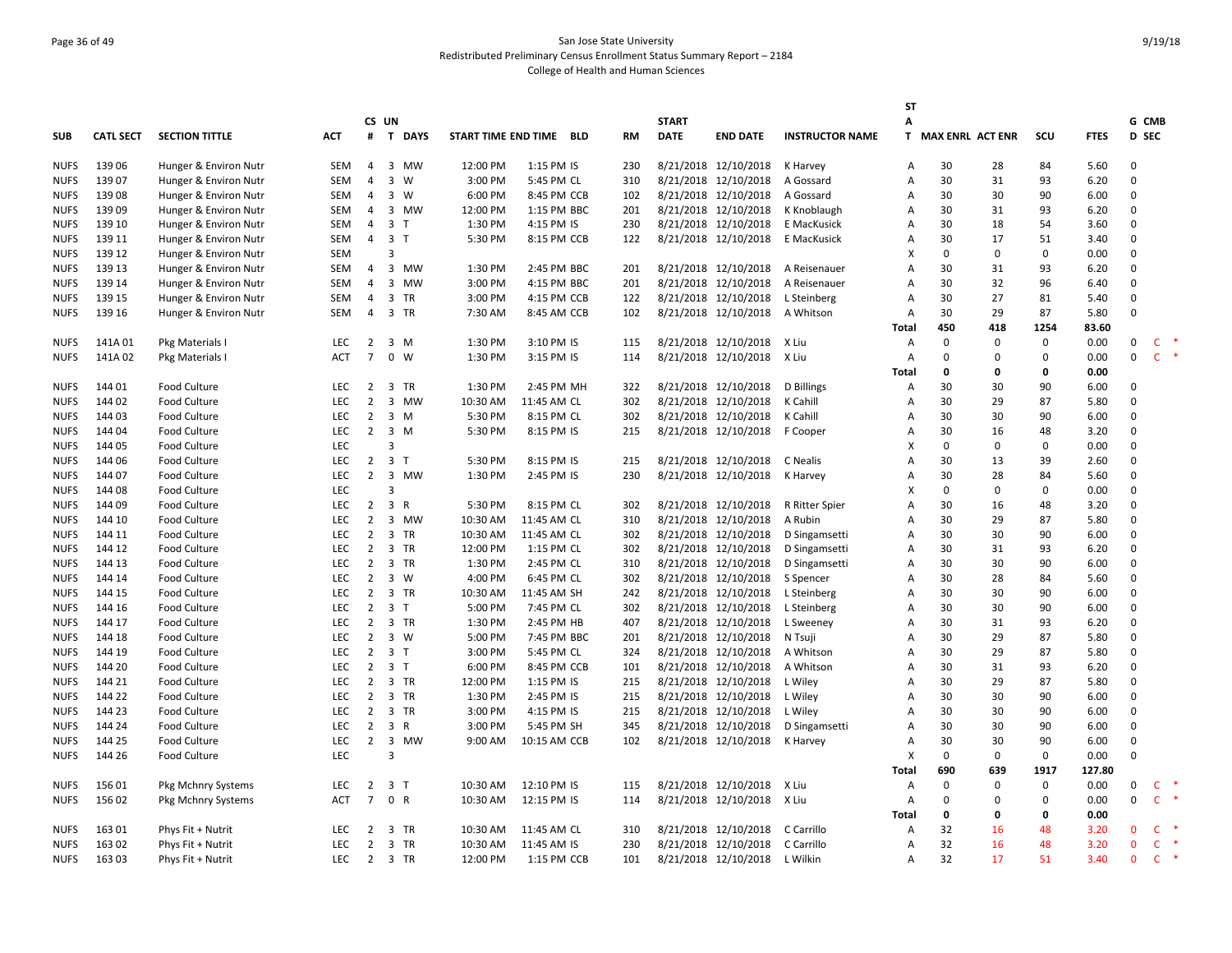# Page 36 of 49 San Jose State University Redistributed Preliminary Census Enrollment Status Summary Report – 2184 College of Health and Human Sciences

|             |                  |                       |            |                 |                |             |                         |              |           |              |                      |                        | SΤ           |                    |             |              |             |              |              |  |
|-------------|------------------|-----------------------|------------|-----------------|----------------|-------------|-------------------------|--------------|-----------|--------------|----------------------|------------------------|--------------|--------------------|-------------|--------------|-------------|--------------|--------------|--|
|             |                  |                       |            |                 | CS UN          |             |                         |              |           | <b>START</b> |                      |                        | Α            |                    |             |              |             | G CMB        |              |  |
| <b>SUB</b>  | <b>CATL SECT</b> | <b>SECTION TITTLE</b> | <b>ACT</b> |                 |                | # T DAYS    | START TIME END TIME BLD |              | <b>RM</b> | <b>DATE</b>  | <b>END DATE</b>      | <b>INSTRUCTOR NAME</b> |              | T MAX ENRL ACT ENR |             | scu          | <b>FTES</b> | D SEC        |              |  |
| <b>NUFS</b> | 139 06           | Hunger & Environ Nutr | SEM        | 4               |                | 3 MW        | 12:00 PM                | 1:15 PM IS   | 230       |              | 8/21/2018 12/10/2018 | K Harvey               | A            | 30                 | 28          | 84           | 5.60        | $\mathbf 0$  |              |  |
| <b>NUFS</b> | 139 07           | Hunger & Environ Nutr | <b>SEM</b> | $\overline{4}$  |                | 3 W         | 3:00 PM                 | 5:45 PM CL   | 310       |              | 8/21/2018 12/10/2018 | A Gossard              | Α            | 30                 | 31          | 93           | 6.20        | 0            |              |  |
| <b>NUFS</b> | 13908            | Hunger & Environ Nutr | <b>SEM</b> | $\overline{4}$  |                | 3 W         | 6:00 PM                 | 8:45 PM CCB  | 102       |              | 8/21/2018 12/10/2018 | A Gossard              | A            | 30                 | 30          | 90           | 6.00        | $\Omega$     |              |  |
| <b>NUFS</b> | 139 09           | Hunger & Environ Nutr | <b>SEM</b> | 4               |                | 3 MW        | 12:00 PM                | 1:15 PM BBC  | 201       |              | 8/21/2018 12/10/2018 | K Knoblaugh            | Α            | 30                 | 31          | 93           | 6.20        | $\mathbf 0$  |              |  |
| <b>NUFS</b> | 139 10           | Hunger & Environ Nutr | SEM        | 4               | 3 T            |             | 1:30 PM                 | 4:15 PM IS   | 230       |              | 8/21/2018 12/10/2018 | E MacKusick            | Α            | 30                 | 18          | 54           | 3.60        | $\mathbf 0$  |              |  |
| <b>NUFS</b> | 139 11           | Hunger & Environ Nutr | SEM        | $\overline{4}$  | 3 <sub>1</sub> |             | 5:30 PM                 | 8:15 PM CCB  | 122       |              | 8/21/2018 12/10/2018 | E MacKusick            | Α            | 30                 | 17          | 51           | 3.40        | $\Omega$     |              |  |
| <b>NUFS</b> | 139 12           | Hunger & Environ Nutr | <b>SEM</b> |                 | $\overline{3}$ |             |                         |              |           |              |                      |                        | X            | $\Omega$           | $\mathbf 0$ | $\Omega$     | 0.00        | $\Omega$     |              |  |
| <b>NUFS</b> | 139 13           | Hunger & Environ Nutr | SEM        | 4               |                | 3 MW        | 1:30 PM                 | 2:45 PM BBC  | 201       |              | 8/21/2018 12/10/2018 | A Reisenauer           | A            | 30                 | 31          | 93           | 6.20        | $\Omega$     |              |  |
| <b>NUFS</b> | 139 14           | Hunger & Environ Nutr | SEM        | $\overline{4}$  |                | 3 MW        | 3:00 PM                 | 4:15 PM BBC  | 201       |              | 8/21/2018 12/10/2018 | A Reisenauer           | Α            | 30                 | 32          | 96           | 6.40        | $\mathsf 0$  |              |  |
| <b>NUFS</b> | 139 15           | Hunger & Environ Nutr | SEM        | 4               |                | 3 TR        | 3:00 PM                 | 4:15 PM CCB  | 122       |              | 8/21/2018 12/10/2018 | L Steinberg            | Α            | 30                 | 27          | 81           | 5.40        | $\mathbf 0$  |              |  |
| <b>NUFS</b> | 139 16           | Hunger & Environ Nutr | SEM        | $\overline{4}$  |                | 3 TR        | 7:30 AM                 | 8:45 AM CCB  | 102       |              | 8/21/2018 12/10/2018 | A Whitson              | A            | 30                 | 29          | 87           | 5.80        | $\Omega$     |              |  |
|             |                  |                       |            |                 |                |             |                         |              |           |              |                      |                        | Total        | 450                | 418         | 1254         | 83.60       |              |              |  |
| <b>NUFS</b> | 141A01           | Pkg Materials I       | <b>LEC</b> | $\overline{2}$  |                | $3 \, M$    | 1:30 PM                 | 3:10 PM IS   | 115       |              | 8/21/2018 12/10/2018 | X Liu                  | A            | 0                  | $\mathbf 0$ | 0            | 0.00        | $\mathsf 0$  | $\mathsf{C}$ |  |
| <b>NUFS</b> | 141A02           | Pkg Materials I       | <b>ACT</b> | $\overline{7}$  |                | $0 \quad W$ | 1:30 PM                 | 3:15 PM IS   | 114       |              | 8/21/2018 12/10/2018 | X Liu                  | A            | $\Omega$           | 0           | $\Omega$     | 0.00        | $\mathbf{0}$ | $\mathsf{C}$ |  |
|             |                  |                       |            |                 |                |             |                         |              |           |              |                      |                        | Total        | 0                  | 0           | 0            | 0.00        |              |              |  |
| <b>NUFS</b> | 144 01           | Food Culture          | <b>LEC</b> | 2               |                | 3 TR        | 1:30 PM                 | 2:45 PM MH   | 322       |              | 8/21/2018 12/10/2018 | D Billings             | Α            | 30                 | 30          | 90           | 6.00        | $\Omega$     |              |  |
| <b>NUFS</b> | 144 02           | Food Culture          | <b>LEC</b> | $\overline{2}$  |                | 3 MW        | 10:30 AM                | 11:45 AM CL  | 302       |              | 8/21/2018 12/10/2018 | K Cahill               | Α            | 30                 | 29          | 87           | 5.80        | $\mathbf 0$  |              |  |
| <b>NUFS</b> | 144 03           | Food Culture          | <b>LEC</b> | $\overline{2}$  |                | $3 \, M$    | 5:30 PM                 | 8:15 PM CL   | 302       |              | 8/21/2018 12/10/2018 | K Cahill               | Α            | 30                 | 30          | 90           | 6.00        | $\mathbf 0$  |              |  |
| <b>NUFS</b> | 144 04           | Food Culture          | <b>LEC</b> | 2               |                | $3 \, M$    | 5:30 PM                 | 8:15 PM IS   | 215       |              | 8/21/2018 12/10/2018 | F Cooper               | Α            | 30                 | 16          | 48           | 3.20        | $\mathbf 0$  |              |  |
| <b>NUFS</b> | 144 05           | Food Culture          | <b>LEC</b> |                 | $\overline{3}$ |             |                         |              |           |              |                      |                        | X            | 0                  | $\mathbf 0$ | $\Omega$     | 0.00        | $\Omega$     |              |  |
| <b>NUFS</b> | 144 06           | Food Culture          | <b>LEC</b> | $\overline{2}$  | 3 <sub>1</sub> |             | 5:30 PM                 | 8:15 PM IS   | 215       |              | 8/21/2018 12/10/2018 | C Nealis               | A            | 30                 | 13          | 39           | 2.60        | $\Omega$     |              |  |
| <b>NUFS</b> | 144 07           | Food Culture          | <b>LEC</b> | $\overline{2}$  |                | 3 MW        | 1:30 PM                 | 2:45 PM IS   | 230       |              | 8/21/2018 12/10/2018 | K Harvey               | Α            | 30                 | 28          | 84           | 5.60        | 0            |              |  |
| <b>NUFS</b> | 144 08           | Food Culture          | <b>LEC</b> |                 | $\overline{3}$ |             |                         |              |           |              |                      |                        | x            | 0                  | $\mathbf 0$ | $\Omega$     | 0.00        | $\mathbf 0$  |              |  |
| <b>NUFS</b> | 144 09           | Food Culture          | <b>LEC</b> | $\overline{2}$  | 3 R            |             | 5:30 PM                 | 8:15 PM CL   | 302       |              | 8/21/2018 12/10/2018 | R Ritter Spier         | A            | 30                 | 16          | 48           | 3.20        | $\Omega$     |              |  |
| <b>NUFS</b> | 144 10           | Food Culture          | <b>LEC</b> | $\overline{2}$  |                | 3 MW        | 10:30 AM                | 11:45 AM CL  | 310       |              | 8/21/2018 12/10/2018 | A Rubin                | A            | 30                 | 29          | 87           | 5.80        | $\Omega$     |              |  |
| <b>NUFS</b> | 144 11           | Food Culture          | <b>LEC</b> | $\overline{2}$  |                | 3 TR        | 10:30 AM                | 11:45 AM CL  | 302       |              | 8/21/2018 12/10/2018 | D Singamsetti          | Α            | 30                 | 30          | 90           | 6.00        | $\mathbf 0$  |              |  |
| <b>NUFS</b> | 144 12           | Food Culture          | <b>LEC</b> | $\overline{2}$  |                | 3 TR        | 12:00 PM                | 1:15 PM CL   | 302       |              | 8/21/2018 12/10/2018 | D Singamsetti          | Α            | 30                 | 31          | 93           | 6.20        | $\mathbf 0$  |              |  |
| <b>NUFS</b> | 144 13           | Food Culture          | <b>LEC</b> | 2               |                | 3 TR        | 1:30 PM                 | 2:45 PM CL   | 310       |              | 8/21/2018 12/10/2018 | D Singamsetti          | Α            | 30                 | 30          | 90           | 6.00        | $\mathbf 0$  |              |  |
| <b>NUFS</b> | 144 14           | Food Culture          | <b>LEC</b> | $\overline{2}$  |                | 3 W         | 4:00 PM                 | 6:45 PM CL   | 302       |              | 8/21/2018 12/10/2018 | S Spencer              | Α            | 30                 | 28          | 84           | 5.60        | $\Omega$     |              |  |
| <b>NUFS</b> | 144 15           | Food Culture          | <b>LEC</b> | $\overline{2}$  |                | 3 TR        | 10:30 AM                | 11:45 AM SH  | 242       |              | 8/21/2018 12/10/2018 | L Steinberg            | Α            | 30                 | 30          | 90           | 6.00        | 0            |              |  |
| <b>NUFS</b> | 144 16           | Food Culture          | <b>LEC</b> | $\overline{2}$  | 3 <sub>1</sub> |             | 5:00 PM                 | 7:45 PM CL   | 302       |              | 8/21/2018 12/10/2018 | L Steinberg            | Α            | 30                 | 30          | 90           | 6.00        | $\mathbf 0$  |              |  |
| <b>NUFS</b> | 144 17           | Food Culture          | <b>LEC</b> | $\overline{2}$  |                | 3 TR        | 1:30 PM                 | 2:45 PM HB   | 407       |              | 8/21/2018 12/10/2018 | L Sweeney              | A            | 30                 | 31          | 93           | 6.20        | $\mathbf 0$  |              |  |
| <b>NUFS</b> | 144 18           | Food Culture          | <b>LEC</b> | 2               |                | 3 W         | 5:00 PM                 | 7:45 PM BBC  | 201       |              | 8/21/2018 12/10/2018 | N Tsuji                | A            | 30                 | 29          | 87           | 5.80        | $\mathbf 0$  |              |  |
| <b>NUFS</b> | 144 19           | Food Culture          | <b>LEC</b> | $\overline{2}$  | 3 <sub>T</sub> |             | 3:00 PM                 | 5:45 PM CL   | 324       |              | 8/21/2018 12/10/2018 | A Whitson              | Α            | 30                 | 29          | 87           | 5.80        | 0            |              |  |
| <b>NUFS</b> | 144 20           | Food Culture          | <b>LEC</b> | 2               | 3 <sub>T</sub> |             | 6:00 PM                 | 8:45 PM CCB  | 101       |              | 8/21/2018 12/10/2018 | A Whitson              | Α            | 30                 | 31          | 93           | 6.20        | $\mathbf 0$  |              |  |
| <b>NUFS</b> | 144 21           | Food Culture          | <b>LEC</b> | $\overline{2}$  |                | 3 TR        | 12:00 PM                | 1:15 PM IS   | 215       |              | 8/21/2018 12/10/2018 | L Wiley                | Α            | 30                 | 29          | 87           | 5.80        | $\mathbf 0$  |              |  |
| <b>NUFS</b> | 144 22           | Food Culture          | <b>LEC</b> | 2               |                | 3 TR        | 1:30 PM                 | 2:45 PM IS   | 215       |              | 8/21/2018 12/10/2018 | L Wiley                | Α            | 30                 | 30          | 90           | 6.00        | $\mathbf 0$  |              |  |
| <b>NUFS</b> | 144 23           | Food Culture          | <b>LEC</b> | 2               |                | 3 TR        | 3:00 PM                 | 4:15 PM IS   | 215       |              | 8/21/2018 12/10/2018 | L Wiley                | Α            | 30                 | 30          | 90           | 6.00        | $\Omega$     |              |  |
| <b>NUFS</b> | 144 24           | Food Culture          | <b>LEC</b> | 2               | 3 R            |             | 3:00 PM                 | 5:45 PM SH   | 345       |              | 8/21/2018 12/10/2018 | D Singamsetti          | Α            | 30                 | 30          | 90           | 6.00        | 0            |              |  |
| <b>NUFS</b> | 144 25           | Food Culture          | <b>LEC</b> | $\overline{2}$  |                | 3 MW        | 9:00 AM                 | 10:15 AM CCB | 102       |              | 8/21/2018 12/10/2018 | K Harvey               | Α            | 30                 | 30          | 90           | 6.00        | $\mathbf 0$  |              |  |
| <b>NUFS</b> | 144 26           | Food Culture          | <b>LEC</b> |                 | $\overline{3}$ |             |                         |              |           |              |                      |                        | X            | 0                  | $\mathbf 0$ | $\mathbf{0}$ | 0.00        | $\Omega$     |              |  |
|             |                  |                       |            |                 |                |             |                         |              |           |              |                      |                        | <b>Total</b> | 690                | 639         | 1917         | 127.80      |              |              |  |
| <b>NUFS</b> | 156 01           | Pkg Mchnry Systems    | <b>LEC</b> | $\overline{2}$  | 3 <sub>T</sub> |             | 10:30 AM                | 12:10 PM IS  | 115       |              | 8/21/2018 12/10/2018 | X Liu                  | Α            | 0                  | $\mathbf 0$ | 0            | 0.00        | 0            | $\mathsf{C}$ |  |
| <b>NUFS</b> | 156 02           | Pkg Mchnry Systems    | ACT        | $7\overline{ }$ | 0 R            |             | 10:30 AM                | 12:15 PM IS  | 114       |              | 8/21/2018 12/10/2018 | X Liu                  | $\mathsf{A}$ | 0                  | $\mathbf 0$ | $\Omega$     | 0.00        | $\mathsf 0$  | $\mathsf{C}$ |  |
|             |                  |                       |            |                 |                |             |                         |              |           |              |                      |                        | Total        | 0                  | 0           | 0            | 0.00        |              |              |  |
| <b>NUFS</b> | 163 01           | Phys Fit + Nutrit     | <b>LEC</b> | 2               |                | 3 TR        | 10:30 AM                | 11:45 AM CL  | 310       |              | 8/21/2018 12/10/2018 | C Carrillo             | Α            | 32                 | 16          | 48           | 3.20        | $\mathbf{0}$ | $\mathsf{C}$ |  |
| <b>NUFS</b> | 163 02           | Phys Fit + Nutrit     | <b>LEC</b> | $\overline{2}$  |                | 3 TR        | 10:30 AM                | 11:45 AM IS  | 230       |              | 8/21/2018 12/10/2018 | C Carrillo             | Α            | 32                 | 16          | 48           | 3.20        | $\Omega$     | $\mathsf{C}$ |  |
| <b>NUFS</b> | 163 03           | Phys Fit + Nutrit     | LEC        | $\overline{2}$  |                | 3 TR        | 12:00 PM                | 1:15 PM CCB  | 101       |              | 8/21/2018 12/10/2018 | L Wilkin               | Α            | 32                 | 17          | 51           | 3.40        | $\mathbf{0}$ | $\mathsf{C}$ |  |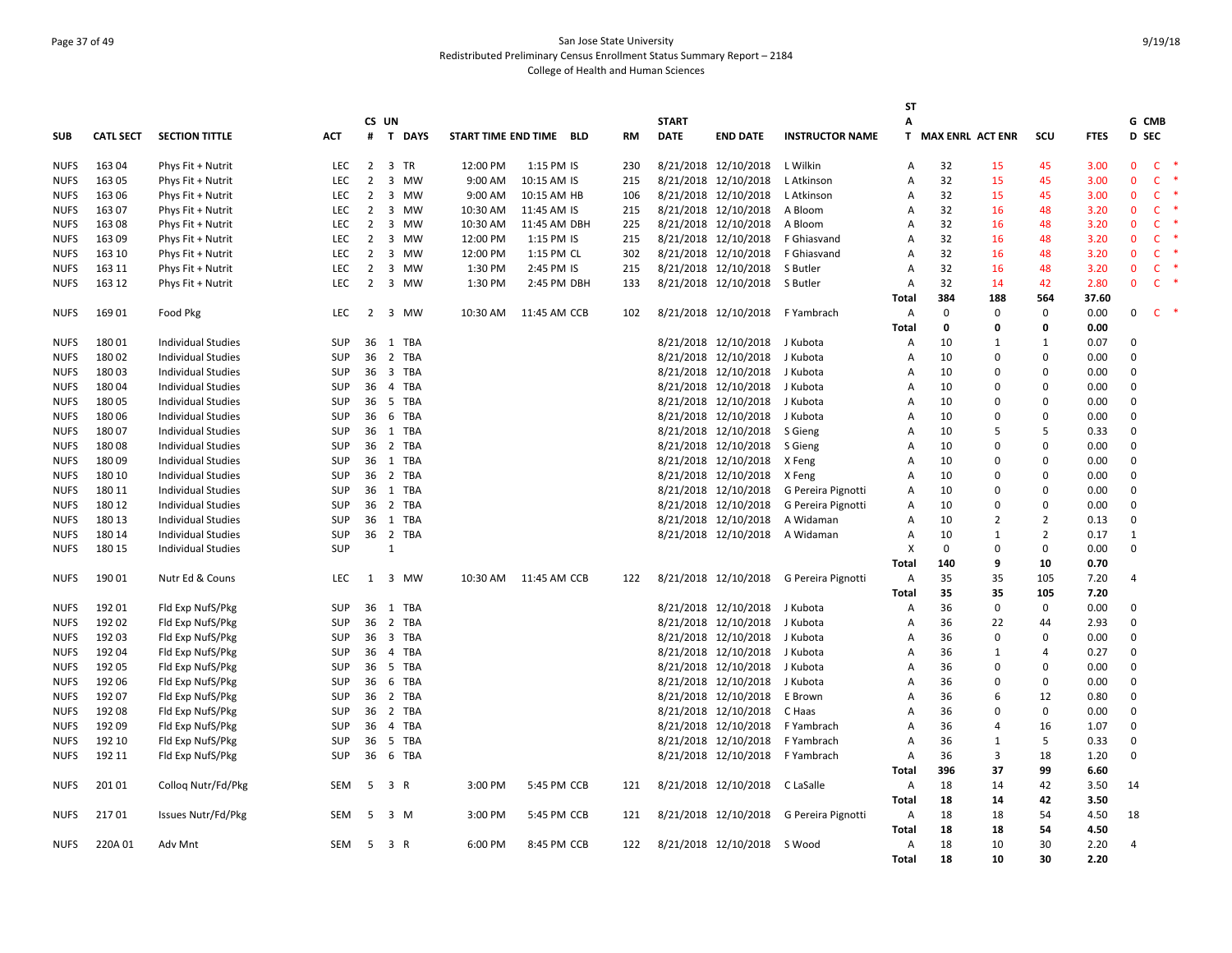# Page 37 of 49 San Jose State University Redistributed Preliminary Census Enrollment Status Summary Report – 2184 College of Health and Human Sciences

|             |                  |                           |            |                |                |            |                         |              |     |              |                      |                        | SΤ           |                    |                |                |             |                |              |  |
|-------------|------------------|---------------------------|------------|----------------|----------------|------------|-------------------------|--------------|-----|--------------|----------------------|------------------------|--------------|--------------------|----------------|----------------|-------------|----------------|--------------|--|
|             |                  |                           |            |                | CS UN          |            |                         |              |     | <b>START</b> |                      |                        | Α            |                    |                |                |             | G CMB          |              |  |
| <b>SUB</b>  | <b>CATL SECT</b> | <b>SECTION TITTLE</b>     | АСТ        |                |                | # T DAYS   | START TIME END TIME BLD |              | RM  | <b>DATE</b>  | <b>END DATE</b>      | <b>INSTRUCTOR NAME</b> |              | T MAX ENRL ACT ENR |                | scu            | <b>FTES</b> | <b>D</b> SEC   |              |  |
| <b>NUFS</b> | 163 04           | Phys Fit + Nutrit         | <b>LEC</b> | 2              |                | 3 TR       | 12:00 PM                | 1:15 PM IS   | 230 |              | 8/21/2018 12/10/2018 | L Wilkin               | A            | 32                 | 15             | 45             | 3.00        | $\mathbf{0}$   | <b>C</b>     |  |
| <b>NUFS</b> | 163 05           | Phys Fit + Nutrit         | LEC        | $\overline{2}$ |                | 3 MW       | 9:00 AM                 | 10:15 AM IS  | 215 |              | 8/21/2018 12/10/2018 | L Atkinson             | A            | 32                 | 15             | 45             | 3.00        | $\mathbf{0}$   | C            |  |
| <b>NUFS</b> | 163 06           | Phys Fit + Nutrit         | LEC        | 2              |                | 3 MW       | 9:00 AM                 | 10:15 AM HB  | 106 |              | 8/21/2018 12/10/2018 | L Atkinson             | Α            | 32                 | 15             | 45             | 3.00        | $\mathbf{0}$   | $\mathsf{C}$ |  |
| <b>NUFS</b> | 163 07           | Phys Fit + Nutrit         | <b>LEC</b> | 2              |                | 3 MW       | 10:30 AM                | 11:45 AM IS  | 215 |              | 8/21/2018 12/10/2018 | A Bloom                | A            | 32                 | 16             | 48             | 3.20        | $\mathbf{0}$   | C            |  |
| <b>NUFS</b> | 16308            | Phys Fit + Nutrit         | <b>LEC</b> | 2              |                | 3 MW       | 10:30 AM                | 11:45 AM DBH | 225 |              | 8/21/2018 12/10/2018 | A Bloom                | A            | 32                 | 16             | 48             | 3.20        | $\mathbf{0}$   | $\mathsf{C}$ |  |
| <b>NUFS</b> | 163 09           | Phys Fit + Nutrit         | <b>LEC</b> | 2              |                | 3 MW       | 12:00 PM                | 1:15 PM IS   | 215 |              | 8/21/2018 12/10/2018 | F Ghiasvand            | A            | 32                 | 16             | 48             | 3.20        | $\Omega$       | $\mathsf{C}$ |  |
| <b>NUFS</b> | 163 10           | Phys Fit + Nutrit         | LEC        | $\overline{2}$ |                | 3 MW       | 12:00 PM                | 1:15 PM CL   | 302 |              | 8/21/2018 12/10/2018 | F Ghiasvand            | Α            | 32                 | 16             | 48             | 3.20        | $\mathbf{0}$   | C            |  |
| <b>NUFS</b> | 163 11           | Phys Fit + Nutrit         | LEC        | $\overline{2}$ |                | 3 MW       | 1:30 PM                 | 2:45 PM IS   | 215 |              | 8/21/2018 12/10/2018 | S Butler               | Α            | 32                 | 16             | 48             | 3.20        | $\mathbf 0$    | $\mathsf{C}$ |  |
| <b>NUFS</b> | 163 12           | Phys Fit + Nutrit         | <b>LEC</b> | 2              |                | 3 MW       | 1:30 PM                 | 2:45 PM DBH  | 133 |              | 8/21/2018 12/10/2018 | S Butler               | Α            | 32                 | 14             | 42             | 2.80        | $\mathbf{0}$   | <b>C</b>     |  |
|             |                  |                           |            |                |                |            |                         |              |     |              |                      |                        | Total        | 384                | 188            | 564            | 37.60       |                |              |  |
| <b>NUFS</b> | 169 01           | Food Pkg                  | <b>LEC</b> | 2              |                | 3 MW       | 10:30 AM                | 11:45 AM CCB | 102 |              | 8/21/2018 12/10/2018 | F Yambrach             | Α            | $\mathbf{0}$       | 0              | 0              | 0.00        | 0              | C            |  |
|             |                  |                           |            |                |                |            |                         |              |     |              |                      |                        | Total        | 0                  | 0              | 0              | 0.00        |                |              |  |
| <b>NUFS</b> | 18001            | <b>Individual Studies</b> | <b>SUP</b> |                |                | 36 1 TBA   |                         |              |     |              | 8/21/2018 12/10/2018 | J Kubota               | Α            | 10                 | $\mathbf{1}$   | 1              | 0.07        | $\mathbf 0$    |              |  |
| <b>NUFS</b> | 18002            | <b>Individual Studies</b> | <b>SUP</b> | 36             |                | 2 TBA      |                         |              |     |              | 8/21/2018 12/10/2018 | J Kubota               | Α            | 10                 | $\mathbf 0$    | $\Omega$       | 0.00        | $\mathbf 0$    |              |  |
| <b>NUFS</b> | 18003            | <b>Individual Studies</b> | <b>SUP</b> | 36             |                | 3 TBA      |                         |              |     |              | 8/21/2018 12/10/2018 | J Kubota               | A            | 10                 | $\Omega$       | $\Omega$       | 0.00        | $\Omega$       |              |  |
| <b>NUFS</b> | 18004            | <b>Individual Studies</b> | <b>SUP</b> | 36             | $\overline{4}$ | <b>TBA</b> |                         |              |     |              | 8/21/2018 12/10/2018 | J Kubota               | A            | 10                 | $\Omega$       | $\Omega$       | 0.00        | $\Omega$       |              |  |
| <b>NUFS</b> | 180 05           | <b>Individual Studies</b> | <b>SUP</b> | 36             |                | 5 TBA      |                         |              |     |              | 8/21/2018 12/10/2018 | J Kubota               | A            | 10                 | $\Omega$       | $\Omega$       | 0.00        | $\Omega$       |              |  |
| <b>NUFS</b> | 18006            | Individual Studies        | SUP        | 36             |                | 6 TBA      |                         |              |     |              | 8/21/2018 12/10/2018 | J Kubota               | Α            | 10                 | $\mathbf 0$    | 0              | 0.00        | $\mathbf 0$    |              |  |
| <b>NUFS</b> | 180 07           | Individual Studies        | SUP        | 36             |                | 1 TBA      |                         |              |     |              | 8/21/2018 12/10/2018 | S Gieng                | А            | 10                 | 5              | 5              | 0.33        | $\mathbf 0$    |              |  |
| <b>NUFS</b> | 18008            | <b>Individual Studies</b> | <b>SUP</b> | 36             |                | 2 TBA      |                         |              |     |              | 8/21/2018 12/10/2018 | S Gieng                | А            | 10                 | $\Omega$       | 0              | 0.00        | $\mathbf 0$    |              |  |
| <b>NUFS</b> | 18009            | <b>Individual Studies</b> | <b>SUP</b> |                |                | 36 1 TBA   |                         |              |     |              | 8/21/2018 12/10/2018 | X Feng                 | Α            | 10                 | $\Omega$       | $\Omega$       | 0.00        | $\Omega$       |              |  |
| <b>NUFS</b> | 180 10           | <b>Individual Studies</b> | <b>SUP</b> | 36             |                | 2 TBA      |                         |              |     |              | 8/21/2018 12/10/2018 | X Feng                 | A            | 10                 | $\Omega$       | 0              | 0.00        | $\Omega$       |              |  |
| <b>NUFS</b> | 180 11           | <b>Individual Studies</b> | <b>SUP</b> | 36             |                | 1 TBA      |                         |              |     |              | 8/21/2018 12/10/2018 | G Pereira Pignotti     | A            | 10                 | $\Omega$       | $\Omega$       | 0.00        | $\mathbf 0$    |              |  |
| <b>NUFS</b> | 180 12           | <b>Individual Studies</b> | <b>SUP</b> |                |                | 36 2 TBA   |                         |              |     |              | 8/21/2018 12/10/2018 | G Pereira Pignotti     | A            | 10                 | $\Omega$       | $\Omega$       | 0.00        | $\Omega$       |              |  |
| <b>NUFS</b> | 180 13           | <b>Individual Studies</b> | <b>SUP</b> | 36             |                | 1 TBA      |                         |              |     |              | 8/21/2018 12/10/2018 | A Widaman              | A            | 10                 | 2              | $\overline{2}$ | 0.13        | $\mathbf 0$    |              |  |
| <b>NUFS</b> | 180 14           | <b>Individual Studies</b> | <b>SUP</b> |                |                | 36 2 TBA   |                         |              |     |              | 8/21/2018 12/10/2018 | A Widaman              | A            | 10                 | 1              | $\overline{2}$ | 0.17        | $\mathbf{1}$   |              |  |
| <b>NUFS</b> | 180 15           | <b>Individual Studies</b> | <b>SUP</b> |                | $\mathbf{1}$   |            |                         |              |     |              |                      |                        | X            | $\Omega$           | $\Omega$       | $\Omega$       | 0.00        | $\mathbf 0$    |              |  |
|             |                  |                           |            |                |                |            |                         |              |     |              |                      |                        | <b>Total</b> | 140                | 9              | 10             | 0.70        |                |              |  |
| <b>NUFS</b> | 19001            | Nutr Ed & Couns           | <b>LEC</b> | 1              |                | 3 MW       | 10:30 AM                | 11:45 AM CCB | 122 |              | 8/21/2018 12/10/2018 | G Pereira Pignotti     | Α            | 35                 | 35             | 105            | 7.20        | $\overline{4}$ |              |  |
|             |                  |                           |            |                |                |            |                         |              |     |              |                      |                        | <b>Total</b> | 35                 | 35             | 105            | 7.20        |                |              |  |
| <b>NUFS</b> | 192 01           | Fld Exp NufS/Pkg          | <b>SUP</b> | 36             |                | 1 TBA      |                         |              |     |              | 8/21/2018 12/10/2018 | J Kubota               | Α            | 36                 | 0              | 0              | 0.00        | $\Omega$       |              |  |
| <b>NUFS</b> | 192 02           | Fld Exp NufS/Pkg          | <b>SUP</b> | 36             |                | 2 TBA      |                         |              |     |              | 8/21/2018 12/10/2018 | J Kubota               | Α            | 36                 | 22             | 44             | 2.93        | $\mathbf 0$    |              |  |
| <b>NUFS</b> | 192 03           | Fld Exp NufS/Pkg          | <b>SUP</b> | 36             |                | 3 TBA      |                         |              |     |              | 8/21/2018 12/10/2018 | J Kubota               | A            | 36                 | 0              | $\Omega$       | 0.00        | 0              |              |  |
| <b>NUFS</b> | 192 04           | Fld Exp NufS/Pkg          | <b>SUP</b> | 36             |                | 4 TBA      |                         |              |     |              | 8/21/2018 12/10/2018 | J Kubota               | A            | 36                 | $\mathbf{1}$   | 4              | 0.27        | $\Omega$       |              |  |
| <b>NUFS</b> | 192 05           | Fld Exp NufS/Pkg          | <b>SUP</b> | 36             |                | 5 TBA      |                         |              |     |              | 8/21/2018 12/10/2018 | J Kubota               | Α            | 36                 | $\Omega$       | $\Omega$       | 0.00        | $\Omega$       |              |  |
| <b>NUFS</b> | 192 06           | Fld Exp NufS/Pkg          | <b>SUP</b> | 36             |                | 6 TBA      |                         |              |     |              | 8/21/2018 12/10/2018 | J Kubota               | A            | 36                 | $\Omega$       | $\Omega$       | 0.00        | $\Omega$       |              |  |
| <b>NUFS</b> | 192 07           | Fld Exp NufS/Pkg          | <b>SUP</b> | 36             |                | 2 TBA      |                         |              |     |              | 8/21/2018 12/10/2018 | E Brown                | A            | 36                 | 6              | 12             | 0.80        | $\Omega$       |              |  |
| <b>NUFS</b> | 192 08           | Fld Exp NufS/Pkg          | <b>SUP</b> | 36             |                | 2 TBA      |                         |              |     |              | 8/21/2018 12/10/2018 | C Haas                 | A            | 36                 | $\Omega$       | 0              | 0.00        | $\mathbf 0$    |              |  |
| <b>NUFS</b> | 192 09           | Fld Exp NufS/Pkg          | SUP        | 36             |                | 4 TBA      |                         |              |     |              | 8/21/2018 12/10/2018 | F Yambrach             | A            | 36                 | $\overline{4}$ | 16             | 1.07        | $\mathbf 0$    |              |  |
| <b>NUFS</b> | 192 10           | Fld Exp NufS/Pkg          | <b>SUP</b> | 36             |                | 5 TBA      |                         |              |     |              | 8/21/2018 12/10/2018 | F Yambrach             | A            | 36                 | 1              | 5              | 0.33        | $\Omega$       |              |  |
| <b>NUFS</b> | 192 11           | Fld Exp NufS/Pkg          | <b>SUP</b> | 36             |                | 6 TBA      |                         |              |     |              | 8/21/2018 12/10/2018 | F Yambrach             | Α            | 36                 | 3              | 18             | 1.20        | 0              |              |  |
|             |                  |                           |            |                |                |            |                         |              |     |              |                      |                        | Total        | 396                | 37             | 99             | 6.60        |                |              |  |
| <b>NUFS</b> | 201 01           | Collog Nutr/Fd/Pkg        | SEM        | 5              |                | 3 R        | 3:00 PM                 | 5:45 PM CCB  | 121 |              | 8/21/2018 12/10/2018 | C LaSalle              | Α            | 18                 | 14             | 42             | 3.50        | 14             |              |  |
|             |                  |                           |            |                |                |            |                         |              |     |              |                      |                        | Total        | 18                 | 14             | 42             | 3.50        |                |              |  |
| <b>NUFS</b> | 21701            | Issues Nutr/Fd/Pkg        | SEM        | 5              |                | 3 M        | 3:00 PM                 | 5:45 PM CCB  | 121 |              | 8/21/2018 12/10/2018 | G Pereira Pignotti     | Α            | 18                 | 18             | 54             | 4.50        | 18             |              |  |
|             |                  |                           |            |                |                |            |                         |              |     |              |                      |                        | <b>Total</b> | 18                 | 18             | 54             | 4.50        |                |              |  |
| <b>NUFS</b> | 220A 01          | Adv Mnt                   | <b>SEM</b> | 5              | 3 R            |            | 6:00 PM                 | 8:45 PM CCB  | 122 |              | 8/21/2018 12/10/2018 | S Wood                 | Α            | 18                 | 10             | 30             | 2.20        | 4              |              |  |
|             |                  |                           |            |                |                |            |                         |              |     |              |                      |                        | <b>Total</b> | 18                 | 10             | 30             | 2.20        |                |              |  |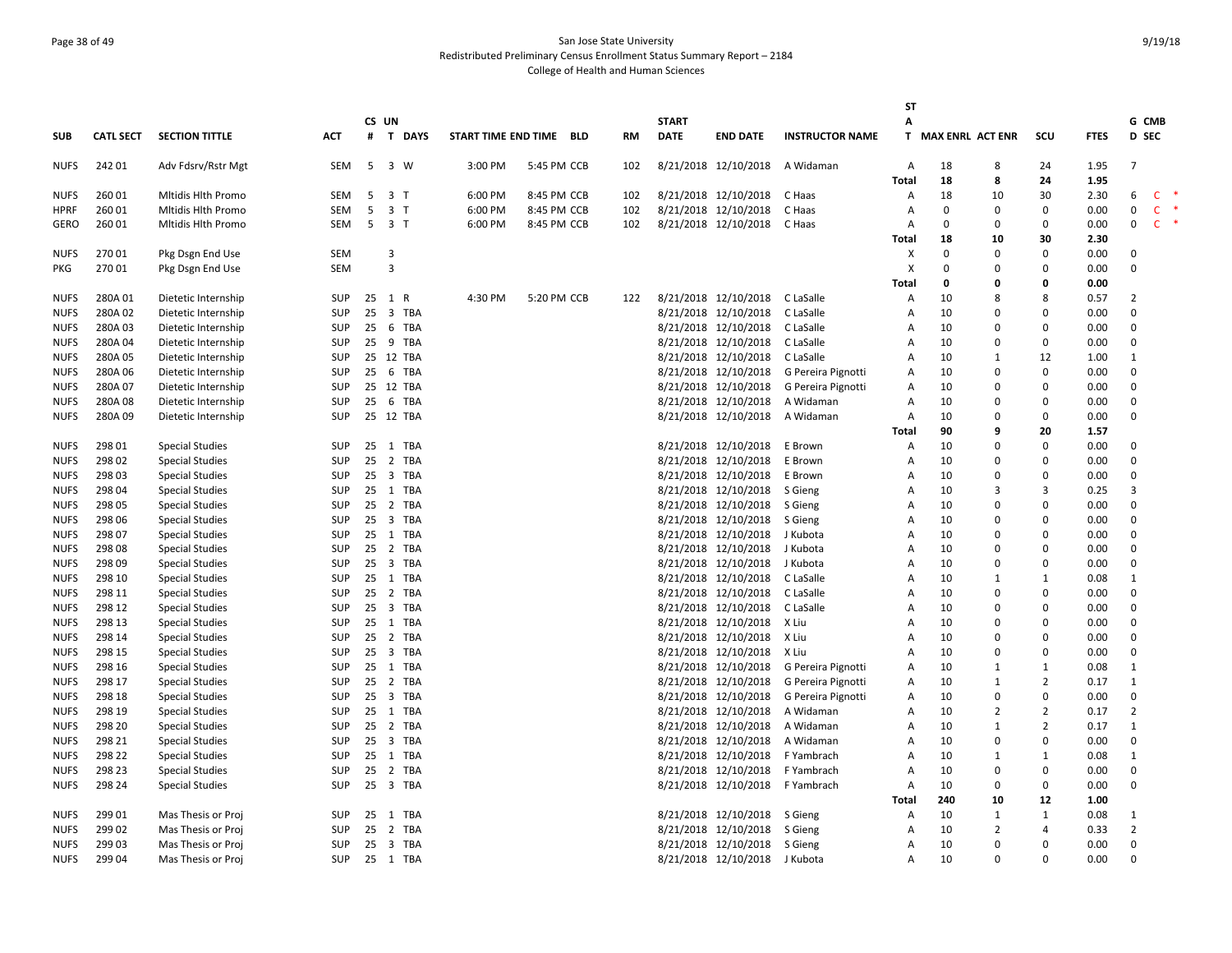# Page 38 of 49 San Jose State University Redistributed Preliminary Census Enrollment Status Summary Report – 2184 College of Health and Human Sciences

|             |                  |                        |            |    |                         |           |                         |             |     |              |                      |                        | <b>ST</b>      |                    |                |                |             |                |              |        |
|-------------|------------------|------------------------|------------|----|-------------------------|-----------|-------------------------|-------------|-----|--------------|----------------------|------------------------|----------------|--------------------|----------------|----------------|-------------|----------------|--------------|--------|
|             |                  |                        |            |    | CS UN                   |           |                         |             |     | <b>START</b> |                      |                        | A              |                    |                |                |             | G CMB          |              |        |
| <b>SUB</b>  | <b>CATL SECT</b> | <b>SECTION TITTLE</b>  | ACT        | #  |                         | T DAYS    | START TIME END TIME BLD |             | RM  | <b>DATE</b>  | <b>END DATE</b>      | <b>INSTRUCTOR NAME</b> |                | T MAX ENRL ACT ENR |                | scu            | <b>FTES</b> | D SEC          |              |        |
| <b>NUFS</b> | 242 01           | Adv Fdsrv/Rstr Mgt     | SEM        | 5  | 3 W                     |           | 3:00 PM                 | 5:45 PM CCB | 102 |              | 8/21/2018 12/10/2018 | A Widaman              | Α              | 18                 | 8              | 24             | 1.95        | $\overline{7}$ |              |        |
|             |                  |                        |            |    |                         |           |                         |             |     |              |                      |                        | <b>Total</b>   | 18                 | 8              | 24             | 1.95        |                |              |        |
| <b>NUFS</b> | 260 01           | Mitidis Hith Promo     | SEM        | 5  | 3 T                     |           | 6:00 PM                 | 8:45 PM CCB | 102 |              | 8/21/2018 12/10/2018 | C Haas                 | A              | 18                 | 10             | 30             | 2.30        | 6              | C.           |        |
| <b>HPRF</b> | 260 01           | Mitidis Hith Promo     | <b>SEM</b> | 5  | 3 <sub>1</sub>          |           | 6:00 PM                 | 8:45 PM CCB | 102 |              | 8/21/2018 12/10/2018 | C Haas                 | A              | $\mathbf 0$        | $\Omega$       | 0              | 0.00        | 0              | $\mathsf{C}$ |        |
| <b>GERO</b> | 260 01           | Mitidis Hith Promo     | SEM        | 5  | 3 <sub>1</sub>          |           | 6:00 PM                 | 8:45 PM CCB | 102 |              | 8/21/2018 12/10/2018 | C Haas                 | A              | $\Omega$           | $\Omega$       | 0              | 0.00        | 0              | $\mathsf{C}$ | $\ast$ |
|             |                  |                        |            |    |                         |           |                         |             |     |              |                      |                        | <b>Total</b>   | 18                 | 10             | 30             | 2.30        |                |              |        |
| <b>NUFS</b> | 27001            | Pkg Dsgn End Use       | SEM        |    | $\overline{\mathbf{3}}$ |           |                         |             |     |              |                      |                        | X              | $\Omega$           | $\Omega$       | 0              | 0.00        | $\Omega$       |              |        |
| PKG         | 27001            | Pkg Dsgn End Use       | SEM        |    | $\overline{3}$          |           |                         |             |     |              |                      |                        | X              | $\Omega$           | $\Omega$       | 0              | 0.00        | $\Omega$       |              |        |
|             |                  |                        |            |    |                         |           |                         |             |     |              |                      |                        | <b>Total</b>   | 0                  | 0              | 0              | 0.00        |                |              |        |
| <b>NUFS</b> | 280A01           | Dietetic Internship    | SUP        |    | 25 1 R                  |           | 4:30 PM                 | 5:20 PM CCB | 122 |              | 8/21/2018 12/10/2018 | C LaSalle              | Α              | 10                 | 8              | 8              | 0.57        | $\overline{2}$ |              |        |
| <b>NUFS</b> | 280A02           | Dietetic Internship    | <b>SUP</b> | 25 |                         | 3 TBA     |                         |             |     |              | 8/21/2018 12/10/2018 | C LaSalle              | A              | 10                 | $\Omega$       | $\Omega$       | 0.00        | $\Omega$       |              |        |
| <b>NUFS</b> | 280A03           | Dietetic Internship    | SUP        | 25 |                         | 6 TBA     |                         |             |     |              | 8/21/2018 12/10/2018 | C LaSalle              | A              | 10                 | 0              | 0              | 0.00        | $\mathbf 0$    |              |        |
| <b>NUFS</b> | 280A04           | Dietetic Internship    | SUP        |    |                         | 25 9 TBA  |                         |             |     |              | 8/21/2018 12/10/2018 | C LaSalle              | A              | 10                 | $\Omega$       | 0              | 0.00        | $\Omega$       |              |        |
| <b>NUFS</b> | 280A05           | Dietetic Internship    | SUP        |    |                         | 25 12 TBA |                         |             |     |              | 8/21/2018 12/10/2018 | C LaSalle              | Α              | 10                 | $\mathbf{1}$   | 12             | 1.00        | $\mathbf{1}$   |              |        |
| <b>NUFS</b> | 280A06           | Dietetic Internship    | SUP        |    |                         | 25 6 TBA  |                         |             |     |              | 8/21/2018 12/10/2018 | G Pereira Pignotti     | $\overline{A}$ | 10                 | $\Omega$       | 0              | 0.00        | $\Omega$       |              |        |
| <b>NUFS</b> | 280A 07          | Dietetic Internship    | SUP        |    |                         | 25 12 TBA |                         |             |     |              | 8/21/2018 12/10/2018 | G Pereira Pignotti     | Α              | 10                 | 0              | 0              | 0.00        | $\mathbf 0$    |              |        |
| <b>NUFS</b> | 280A08           | Dietetic Internship    | <b>SUP</b> | 25 |                         | 6 TBA     |                         |             |     |              | 8/21/2018 12/10/2018 | A Widaman              | A              | 10                 | $\Omega$       | 0              | 0.00        | $\mathbf 0$    |              |        |
| <b>NUFS</b> | 280A09           | Dietetic Internship    | <b>SUP</b> |    |                         | 25 12 TBA |                         |             |     |              | 8/21/2018 12/10/2018 | A Widaman              | A              | 10                 | $\Omega$       | 0              | 0.00        | $\Omega$       |              |        |
|             |                  |                        |            |    |                         |           |                         |             |     |              |                      |                        | Total          | 90                 | 9              | 20             | 1.57        |                |              |        |
| <b>NUFS</b> | 298 01           | <b>Special Studies</b> | SUP        |    |                         | 25 1 TBA  |                         |             |     |              | 8/21/2018 12/10/2018 | E Brown                | A              | 10                 | $\Omega$       | 0              | 0.00        | $\Omega$       |              |        |
| <b>NUFS</b> | 298 02           | <b>Special Studies</b> | SUP        |    |                         | 25 2 TBA  |                         |             |     |              | 8/21/2018 12/10/2018 | E Brown                | A              | 10                 | $\Omega$       | 0              | 0.00        | $\Omega$       |              |        |
| <b>NUFS</b> | 298 03           | <b>Special Studies</b> | SUP        |    |                         | 25 3 TBA  |                         |             |     |              | 8/21/2018 12/10/2018 | E Brown                | A              | 10                 | $\Omega$       | O              | 0.00        | $\Omega$       |              |        |
| <b>NUFS</b> | 298 04           | <b>Special Studies</b> | SUP        | 25 |                         | 1 TBA     |                         |             |     |              | 8/21/2018 12/10/2018 | S Gieng                | Α              | 10                 | 3              | 3              | 0.25        | 3              |              |        |
| <b>NUFS</b> | 298 05           | <b>Special Studies</b> | SUP        | 25 |                         | 2 TBA     |                         |             |     |              | 8/21/2018 12/10/2018 | S Gieng                | A              | 10                 | $\Omega$       | 0              | 0.00        | $\Omega$       |              |        |
| <b>NUFS</b> | 298 06           | <b>Special Studies</b> | SUP        | 25 |                         | 3 TBA     |                         |             |     |              | 8/21/2018 12/10/2018 | S Gieng                | A              | 10                 | $\Omega$       | 0              | 0.00        | $\Omega$       |              |        |
| <b>NUFS</b> | 298 07           | <b>Special Studies</b> | SUP        |    |                         | 25 1 TBA  |                         |             |     |              | 8/21/2018 12/10/2018 | J Kubota               | Α              | 10                 | $\Omega$       | 0              | 0.00        | $\mathbf 0$    |              |        |
| <b>NUFS</b> | 298 08           | <b>Special Studies</b> | <b>SUP</b> |    |                         | 25 2 TBA  |                         |             |     |              | 8/21/2018 12/10/2018 | J Kubota               | A              | 10                 | $\Omega$       | $\Omega$       | 0.00        | $\Omega$       |              |        |
| <b>NUFS</b> | 298 09           | <b>Special Studies</b> | SUP        |    |                         | 25 3 TBA  |                         |             |     |              | 8/21/2018 12/10/2018 | J Kubota               | A              | 10                 | $\Omega$       | 0              | 0.00        | $\Omega$       |              |        |
| <b>NUFS</b> | 298 10           | <b>Special Studies</b> | SUP        |    |                         | 25 1 TBA  |                         |             |     |              | 8/21/2018 12/10/2018 | C LaSalle              | A              | 10                 | 1              | $\mathbf{1}$   | 0.08        | 1              |              |        |
| <b>NUFS</b> | 298 11           | <b>Special Studies</b> | <b>SUP</b> | 25 |                         | 2 TBA     |                         |             |     |              | 8/21/2018 12/10/2018 | C LaSalle              | A              | 10                 | $\Omega$       | 0              | 0.00        | $\Omega$       |              |        |
| <b>NUFS</b> | 298 12           | <b>Special Studies</b> | <b>SUP</b> |    |                         | 25 3 TBA  |                         |             |     |              | 8/21/2018 12/10/2018 | C LaSalle              | A              | 10                 | $\Omega$       | 0              | 0.00        | $\Omega$       |              |        |
| <b>NUFS</b> | 298 13           | <b>Special Studies</b> | SUP        | 25 |                         | 1 TBA     |                         |             |     |              | 8/21/2018 12/10/2018 | X Liu                  | A              | 10                 | 0              | $\mathbf 0$    | 0.00        | $\mathbf 0$    |              |        |
| <b>NUFS</b> | 298 14           | <b>Special Studies</b> | SUP        |    |                         | 25 2 TBA  |                         |             |     |              | 8/21/2018 12/10/2018 | X Liu                  | Α              | 10                 | $\Omega$       | 0              | 0.00        | $\Omega$       |              |        |
| <b>NUFS</b> | 298 15           | <b>Special Studies</b> | <b>SUP</b> | 25 |                         | 3 TBA     |                         |             |     |              | 8/21/2018 12/10/2018 | X Liu                  | A              | 10                 | $\Omega$       | $\Omega$       | 0.00        | $\Omega$       |              |        |
| <b>NUFS</b> | 298 16           | <b>Special Studies</b> | SUP        |    |                         | 25 1 TBA  |                         |             |     |              | 8/21/2018 12/10/2018 | G Pereira Pignotti     | Α              | 10                 | $\mathbf{1}$   | $\mathbf{1}$   | 0.08        | $\mathbf{1}$   |              |        |
| <b>NUFS</b> | 298 17           | <b>Special Studies</b> | SUP        |    |                         | 25 2 TBA  |                         |             |     |              | 8/21/2018 12/10/2018 | G Pereira Pignotti     | A              | 10                 | 1              | $\overline{2}$ | 0.17        | 1              |              |        |
| <b>NUFS</b> | 298 18           | <b>Special Studies</b> | SUP        |    |                         | 25 3 TBA  |                         |             |     |              | 8/21/2018 12/10/2018 | G Pereira Pignotti     | Α              | 10                 | $\Omega$       | 0              | 0.00        | $\Omega$       |              |        |
| <b>NUFS</b> | 298 19           | <b>Special Studies</b> | SUP        |    |                         | 25 1 TBA  |                         |             |     |              | 8/21/2018 12/10/2018 | A Widaman              | A              | 10                 | $\overline{2}$ | $\overline{2}$ | 0.17        | $\overline{2}$ |              |        |
| <b>NUFS</b> | 298 20           | <b>Special Studies</b> | <b>SUP</b> | 25 |                         | 2 TBA     |                         |             |     |              | 8/21/2018 12/10/2018 | A Widaman              | Α              | 10                 | $\mathbf{1}$   | $\overline{2}$ | 0.17        | $\mathbf{1}$   |              |        |
| <b>NUFS</b> | 298 21           | <b>Special Studies</b> | SUP        | 25 |                         | 3 TBA     |                         |             |     |              | 8/21/2018 12/10/2018 | A Widaman              | A              | 10                 | 0              | 0              | 0.00        | $\mathbf 0$    |              |        |
| <b>NUFS</b> | 298 22           | <b>Special Studies</b> | <b>SUP</b> | 25 |                         | 1 TBA     |                         |             |     |              | 8/21/2018 12/10/2018 | F Yambrach             | A              | 10                 | $\mathbf{1}$   | $\mathbf{1}$   | 0.08        | 1              |              |        |
| <b>NUFS</b> | 298 23           | <b>Special Studies</b> | SUP        |    |                         | 25 2 TBA  |                         |             |     |              | 8/21/2018 12/10/2018 | F Yambrach             | A              | 10                 | 0              | 0              | 0.00        | $\mathbf 0$    |              |        |
| <b>NUFS</b> | 298 24           | <b>Special Studies</b> | <b>SUP</b> |    |                         | 25 3 TBA  |                         |             |     |              | 8/21/2018 12/10/2018 | F Yambrach             | A              | 10                 | $\Omega$       | 0              | 0.00        | $\Omega$       |              |        |
|             |                  |                        |            |    |                         |           |                         |             |     |              |                      |                        | <b>Total</b>   | 240                | 10             | 12             | 1.00        |                |              |        |
| <b>NUFS</b> | 299 01           | Mas Thesis or Proj     | SUP        |    |                         | 25 1 TBA  |                         |             |     |              | 8/21/2018 12/10/2018 | S Gieng                | A              | 10                 | 1              | $\mathbf 1$    | 0.08        | 1              |              |        |
| <b>NUFS</b> | 299 02           | Mas Thesis or Proj     | SUP        | 25 |                         | 2 TBA     |                         |             |     |              | 8/21/2018 12/10/2018 | S Gieng                | A              | 10                 | $\overline{2}$ | 4              | 0.33        | $\overline{2}$ |              |        |
| <b>NUFS</b> | 299 03           | Mas Thesis or Proj     | SUP        | 25 |                         | 3 TBA     |                         |             |     |              | 8/21/2018 12/10/2018 | S Gieng                | A              | 10                 | $\Omega$       | 0              | 0.00        | $\Omega$       |              |        |
| <b>NUFS</b> | 299 04           | Mas Thesis or Proj     | SUP        |    |                         | 25 1 TBA  |                         |             |     |              | 8/21/2018 12/10/2018 | J Kubota               | A              | 10                 | $\Omega$       | 0              | 0.00        | $\Omega$       |              |        |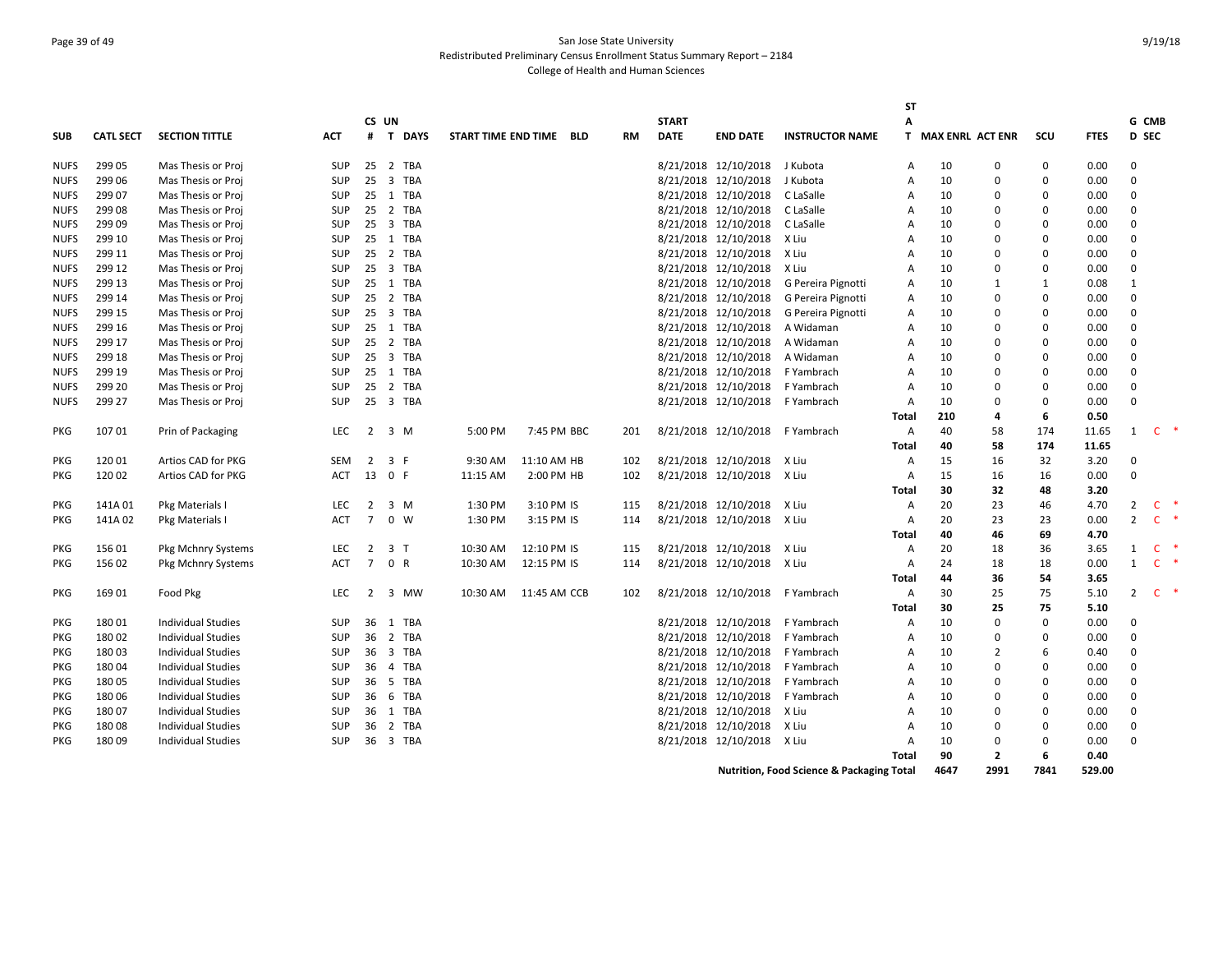# Page 39 of 49 San Jose State University Redistributed Preliminary Census Enrollment Status Summary Report – 2184 College of Health and Human Sciences

|             |                  |                           |            |                |                |                         |              |     |              |                            |                                                      | <b>ST</b>      |      |                    |             |             |                |                        |   |
|-------------|------------------|---------------------------|------------|----------------|----------------|-------------------------|--------------|-----|--------------|----------------------------|------------------------------------------------------|----------------|------|--------------------|-------------|-------------|----------------|------------------------|---|
|             |                  |                           |            | CS UN          |                |                         |              |     | <b>START</b> |                            |                                                      | A              |      |                    |             |             | G CMB          |                        |   |
| <b>SUB</b>  | <b>CATL SECT</b> | <b>SECTION TITTLE</b>     | ACT        | #              | T DAYS         | START TIME END TIME BLD |              | RM  | <b>DATE</b>  | <b>END DATE</b>            | <b>INSTRUCTOR NAME</b>                               |                |      | T MAX ENRL ACT ENR | scu         | <b>FTES</b> | <b>D</b> SEC   |                        |   |
| NUFS        | 299 05           | Mas Thesis or Proj        | <b>SUP</b> |                | 25 2 TBA       |                         |              |     |              | 8/21/2018 12/10/2018       | J Kubota                                             | Α              | 10   | 0                  | 0           | 0.00        | $\Omega$       |                        |   |
| <b>NUFS</b> | 299 06           | Mas Thesis or Proj        | <b>SUP</b> |                | 25 3 TBA       |                         |              |     |              | 8/21/2018 12/10/2018       | J Kubota                                             | A              | 10   | $\Omega$           | $\Omega$    | 0.00        | $\Omega$       |                        |   |
| <b>NUFS</b> | 299 07           | Mas Thesis or Proj        | SUP        |                | 25 1 TBA       |                         |              |     |              | 8/21/2018 12/10/2018       | C LaSalle                                            | A              | 10   | $\Omega$           | $\Omega$    | 0.00        | $\Omega$       |                        |   |
| <b>NUFS</b> | 299 08           | Mas Thesis or Proj        | SUP        |                | 25 2 TBA       |                         |              |     |              | 8/21/2018 12/10/2018       | C LaSalle                                            | A              | 10   | $\Omega$           | $\Omega$    | 0.00        | $\Omega$       |                        |   |
| <b>NUFS</b> | 299 09           | Mas Thesis or Proj        | SUP        |                | 25 3 TBA       |                         |              |     |              | 8/21/2018 12/10/2018       | C LaSalle                                            | $\overline{A}$ | 10   | $\Omega$           | $\mathbf 0$ | 0.00        | $\Omega$       |                        |   |
| <b>NUFS</b> | 299 10           | Mas Thesis or Proj        | SUP        |                | 25 1 TBA       |                         |              |     |              | 8/21/2018 12/10/2018       | X Liu                                                | $\overline{A}$ | 10   | $\Omega$           | $\Omega$    | 0.00        | $\Omega$       |                        |   |
| <b>NUFS</b> | 299 11           | Mas Thesis or Proj        | <b>SUP</b> |                | 25 2 TBA       |                         |              |     |              | 8/21/2018 12/10/2018       | X Liu                                                | $\overline{A}$ | 10   | $\Omega$           | $\Omega$    | 0.00        | $\Omega$       |                        |   |
| <b>NUFS</b> | 299 12           | Mas Thesis or Proj        | <b>SUP</b> |                | 25 3 TBA       |                         |              |     |              | 8/21/2018 12/10/2018       | X Liu                                                | $\overline{A}$ | 10   | $\Omega$           | $\mathbf 0$ | 0.00        | $\mathbf 0$    |                        |   |
| <b>NUFS</b> | 299 13           | Mas Thesis or Proj        | SUP        |                | 25 1 TBA       |                         |              |     |              | 8/21/2018 12/10/2018       | G Pereira Pignotti                                   | A              | 10   | 1                  | 1           | 0.08        | 1              |                        |   |
| <b>NUFS</b> | 299 14           | Mas Thesis or Proj        | SUP        |                | 25 2 TBA       |                         |              |     |              | 8/21/2018 12/10/2018       | G Pereira Pignotti                                   | Α              | 10   | $\Omega$           | $\Omega$    | 0.00        | $\Omega$       |                        |   |
| <b>NUFS</b> | 299 15           | Mas Thesis or Proj        | <b>SUP</b> |                | 25 3 TBA       |                         |              |     |              | 8/21/2018 12/10/2018       | G Pereira Pignotti                                   | A              | 10   | 0                  | $\Omega$    | 0.00        | $\Omega$       |                        |   |
| NUFS        | 299 16           | Mas Thesis or Proj        | SUP        |                | 25 1 TBA       |                         |              |     |              | 8/21/2018 12/10/2018       | A Widaman                                            | Α              | 10   | $\Omega$           | $\Omega$    | 0.00        | $\Omega$       |                        |   |
| <b>NUFS</b> | 299 17           | Mas Thesis or Proj        | SUP        |                | 25 2 TBA       |                         |              |     |              | 8/21/2018 12/10/2018       | A Widaman                                            | Α              | 10   | $\Omega$           | $\mathbf 0$ | 0.00        | $\Omega$       |                        |   |
| <b>NUFS</b> | 299 18           | Mas Thesis or Proj        | SUP        |                | 25 3 TBA       |                         |              |     |              | 8/21/2018 12/10/2018       | A Widaman                                            | $\overline{A}$ | 10   | $\Omega$           | $\Omega$    | 0.00        | $\Omega$       |                        |   |
| <b>NUFS</b> | 299 19           | Mas Thesis or Proj        | SUP        |                | 25 1 TBA       |                         |              |     |              | 8/21/2018 12/10/2018       | F Yambrach                                           | $\overline{A}$ | 10   | $\Omega$           | 0           | 0.00        | $\Omega$       |                        |   |
| <b>NUFS</b> | 299 20           | Mas Thesis or Proj        | <b>SUP</b> | 25             | 2 TBA          |                         |              |     |              | 8/21/2018 12/10/2018       | F Yambrach                                           | A              | 10   | $\Omega$           | 0           | 0.00        | $\mathbf 0$    |                        |   |
| <b>NUFS</b> | 299 27           | Mas Thesis or Proj        | <b>SUP</b> |                | 25 3 TBA       |                         |              |     |              | 8/21/2018 12/10/2018       | F Yambrach                                           | Α              | 10   | $\Omega$           | $\Omega$    | 0.00        | $\Omega$       |                        |   |
|             |                  |                           |            |                |                |                         |              |     |              |                            |                                                      | <b>Total</b>   | 210  | 4                  | 6           | 0.50        |                |                        |   |
| PKG         | 10701            | Prin of Packaging         | LEC.       | 2              | 3 M            | 5:00 PM                 | 7:45 PM BBC  | 201 |              | 8/21/2018 12/10/2018       | F Yambrach                                           | Α              | 40   | 58                 | 174         | 11.65       | 1              | C.                     |   |
|             |                  |                           |            |                |                |                         |              |     |              |                            |                                                      | Total          | 40   | 58                 | 174         | 11.65       |                |                        |   |
| PKG         | 120 01           | Artios CAD for PKG        | <b>SEM</b> | 2              | 3 F            | 9:30 AM                 | 11:10 AM HB  | 102 |              | 8/21/2018 12/10/2018       | X Liu                                                | Α              | 15   | 16                 | 32          | 3.20        | $\Omega$       |                        |   |
| <b>PKG</b>  | 120 02           | Artios CAD for PKG        | <b>ACT</b> |                | 13 0 F         | 11:15 AM                | 2:00 PM HB   | 102 |              | 8/21/2018 12/10/2018       | X Liu                                                | A              | 15   | 16                 | 16          | 0.00        | $\mathbf 0$    |                        |   |
|             |                  |                           |            |                |                |                         |              |     |              |                            |                                                      | Total          | 30   | 32                 | 48          | 3.20        |                |                        |   |
| PKG         | 141A01           | Pkg Materials I           | <b>LEC</b> | $\overline{2}$ | 3 M            | 1:30 PM                 | 3:10 PM IS   | 115 |              | 8/21/2018 12/10/2018       | X Liu                                                | Α              | 20   | 23                 | 46          | 4.70        | $\overline{2}$ | $\ast$<br>$\mathsf{C}$ |   |
| PKG         | 141A02           | Pkg Materials I           | <b>ACT</b> | $7^{\circ}$    | $0 \quad W$    | 1:30 PM                 | 3:15 PM IS   | 114 |              | 8/21/2018 12/10/2018       | X Liu                                                | Α              | 20   | 23                 | 23          | 0.00        | $\overline{2}$ | $\mathsf{C}$<br>$\ast$ |   |
|             |                  |                           |            |                |                |                         |              |     |              |                            |                                                      | Total          | 40   | 46                 | 69          | 4.70        |                |                        |   |
| PKG         | 156 01           | Pkg Mchnry Systems        | <b>LEC</b> | $\overline{2}$ | 3 <sub>1</sub> | 10:30 AM                | 12:10 PM IS  | 115 |              | 8/21/2018 12/10/2018       | X Liu                                                | Α              | 20   | 18                 | 36          | 3.65        | $\mathbf{1}$   | $\mathsf{C}$           | ∗ |
| PKG         | 156 02           | Pkg Mchnry Systems        | <b>ACT</b> | $7^{\circ}$    | 0 R            | 10:30 AM                | 12:15 PM IS  | 114 |              | 8/21/2018 12/10/2018 X Liu |                                                      | Α              | 24   | 18                 | 18          | 0.00        | $1 \quad C$    |                        |   |
|             |                  |                           |            |                |                |                         |              |     |              |                            |                                                      | <b>Total</b>   | 44   | 36                 | 54          | 3.65        |                |                        |   |
| <b>PKG</b>  | 169 01           | Food Pkg                  | <b>LEC</b> | 2              | 3 MW           | 10:30 AM                | 11:45 AM CCB | 102 |              | 8/21/2018 12/10/2018       | F Yambrach                                           | Α              | 30   | 25                 | 75          | 5.10        | $\overline{2}$ | C.                     |   |
|             |                  |                           |            |                |                |                         |              |     |              |                            |                                                      | Total          | 30   | 25                 | 75          | 5.10        |                |                        |   |
| PKG         | 18001            | <b>Individual Studies</b> | SUP        | 36             | 1 TBA          |                         |              |     |              | 8/21/2018 12/10/2018       | F Yambrach                                           | Α              | 10   | $\Omega$           | $\Omega$    | 0.00        | $\Omega$       |                        |   |
| PKG         | 18002            | <b>Individual Studies</b> | <b>SUP</b> |                | 36 2 TBA       |                         |              |     |              | 8/21/2018 12/10/2018       | F Yambrach                                           | $\overline{A}$ | 10   | 0                  | 0           | 0.00        | $\Omega$       |                        |   |
| PKG         | 18003            | <b>Individual Studies</b> | <b>SUP</b> |                | 36 3 TBA       |                         |              |     |              | 8/21/2018 12/10/2018       | F Yambrach                                           | $\overline{A}$ | 10   | 2                  | 6           | 0.40        | $\Omega$       |                        |   |
| <b>PKG</b>  | 18004            | <b>Individual Studies</b> | <b>SUP</b> |                | 36 4 TBA       |                         |              |     |              | 8/21/2018 12/10/2018       | F Yambrach                                           | $\overline{A}$ | 10   | $\Omega$           | $\Omega$    | 0.00        | $\Omega$       |                        |   |
| PKG         | 18005            | <b>Individual Studies</b> | SUP        |                | 36 5 TBA       |                         |              |     |              | 8/21/2018 12/10/2018       | F Yambrach                                           | $\overline{A}$ | 10   | $\Omega$           | $\Omega$    | 0.00        | $\Omega$       |                        |   |
| PKG         | 18006            | Individual Studies        | <b>SUP</b> |                | 36 6 TBA       |                         |              |     |              | 8/21/2018 12/10/2018       | F Yambrach                                           | A              | 10   | $\Omega$           | 0           | 0.00        | $\Omega$       |                        |   |
| PKG         | 18007            | <b>Individual Studies</b> | <b>SUP</b> |                | 36 1 TBA       |                         |              |     |              | 8/21/2018 12/10/2018       | X Liu                                                | A              | 10   | $\Omega$           | $\Omega$    | 0.00        | $\Omega$       |                        |   |
| PKG         | 18008            | <b>Individual Studies</b> | SUP        |                | 36 2 TBA       |                         |              |     |              | 8/21/2018 12/10/2018       | X Liu                                                | A              | 10   | $\Omega$           | $\Omega$    | 0.00        | $\Omega$       |                        |   |
| <b>PKG</b>  | 18009            | <b>Individual Studies</b> | <b>SUP</b> |                | 36 3 TBA       |                         |              |     |              | 8/21/2018 12/10/2018       | X Liu                                                | A              | 10   | $\Omega$           | $\Omega$    | 0.00        | $\Omega$       |                        |   |
|             |                  |                           |            |                |                |                         |              |     |              |                            |                                                      | Total          | 90   | $\overline{2}$     | 6           | 0.40        |                |                        |   |
|             |                  |                           |            |                |                |                         |              |     |              |                            | <b>Nutrition, Food Science &amp; Packaging Total</b> |                | 4647 | 2991               | 7841        | 529.00      |                |                        |   |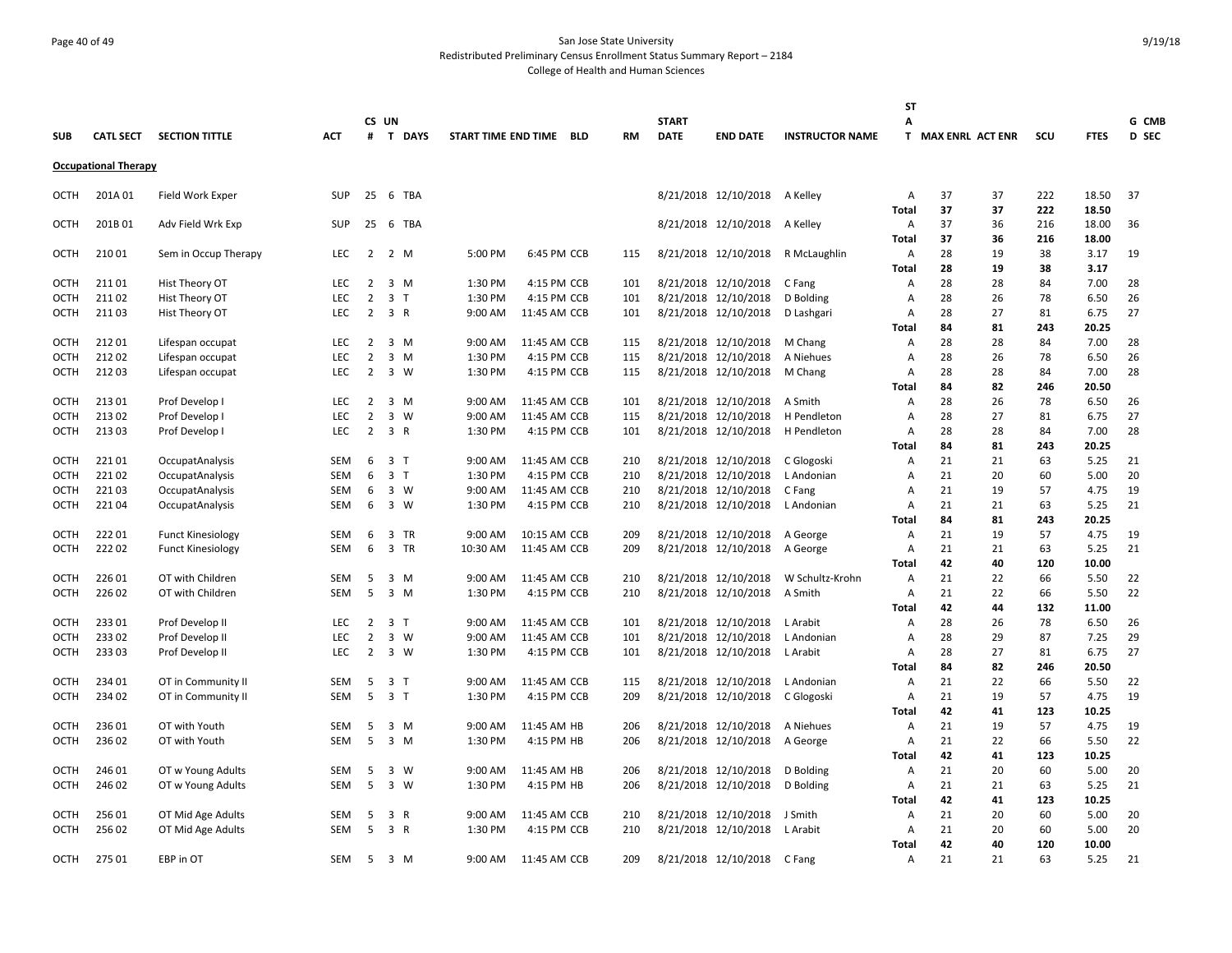# Page 40 of 49 San Jose State University Redistributed Preliminary Census Enrollment Status Summary Report – 2184 College of Health and Human Sciences

|             |                             |                                  |            |                |                                |                     |              |            |            |              |                                              |                        | ST                             |                    |          |           |               |              |
|-------------|-----------------------------|----------------------------------|------------|----------------|--------------------------------|---------------------|--------------|------------|------------|--------------|----------------------------------------------|------------------------|--------------------------------|--------------------|----------|-----------|---------------|--------------|
|             |                             |                                  |            |                | CS UN                          |                     |              |            |            | <b>START</b> |                                              |                        | А                              |                    |          |           |               | G CMB        |
| <b>SUB</b>  | <b>CATL SECT</b>            | <b>SECTION TITTLE</b>            | <b>ACT</b> | #              | <b>T DAYS</b>                  | START TIME END TIME |              | <b>BLD</b> | <b>RM</b>  | <b>DATE</b>  | <b>END DATE</b>                              | <b>INSTRUCTOR NAME</b> |                                | T MAX ENRL ACT ENR |          | scu       | <b>FTES</b>   | <b>D SEC</b> |
|             | <b>Occupational Therapy</b> |                                  |            |                |                                |                     |              |            |            |              |                                              |                        |                                |                    |          |           |               |              |
| OCTH        | 201A 01                     | Field Work Exper                 | <b>SUP</b> | 25             | 6 TBA                          |                     |              |            |            |              | 8/21/2018 12/10/2018 A Kelley                |                        | Α                              | 37                 | 37       | 222       | 18.50         | 37           |
|             |                             |                                  |            |                |                                |                     |              |            |            |              |                                              |                        | <b>Total</b>                   | 37                 | 37       | 222       | 18.50         |              |
| OCTH        | 201B01                      | Adv Field Wrk Exp                | <b>SUP</b> | 25             | 6 TBA                          |                     |              |            |            |              | 8/21/2018 12/10/2018                         | A Kelley               | Α                              | 37                 | 36       | 216       | 18.00         | 36           |
|             |                             |                                  |            |                |                                |                     |              |            |            |              |                                              |                        | Total                          | 37                 | 36       | 216       | 18.00         |              |
| OCTH        | 21001                       | Sem in Occup Therapy             | <b>LEC</b> | 2              | 2 M                            | 5:00 PM             | 6:45 PM CCB  |            | 115        |              | 8/21/2018 12/10/2018                         | R McLaughlin           | Α                              | 28                 | 19       | 38        | 3.17          | 19           |
|             |                             |                                  |            |                |                                |                     |              |            |            |              |                                              |                        | <b>Total</b>                   | 28                 | 19       | 38        | 3.17          |              |
| ОСТН        | 21101                       | Hist Theory OT                   | <b>LEC</b> | 2              | 3<br>M                         | 1:30 PM             | 4:15 PM CCB  |            | 101        |              | 8/21/2018 12/10/2018                         | C Fang                 | A                              | 28                 | 28       | 84        | 7.00          | 28           |
| OCTH        | 21102                       | Hist Theory OT                   | <b>LEC</b> | $\overline{2}$ | 3 <sub>1</sub>                 | 1:30 PM             | 4:15 PM CCB  |            | 101        |              | 8/21/2018 12/10/2018                         | D Bolding              | Α                              | 28                 | 26       | 78        | 6.50          | 26           |
| OCTH        | 21103                       | Hist Theory OT                   | <b>LEC</b> | $\overline{2}$ | 3 R                            | 9:00 AM             | 11:45 AM CCB |            | 101        |              | 8/21/2018 12/10/2018                         | D Lashgari             | Α                              | 28                 | 27       | 81        | 6.75          | 27           |
|             |                             |                                  |            |                |                                |                     |              |            |            |              |                                              |                        | Total                          | 84                 | 81       | 243       | 20.25         |              |
| OCTH        | 21201                       | Lifespan occupat                 | <b>LEC</b> | $\overline{2}$ | $\overline{3}$<br>M            | 9:00 AM             | 11:45 AM CCB |            | 115        |              | 8/21/2018 12/10/2018                         | M Chang                | Α                              | 28                 | 28       | 84        | 7.00          | 28           |
| <b>OCTH</b> | 21202                       | Lifespan occupat                 | LEC        | $\overline{2}$ | 3<br>M                         | 1:30 PM             | 4:15 PM CCB  |            | 115        |              | 8/21/2018 12/10/2018                         | A Niehues              | A                              | 28                 | 26       | 78        | 6.50          | 26           |
| OCTH        | 21203                       | Lifespan occupat                 | <b>LEC</b> | $\overline{2}$ | 3 W                            | 1:30 PM             | 4:15 PM CCB  |            | 115        |              | 8/21/2018 12/10/2018                         | M Chang                | Α                              | 28<br>84           | 28<br>82 | 84<br>246 | 7.00          | 28           |
| <b>OCTH</b> | 213 01                      |                                  | <b>LEC</b> | 2              | 3 M                            | 9:00 AM             | 11:45 AM CCB |            |            |              |                                              | A Smith                | Total                          | 28                 | 26       | 78        | 20.50<br>6.50 | 26           |
| OCTH        | 21302                       | Prof Develop I<br>Prof Develop I | LEC        | $\overline{2}$ | 3<br>W                         | 9:00 AM             | 11:45 AM CCB |            | 101<br>115 |              | 8/21/2018 12/10/2018<br>8/21/2018 12/10/2018 | H Pendleton            | Α<br>Α                         | 28                 | 27       | 81        | 6.75          | 27           |
| OCTH        | 21303                       | Prof Develop I                   | <b>LEC</b> | $\overline{2}$ | 3 R                            | 1:30 PM             | 4:15 PM CCB  |            | 101        |              | 8/21/2018 12/10/2018                         | H Pendleton            | A                              | 28                 | 28       | 84        | 7.00          | 28           |
|             |                             |                                  |            |                |                                |                     |              |            |            |              |                                              |                        | Total                          | 84                 | 81       | 243       | 20.25         |              |
| OCTH        | 22101                       | OccupatAnalysis                  | SEM        | 6              | 3 <sub>1</sub>                 | 9:00 AM             | 11:45 AM CCB |            | 210        |              | 8/21/2018 12/10/2018                         | C Glogoski             | Α                              | 21                 | 21       | 63        | 5.25          | 21           |
| OCTH        | 22102                       | OccupatAnalysis                  | <b>SEM</b> | 6              | 3 <sub>T</sub>                 | 1:30 PM             | 4:15 PM CCB  |            | 210        |              | 8/21/2018 12/10/2018                         | L Andonian             | Α                              | 21                 | 20       | 60        | 5.00          | 20           |
| ОСТН        | 22103                       | OccupatAnalysis                  | SEM        | 6              | 3 W                            | 9:00 AM             | 11:45 AM CCB |            | 210        |              | 8/21/2018 12/10/2018                         | C Fang                 | $\overline{A}$                 | 21                 | 19       | 57        | 4.75          | 19           |
| OCTH        | 22104                       | OccupatAnalysis                  | <b>SEM</b> | 6              | 3 W                            | 1:30 PM             | 4:15 PM CCB  |            | 210        |              | 8/21/2018 12/10/2018                         | L Andonian             | $\overline{A}$                 | 21                 | 21       | 63        | 5.25          | 21           |
|             |                             |                                  |            |                |                                |                     |              |            |            |              |                                              |                        | <b>Total</b>                   | 84                 | 81       | 243       | 20.25         |              |
| OCTH        | 22201                       | <b>Funct Kinesiology</b>         | SEM        | 6              | 3<br><b>TR</b>                 | 9:00 AM             | 10:15 AM CCB |            | 209        |              | 8/21/2018 12/10/2018                         | A George               | Α                              | 21                 | 19       | 57        | 4.75          | 19           |
| OCTH        | 22202                       | <b>Funct Kinesiology</b>         | <b>SEM</b> | 6              | 3<br><b>TR</b>                 | 10:30 AM            | 11:45 AM CCB |            | 209        |              | 8/21/2018 12/10/2018                         | A George               | A                              | 21                 | 21       | 63        | 5.25          | 21           |
|             |                             |                                  |            |                |                                |                     |              |            |            |              |                                              |                        | <b>Total</b>                   | 42                 | 40       | 120       | 10.00         |              |
| OCTH        | 22601                       | OT with Children                 | SEM        | 5              | $\overline{3}$<br>M            | 9:00 AM             | 11:45 AM CCB |            | 210        |              | 8/21/2018 12/10/2018                         | W Schultz-Krohn        | Α                              | 21                 | 22       | 66        | 5.50          | 22           |
| OCTH        | 226 02                      | OT with Children                 | <b>SEM</b> | 5              | $3 \, M$                       | 1:30 PM             | 4:15 PM CCB  |            | 210        |              | 8/21/2018 12/10/2018                         | A Smith                | A                              | 21                 | 22       | 66        | 5.50          | 22           |
|             |                             |                                  |            |                |                                |                     |              |            |            |              |                                              |                        | <b>Total</b>                   | 42                 | 44       | 132       | 11.00         |              |
| OCTH        | 23301                       | Prof Develop II                  | LEC        | $\overline{2}$ | $\overline{3}$<br>$\mathsf{T}$ | 9:00 AM             | 11:45 AM CCB |            | 101        |              | 8/21/2018 12/10/2018                         | L Arabit               | Α                              | 28                 | 26       | 78        | 6.50          | 26           |
| OCTH        | 23302                       | Prof Develop II                  | <b>LEC</b> | $\overline{2}$ | 3 W                            | 9:00 AM             | 11:45 AM CCB |            | 101        |              | 8/21/2018 12/10/2018                         | L Andonian             | Α                              | 28                 | 29       | 87        | 7.25          | 29           |
| OCTH        | 23303                       | Prof Develop II                  | <b>LEC</b> | $\overline{2}$ | $\overline{3}$<br>W            | 1:30 PM             | 4:15 PM CCB  |            | 101        |              | 8/21/2018 12/10/2018                         | L Arabit               | Α                              | 28                 | 27       | 81        | 6.75          | 27           |
|             |                             |                                  |            |                |                                |                     |              |            |            |              |                                              |                        | Total                          | 84                 | 82       | 246       | 20.50         |              |
| <b>OCTH</b> | 234 01                      | OT in Community II               | SEM        | 5              | 3 <sub>1</sub>                 | 9:00 AM             | 11:45 AM CCB |            | 115        |              | 8/21/2018 12/10/2018                         | L Andonian             | Α                              | 21                 | 22       | 66        | 5.50          | 22           |
| ОСТН        | 234 02                      | OT in Community II               | SEM        | 5              | 3 <sub>1</sub>                 | 1:30 PM             | 4:15 PM CCB  |            | 209        |              | 8/21/2018 12/10/2018                         | C Glogoski             | A                              | 21<br>42           | 19       | 57        | 4.75          | 19           |
| OCTH        | 23601                       | OT with Youth                    | <b>SEM</b> | 5              | $\overline{\mathbf{3}}$<br>M   | 9:00 AM             | 11:45 AM HB  |            | 206        |              | 8/21/2018 12/10/2018                         | A Niehues              | <b>Total</b><br>$\overline{A}$ | 21                 | 41<br>19 | 123<br>57 | 10.25<br>4.75 | 19           |
| <b>OCTH</b> | 236 02                      | OT with Youth                    | <b>SEM</b> | 5              | $3 \, M$                       | 1:30 PM             | 4:15 PM HB   |            | 206        |              | 8/21/2018 12/10/2018                         | A George               | A                              | 21                 | 22       | 66        | 5.50          | 22           |
|             |                             |                                  |            |                |                                |                     |              |            |            |              |                                              |                        | <b>Total</b>                   | 42                 | 41       | 123       | 10.25         |              |
| OCTH        | 246 01                      | OT w Young Adults                | SEM        | 5              | 3<br>W                         | 9:00 AM             | 11:45 AM HB  |            | 206        |              | 8/21/2018 12/10/2018                         | D Bolding              | Α                              | 21                 | 20       | 60        | 5.00          | 20           |
| ОСТН        | 24602                       | OT w Young Adults                | SEM        | 5              | $\overline{3}$<br>W            | 1:30 PM             | 4:15 PM HB   |            | 206        |              | 8/21/2018 12/10/2018                         | D Bolding              | Α                              | 21                 | 21       | 63        | 5.25          | 21           |
|             |                             |                                  |            |                |                                |                     |              |            |            |              |                                              |                        | Total                          | 42                 | 41       | 123       | 10.25         |              |
| OCTH        | 256 01                      | OT Mid Age Adults                | SEM        | 5              | 3<br>R                         | 9:00 AM             | 11:45 AM CCB |            | 210        |              | 8/21/2018 12/10/2018                         | J Smith                | Α                              | 21                 | 20       | 60        | 5.00          | 20           |
| ОСТН        | 256 02                      | OT Mid Age Adults                | SEM        | 5              | 3 R                            | 1:30 PM             | 4:15 PM CCB  |            | 210        |              | 8/21/2018 12/10/2018                         | L Arabit               | Α                              | 21                 | 20       | 60        | 5.00          | 20           |
|             |                             |                                  |            |                |                                |                     |              |            |            |              |                                              |                        | <b>Total</b>                   | 42                 | 40       | 120       | 10.00         |              |
| OCTH        | 275 01                      | EBP in OT                        | <b>SEM</b> | 5              | $\overline{3}$<br>M            | 9:00 AM             | 11:45 AM CCB |            | 209        |              | 8/21/2018 12/10/2018                         | C Fang                 | Α                              | 21                 | 21       | 63        | 5.25          | 21           |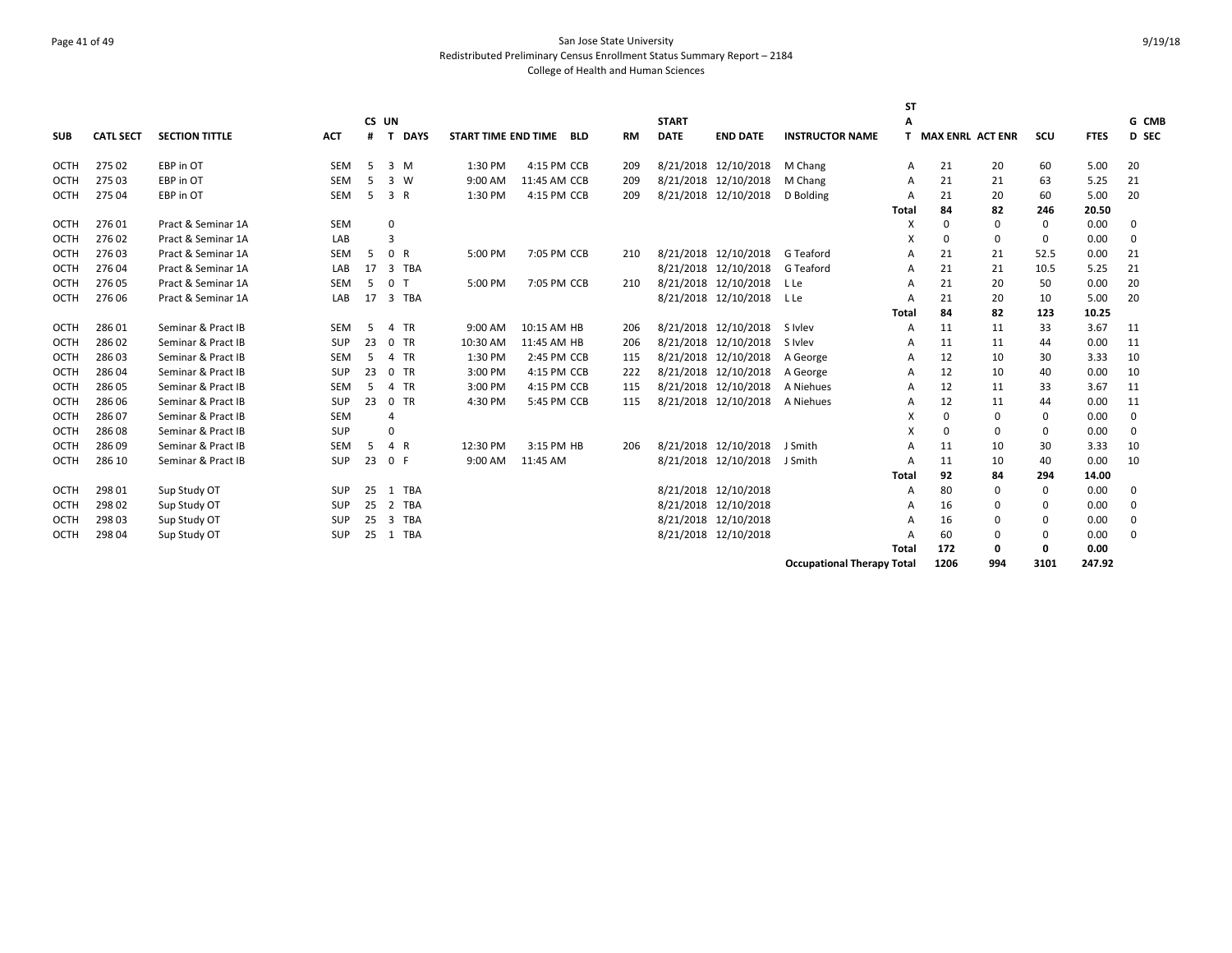# Page 41 of 49 San Jose State University Redistributed Preliminary Census Enrollment Status Summary Report – 2184 College of Health and Human Sciences

|             |                  |                       |            |    |                |             |                     |              |     |           |              |                      |                                   | <b>ST</b>    |                         |          |             |             |             |
|-------------|------------------|-----------------------|------------|----|----------------|-------------|---------------------|--------------|-----|-----------|--------------|----------------------|-----------------------------------|--------------|-------------------------|----------|-------------|-------------|-------------|
|             |                  |                       |            |    | CS UN          |             |                     |              |     |           | <b>START</b> |                      |                                   | A            |                         |          |             |             | G CMB       |
| <b>SUB</b>  | <b>CATL SECT</b> | <b>SECTION TITTLE</b> | <b>ACT</b> | #  | T.             | <b>DAYS</b> | START TIME END TIME |              | BLD | <b>RM</b> | <b>DATE</b>  | <b>END DATE</b>      | <b>INSTRUCTOR NAME</b>            |              | <b>MAX ENRL ACT ENR</b> |          | scu         | <b>FTES</b> | D SEC       |
| OCTH        | 275 02           | EBP in OT             | SEM        | 5  |                | 3 M         | 1:30 PM             | 4:15 PM CCB  |     | 209       |              | 8/21/2018 12/10/2018 | M Chang                           | A            | 21                      | 20       | 60          | 5.00        | 20          |
| OCTH        | 275 03           | EBP in OT             | <b>SEM</b> | 5  | 3              | W           | 9:00 AM             | 11:45 AM CCB |     | 209       |              | 8/21/2018 12/10/2018 | M Chang                           | A            | 21                      | 21       | 63          | 5.25        | 21          |
| <b>OCTH</b> | 275 04           | EBP in OT             | SEM        | 5  | 3 R            |             | 1:30 PM             | 4:15 PM CCB  |     | 209       |              | 8/21/2018 12/10/2018 | D Bolding                         | Α            | 21                      | 20       | 60          | 5.00        | 20          |
|             |                  |                       |            |    |                |             |                     |              |     |           |              |                      |                                   | <b>Total</b> | 84                      | 82       | 246         | 20.50       |             |
| OCTH        | 27601            | Pract & Seminar 1A    | SEM        |    | 0              |             |                     |              |     |           |              |                      |                                   | X            | $\Omega$                | $\Omega$ | 0           | 0.00        | 0           |
| OCTH        | 27602            | Pract & Seminar 1A    | LAB        |    | 3              |             |                     |              |     |           |              |                      |                                   | x            | $\Omega$                | $\Omega$ | 0           | 0.00        | $\mathbf 0$ |
| OCTH        | 27603            | Pract & Seminar 1A    | <b>SEM</b> | 5  | 0 R            |             | 5:00 PM             | 7:05 PM CCB  |     | 210       |              | 8/21/2018 12/10/2018 | G Teaford                         | A            | 21                      | 21       | 52.5        | 0.00        | 21          |
| OCTH        | 276 04           | Pract & Seminar 1A    | LAB        | 17 |                | 3 TBA       |                     |              |     |           |              | 8/21/2018 12/10/2018 | G Teaford                         | A            | 21                      | 21       | 10.5        | 5.25        | 21          |
| OCTH        | 276 05           | Pract & Seminar 1A    | <b>SEM</b> | -5 | 0 <sub>T</sub> |             | 5:00 PM             | 7:05 PM CCB  |     | 210       |              | 8/21/2018 12/10/2018 | L Le                              | A            | 21                      | 20       | 50          | 0.00        | 20          |
| OCTH        | 276 06           | Pract & Seminar 1A    | LAB        | 17 |                | 3 TBA       |                     |              |     |           |              | 8/21/2018 12/10/2018 | L Le                              | A            | 21                      | 20       | 10          | 5.00        | 20          |
|             |                  |                       |            |    |                |             |                     |              |     |           |              |                      |                                   | <b>Total</b> | 84                      | 82       | 123         | 10.25       |             |
| OCTH        | 28601            | Seminar & Pract IB    | SEM        | -5 |                | 4 TR        | 9:00 AM             | 10:15 AM HB  |     | 206       |              | 8/21/2018 12/10/2018 | S Ivlev                           | A            | 11                      | 11       | 33          | 3.67        | 11          |
| OCTH        | 28602            | Seminar & Pract IB    | SUP        | 23 |                | $0$ TR      | 10:30 AM            | 11:45 AM HB  |     | 206       |              | 8/21/2018 12/10/2018 | S Ivlev                           | A            | 11                      | 11       | 44          | 0.00        | 11          |
| OCTH        | 28603            | Seminar & Pract IB    | <b>SEM</b> | 5  |                | 4 TR        | 1:30 PM             | 2:45 PM CCB  |     | 115       |              | 8/21/2018 12/10/2018 | A George                          | A            | 12                      | 10       | 30          | 3.33        | 10          |
| OCTH        | 28604            | Seminar & Pract IB    | SUP        | 23 |                | $0$ TR      | 3:00 PM             | 4:15 PM CCB  |     | 222       |              | 8/21/2018 12/10/2018 | A George                          | А            | 12                      | 10       | 40          | 0.00        | 10          |
| OCTH        | 28605            | Seminar & Pract IB    | SEM        | 5  | 4              | <b>TR</b>   | 3:00 PM             | 4:15 PM CCB  |     | 115       |              | 8/21/2018 12/10/2018 | A Niehues                         | А            | 12                      | 11       | 33          | 3.67        | 11          |
| OCTH        | 28606            | Seminar & Pract IB    | SUP        | 23 |                | 0 TR        | 4:30 PM             | 5:45 PM CCB  |     | 115       |              | 8/21/2018 12/10/2018 | A Niehues                         | А            | 12                      | 11       | 44          | 0.00        | 11          |
| OCTH        | 286 07           | Seminar & Pract IB    | SEM        |    |                |             |                     |              |     |           |              |                      |                                   | x            | $\Omega$                | $\Omega$ | 0           | 0.00        | 0           |
| OCTH        | 28608            | Seminar & Pract IB    | SUP        |    | $\Omega$       |             |                     |              |     |           |              |                      |                                   | X            | $\Omega$                | $\Omega$ | 0           | 0.00        | $\mathbf 0$ |
| OCTH        | 286 09           | Seminar & Pract IB    | <b>SEM</b> | 5  | 4 R            |             | 12:30 PM            | 3:15 PM HB   |     | 206       |              | 8/21/2018 12/10/2018 | J Smith                           | A            | 11                      | 10       | 30          | 3.33        | 10          |
| <b>OCTH</b> | 286 10           | Seminar & Pract IB    | SUP        | 23 | 0 F            |             | 9:00 AM             | 11:45 AM     |     |           |              | 8/21/2018 12/10/2018 | J Smith                           | A            | 11                      | 10       | 40          | 0.00        | 10          |
|             |                  |                       |            |    |                |             |                     |              |     |           |              |                      |                                   | <b>Total</b> | 92                      | 84       | 294         | 14.00       |             |
| OCTH        | 298 01           | Sup Study OT          | SUP        | 25 |                | 1 TBA       |                     |              |     |           |              | 8/21/2018 12/10/2018 |                                   | A            | 80                      | $\Omega$ | 0           | 0.00        | 0           |
| OCTH        | 298 02           | Sup Study OT          | SUP        | 25 | 2              | <b>TBA</b>  |                     |              |     |           |              | 8/21/2018 12/10/2018 |                                   | А            | 16                      | $\Omega$ | 0           | 0.00        | 0           |
| OCTH        | 298 03           | Sup Study OT          | <b>SUP</b> | 25 | 3              | <b>TBA</b>  |                     |              |     |           |              | 8/21/2018 12/10/2018 |                                   | А            | 16                      |          | 0           | 0.00        | 0           |
| <b>OCTH</b> | 298 04           | Sup Study OT          | <b>SUP</b> | 25 |                | 1 TBA       |                     |              |     |           |              | 8/21/2018 12/10/2018 |                                   | А            | 60                      | $\Omega$ | $\mathbf 0$ | 0.00        | $\Omega$    |
|             |                  |                       |            |    |                |             |                     |              |     |           |              |                      |                                   | <b>Total</b> | 172                     | 0        | 0           | 0.00        |             |
|             |                  |                       |            |    |                |             |                     |              |     |           |              |                      | <b>Occupational Therapy Total</b> |              | 1206                    | 994      | 3101        | 247.92      |             |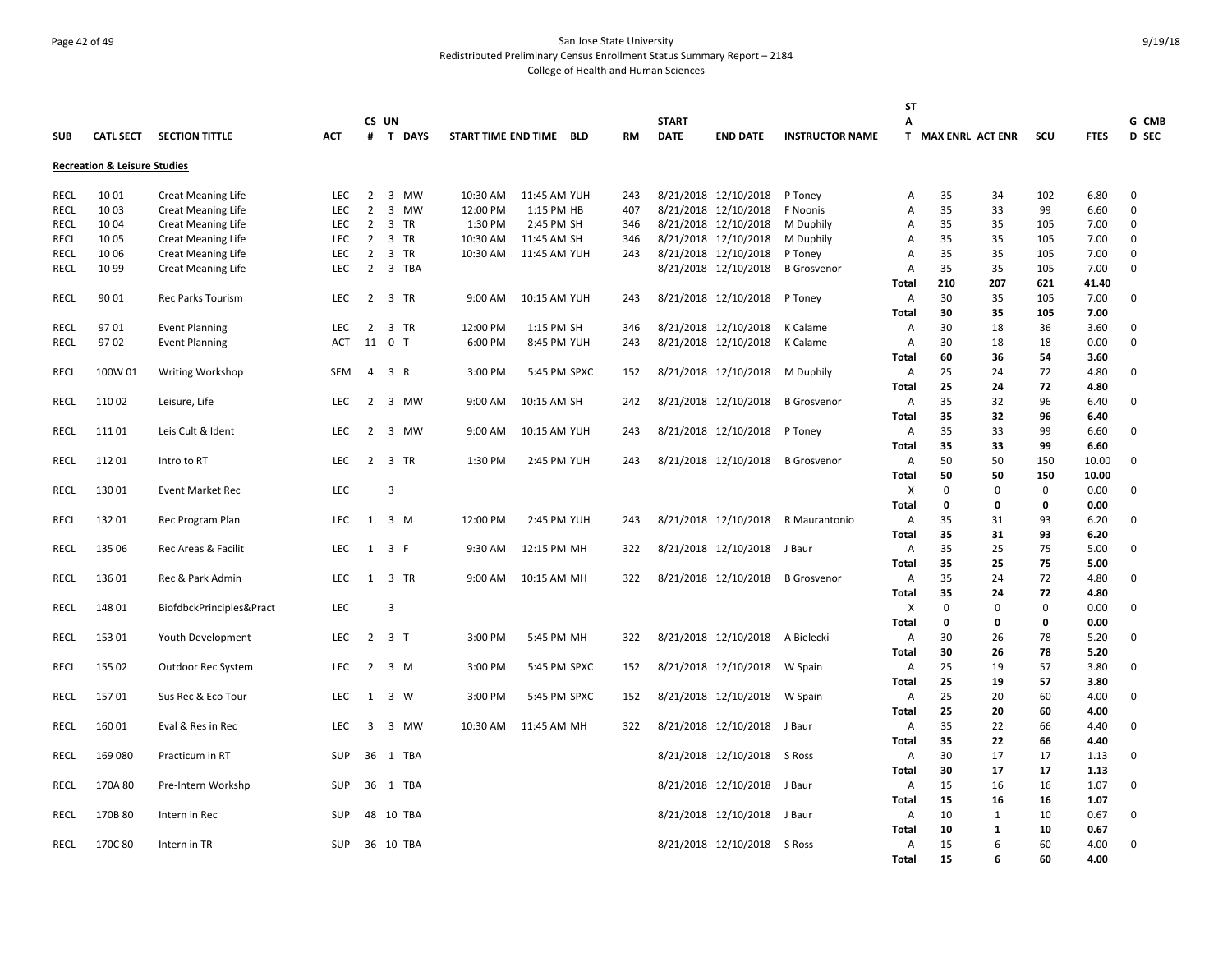#### Page 42 of 49 San Jose State University Redistributed Preliminary Census Enrollment Status Summary Report – 2184 College of Health and Human Sciences

|             |                                         |                           |            |                |                             |                         |              |              |           |              |                             |                        | <b>ST</b>         |                    |               |             |              |              |
|-------------|-----------------------------------------|---------------------------|------------|----------------|-----------------------------|-------------------------|--------------|--------------|-----------|--------------|-----------------------------|------------------------|-------------------|--------------------|---------------|-------------|--------------|--------------|
|             |                                         |                           |            |                | CS UN                       |                         |              |              |           | <b>START</b> |                             |                        | Α                 |                    |               |             |              | G CMB        |
| <b>SUB</b>  | <b>CATL SECT</b>                        | <b>SECTION TITTLE</b>     | <b>ACT</b> |                | # T DAYS                    | START TIME END TIME BLD |              |              | <b>RM</b> | <b>DATE</b>  | <b>END DATE</b>             | <b>INSTRUCTOR NAME</b> |                   | T MAX ENRL ACT ENR |               | SCU         | <b>FTES</b>  | <b>D SEC</b> |
|             | <b>Recreation &amp; Leisure Studies</b> |                           |            |                |                             |                         |              |              |           |              |                             |                        |                   |                    |               |             |              |              |
| RECL        | 10 01                                   | <b>Creat Meaning Life</b> | <b>LEC</b> | $\overline{2}$ | $\overline{3}$<br><b>MW</b> | 10:30 AM                | 11:45 AM YUH |              | 243       |              | 8/21/2018 12/10/2018        | P Toney                | Α                 | 35                 | 34            | 102         | 6.80         | 0            |
| RECL        | 10 03                                   | <b>Creat Meaning Life</b> | <b>LEC</b> | $\overline{2}$ | 3 MW                        | 12:00 PM                | 1:15 PM HB   |              | 407       |              | 8/21/2018 12/10/2018        | F Noonis               | Α                 | 35                 | 33            | 99          | 6.60         | 0            |
| <b>RECL</b> | 1004                                    | <b>Creat Meaning Life</b> | <b>LEC</b> | $\overline{2}$ | 3 TR                        | 1:30 PM                 | 2:45 PM SH   |              | 346       |              | 8/21/2018 12/10/2018        | M Duphily              | $\overline{A}$    | 35                 | 35            | 105         | 7.00         | 0            |
| <b>RECL</b> | 1005                                    | <b>Creat Meaning Life</b> | <b>LEC</b> | $\overline{2}$ | 3 TR                        | 10:30 AM                | 11:45 AM SH  |              | 346       |              | 8/21/2018 12/10/2018        | M Duphily              | $\overline{A}$    | 35                 | 35            | 105         | 7.00         | 0            |
| <b>RECL</b> | 10 06                                   | <b>Creat Meaning Life</b> | LEC        | $\overline{2}$ | 3 TR                        | 10:30 AM                | 11:45 AM YUH |              | 243       |              | 8/21/2018 12/10/2018        | P Toney                | $\overline{A}$    | 35                 | 35            | 105         | 7.00         | 0            |
| <b>RECL</b> | 10 99                                   | <b>Creat Meaning Life</b> | <b>LEC</b> | $\overline{2}$ | 3 TBA                       |                         |              |              |           |              | 8/21/2018 12/10/2018        | <b>B</b> Grosvenor     | A                 | 35                 | 35            | 105         | 7.00         | 0            |
|             |                                         |                           |            |                |                             |                         |              |              |           |              |                             |                        | <b>Total</b>      | 210                | 207           | 621         | 41.40        |              |
| RECL        | 90 01                                   | <b>Rec Parks Tourism</b>  | <b>LEC</b> |                | 2 3 TR                      | 9:00 AM                 | 10:15 AM YUH |              | 243       |              | 8/21/2018 12/10/2018        | P Toney                | Α                 | 30                 | 35            | 105         | 7.00         | 0            |
|             |                                         |                           |            |                |                             |                         |              |              |           |              |                             |                        | Total             | 30                 | 35            | 105         | 7.00         |              |
| RECL        | 9701                                    | <b>Event Planning</b>     | LEC        | 2              | 3 TR                        | 12:00 PM                | 1:15 PM SH   |              | 346       |              | 8/21/2018 12/10/2018        | K Calame               | Α                 | 30                 | 18            | 36          | 3.60         | 0            |
| RECL        | 9702                                    | <b>Event Planning</b>     | <b>ACT</b> | 11             | 0 <sub>T</sub>              | 6:00 PM                 | 8:45 PM YUH  |              | 243       |              | 8/21/2018 12/10/2018        | K Calame               | Α                 | 30                 | 18            | 18          | 0.00         | 0            |
|             |                                         |                           |            |                |                             |                         |              |              |           |              |                             |                        | Total             | 60                 | 36            | 54          | 3.60         |              |
| RECL        | 100W 01                                 | <b>Writing Workshop</b>   | SEM        | 4              | 3 R                         | 3:00 PM                 |              | 5:45 PM SPXC | 152       |              | 8/21/2018 12/10/2018        | M Duphily              | Α                 | 25                 | 24            | 72          | 4.80         | 0            |
|             |                                         |                           |            |                |                             |                         |              |              |           |              |                             |                        | <b>Total</b>      | 25                 | 24            | 72          | 4.80         |              |
| <b>RECL</b> | 11002                                   | Leisure, Life             | <b>LEC</b> | 2              | 3 MW                        | 9:00 AM                 | 10:15 AM SH  |              | 242       |              | 8/21/2018 12/10/2018        | <b>B</b> Grosvenor     | Α                 | 35                 | 32            | 96          | 6.40         | 0            |
|             |                                         |                           |            |                |                             |                         |              |              |           |              |                             |                        | <b>Total</b>      | 35                 | 32            | 96          | 6.40         |              |
| <b>RECL</b> | 11101                                   | Leis Cult & Ident         | <b>LEC</b> | 2              | 3 MW                        | 9:00 AM                 | 10:15 AM YUH |              | 243       |              | 8/21/2018 12/10/2018        | P Toney                | Α                 | 35                 | 33            | 99          | 6.60         | $\Omega$     |
|             |                                         |                           |            |                |                             |                         |              |              |           |              |                             |                        | <b>Total</b>      | 35                 | 33            | 99          | 6.60         |              |
| <b>RECL</b> | 11201                                   | Intro to RT               | <b>LEC</b> |                | 2 3 TR                      | 1:30 PM                 | 2:45 PM YUH  |              | 243       |              | 8/21/2018 12/10/2018        | <b>B</b> Grosvenor     | Α                 | 50                 | 50            | 150         | 10.00        | 0            |
|             |                                         |                           |            |                |                             |                         |              |              |           |              |                             |                        | <b>Total</b>      | 50                 | 50            | 150         | 10.00        |              |
| RECL        | 13001                                   | <b>Event Market Rec</b>   | <b>LEC</b> |                | 3                           |                         |              |              |           |              |                             |                        | х                 | $\Omega$           | $\Omega$<br>0 | 0           | 0.00         | 0            |
| RECL        | 13201                                   |                           | <b>LEC</b> | 1              | 3 M                         | 12:00 PM                | 2:45 PM YUH  |              | 243       |              | 8/21/2018 12/10/2018        | R Maurantonio          | <b>Total</b><br>Α | 0<br>35            | 31            | 0<br>93     | 0.00<br>6.20 | 0            |
|             |                                         | Rec Program Plan          |            |                |                             |                         |              |              |           |              |                             |                        | <b>Total</b>      | 35                 | 31            | 93          | 6.20         |              |
| RECL        | 135 06                                  | Rec Areas & Facilit       | <b>LEC</b> | 1              | 3 F                         | 9:30 AM                 | 12:15 PM MH  |              | 322       |              | 8/21/2018 12/10/2018        | J Baur                 | Α                 | 35                 | 25            | 75          | 5.00         | 0            |
|             |                                         |                           |            |                |                             |                         |              |              |           |              |                             |                        | <b>Total</b>      | 35                 | 25            | 75          | 5.00         |              |
| RECL        | 136 01                                  | Rec & Park Admin          | LEC        | 1              | 3 TR                        | 9:00 AM                 | 10:15 AM MH  |              | 322       |              | 8/21/2018 12/10/2018        | <b>B</b> Grosvenor     | Α                 | 35                 | 24            | 72          | 4.80         | 0            |
|             |                                         |                           |            |                |                             |                         |              |              |           |              |                             |                        | <b>Total</b>      | 35                 | 24            | 72          | 4.80         |              |
| RECL        | 148 01                                  | BiofdbckPrinciples&Pract  | LEC        |                | 3                           |                         |              |              |           |              |                             |                        | X                 | 0                  | $\mathbf 0$   | $\mathbf 0$ | 0.00         | 0            |
|             |                                         |                           |            |                |                             |                         |              |              |           |              |                             |                        | Total             | 0                  | 0             | $\mathbf 0$ | 0.00         |              |
| <b>RECL</b> | 153 01                                  | Youth Development         | <b>LEC</b> |                | 2 3 T                       | 3:00 PM                 | 5:45 PM MH   |              | 322       |              | 8/21/2018 12/10/2018        | A Bielecki             | Α                 | 30                 | 26            | 78          | 5.20         | 0            |
|             |                                         |                           |            |                |                             |                         |              |              |           |              |                             |                        | <b>Total</b>      | 30                 | 26            | 78          | 5.20         |              |
| <b>RECL</b> | 155 02                                  | Outdoor Rec System        | <b>LEC</b> |                | $2 \quad 3 \quad M$         | 3:00 PM                 |              | 5:45 PM SPXC | 152       |              | 8/21/2018 12/10/2018        | W Spain                | Α                 | 25                 | 19            | 57          | 3.80         | $\mathbf 0$  |
|             |                                         |                           |            |                |                             |                         |              |              |           |              |                             |                        | <b>Total</b>      | 25                 | 19            | 57          | 3.80         |              |
| <b>RECL</b> | 15701                                   | Sus Rec & Eco Tour        | <b>LEC</b> | 1              | 3 W                         | 3:00 PM                 |              | 5:45 PM SPXC | 152       |              | 8/21/2018 12/10/2018        | W Spain                | Α                 | 25                 | 20            | 60          | 4.00         | 0            |
|             |                                         |                           |            |                |                             |                         |              |              |           |              |                             |                        | <b>Total</b>      | 25                 | 20            | 60          | 4.00         |              |
| RECL        | 16001                                   | Eval & Res in Rec         | <b>LEC</b> | 3              | 3 MW                        | 10:30 AM                | 11:45 AM MH  |              | 322       |              | 8/21/2018 12/10/2018 J Baur |                        | Α                 | 35                 | 22            | 66          | 4.40         | 0            |
|             |                                         |                           |            |                |                             |                         |              |              |           |              |                             |                        | <b>Total</b>      | 35                 | 22            | 66          | 4.40         |              |
| RECL        | 169 080                                 | Practicum in RT           | <b>SUP</b> | 36             | 1 TBA                       |                         |              |              |           |              | 8/21/2018 12/10/2018 S Ross |                        | Α                 | 30                 | 17            | 17          | 1.13         | 0            |
|             |                                         |                           |            |                |                             |                         |              |              |           |              |                             |                        | <b>Total</b>      | 30                 | 17            | 17          | 1.13         |              |
| RECL        | 170A 80                                 | Pre-Intern Workshp        | SUP        | 36             | 1 TBA                       |                         |              |              |           |              | 8/21/2018 12/10/2018 J Baur |                        | Α                 | 15                 | 16            | 16          | 1.07         | 0            |
|             |                                         |                           |            |                |                             |                         |              |              |           |              |                             |                        | <b>Total</b>      | 15                 | 16            | 16          | 1.07         |              |
| RECL        | 170B 80                                 | Intern in Rec             | SUP        | 48             | 10 TBA                      |                         |              |              |           |              | 8/21/2018 12/10/2018 J Baur |                        | Α                 | 10                 | 1             | 10          | 0.67         | 0            |
| <b>RECL</b> | 170C 80                                 | Intern in TR              | <b>SUP</b> |                | 36 10 TBA                   |                         |              |              |           |              | 8/21/2018 12/10/2018 S Ross |                        | Total<br>A        | 10<br>15           | 1<br>6        | 10<br>60    | 0.67<br>4.00 | $\Omega$     |
|             |                                         |                           |            |                |                             |                         |              |              |           |              |                             |                        | <b>Total</b>      | 15                 | 6             | 60          | 4.00         |              |
|             |                                         |                           |            |                |                             |                         |              |              |           |              |                             |                        |                   |                    |               |             |              |              |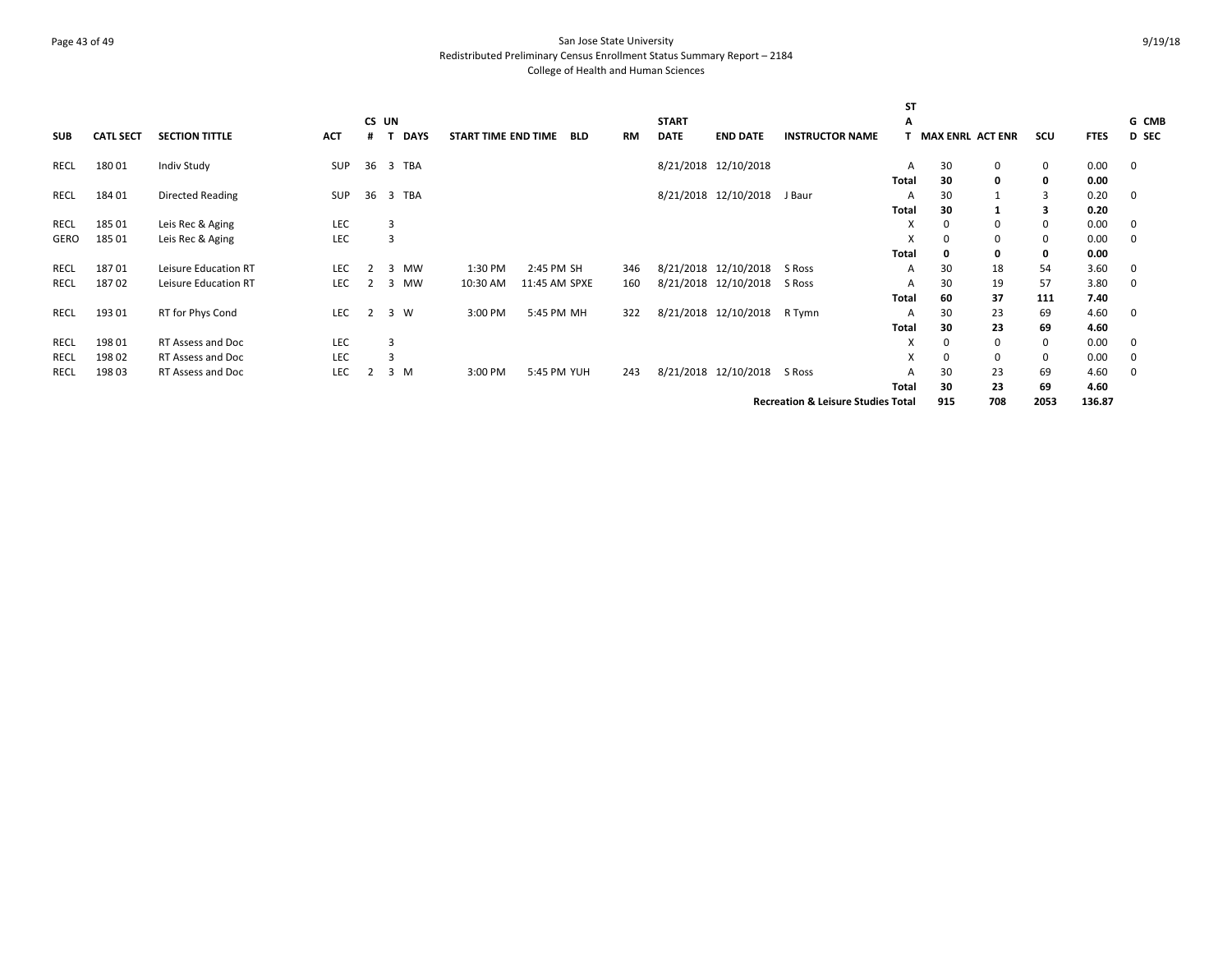# Page 43 of 49 San Jose State University Redistributed Preliminary Census Enrollment Status Summary Report – 2184 College of Health and Human Sciences

|            |                  |                       |            |       |   |             |                     |               |            |     |              |                      |                                               | <b>ST</b>                 |                         |          |          |             |          |
|------------|------------------|-----------------------|------------|-------|---|-------------|---------------------|---------------|------------|-----|--------------|----------------------|-----------------------------------------------|---------------------------|-------------------------|----------|----------|-------------|----------|
|            |                  |                       |            | CS UN |   |             |                     |               |            |     | <b>START</b> |                      |                                               | А                         |                         |          |          |             | G CMB    |
| <b>SUB</b> | <b>CATL SECT</b> | <b>SECTION TITTLE</b> | <b>ACT</b> |       |   | <b>DAYS</b> | START TIME END TIME |               | <b>BLD</b> | RM  | <b>DATE</b>  | <b>END DATE</b>      | <b>INSTRUCTOR NAME</b>                        |                           | <b>MAX ENRL ACT ENR</b> |          | scu      | <b>FTES</b> | D SEC    |
| RECL       | 18001            | Indiv Study           | SUP        | 36    |   | 3 TBA       |                     |               |            |     |              | 8/21/2018 12/10/2018 |                                               | A                         | 30                      | 0        | 0        | 0.00        | 0        |
|            |                  |                       |            |       |   |             |                     |               |            |     |              |                      |                                               | Total                     | 30                      | 0        | 0        | 0.00        |          |
| RECL       | 184 01           | Directed Reading      | <b>SUP</b> | 36    |   | 3 TBA       |                     |               |            |     |              | 8/21/2018 12/10/2018 | J Baur                                        | A                         | 30                      |          | 3        | 0.20        | 0        |
|            |                  |                       |            |       |   |             |                     |               |            |     |              |                      |                                               | Total                     | 30                      |          | 3        | 0.20        |          |
| RECL       | 185 01           | Leis Rec & Aging      | LEC        |       | 3 |             |                     |               |            |     |              |                      |                                               | $\boldsymbol{\mathsf{x}}$ | 0                       | $\Omega$ | $\Omega$ | 0.00        | 0        |
| GERO       | 185 01           | Leis Rec & Aging      | LEC        |       | 3 |             |                     |               |            |     |              |                      |                                               | X                         | 0                       |          | 0        | 0.00        | 0        |
|            |                  |                       |            |       |   |             |                     |               |            |     |              |                      |                                               | Total                     |                         | 0        | 0        | 0.00        |          |
| RECL       | 18701            | Leisure Education RT  | LEC        |       | 3 | <b>MW</b>   | 1:30 PM             | 2:45 PM SH    |            | 346 |              | 8/21/2018 12/10/2018 | S Ross                                        | A                         | 30                      | 18       | 54       | 3.60        | 0        |
| RECL       | 18702            | Leisure Education RT  | <b>LEC</b> | 2     | 3 | MW          | 10:30 AM            | 11:45 AM SPXE |            | 160 |              | 8/21/2018 12/10/2018 | S Ross                                        | A                         | 30                      | 19       | 57       | 3.80        | 0        |
|            |                  |                       |            |       |   |             |                     |               |            |     |              |                      |                                               | Total                     | 60                      | 37       | 111      | 7.40        |          |
| RECL       | 193 01           | RT for Phys Cond      | LEC        | 2     |   | 3 W         | 3:00 PM             | 5:45 PM MH    |            | 322 |              | 8/21/2018 12/10/2018 | R Tymn                                        | A                         | 30                      | 23       | 69       | 4.60        | 0        |
|            |                  |                       |            |       |   |             |                     |               |            |     |              |                      |                                               | Total                     | 30                      | 23       | 69       | 4.60        |          |
| RECL       | 198 01           | RT Assess and Doc     | <b>LEC</b> |       | 3 |             |                     |               |            |     |              |                      |                                               | $\boldsymbol{\mathsf{x}}$ | 0                       | $\Omega$ | 0        | 0.00        | $\Omega$ |
| RECL       | 198 02           | RT Assess and Doc     | LEC        |       |   |             |                     |               |            |     |              |                      |                                               | X                         | 0                       | $\Omega$ | 0        | 0.00        | 0        |
| RECL       | 19803            | RT Assess and Doc     | <b>LEC</b> | 2     |   | 3 M         | 3:00 PM             | 5:45 PM YUH   |            | 243 |              | 8/21/2018 12/10/2018 | S Ross                                        | A                         | 30                      | 23       | 69       | 4.60        | 0        |
|            |                  |                       |            |       |   |             |                     |               |            |     |              |                      |                                               | Total                     | 30                      | 23       | 69       | 4.60        |          |
|            |                  |                       |            |       |   |             |                     |               |            |     |              |                      | <b>Recreation &amp; Leisure Studies Total</b> |                           | 915                     | 708      | 2053     | 136.87      |          |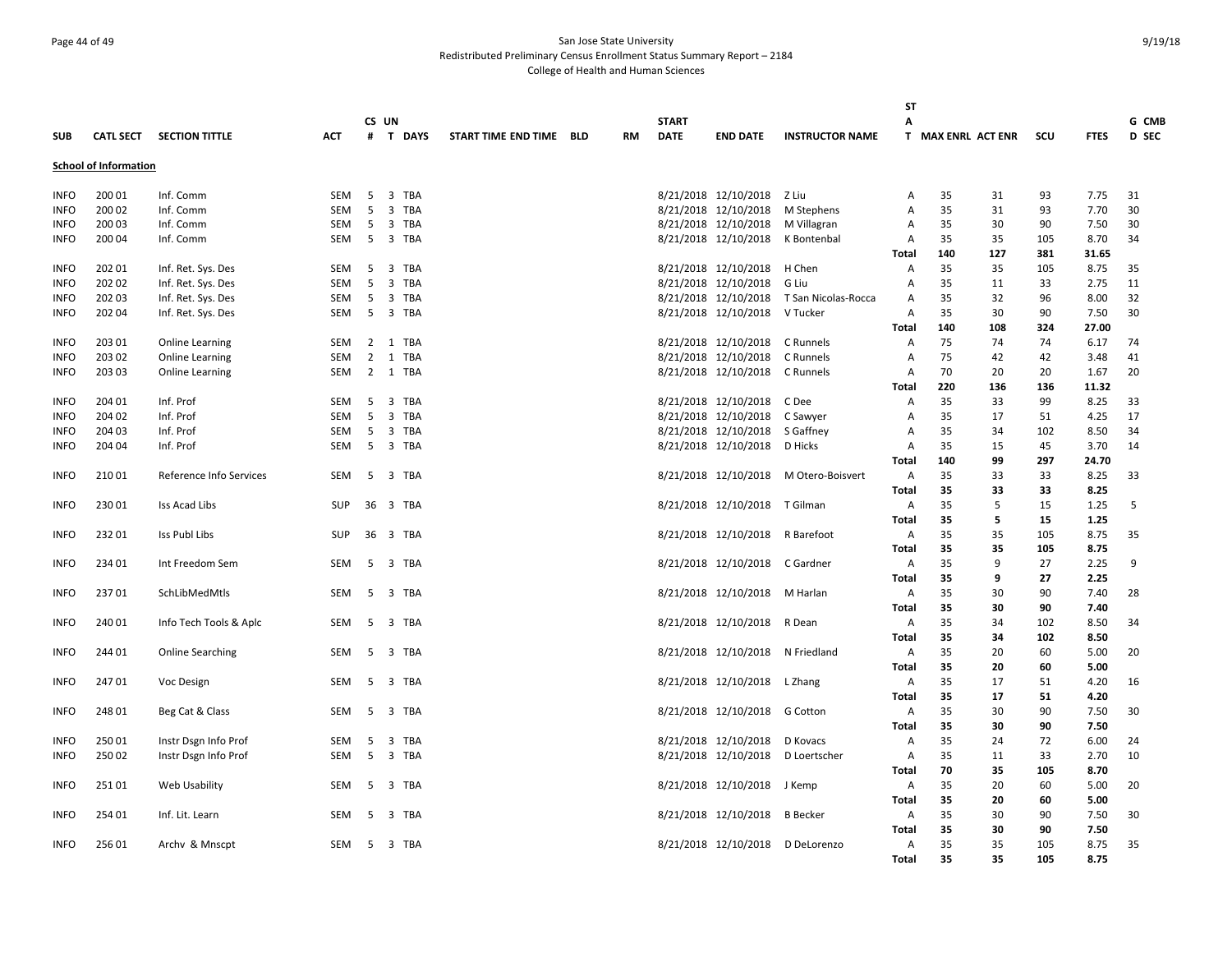# Page 44 of 49 San Jose State University Redistributed Preliminary Census Enrollment Status Summary Report – 2184 College of Health and Human Sciences

|             |                              |                         |            |          |          |                         |           |              |                                   |                                          | ST             |                    |     |            |              |              |
|-------------|------------------------------|-------------------------|------------|----------|----------|-------------------------|-----------|--------------|-----------------------------------|------------------------------------------|----------------|--------------------|-----|------------|--------------|--------------|
|             |                              |                         |            | CS UN    |          |                         |           | <b>START</b> |                                   |                                          | Α              |                    |     |            |              | G CMB        |
| <b>SUB</b>  | <b>CATL SECT</b>             | <b>SECTION TITTLE</b>   | <b>ACT</b> |          | # T DAYS | START TIME END TIME BLD | <b>RM</b> | <b>DATE</b>  | <b>END DATE</b>                   | <b>INSTRUCTOR NAME</b>                   |                | T MAX ENRL ACT ENR |     | scu        | <b>FTES</b>  | <b>D</b> SEC |
|             | <b>School of Information</b> |                         |            |          |          |                         |           |              |                                   |                                          |                |                    |     |            |              |              |
| <b>INFO</b> | 200 01                       | Inf. Comm               | <b>SEM</b> | 5        | 3 TBA    |                         |           |              | 8/21/2018 12/10/2018 Z Liu        |                                          | Α              | 35                 | 31  | 93         | 7.75         | 31           |
| <b>INFO</b> | 200 02                       | Inf. Comm               | SEM        | 5        | 3 TBA    |                         |           |              | 8/21/2018 12/10/2018              | M Stephens                               | Α              | 35                 | 31  | 93         | 7.70         | 30           |
| <b>INFO</b> | 200 03                       | Inf. Comm               | <b>SEM</b> | -5       | 3 TBA    |                         |           |              | 8/21/2018 12/10/2018 M Villagran  |                                          | Α              | 35                 | 30  | 90         | 7.50         | 30           |
| <b>INFO</b> | 200 04                       | Inf. Comm               | <b>SEM</b> |          | 5 3 TBA  |                         |           |              | 8/21/2018 12/10/2018 K Bontenbal  |                                          | A              | 35                 | 35  | 105        | 8.70         | 34           |
|             |                              |                         |            |          |          |                         |           |              |                                   |                                          | <b>Total</b>   | 140                | 127 | 381        | 31.65        |              |
| <b>INFO</b> | 202 01                       | Inf. Ret. Sys. Des      | <b>SEM</b> | 5        | 3 TBA    |                         |           |              | 8/21/2018 12/10/2018              | H Chen                                   | Α              | 35                 | 35  | 105        | 8.75         | 35           |
| <b>INFO</b> | 202 02                       | Inf. Ret. Sys. Des      | SEM        | 5        | 3 TBA    |                         |           |              | 8/21/2018 12/10/2018              | G Liu                                    | A              | 35                 | 11  | 33         | 2.75         | 11           |
| <b>INFO</b> | 202 03                       | Inf. Ret. Sys. Des      | SEM        |          | 5 3 TBA  |                         |           |              |                                   | 8/21/2018 12/10/2018 T San Nicolas-Rocca | Α              | 35                 | 32  | 96         | 8.00         | 32           |
| <b>INFO</b> | 202 04                       | Inf. Ret. Sys. Des      | SEM        | 5        | 3 TBA    |                         |           |              | 8/21/2018 12/10/2018              | V Tucker                                 | Α              | 35                 | 30  | 90         | 7.50         | 30           |
|             |                              |                         |            |          |          |                         |           |              |                                   |                                          | Total          | 140                | 108 | 324        | 27.00        |              |
| <b>INFO</b> | 203 01                       | Online Learning         | SEM        |          | 2 1 TBA  |                         |           |              | 8/21/2018 12/10/2018              | C Runnels                                | Α              | 75                 | 74  | 74         | 6.17         | 74           |
| <b>INFO</b> | 203 02                       | Online Learning         | SEM        |          | 2 1 TBA  |                         |           |              | 8/21/2018 12/10/2018              | C Runnels                                | Α              | 75                 | 42  | 42         | 3.48         | 41           |
| <b>INFO</b> | 203 03                       | <b>Online Learning</b>  | SEM        |          | 2 1 TBA  |                         |           |              | 8/21/2018 12/10/2018 C Runnels    |                                          | Α              | 70                 | 20  | 20         | 1.67         | 20           |
|             |                              |                         |            |          |          |                         |           |              |                                   |                                          | <b>Total</b>   | 220                | 136 | 136        | 11.32        |              |
| <b>INFO</b> | 204 01                       | Inf. Prof               | SEM        | -5       | 3 TBA    |                         |           |              | 8/21/2018 12/10/2018              | C Dee                                    | Α              | 35                 | 33  | 99         | 8.25         | 33           |
| <b>INFO</b> | 204 02                       | Inf. Prof               | <b>SEM</b> | 5        | 3 TBA    |                         |           |              | 8/21/2018 12/10/2018              | C Sawyer                                 | Α              | 35                 | 17  | 51         | 4.25         | 17           |
| <b>INFO</b> | 204 03                       | Inf. Prof               | SEM        | 5        | 3 TBA    |                         |           |              | 8/21/2018 12/10/2018 S Gaffney    |                                          | A              | 35                 | 34  | 102        | 8.50         | 34           |
| <b>INFO</b> | 204 04                       | Inf. Prof               | SEM        | 5        | 3 TBA    |                         |           |              | 8/21/2018 12/10/2018              | D Hicks                                  | A              | 35                 | 15  | 45         | 3.70         | 14           |
|             |                              |                         |            |          |          |                         |           |              |                                   |                                          | <b>Total</b>   | 140                | 99  | 297        | 24.70        |              |
| <b>INFO</b> | 21001                        | Reference Info Services | <b>SEM</b> |          | 5 3 TBA  |                         |           |              |                                   | 8/21/2018 12/10/2018 M Otero-Boisvert    | $\overline{A}$ | 35                 | 33  | 33         | 8.25         | 33           |
|             |                              |                         |            |          |          |                         |           |              |                                   |                                          | Total          | 35                 | 33  | 33         | 8.25         |              |
| <b>INFO</b> | 230 01                       | Iss Acad Libs           | SUP        |          | 36 3 TBA |                         |           |              | 8/21/2018 12/10/2018 T Gilman     |                                          | A              | 35                 | 5   | 15         | 1.25         | - 5          |
|             |                              |                         |            |          |          |                         |           |              |                                   |                                          | Total          | 35                 | 5   | 15         | 1.25         |              |
| <b>INFO</b> | 23201                        | Iss Publ Libs           | SUP        | 36 3 TBA |          |                         |           |              | 8/21/2018 12/10/2018 R Barefoot   |                                          | Α              | 35                 | 35  | 105        | 8.75         | 35           |
|             |                              |                         |            |          |          |                         |           |              |                                   |                                          | <b>Total</b>   | 35                 | 35  | 105        | 8.75         |              |
| <b>INFO</b> | 234 01                       | Int Freedom Sem         | SEM        |          | 5 3 TBA  |                         |           |              | 8/21/2018 12/10/2018 C Gardner    |                                          | Α              | 35                 | 9   | 27         | 2.25         | 9            |
|             |                              |                         |            |          |          |                         |           |              |                                   |                                          | Total          | 35                 | 9   | 27         | 2.25         |              |
| <b>INFO</b> | 23701                        | SchLibMedMtls           | SEM        |          | 5 3 TBA  |                         |           |              | 8/21/2018 12/10/2018 M Harlan     |                                          | Α              | 35                 | 30  | 90         | 7.40         | 28           |
|             |                              |                         |            |          |          |                         |           |              |                                   |                                          | <b>Total</b>   | 35                 | 30  | 90         | 7.40         |              |
| <b>INFO</b> | 240 01                       | Info Tech Tools & Aplc  | <b>SEM</b> | 5        | 3 TBA    |                         |           |              | 8/21/2018 12/10/2018 R Dean       |                                          | Α              | 35                 | 34  | 102        | 8.50         | 34           |
|             |                              |                         |            |          |          |                         |           |              |                                   |                                          | Total          | 35                 | 34  | 102        | 8.50         |              |
| <b>INFO</b> | 244 01                       | <b>Online Searching</b> | SEM        | 5        | 3 TBA    |                         |           |              | 8/21/2018 12/10/2018 N Friedland  |                                          | Α              | 35                 | 20  | 60         | 5.00         | 20           |
|             |                              |                         |            |          |          |                         |           |              |                                   |                                          | <b>Total</b>   | 35                 | 20  | 60         | 5.00         |              |
| <b>INFO</b> | 24701                        | Voc Design              | <b>SEM</b> | -5       | 3 TBA    |                         |           |              | 8/21/2018 12/10/2018 L Zhang      |                                          | Α              | 35                 | 17  | 51         | 4.20         | 16           |
|             |                              |                         |            |          |          |                         |           |              |                                   |                                          | <b>Total</b>   | 35                 | 17  | 51         | 4.20         |              |
| <b>INFO</b> | 248 01                       | Beg Cat & Class         | SEM        | 5        | 3 TBA    |                         |           |              | 8/21/2018 12/10/2018              | G Cotton                                 | Α              | 35                 | 30  | 90         | 7.50         | 30           |
|             |                              |                         |            |          |          |                         |           |              |                                   |                                          | Total          | 35                 | 30  | 90         | 7.50         |              |
| <b>INFO</b> | 25001                        | Instr Dsgn Info Prof    | SEM        | 5        | 3 TBA    |                         |           |              | 8/21/2018 12/10/2018              | D Kovacs                                 | Α              | 35                 | 24  | 72         | 6.00         | 24           |
| <b>INFO</b> | 25002                        | Instr Dsgn Info Prof    | SEM        | 5        | 3 TBA    |                         |           |              | 8/21/2018 12/10/2018 D Loertscher |                                          | Α              | 35                 | 11  | 33         | 2.70         | 10           |
|             |                              |                         |            |          |          |                         |           |              |                                   |                                          | Total          | 70                 | 35  | 105        | 8.70         |              |
| <b>INFO</b> | 25101                        | Web Usability           | SEM        |          | 5 3 TBA  |                         |           |              | 8/21/2018 12/10/2018 J Kemp       |                                          | Α              | 35                 | 20  | 60         | 5.00         | 20           |
|             |                              |                         |            |          |          |                         |           |              |                                   |                                          | Total          | 35                 | 20  | 60         | 5.00         |              |
| <b>INFO</b> | 254 01                       | Inf. Lit. Learn         | SEM        | 5        | 3 TBA    |                         |           |              | 8/21/2018 12/10/2018 B Becker     |                                          | Α              | 35                 | 30  | 90         | 7.50         | 30           |
|             |                              |                         |            |          |          |                         |           |              |                                   |                                          | <b>Total</b>   | 35                 | 30  | 90         | 7.50         |              |
| <b>INFO</b> | 25601                        | Archy & Mnscpt          | SEM        | -5       | 3 TBA    |                         |           |              | 8/21/2018 12/10/2018 D DeLorenzo  |                                          | A              | 35<br>35           | 35  | 105<br>105 | 8.75<br>8.75 | 35           |
|             |                              |                         |            |          |          |                         |           |              |                                   |                                          | <b>Total</b>   |                    | 35  |            |              |              |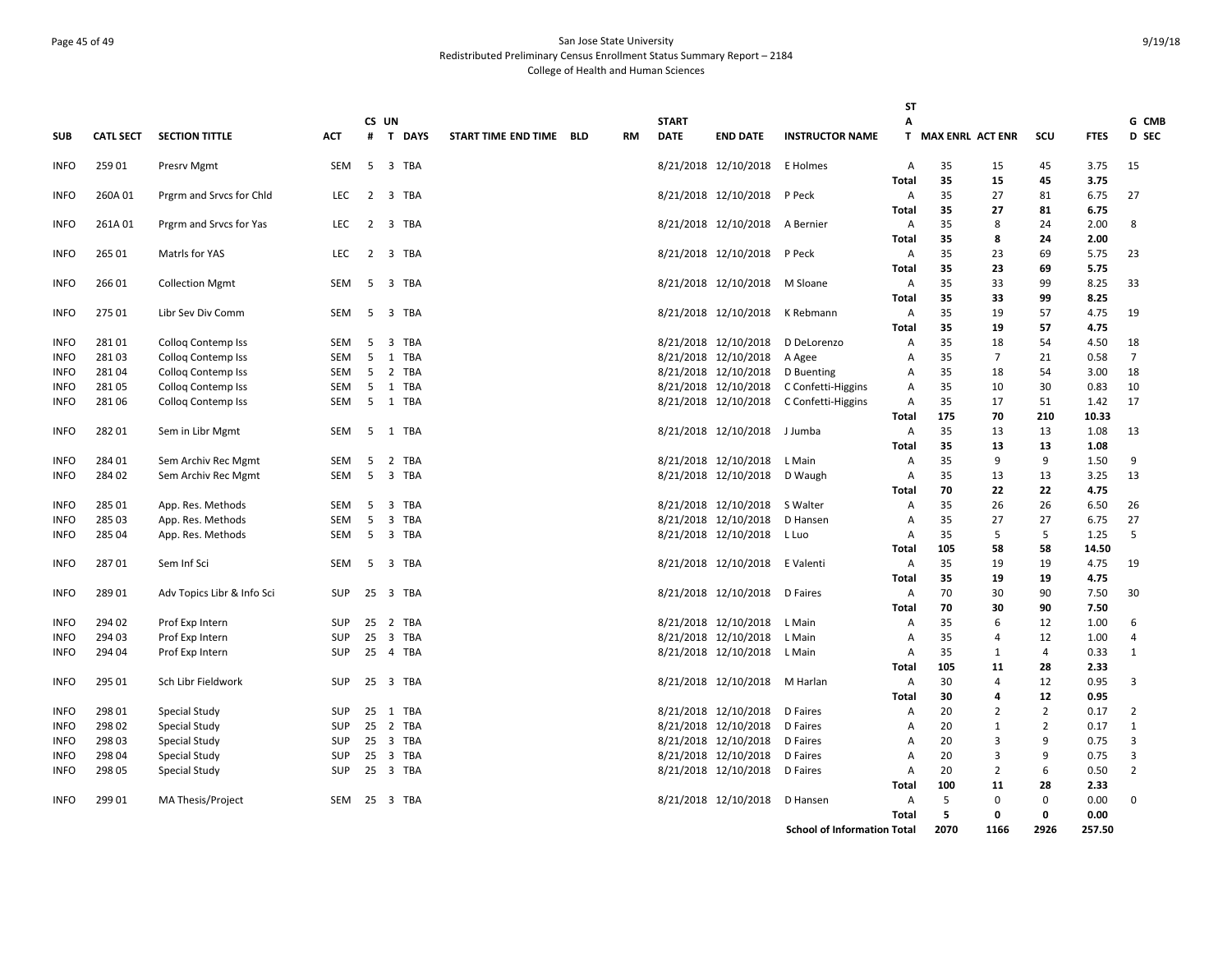# Page 45 of 49 San Jose State University Redistributed Preliminary Census Enrollment Status Summary Report – 2184 College of Health and Human Sciences

|             |                  |                            |            |     |          |                     |            |           |              |                                |                                         | <b>ST</b>         |                    |                |                |              |                |
|-------------|------------------|----------------------------|------------|-----|----------|---------------------|------------|-----------|--------------|--------------------------------|-----------------------------------------|-------------------|--------------------|----------------|----------------|--------------|----------------|
|             |                  |                            |            |     | CS UN    |                     |            |           | <b>START</b> |                                |                                         | Α                 |                    |                |                |              | G CMB          |
| <b>SUB</b>  | <b>CATL SECT</b> | <b>SECTION TITTLE</b>      | <b>ACT</b> | #   | T DAYS   | START TIME END TIME | <b>BLD</b> | <b>RM</b> | <b>DATE</b>  | <b>END DATE</b>                | <b>INSTRUCTOR NAME</b>                  |                   | T MAX ENRL ACT ENR |                | SCU            | <b>FTES</b>  | D SEC          |
| <b>INFO</b> | 259 01           | Presry Mgmt                | <b>SEM</b> |     | 5 3 TBA  |                     |            |           |              | 8/21/2018 12/10/2018           | E Holmes                                | A                 | 35                 | 15             | 45             | 3.75         | 15             |
|             |                  |                            |            |     |          |                     |            |           |              |                                |                                         | <b>Total</b>      | 35                 | 15             | 45             | 3.75         |                |
| <b>INFO</b> | 260A 01          | Prgrm and Srvcs for Chld   | LEC        |     | 2 3 TBA  |                     |            |           |              | 8/21/2018 12/10/2018 P Peck    |                                         | Α                 | 35                 | 27             | 81             | 6.75         | 27             |
|             |                  |                            |            |     |          |                     |            |           |              |                                |                                         | <b>Total</b>      | 35                 | 27             | 81             | 6.75         |                |
| <b>INFO</b> | 261A01           | Prgrm and Srvcs for Yas    | <b>LEC</b> |     | 2 3 TBA  |                     |            |           |              | 8/21/2018 12/10/2018           | A Bernier                               | A                 | 35                 | 8              | 24             | 2.00         | 8              |
|             |                  |                            |            |     |          |                     |            |           |              |                                |                                         | <b>Total</b>      | 35                 | 8              | 24             | 2.00         |                |
| <b>INFO</b> | 265 01           | Matrls for YAS             | <b>LEC</b> |     | 2 3 TBA  |                     |            |           |              | 8/21/2018 12/10/2018 P Peck    |                                         | Α                 | 35                 | 23             | 69             | 5.75         | 23             |
|             |                  |                            |            |     |          |                     |            |           |              |                                |                                         | <b>Total</b>      | 35                 | 23             | 69             | 5.75         |                |
| <b>INFO</b> | 266 01           | <b>Collection Mgmt</b>     | SEM        | 5   | 3 TBA    |                     |            |           |              | 8/21/2018 12/10/2018 M Sloane  |                                         | A                 | 35                 | 33             | 99             | 8.25         | 33             |
|             |                  |                            |            |     |          |                     |            |           |              |                                |                                         | <b>Total</b>      | 35                 | 33             | 99             | 8.25         |                |
| <b>INFO</b> | 27501            | Libr Sev Div Comm          | SEM        | 5   | 3 TBA    |                     |            |           |              | 8/21/2018 12/10/2018 K Rebmann |                                         | Α                 | 35                 | 19             | 57             | 4.75         | 19             |
|             |                  |                            |            |     |          |                     |            |           |              |                                |                                         | <b>Total</b>      | 35                 | 19             | 57             | 4.75         |                |
| <b>INFO</b> | 28101            | Collog Contemp Iss         | SEM        | 5   | 3 TBA    |                     |            |           |              | 8/21/2018 12/10/2018           | D DeLorenzo                             | Α                 | 35                 | 18             | 54             | 4.50         | 18             |
| <b>INFO</b> | 28103            | <b>Collog Contemp Iss</b>  | SEM        | 5   | 1 TBA    |                     |            |           |              | 8/21/2018 12/10/2018           | A Agee                                  | A                 | 35                 | $\overline{7}$ | 21             | 0.58         | $\overline{7}$ |
| <b>INFO</b> | 28104            | <b>Collog Contemp Iss</b>  | SEM        | 5   | 2 TBA    |                     |            |           |              | 8/21/2018 12/10/2018           | D Buenting                              | A                 | 35                 | 18             | 54             | 3.00         | 18             |
| <b>INFO</b> | 28105            | Collog Contemp Iss         | <b>SEM</b> | 5   | 1 TBA    |                     |            |           |              |                                | 8/21/2018 12/10/2018 C Confetti-Higgins | Α                 | 35                 | 10             | 30             | 0.83         | 10             |
| <b>INFO</b> | 28106            | Colloq Contemp Iss         | SEM        | 5   | 1 TBA    |                     |            |           |              |                                | 8/21/2018 12/10/2018 C Confetti-Higgins | Α                 | 35                 | 17             | 51             | 1.42         | 17             |
|             | 28201            |                            |            |     | 1 TBA    |                     |            |           |              |                                |                                         | <b>Total</b>      | 175<br>35          | 70<br>13       | 210            | 10.33        |                |
| <b>INFO</b> |                  | Sem in Libr Mgmt           | SEM        | 5   |          |                     |            |           |              | 8/21/2018 12/10/2018 J Jumba   |                                         | A                 |                    |                | 13             | 1.08         | 13             |
| <b>INFO</b> | 284 01           | Sem Archiv Rec Mgmt        | SEM        | 5   | 2 TBA    |                     |            |           |              | 8/21/2018 12/10/2018           | L Main                                  | <b>Total</b><br>Α | 35<br>35           | 13<br>9        | 13<br>9        | 1.08<br>1.50 | 9              |
| <b>INFO</b> | 284 02           | Sem Archiv Rec Mgmt        | SEM        | 5   | 3 TBA    |                     |            |           |              | 8/21/2018 12/10/2018           | D Waugh                                 | Α                 | 35                 | 13             | 13             | 3.25         | 13             |
|             |                  |                            |            |     |          |                     |            |           |              |                                |                                         | Total             | 70                 | 22             | 22             | 4.75         |                |
| <b>INFO</b> | 285 01           | App. Res. Methods          | SEM        | 5   | 3 TBA    |                     |            |           |              | 8/21/2018 12/10/2018 S Walter  |                                         | Α                 | 35                 | 26             | 26             | 6.50         | 26             |
| <b>INFO</b> | 285 03           | App. Res. Methods          | SEM        | 5   | 3 TBA    |                     |            |           |              | 8/21/2018 12/10/2018           | D Hansen                                | A                 | 35                 | 27             | 27             | 6.75         | 27             |
| <b>INFO</b> | 28504            | App. Res. Methods          | SEM        | - 5 | 3 TBA    |                     |            |           |              | 8/21/2018 12/10/2018 L Luo     |                                         | Α                 | 35                 | -5             | 5              | 1.25         | 5              |
|             |                  |                            |            |     |          |                     |            |           |              |                                |                                         | Total             | 105                | 58             | 58             | 14.50        |                |
| <b>INFO</b> | 28701            | Sem Inf Sci                | SEM        |     | 5 3 TBA  |                     |            |           |              | 8/21/2018 12/10/2018 E Valenti |                                         | Α                 | 35                 | 19             | 19             | 4.75         | 19             |
|             |                  |                            |            |     |          |                     |            |           |              |                                |                                         | Total             | 35                 | 19             | 19             | 4.75         |                |
| <b>INFO</b> | 289 01           | Adv Topics Libr & Info Sci | <b>SUP</b> |     | 25 3 TBA |                     |            |           |              | 8/21/2018 12/10/2018 D Faires  |                                         | A                 | 70                 | 30             | 90             | 7.50         | 30             |
|             |                  |                            |            |     |          |                     |            |           |              |                                |                                         | <b>Total</b>      | 70                 | 30             | 90             | 7.50         |                |
| <b>INFO</b> | 294 02           | Prof Exp Intern            | <b>SUP</b> | 25  | 2 TBA    |                     |            |           |              | 8/21/2018 12/10/2018 L Main    |                                         | Α                 | 35                 | 6              | 12             | 1.00         | 6              |
| <b>INFO</b> | 294 03           | Prof Exp Intern            | <b>SUP</b> | 25  | 3 TBA    |                     |            |           |              | 8/21/2018 12/10/2018           | L Main                                  | A                 | 35                 | 4              | 12             | 1.00         | 4              |
| <b>INFO</b> | 294 04           | Prof Exp Intern            | <b>SUP</b> |     | 25 4 TBA |                     |            |           |              | 8/21/2018 12/10/2018 L Main    |                                         | Α                 | 35                 | 1              | 4              | 0.33         | $\mathbf{1}$   |
|             |                  |                            |            |     |          |                     |            |           |              |                                |                                         | Total             | 105                | 11             | 28             | 2.33         |                |
| <b>INFO</b> | 295 01           | Sch Libr Fieldwork         | <b>SUP</b> |     | 25 3 TBA |                     |            |           |              | 8/21/2018 12/10/2018 M Harlan  |                                         | Α                 | 30                 | 4              | 12             | 0.95         | 3              |
|             |                  |                            |            |     |          |                     |            |           |              |                                |                                         | Total             | 30                 | 4              | 12             | 0.95         |                |
| <b>INFO</b> | 298 01           | Special Study              | <b>SUP</b> | 25  | 1 TBA    |                     |            |           |              | 8/21/2018 12/10/2018           | D Faires                                | Α                 | 20                 | $\overline{2}$ | $\overline{2}$ | 0.17         | $\overline{2}$ |
| <b>INFO</b> | 298 02           | Special Study              | <b>SUP</b> | 25  | 2 TBA    |                     |            |           |              | 8/21/2018 12/10/2018           | D Faires                                | Α                 | 20                 | $\mathbf{1}$   | $\overline{2}$ | 0.17         | $\mathbf{1}$   |
| <b>INFO</b> | 298 03           | Special Study              | <b>SUP</b> | 25  | 3 TBA    |                     |            |           |              | 8/21/2018 12/10/2018           | D Faires                                | Α                 | 20                 | 3              | 9              | 0.75         | 3              |
| <b>INFO</b> | 298 04           | Special Study              | <b>SUP</b> | 25  | 3 TBA    |                     |            |           |              | 8/21/2018 12/10/2018           | D Faires                                | A                 | 20                 | $\overline{3}$ | 9              | 0.75         | 3              |
| <b>INFO</b> | 298 05           | Special Study              | <b>SUP</b> |     | 25 3 TBA |                     |            |           |              | 8/21/2018 12/10/2018           | D Faires                                | Α                 | 20                 | $\overline{2}$ | 6              | 0.50         | $\overline{2}$ |
|             |                  |                            |            |     |          |                     |            |           |              |                                |                                         | Total             | 100                | 11             | 28             | 2.33         |                |
| <b>INFO</b> | 299 01           | MA Thesis/Project          | SEM        |     | 25 3 TBA |                     |            |           |              | 8/21/2018 12/10/2018           | D Hansen                                | $\overline{A}$    | 5                  | $\mathbf 0$    | $\mathbf 0$    | 0.00         | 0              |
|             |                  |                            |            |     |          |                     |            |           |              |                                |                                         | Total             | 5                  | 0              | $\mathbf{0}$   | 0.00         |                |
|             |                  |                            |            |     |          |                     |            |           |              |                                | <b>School of Information Total</b>      |                   | 2070               | 1166           | 2926           | 257.50       |                |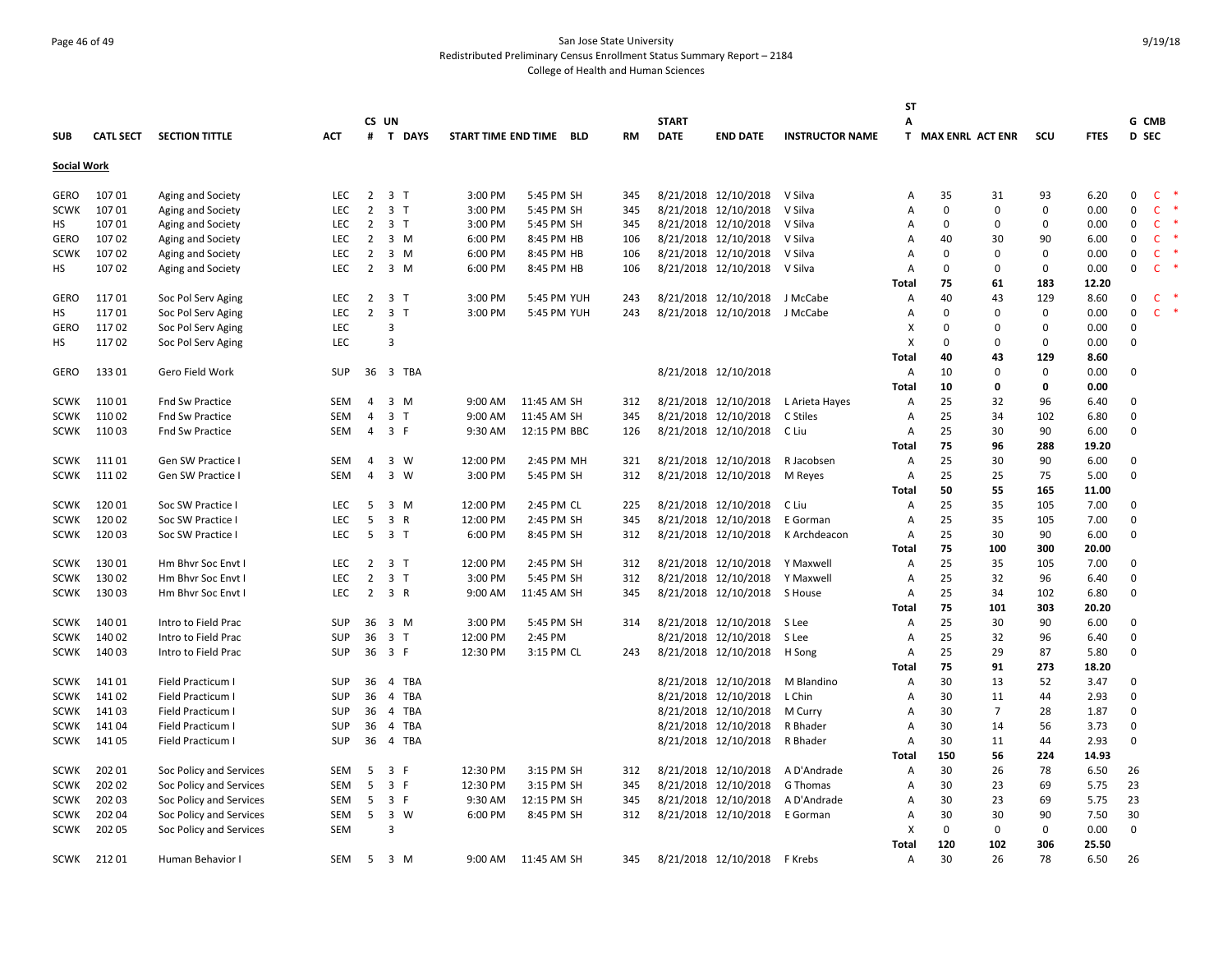# Page 46 of 49 San Jose State University Redistributed Preliminary Census Enrollment Status Summary Report – 2184 College of Health and Human Sciences

|                    |                  |                         |            |                | CS UN                        |                     |              |           | <b>START</b> |                      |                        | SΤ           |          |                    |             |             | G CMB        |              |        |
|--------------------|------------------|-------------------------|------------|----------------|------------------------------|---------------------|--------------|-----------|--------------|----------------------|------------------------|--------------|----------|--------------------|-------------|-------------|--------------|--------------|--------|
| <b>SUB</b>         | <b>CATL SECT</b> | <b>SECTION TITTLE</b>   | <b>ACT</b> |                | # T DAYS                     | START TIME END TIME | BLD          | <b>RM</b> | <b>DATE</b>  | <b>END DATE</b>      | <b>INSTRUCTOR NAME</b> | А            |          | T MAX ENRL ACT ENR | scu         | <b>FTES</b> | D SEC        |              |        |
|                    |                  |                         |            |                |                              |                     |              |           |              |                      |                        |              |          |                    |             |             |              |              |        |
| <b>Social Work</b> |                  |                         |            |                |                              |                     |              |           |              |                      |                        |              |          |                    |             |             |              |              |        |
| GERO               | 10701            | Aging and Society       | <b>LEC</b> | $\overline{2}$ | 3 <sub>1</sub>               | 3:00 PM             | 5:45 PM SH   | 345       |              | 8/21/2018 12/10/2018 | V Silva                | Α            | 35       | 31                 | 93          | 6.20        | 0            | $\mathsf{C}$ | *      |
| <b>SCWK</b>        | 107 01           | Aging and Society       | <b>LEC</b> | $\overline{2}$ | 3 <sub>1</sub>               | 3:00 PM             | 5:45 PM SH   | 345       |              | 8/21/2018 12/10/2018 | V Silva                | A            | $\Omega$ | $\Omega$           | $\Omega$    | 0.00        | 0            | C            | 米      |
| HS                 | 107 01           | Aging and Society       | <b>LEC</b> | 2              | 3 <sub>1</sub>               | 3:00 PM             | 5:45 PM SH   | 345       |              | 8/21/2018 12/10/2018 | V Silva                | A            | $\Omega$ | $\Omega$           | $\Omega$    | 0.00        | 0            | $\mathsf{C}$ |        |
| GERO               | 10702            | Aging and Society       | <b>LEC</b> | $\overline{2}$ | $3 \, M$                     | 6:00 PM             | 8:45 PM HB   | 106       |              | 8/21/2018 12/10/2018 | V Silva                | A            | 40       | 30                 | 90          | 6.00        | 0            | C            |        |
| <b>SCWK</b>        | 10702            | Aging and Society       | LEC        | $\overline{2}$ | $3 \, M$                     | 6:00 PM             | 8:45 PM HB   | 106       |              | 8/21/2018 12/10/2018 | V Silva                | Α            | 0        | 0                  | 0           | 0.00        | 0            | <b>C</b>     |        |
| НS                 | 10702            | Aging and Society       | <b>LEC</b> | 2              | $3 \, M$                     | 6:00 PM             | 8:45 PM HB   | 106       |              | 8/21/2018 12/10/2018 | V Silva                | Α            | $\Omega$ | $\Omega$           | 0           | 0.00        | 0            | $\mathsf{C}$ |        |
|                    |                  |                         |            |                |                              |                     |              |           |              |                      |                        | <b>Total</b> | 75       | 61                 | 183         | 12.20       |              |              |        |
| <b>GERO</b>        | 11701            | Soc Pol Serv Aging      | <b>LEC</b> | $\overline{2}$ | 3 <sub>1</sub>               | 3:00 PM             | 5:45 PM YUH  | 243       |              | 8/21/2018 12/10/2018 | J McCabe               | Α            | 40       | 43                 | 129         | 8.60        | 0            | <b>C</b>     |        |
| HS                 | 11701            | Soc Pol Serv Aging      | LEC        | $\overline{2}$ | 3 <sub>1</sub>               | 3:00 PM             | 5:45 PM YUH  | 243       |              | 8/21/2018 12/10/2018 | J McCabe               | Α            | $\Omega$ | 0                  | $\mathsf 0$ | 0.00        | $\Omega$     | $\mathsf{C}$ | $\ast$ |
| GERO               | 11702            | Soc Pol Serv Aging      | LEC        |                | 3                            |                     |              |           |              |                      |                        | x            | n        | $\Omega$           | $\mathbf 0$ | 0.00        | 0            |              |        |
| НS                 | 11702            | Soc Pol Serv Aging      | LEC        |                | 3                            |                     |              |           |              |                      |                        | х            | $\Omega$ | $\mathbf 0$        | 0           | 0.00        | 0            |              |        |
|                    |                  |                         |            |                |                              |                     |              |           |              |                      |                        | <b>Total</b> | 40       | 43                 | 129         | 8.60        |              |              |        |
| GERO               | 13301            | Gero Field Work         | SUP        | 36             | 3 TBA                        |                     |              |           |              | 8/21/2018 12/10/2018 |                        | Α            | 10       | 0                  | 0           | 0.00        | $\Omega$     |              |        |
|                    |                  |                         |            |                |                              |                     |              |           |              |                      |                        | <b>Total</b> | 10       | 0                  | 0           | 0.00        |              |              |        |
| <b>SCWK</b>        | 11001            | Fnd Sw Practice         | SEM        | $\overline{4}$ | $3 \, M$                     | 9:00 AM             | 11:45 AM SH  | 312       |              | 8/21/2018 12/10/2018 | L Arieta Hayes         | Α            | 25       | 32                 | 96          | 6.40        | 0            |              |        |
| <b>SCWK</b>        | 11002            | Fnd Sw Practice         | <b>SEM</b> | 4              | 3 <sub>1</sub>               | 9:00 AM             | 11:45 AM SH  | 345       |              | 8/21/2018 12/10/2018 | C Stiles               | Α            | 25       | 34                 | 102         | 6.80        | $\Omega$     |              |        |
| <b>SCWK</b>        | 110 03           | <b>Fnd Sw Practice</b>  | <b>SEM</b> | 4              | 3 F                          | 9:30 AM             | 12:15 PM BBC | 126       |              | 8/21/2018 12/10/2018 | C Liu                  | Α            | 25       | 30                 | 90          | 6.00        | 0            |              |        |
|                    |                  |                         |            |                |                              |                     |              |           |              |                      |                        | Total        | 75       | 96                 | 288         | 19.20       |              |              |        |
| <b>SCWK</b>        | 11101            | Gen SW Practice I       | <b>SEM</b> | 4              | 3 W                          | 12:00 PM            | 2:45 PM MH   | 321       |              | 8/21/2018 12/10/2018 | R Jacobsen             | Α            | 25       | 30                 | 90          | 6.00        | $\mathbf{0}$ |              |        |
| SCWK               | 11102            | Gen SW Practice I       | <b>SEM</b> | $\overline{4}$ | 3 W                          | 3:00 PM             | 5:45 PM SH   | 312       |              | 8/21/2018 12/10/2018 | M Reyes                | Α            | 25       | 25                 | 75          | 5.00        | $\Omega$     |              |        |
|                    |                  |                         |            |                |                              |                     |              |           |              |                      |                        | Total        | 50       | 55                 | 165         | 11.00       |              |              |        |
| <b>SCWK</b>        | 120 01           | Soc SW Practice I       | <b>LEC</b> | 5              | 3 M                          | 12:00 PM            | 2:45 PM CL   | 225       |              | 8/21/2018 12/10/2018 | C Liu                  | Α            | 25       | 35                 | 105         | 7.00        | $\Omega$     |              |        |
| <b>SCWK</b>        | 120 02           | Soc SW Practice I       | LEC        | 5              | 3 R                          | 12:00 PM            | 2:45 PM SH   | 345       |              | 8/21/2018 12/10/2018 | E Gorman               | Α            | 25       | 35                 | 105         | 7.00        | $\Omega$     |              |        |
| <b>SCWK</b>        | 120 03           | Soc SW Practice I       | <b>LEC</b> | 5              | 3 <sub>1</sub>               | 6:00 PM             | 8:45 PM SH   | 312       |              | 8/21/2018 12/10/2018 | K Archdeacon           | Α            | 25       | 30                 | 90          | 6.00        | $\Omega$     |              |        |
|                    |                  |                         |            |                |                              |                     |              |           |              |                      |                        | Total        | 75       | 100                | 300         | 20.00       |              |              |        |
| <b>SCWK</b>        | 13001            | Hm Bhyr Soc Envt I      | <b>LEC</b> | 2              | 3 T                          | 12:00 PM            | 2:45 PM SH   | 312       |              | 8/21/2018 12/10/2018 | Y Maxwell              | Α            | 25       | 35                 | 105         | 7.00        | $\Omega$     |              |        |
| <b>SCWK</b>        | 130 02           | Hm Bhvr Soc Envt I      | <b>LEC</b> | $\overline{2}$ | 3 <sub>1</sub>               | 3:00 PM             | 5:45 PM SH   | 312       |              | 8/21/2018 12/10/2018 | Y Maxwell              | Α            | 25       | 32                 | 96          | 6.40        | 0            |              |        |
| <b>SCWK</b>        | 13003            | Hm Bhvr Soc Envt I      | <b>LEC</b> | $\overline{2}$ | 3 R                          | 9:00 AM             | 11:45 AM SH  | 345       |              | 8/21/2018 12/10/2018 | S House                | Α            | 25       | 34                 | 102         | 6.80        | 0            |              |        |
|                    |                  |                         |            |                |                              |                     |              |           |              |                      |                        | <b>Total</b> | 75       | 101                | 303         | 20.20       |              |              |        |
| <b>SCWK</b>        | 140 01           | Intro to Field Prac     | SUP        | 36             | 3 M                          | 3:00 PM             | 5:45 PM SH   | 314       |              | 8/21/2018 12/10/2018 | S Lee                  | Α            | 25       | 30                 | 90          | 6.00        | 0            |              |        |
| <b>SCWK</b>        | 140 02           | Intro to Field Prac     | <b>SUP</b> | 36             | 3 <sub>1</sub>               | 12:00 PM            | 2:45 PM      |           |              | 8/21/2018 12/10/2018 | S Lee                  | A            | 25       | 32                 | 96          | 6.40        | 0            |              |        |
| <b>SCWK</b>        | 140 03           | Intro to Field Prac     | <b>SUP</b> | 36             | 3 F                          | 12:30 PM            | 3:15 PM CL   | 243       |              | 8/21/2018 12/10/2018 | H Song                 | Α            | 25       | 29                 | 87          | 5.80        | $\Omega$     |              |        |
|                    |                  |                         |            |                |                              |                     |              |           |              |                      |                        | <b>Total</b> | 75       | 91                 | 273         | 18.20       |              |              |        |
| <b>SCWK</b>        | 141 01           | Field Practicum I       | <b>SUP</b> | 36             | 4 TBA                        |                     |              |           |              | 8/21/2018 12/10/2018 | M Blandino             | A            | 30       | 13                 | 52          | 3.47        | 0            |              |        |
| <b>SCWK</b>        | 141 02           | Field Practicum I       | SUP        | 36             | $\overline{4}$<br><b>TBA</b> |                     |              |           |              | 8/21/2018 12/10/2018 | L Chin                 | Α            | 30       | 11                 | 44          | 2.93        | 0            |              |        |
| <b>SCWK</b>        | 14103            | Field Practicum I       | SUP        | 36             | 4 TBA                        |                     |              |           |              | 8/21/2018 12/10/2018 | M Curry                | Α            | 30       | $\overline{7}$     | 28          | 1.87        | 0            |              |        |
| <b>SCWK</b>        | 141 04           | Field Practicum I       | <b>SUP</b> | 36             | 4 TBA                        |                     |              |           |              | 8/21/2018 12/10/2018 | R Bhader               | Α            | 30       | 14                 | 56          | 3.73        | 0            |              |        |
| <b>SCWK</b>        | 141 05           | Field Practicum I       | <b>SUP</b> | 36             | 4 TBA                        |                     |              |           |              | 8/21/2018 12/10/2018 | R Bhader               | Α            | 30       | 11                 | 44          | 2.93        | $\Omega$     |              |        |
|                    |                  |                         |            |                |                              |                     |              |           |              |                      |                        | <b>Total</b> | 150      | 56                 | 224         | 14.93       |              |              |        |
| <b>SCWK</b>        | 202 01           | Soc Policy and Services | SEM        | 5              | 3 F                          | 12:30 PM            | 3:15 PM SH   | 312       |              | 8/21/2018 12/10/2018 | A D'Andrade            | Α            | 30       | 26                 | 78          | 6.50        | 26           |              |        |
| <b>SCWK</b>        | 202 02           | Soc Policy and Services | SEM        | 5              | 3 F                          | 12:30 PM            | 3:15 PM SH   | 345       |              | 8/21/2018 12/10/2018 | G Thomas               | Α            | 30       | 23                 | 69          | 5.75        | 23           |              |        |
| <b>SCWK</b>        | 202 03           | Soc Policy and Services | <b>SEM</b> | 5              | 3 F                          | 9:30 AM             | 12:15 PM SH  | 345       |              | 8/21/2018 12/10/2018 | A D'Andrade            | Α            | 30       | 23                 | 69          | 5.75        | 23           |              |        |
| <b>SCWK</b>        | 202 04           | Soc Policy and Services | <b>SEM</b> | 5              | 3 W                          | 6:00 PM             | 8:45 PM SH   | 312       |              | 8/21/2018 12/10/2018 | E Gorman               | Α            | 30       | 30                 | 90          | 7.50        | 30           |              |        |
| SCWK               | 202 05           | Soc Policy and Services | <b>SEM</b> |                | $\overline{3}$               |                     |              |           |              |                      |                        | X            | $\Omega$ | 0                  | $\mathbf 0$ | 0.00        | $\mathbf 0$  |              |        |
|                    |                  |                         |            |                |                              |                     |              |           |              |                      |                        | <b>Total</b> | 120      | 102                | 306         | 25.50       |              |              |        |
| SCWK               | 21201            | Human Behavior I        | <b>SEM</b> | 5              | 3 M                          | 9:00 AM             | 11:45 AM SH  | 345       |              | 8/21/2018 12/10/2018 | F Krebs                | Α            | 30       | 26                 | 78          | 6.50        | 26           |              |        |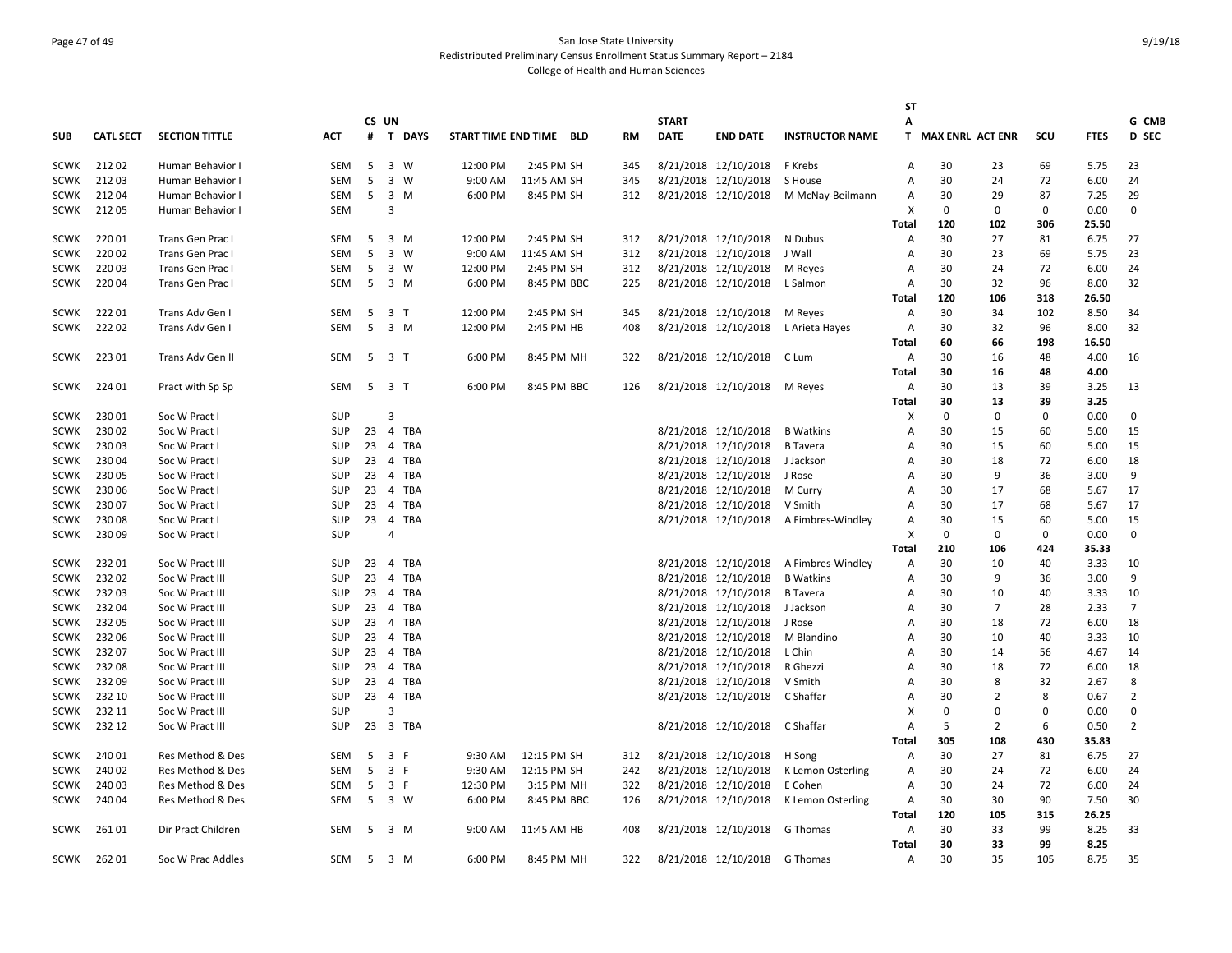# Page 47 of 49 San Jose State University Redistributed Preliminary Census Enrollment Status Summary Report – 2184 College of Health and Human Sciences

|                            |                  |                                    |                          |    |                         |          |          |                         |           |              |                                              |                        | <b>ST</b>           |                    |             |             |              |                |
|----------------------------|------------------|------------------------------------|--------------------------|----|-------------------------|----------|----------|-------------------------|-----------|--------------|----------------------------------------------|------------------------|---------------------|--------------------|-------------|-------------|--------------|----------------|
|                            |                  |                                    |                          |    | CS UN                   |          |          |                         |           | <b>START</b> |                                              |                        | Α                   |                    |             |             |              | G CMB          |
| <b>SUB</b>                 | <b>CATL SECT</b> | <b>SECTION TITTLE</b>              | АСТ                      |    |                         | # T DAYS |          | START TIME END TIME BLD | <b>RM</b> | <b>DATE</b>  | <b>END DATE</b>                              | <b>INSTRUCTOR NAME</b> |                     | T MAX ENRL ACT ENR |             | SCU         | <b>FTES</b>  | D SEC          |
| <b>SCWK</b>                | 21202            | Human Behavior I                   | SEM                      | -5 |                         | 3 W      | 12:00 PM | 2:45 PM SH              | 345       |              | 8/21/2018 12/10/2018                         | F Krebs                | A                   | 30                 | 23          | 69          | 5.75         | 23             |
| <b>SCWK</b>                | 21203            | Human Behavior I                   | <b>SEM</b>               | 5  |                         | 3 W      | 9:00 AM  | 11:45 AM SH             | 345       |              | 8/21/2018 12/10/2018                         | S House                | Α                   | 30                 | 24          | 72          | 6.00         | 24             |
| <b>SCWK</b>                | 21204            | Human Behavior I                   | SEM                      | 5  |                         | 3 M      | 6:00 PM  | 8:45 PM SH              | 312       |              | 8/21/2018 12/10/2018                         | M McNay-Beilmann       | A                   | 30                 | 29          | 87          | 7.25         | 29             |
| <b>SCWK</b>                | 21205            | Human Behavior I                   | <b>SEM</b>               |    | 3                       |          |          |                         |           |              |                                              |                        | X                   | $\Omega$           | $\Omega$    | 0           | 0.00         | $\mathbf 0$    |
|                            |                  |                                    |                          |    |                         |          |          |                         |           |              |                                              |                        | Total               | 120                | 102         | 306         | 25.50        |                |
| <b>SCWK</b>                | 220 01           | Trans Gen Prac I                   | SEM                      | -5 |                         | 3 M      | 12:00 PM | 2:45 PM SH              | 312       |              | 8/21/2018 12/10/2018                         | N Dubus                | Α                   | 30                 | 27          | 81          | 6.75         | 27             |
| <b>SCWK</b>                | 220 02           | Trans Gen Prac I                   | <b>SEM</b>               | 5  |                         | 3 W      | 9:00 AM  | 11:45 AM SH             | 312       |              | 8/21/2018 12/10/2018                         | J Wall                 | Α                   | 30                 | 23          | 69          | 5.75         | 23             |
| <b>SCWK</b>                | 22003            | Trans Gen Prac I                   | SEM                      | 5  |                         | 3 W      | 12:00 PM | 2:45 PM SH              | 312       |              | 8/21/2018 12/10/2018                         | M Reyes                | $\overline{A}$      | 30                 | 24          | 72          | 6.00         | 24             |
| <b>SCWK</b>                | 220 04           | Trans Gen Prac I                   | <b>SEM</b>               | 5  |                         | 3 M      | 6:00 PM  | 8:45 PM BBC             | 225       |              | 8/21/2018 12/10/2018                         | L Salmon               | Α                   | 30                 | 32          | 96          | 8.00         | 32             |
|                            |                  |                                    |                          |    |                         |          |          |                         |           |              |                                              |                        | Total               | 120                | 106         | 318         | 26.50        |                |
| <b>SCWK</b>                | 22201            | Trans Adv Gen I                    | SEM                      | 5  | 3 T                     |          | 12:00 PM | 2:45 PM SH              | 345       |              | 8/21/2018 12/10/2018                         | M Reyes                | Α                   | 30                 | 34          | 102         | 8.50         | 34             |
| <b>SCWK</b>                | 22202            | Trans Adv Gen I                    | <b>SEM</b>               | 5  | 3 M                     |          | 12:00 PM | 2:45 PM HB              | 408       |              | 8/21/2018 12/10/2018                         | L Arieta Hayes         | Α                   | 30                 | 32          | 96          | 8.00         | 32             |
|                            |                  |                                    |                          |    |                         |          |          |                         |           |              |                                              |                        | Total               | 60                 | 66          | 198         | 16.50        |                |
| SCWK                       | 22301            | Trans Adv Gen II                   | SEM                      | 5  | 3 <sub>1</sub>          |          | 6:00 PM  | 8:45 PM MH              | 322       |              | 8/21/2018 12/10/2018                         | C Lum                  | Α                   | 30                 | 16          | 48          | 4.00         | 16             |
|                            |                  |                                    |                          |    |                         |          |          |                         |           |              |                                              |                        | Total               | 30                 | 16          | 48          | 4.00         |                |
| <b>SCWK</b>                | 224 01           | Pract with Sp Sp                   | SEM                      | 5  | 3 T                     |          | 6:00 PM  | 8:45 PM BBC             | 126       |              | 8/21/2018 12/10/2018                         | M Reyes                | Α                   | 30                 | 13          | 39          | 3.25         | 13             |
|                            |                  |                                    |                          |    |                         |          |          |                         |           |              |                                              |                        | Total               | 30                 | 13          | 39          | 3.25         |                |
| <b>SCWK</b>                | 23001            | Soc W Pract I                      | <b>SUP</b>               |    | 3                       |          |          |                         |           |              |                                              |                        | X                   | 0                  | $\Omega$    | $\mathbf 0$ | 0.00         | $\mathbf 0$    |
| <b>SCWK</b>                | 230 02           | Soc W Pract I                      | <b>SUP</b>               | 23 |                         | 4 TBA    |          |                         |           |              | 8/21/2018 12/10/2018                         | <b>B</b> Watkins       | $\overline{A}$      | 30                 | 15          | 60          | 5.00         | 15             |
| <b>SCWK</b>                | 230 03           | Soc W Pract I                      | <b>SUP</b>               | 23 |                         | 4 TBA    |          |                         |           |              | 8/21/2018 12/10/2018                         | <b>B</b> Tavera        | A                   | 30                 | 15          | 60          | 5.00         | 15             |
| <b>SCWK</b>                | 230 04           | Soc W Pract I                      | <b>SUP</b>               | 23 |                         | 4 TBA    |          |                         |           |              | 8/21/2018 12/10/2018                         | J Jackson              | $\overline{A}$      | 30                 | 18          | 72          | 6.00         | 18             |
| <b>SCWK</b>                | 230 05           | Soc W Pract I                      | <b>SUP</b>               | 23 |                         | 4 TBA    |          |                         |           |              | 8/21/2018 12/10/2018                         | J Rose                 | Α                   | 30                 | 9           | 36          | 3.00         | 9              |
| <b>SCWK</b>                | 230 06           | Soc W Pract I                      | <b>SUP</b>               | 23 |                         | 4 TBA    |          |                         |           |              | 8/21/2018 12/10/2018                         | M Curry                | $\overline{A}$      | 30                 | 17          | 68          | 5.67         | 17             |
| <b>SCWK</b>                | 230 07           | Soc W Pract I                      | <b>SUP</b>               | 23 |                         | 4 TBA    |          |                         |           |              | 8/21/2018 12/10/2018                         | V Smith                | $\overline{A}$      | 30                 | 17          | 68          | 5.67         | 17             |
| <b>SCWK</b>                | 23008            | Soc W Pract I                      | <b>SUP</b>               | 23 |                         | 4 TBA    |          |                         |           |              | 8/21/2018 12/10/2018                         | A Fimbres-Windley      | A                   | 30                 | 15          | 60          | 5.00         | 15             |
| <b>SCWK</b>                | 230 09           | Soc W Pract I                      | <b>SUP</b>               |    | 4                       |          |          |                         |           |              |                                              |                        | X                   | 0                  | 0           | 0           | 0.00         | 0              |
|                            |                  |                                    |                          |    |                         |          |          |                         |           |              |                                              |                        | Total               | 210                | 106         | 424         | 35.33        |                |
| <b>SCWK</b>                | 23201            | Soc W Pract III                    | <b>SUP</b>               | 23 |                         | 4 TBA    |          |                         |           |              | 8/21/2018 12/10/2018                         | A Fimbres-Windley      | $\overline{A}$      | 30                 | 10          | 40          | 3.33         | 10             |
| <b>SCWK</b>                | 23202            |                                    | <b>SUP</b>               | 23 |                         | 4 TBA    |          |                         |           |              | 8/21/2018 12/10/2018                         | <b>B</b> Watkins       | A                   | 30                 | 9           | 36          | 3.00         | 9              |
| <b>SCWK</b>                | 23203            | Soc W Pract III<br>Soc W Pract III | <b>SUP</b>               | 23 |                         | 4 TBA    |          |                         |           |              | 8/21/2018 12/10/2018                         | <b>B</b> Tavera        |                     | 30                 | 10          | 40          | 3.33         | 10             |
|                            | 232 04           |                                    |                          | 23 |                         | 4 TBA    |          |                         |           |              |                                              |                        | Α                   | 30                 | 7           |             |              | $\overline{7}$ |
| <b>SCWK</b><br><b>SCWK</b> | 232 05           | Soc W Pract III                    | <b>SUP</b><br><b>SUP</b> | 23 |                         | 4 TBA    |          |                         |           |              | 8/21/2018 12/10/2018                         | J Jackson              | Α<br>$\overline{A}$ | 30                 | 18          | 28<br>72    | 2.33         | 18             |
|                            | 232 06           | Soc W Pract III                    | <b>SUP</b>               | 23 |                         | 4 TBA    |          |                         |           |              | 8/21/2018 12/10/2018<br>8/21/2018 12/10/2018 | J Rose                 | $\overline{A}$      | 30                 | 10          | 40          | 6.00         |                |
| <b>SCWK</b>                | 232 07           | Soc W Pract III<br>Soc W Pract III | <b>SUP</b>               | 23 |                         | 4 TBA    |          |                         |           |              | 8/21/2018 12/10/2018                         | M Blandino<br>L Chin   | Α                   | 30                 |             | 56          | 3.33<br>4.67 | 10<br>14       |
| <b>SCWK</b>                |                  |                                    |                          |    |                         |          |          |                         |           |              |                                              |                        |                     |                    | 14          |             |              |                |
| <b>SCWK</b>                | 23208            | Soc W Pract III                    | <b>SUP</b>               | 23 |                         | 4 TBA    |          |                         |           |              | 8/21/2018 12/10/2018                         | R Ghezzi               | $\overline{A}$      | 30                 | 18          | 72          | 6.00         | 18             |
| <b>SCWK</b>                | 23209            | Soc W Pract III                    | <b>SUP</b>               | 23 |                         | 4 TBA    |          |                         |           |              | 8/21/2018 12/10/2018                         | V Smith                | $\overline{A}$      | 30                 | 8           | 32          | 2.67         | 8              |
| <b>SCWK</b>                | 232 10           | Soc W Pract III                    | <b>SUP</b>               | 23 | $\overline{\mathbf{3}}$ | 4 TBA    |          |                         |           |              | 8/21/2018 12/10/2018                         | C Shaffar              | A                   | 30                 | 2           | 8           | 0.67         | $\overline{2}$ |
| <b>SCWK</b>                | 232 11           | Soc W Pract III                    | <b>SUP</b>               |    |                         |          |          |                         |           |              |                                              |                        | X                   | 0                  | $\mathbf 0$ | $\mathbf 0$ | 0.00         | 0              |
| <b>SCWK</b>                | 232 12           | Soc W Pract III                    | <b>SUP</b>               | 23 |                         | 3 TBA    |          |                         |           |              | 8/21/2018 12/10/2018                         | C Shaffar              | $\overline{A}$      | 5                  | 2           | 6           | 0.50         | 2              |
|                            |                  |                                    |                          |    |                         |          |          |                         |           |              |                                              |                        | Total               | 305                | 108         | 430         | 35.83        |                |
| <b>SCWK</b>                | 240 01           | Res Method & Des                   | SEM                      | -5 | 3 F                     |          | 9:30 AM  | 12:15 PM SH             | 312       |              | 8/21/2018 12/10/2018                         | H Song                 | Α                   | 30                 | 27          | 81          | 6.75         | 27             |
| <b>SCWK</b>                | 240 02           | Res Method & Des                   | <b>SEM</b>               | -5 | 3 F                     |          | 9:30 AM  | 12:15 PM SH             | 242       |              | 8/21/2018 12/10/2018                         | K Lemon Osterling      | $\overline{A}$      | 30                 | 24          | 72          | 6.00         | 24             |
| <b>SCWK</b>                | 240 03           | Res Method & Des                   | SEM                      | 5  | 3 F                     |          | 12:30 PM | 3:15 PM MH              | 322       |              | 8/21/2018 12/10/2018                         | E Cohen                | Α                   | 30                 | 24          | 72          | 6.00         | 24             |
| <b>SCWK</b>                | 240 04           | Res Method & Des                   | SEM                      | -5 |                         | 3 W      | 6:00 PM  | 8:45 PM BBC             | 126       |              | 8/21/2018 12/10/2018                         | K Lemon Osterling      | Α                   | 30                 | 30          | 90          | 7.50         | 30             |
|                            |                  |                                    |                          |    |                         |          |          |                         |           |              |                                              |                        | <b>Total</b>        | 120                | 105         | 315         | 26.25        |                |
| <b>SCWK</b>                | 26101            | Dir Pract Children                 | <b>SEM</b>               | -5 | 3 M                     |          | 9:00 AM  | 11:45 AM HB             | 408       |              | 8/21/2018 12/10/2018                         | G Thomas               | $\overline{A}$      | 30                 | 33          | 99          | 8.25         | 33             |
|                            |                  |                                    |                          |    |                         |          |          |                         |           |              |                                              |                        | <b>Total</b>        | 30                 | 33          | 99          | 8.25         |                |
| SCWK                       | 262 01           | Soc W Prac Addles                  | <b>SEM</b>               | 5  | 3 M                     |          | 6:00 PM  | 8:45 PM MH              | 322       |              | 8/21/2018 12/10/2018 G Thomas                |                        | Α                   | 30                 | 35          | 105         | 8.75         | 35             |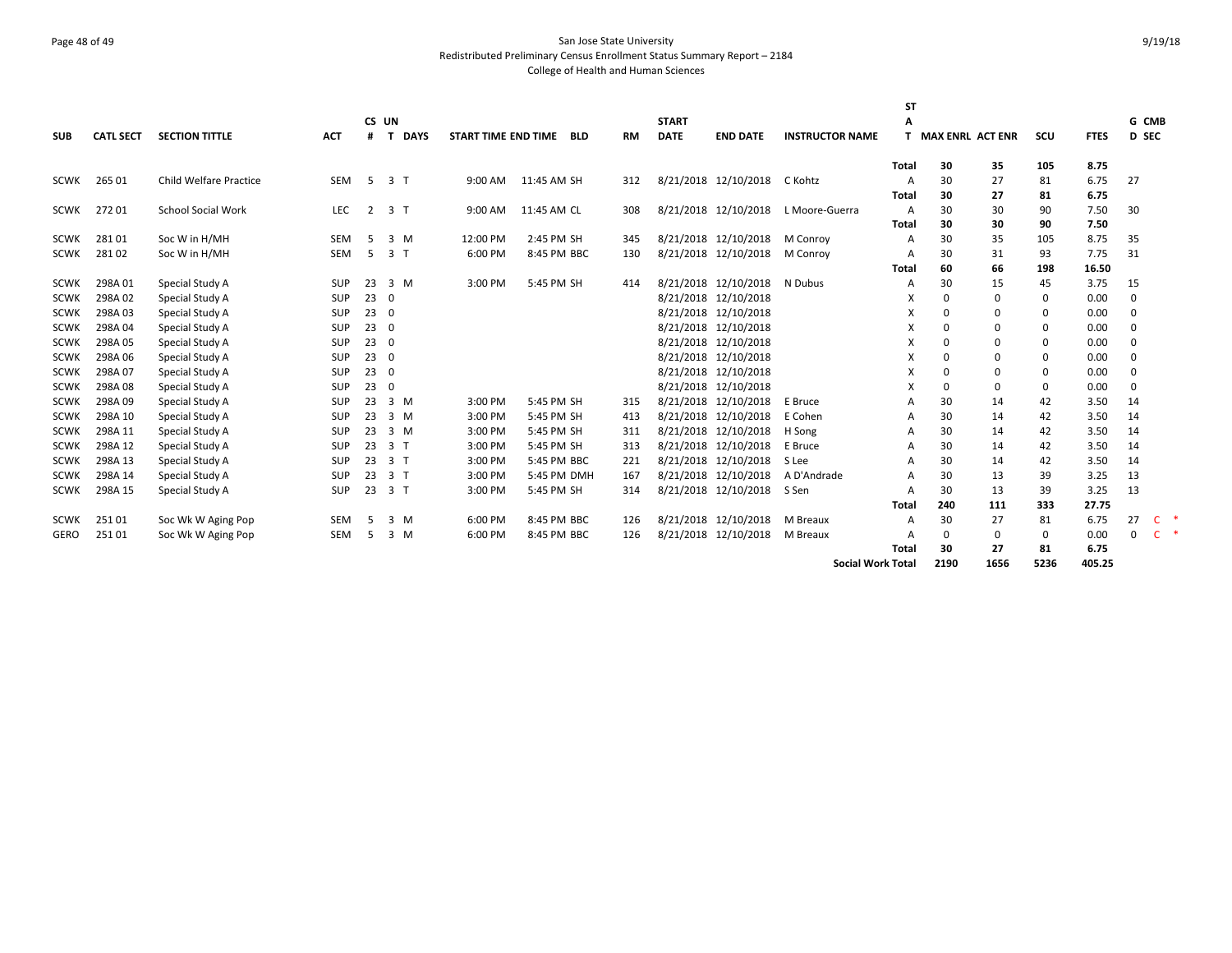# Page 48 of 49 San Jose State University Redistributed Preliminary Census Enrollment Status Summary Report – 2184 College of Health and Human Sciences

|             |                  |                               |            |     |                  |                     |             |           |              |                      |                          | SΤ             |          |                    |             |             |              |                     |
|-------------|------------------|-------------------------------|------------|-----|------------------|---------------------|-------------|-----------|--------------|----------------------|--------------------------|----------------|----------|--------------------|-------------|-------------|--------------|---------------------|
|             |                  |                               |            |     | CS UN            |                     |             |           | <b>START</b> |                      |                          |                |          |                    |             |             | G CMB        |                     |
| <b>SUB</b>  | <b>CATL SECT</b> | <b>SECTION TITTLE</b>         | <b>ACT</b> | #   | <b>DAYS</b><br>т | START TIME END TIME | <b>BLD</b>  | <b>RM</b> | <b>DATE</b>  | <b>END DATE</b>      | <b>INSTRUCTOR NAME</b>   |                |          | T MAX ENRL ACT ENR | SCU         | <b>FTES</b> | <b>D SEC</b> |                     |
|             |                  |                               |            |     |                  |                     |             |           |              |                      |                          |                |          |                    |             |             |              |                     |
|             |                  |                               |            |     |                  |                     |             |           |              |                      |                          | Total          | 30       | 35                 | 105         | 8.75        |              |                     |
| <b>SCWK</b> | 265 01           | <b>Child Welfare Practice</b> | SEM        | 5   | 3 <sub>1</sub>   | 9:00 AM             | 11:45 AM SH | 312       |              | 8/21/2018 12/10/2018 | C Kohtz                  | $\overline{A}$ | 30       | 27                 | 81          | 6.75        | 27           |                     |
|             |                  |                               |            |     |                  |                     |             |           |              |                      |                          | <b>Total</b>   | 30       | 27                 | 81          | 6.75        |              |                     |
| SCWK        | 27201            | <b>School Social Work</b>     | LEC        | 2   | 3 <sub>1</sub>   | 9:00 AM             | 11:45 AM CL | 308       |              | 8/21/2018 12/10/2018 | L Moore-Guerra           | $\overline{A}$ | 30       | 30                 | 90          | 7.50        | 30           |                     |
|             |                  |                               |            |     |                  |                     |             |           |              |                      |                          | <b>Total</b>   | 30       | 30                 | 90          | 7.50        |              |                     |
| <b>SCWK</b> | 28101            | Soc W in H/MH                 | SEM        | -5  | $3 \, M$         | 12:00 PM            | 2:45 PM SH  | 345       |              | 8/21/2018 12/10/2018 | M Conroy                 | A              | 30       | 35                 | 105         | 8.75        | 35           |                     |
| <b>SCWK</b> | 28102            | Soc W in H/MH                 | SEM        | 5   | 3 <sub>1</sub>   | 6:00 PM             | 8:45 PM BBC | 130       |              | 8/21/2018 12/10/2018 | M Conroy                 | A              | 30       | 31                 | 93          | 7.75        | 31           |                     |
|             |                  |                               |            |     |                  |                     |             |           |              |                      |                          | Total          | 60       | 66                 | 198         | 16.50       |              |                     |
| <b>SCWK</b> | 298A01           | Special Study A               | <b>SUP</b> | 23  | $3 \, M$         | 3:00 PM             | 5:45 PM SH  | 414       |              | 8/21/2018 12/10/2018 | N Dubus                  | A              | 30       | 15                 | 45          | 3.75        | 15           |                     |
| <b>SCWK</b> | 298A02           | Special Study A               | SUP        | 230 |                  |                     |             |           |              | 8/21/2018 12/10/2018 |                          | X              | ŋ        | $\Omega$           | 0           | 0.00        | $\Omega$     |                     |
| <b>SCWK</b> | 298A03           | Special Study A               | <b>SUP</b> | 230 |                  |                     |             |           |              | 8/21/2018 12/10/2018 |                          | X              | 0        | $\Omega$           | $\Omega$    | 0.00        | $\Omega$     |                     |
| <b>SCWK</b> | 298A04           | Special Study A               | <b>SUP</b> | 230 |                  |                     |             |           |              | 8/21/2018 12/10/2018 |                          | X              | O        | $\Omega$           | 0           | 0.00        | $\Omega$     |                     |
| <b>SCWK</b> | 298A05           | Special Study A               | SUP        | 230 |                  |                     |             |           |              | 8/21/2018 12/10/2018 |                          | X              | O        | $\Omega$           | $\Omega$    | 0.00        | $\Omega$     |                     |
| <b>SCWK</b> | 298A06           | Special Study A               | <b>SUP</b> | 230 |                  |                     |             |           |              | 8/21/2018 12/10/2018 |                          | X              | ŋ        | $\Omega$           | $\Omega$    | 0.00        | $\Omega$     |                     |
| <b>SCWK</b> | 298A07           | Special Study A               | SUP        | 230 |                  |                     |             |           |              | 8/21/2018 12/10/2018 |                          | X              | O        | $\Omega$           | $\mathbf 0$ | 0.00        | $\Omega$     |                     |
| <b>SCWK</b> | 298A08           | Special Study A               | SUP        | 230 |                  |                     |             |           |              | 8/21/2018 12/10/2018 |                          | X              | O        | $\Omega$           | $\Omega$    | 0.00        | $\Omega$     |                     |
| <b>SCWK</b> | 298A09           | Special Study A               | <b>SUP</b> | 23  | $3 \, M$         | 3:00 PM             | 5:45 PM SH  | 315       |              | 8/21/2018 12/10/2018 | E Bruce                  | A              | 30       | 14                 | 42          | 3.50        | 14           |                     |
| <b>SCWK</b> | 298A 10          | Special Study A               | SUP        | 23  | 3 M              | 3:00 PM             | 5:45 PM SH  | 413       |              | 8/21/2018 12/10/2018 | E Cohen                  | A              | 30       | 14                 | 42          | 3.50        | 14           |                     |
| <b>SCWK</b> | 298A 11          | Special Study A               | SUP        | 23  | 3 M              | 3:00 PM             | 5:45 PM SH  | 311       |              | 8/21/2018 12/10/2018 | H Song                   | A              | 30       | 14                 | 42          | 3.50        | 14           |                     |
| <b>SCWK</b> | 298A 12          | Special Study A               | <b>SUP</b> | 23  | 3 <sub>1</sub>   | 3:00 PM             | 5:45 PM SH  | 313       |              | 8/21/2018 12/10/2018 | E Bruce                  | A              | 30       | 14                 | 42          | 3.50        | 14           |                     |
| <b>SCWK</b> | 298A 13          | Special Study A               | SUP        | 23  | 3 <sub>1</sub>   | 3:00 PM             | 5:45 PM BBC | 221       |              | 8/21/2018 12/10/2018 | S Lee                    | A              | 30       | 14                 | 42          | 3.50        | 14           |                     |
| <b>SCWK</b> | 298A 14          | Special Study A               | <b>SUP</b> | 23  | 3 <sub>1</sub>   | 3:00 PM             | 5:45 PM DMH | 167       |              | 8/21/2018 12/10/2018 | A D'Andrade              | A              | 30       | 13                 | 39          | 3.25        | 13           |                     |
| <b>SCWK</b> | 298A 15          | Special Study A               | <b>SUP</b> | 23  | 3 <sub>1</sub>   | 3:00 PM             | 5:45 PM SH  | 314       |              | 8/21/2018 12/10/2018 | S Sen                    | A              | 30       | 13                 | 39          | 3.25        | 13           |                     |
|             |                  |                               |            |     |                  |                     |             |           |              |                      |                          | <b>Total</b>   | 240      | 111                | 333         | 27.75       |              |                     |
| SCWK        | 25101            | Soc Wk W Aging Pop            | <b>SEM</b> | .5  | 3 M              | 6:00 PM             | 8:45 PM BBC | 126       |              | 8/21/2018 12/10/2018 | M Breaux                 | A              | 30       | 27                 | 81          | 6.75        | 27           | $\mathsf{C}$        |
| <b>GERO</b> | 25101            | Soc Wk W Aging Pop            | SEM        | .5  | $3 \, M$         | 6:00 PM             | 8:45 PM BBC | 126       |              | 8/21/2018 12/10/2018 | M Breaux                 | $\overline{A}$ | $\Omega$ | 0                  | 0           | 0.00        | $\mathbf 0$  | $\mathsf{C}$<br>- 4 |
|             |                  |                               |            |     |                  |                     |             |           |              |                      |                          | <b>Total</b>   | 30       | 27                 | 81          | 6.75        |              |                     |
|             |                  |                               |            |     |                  |                     |             |           |              |                      | <b>Social Work Total</b> |                | 2190     | 1656               | 5236        | 405.25      |              |                     |